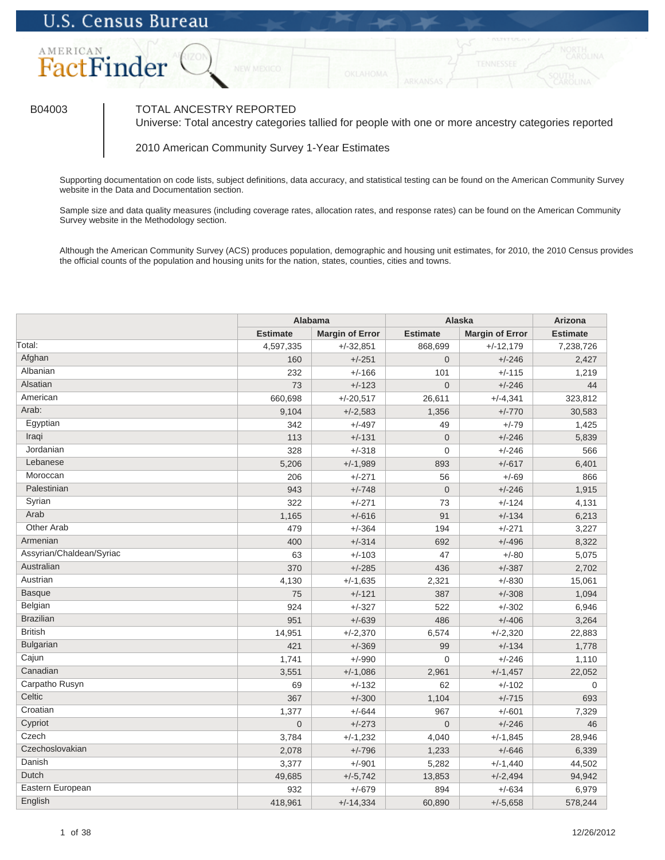

## B04003 TOTAL ANCESTRY REPORTED

Universe: Total ancestry categories tallied for people with one or more ancestry categories reported

2010 American Community Survey 1-Year Estimates

Supporting documentation on code lists, subject definitions, data accuracy, and statistical testing can be found on the American Community Survey website in the Data and Documentation section.

Sample size and data quality measures (including coverage rates, allocation rates, and response rates) can be found on the American Community Survey website in the Methodology section.

Although the American Community Survey (ACS) produces population, demographic and housing unit estimates, for 2010, the 2010 Census provides the official counts of the population and housing units for the nation, states, counties, cities and towns.

|                          |                 | <b>Alabama</b>         | <b>Alaska</b>   | <b>Arizona</b>         |                 |
|--------------------------|-----------------|------------------------|-----------------|------------------------|-----------------|
|                          | <b>Estimate</b> | <b>Margin of Error</b> | <b>Estimate</b> | <b>Margin of Error</b> | <b>Estimate</b> |
| Total:                   | 4,597,335       | $+/-32.851$            | 868.699         | $+/-12,179$            | 7,238,726       |
| Afghan                   | 160             | $+/-251$               | $\Omega$        | $+/-246$               | 2.427           |
| Albanian                 | 232             | $+/-166$               | 101             | $+/-115$               | 1,219           |
| Alsatian                 | 73              | $+/-123$               | $\Omega$        | $+/-246$               | 44              |
| American                 | 660,698         | $+/-20,517$            | 26,611          | $+/-4,341$             | 323,812         |
| Arab:                    | 9,104           | $+/-2,583$             | 1,356           | $+/-770$               | 30,583          |
| Egyptian                 | 342             | $+/-497$               | 49              | $+/-79$                | 1,425           |
| Iraqi                    | 113             | $+/-131$               | $\overline{0}$  | $+/-246$               | 5,839           |
| Jordanian                | 328             | $+/-318$               | $\mathbf 0$     | $+/-246$               | 566             |
| Lebanese                 | 5,206           | $+/-1,989$             | 893             | $+/-617$               | 6,401           |
| Moroccan                 | 206             | $+/-271$               | 56              | $+/-69$                | 866             |
| Palestinian              | 943             | $+/-748$               | $\Omega$        | $+/-246$               | 1,915           |
| Syrian                   | 322             | $+/-271$               | 73              | $+/-124$               | 4,131           |
| Arab                     | 1,165           | $+/-616$               | 91              | $+/-134$               | 6,213           |
| Other Arab               | 479             | $+/-364$               | 194             | $+/-271$               | 3,227           |
| Armenian                 | 400             | $+/-314$               | 692             | $+/-496$               | 8,322           |
| Assyrian/Chaldean/Syriac | 63              | $+/-103$               | 47              | $+/-80$                | 5,075           |
| Australian               | 370             | $+/-285$               | 436             | $+/-387$               | 2.702           |
| Austrian                 | 4,130           | $+/-1,635$             | 2,321           | $+/-830$               | 15,061          |
| <b>Basque</b>            | 75              | $+/-121$               | 387             | $+/-308$               | 1,094           |
| Belgian                  | 924             | $+/-327$               | 522             | $+/-302$               | 6,946           |
| <b>Brazilian</b>         | 951             | $+/-639$               | 486             | $+/-406$               | 3,264           |
| <b>British</b>           | 14,951          | $+/-2,370$             | 6,574           | $+/-2,320$             | 22,883          |
| Bulgarian                | 421             | $+/-369$               | 99              | $+/-134$               | 1,778           |
| Cajun                    | 1,741           | $+/-990$               | 0               | $+/-246$               | 1,110           |
| Canadian                 | 3,551           | $+/-1,086$             | 2.961           | $+/-1,457$             | 22,052          |
| Carpatho Rusyn           | 69              | $+/-132$               | 62              | $+/-102$               | $\mathbf 0$     |
| Celtic                   | 367             | $+/-300$               | 1,104           | $+/-715$               | 693             |
| Croatian                 | 1,377           | $+/-644$               | 967             | $+/-601$               | 7,329           |
| Cypriot                  | $\Omega$        | $+/-273$               | $\overline{0}$  | $+/-246$               | 46              |
| Czech                    | 3,784           | $+/-1,232$             | 4,040           | $+/-1,845$             | 28,946          |
| Czechoslovakian          | 2,078           | $+/-796$               | 1,233           | $+/-646$               | 6,339           |
| Danish                   | 3,377           | $+/-901$               | 5,282           | $+/-1,440$             | 44,502          |
| Dutch                    | 49,685          | $+/-5,742$             | 13,853          | $+/-2,494$             | 94,942          |
| Eastern European         | 932             | $+/-679$               | 894             | $+/-634$               | 6,979           |
| English                  | 418,961         | $+/-14,334$            | 60,890          | $+/-5,658$             | 578,244         |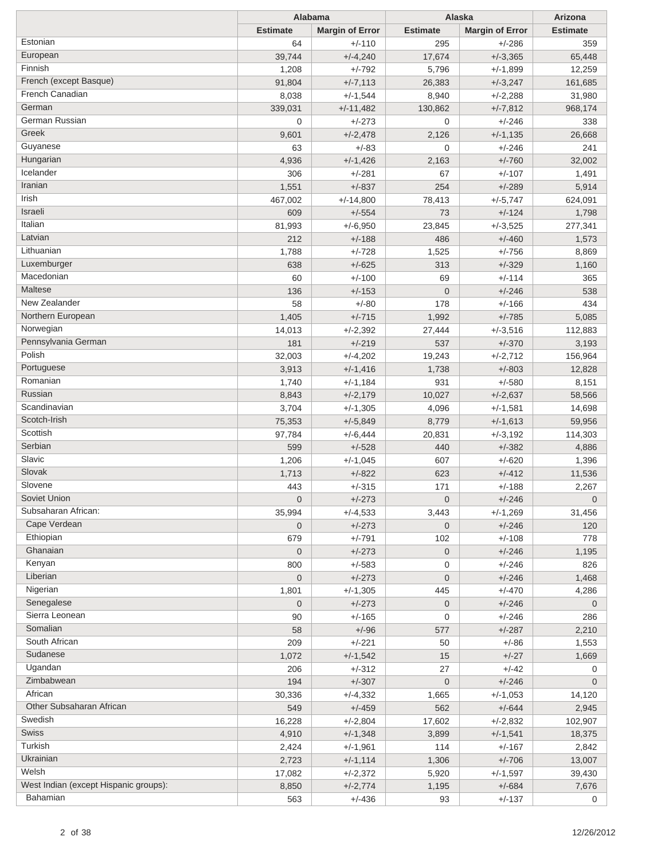|                                       |                 | Alabama                  |                 | Alaska                 | Arizona         |
|---------------------------------------|-----------------|--------------------------|-----------------|------------------------|-----------------|
|                                       | <b>Estimate</b> | <b>Margin of Error</b>   | <b>Estimate</b> | <b>Margin of Error</b> | <b>Estimate</b> |
| Estonian                              | 64              | $+/-110$                 | 295             | $+/-286$               | 359             |
| European                              | 39,744          | $+/-4,240$               | 17,674          | $+/-3,365$             | 65,448          |
| Finnish                               | 1,208           | $+/-792$                 | 5,796           | $+/-1,899$             | 12,259          |
| French (except Basque)                | 91,804          | $+/-7,113$               | 26,383          | $+/-3,247$             | 161,685         |
| French Canadian                       | 8,038           | $+/-1,544$               | 8,940           | $+/-2,288$             | 31,980          |
| German                                | 339,031         | $+/-11,482$              | 130,862         | $+/-7,812$             | 968,174         |
| German Russian                        | $\mathbf{0}$    | $+/-273$                 | 0               | $+/-246$               | 338             |
| Greek                                 | 9,601           | $+/-2,478$               | 2,126           | $+/-1,135$             | 26,668          |
| Guyanese                              | 63              | $+/-83$                  | $\mathbf 0$     | $+/-246$               | 241             |
| Hungarian                             | 4,936           | $+/-1,426$               | 2,163           | $+/-760$               | 32,002          |
| Icelander                             | 306             | $+/-281$                 | 67              | $+/-107$               | 1,491           |
| Iranian                               | 1,551           | $+/-837$                 | 254             | $+/-289$               | 5,914           |
| Irish                                 | 467,002         | $+/-14,800$              | 78,413          | $+/-5,747$             | 624,091         |
| Israeli                               | 609             | $+/-554$                 | 73              | $+/-124$               | 1,798           |
| Italian                               | 81,993          | $+/-6,950$               | 23,845          | $+/-3,525$             | 277,341         |
| Latvian                               | 212             | $+/-188$                 | 486             | $+/-460$               | 1,573           |
| Lithuanian                            | 1,788           | $+/-728$                 | 1,525           | $+/-756$               | 8,869           |
| Luxemburger                           | 638             | $+/-625$                 | 313             | $+/-329$               | 1,160           |
| Macedonian                            | 60              | $+/-100$                 | 69              | $+/-114$               | 365             |
| Maltese                               | 136             | $+/-153$                 | $\overline{0}$  | $+/-246$               | 538             |
| New Zealander                         | 58              | $+/-80$                  | 178             | $+/-166$               | 434             |
| Northern European                     | 1,405           | $+/-715$                 | 1,992           | $+/-785$               | 5,085           |
| Norwegian                             | 14,013          | $+/-2,392$               | 27,444          | $+/-3,516$             | 112,883         |
| Pennsylvania German                   | 181             | $+/-219$                 | 537             | $+/-370$               | 3,193           |
| Polish                                | 32,003          | $+/-4,202$               | 19,243          | $+/-2,712$             | 156,964         |
| Portuguese                            | 3,913           |                          | 1,738           | $+/-803$               | 12,828          |
| Romanian                              | 1,740           | $+/-1,416$<br>$+/-1,184$ | 931             | $+/-580$               | 8,151           |
| Russian                               |                 |                          |                 |                        |                 |
| Scandinavian                          | 8,843           | $+/-2,179$               | 10,027          | $+/-2,637$             | 58,566          |
| Scotch-Irish                          | 3,704           | $+/-1,305$               | 4,096           | $+/-1,581$             | 14,698          |
| Scottish                              | 75,353          | $+/-5,849$               | 8,779           | $+/-1,613$             | 59,956          |
| Serbian                               | 97,784          | $+/-6,444$               | 20,831          | $+/-3,192$             | 114,303         |
| Slavic                                | 599             | $+/-528$                 | 440             | $+/-382$               | 4,886           |
| Slovak                                | 1,206           | $+/-1,045$               | 607             | $+/-620$               | 1,396           |
| Slovene                               | 1,713           | $+/-822$                 | 623             | $+/-412$               | 11,536          |
| Soviet Union                          | 443             | $+/-315$                 | 171             | $+/-188$               | 2,267           |
| Subsaharan African:                   | $\overline{0}$  | $+/-273$                 | $\mathbf 0$     | $+/-246$               | $\overline{0}$  |
| Cape Verdean                          | 35,994          | $+/-4,533$               | 3,443           | $+/-1,269$             | 31,456          |
|                                       | $\overline{0}$  | $+/-273$                 | $\mathbf 0$     | $+/-246$               | 120             |
| Ethiopian                             | 679             | $+/-791$                 | 102             | $+/-108$               | 778             |
| Ghanaian                              | $\overline{0}$  | $+/-273$                 | $\mathbf 0$     | $+/-246$               | 1,195           |
| Kenyan                                | 800             | $+/-583$                 | 0               | $+/-246$               | 826             |
| Liberian                              | $\mathbf 0$     | $+/-273$                 | $\mathbf 0$     | $+/-246$               | 1,468           |
| Nigerian                              | 1,801           | $+/-1,305$               | 445             | $+/-470$               | 4,286           |
| Senegalese                            | $\overline{0}$  | $+/-273$                 | $\mathbf 0$     | $+/-246$               | $\mathbf 0$     |
| Sierra Leonean                        | 90              | $+/-165$                 | 0               | $+/-246$               | 286             |
| Somalian                              | 58              | $+/-96$                  | 577             | $+/-287$               | 2,210           |
| South African                         | 209             | $+/-221$                 | 50              | $+/-86$                | 1,553           |
| Sudanese                              | 1,072           | $+/-1,542$               | 15              | $+/-27$                | 1,669           |
| Ugandan                               | 206             | $+/-312$                 | 27              | $+/-42$                | 0               |
| Zimbabwean                            | 194             | $+/-307$                 | $\mathbf 0$     | $+/-246$               | $\mathbf 0$     |
| African                               | 30,336          | $+/-4,332$               | 1,665           | $+/-1,053$             | 14,120          |
| Other Subsaharan African              | 549             | $+/-459$                 | 562             | $+/-644$               | 2,945           |
| Swedish                               | 16,228          | $+/-2,804$               | 17,602          | $+/-2,832$             | 102,907         |
| Swiss                                 | 4,910           | $+/-1,348$               | 3,899           | $+/-1,541$             | 18,375          |
| Turkish                               | 2,424           | $+/-1,961$               | 114             | $+/-167$               | 2,842           |
| Ukrainian                             | 2,723           | $+/-1,114$               | 1,306           | $+/-706$               | 13,007          |
| Welsh                                 | 17,082          | $+/-2,372$               | 5,920           | $+/-1,597$             | 39,430          |
| West Indian (except Hispanic groups): | 8,850           | $+/-2,774$               | 1,195           | $+/-684$               | 7,676           |
| Bahamian                              | 563             | $+/-436$                 | 93              | $+/-137$               | 0               |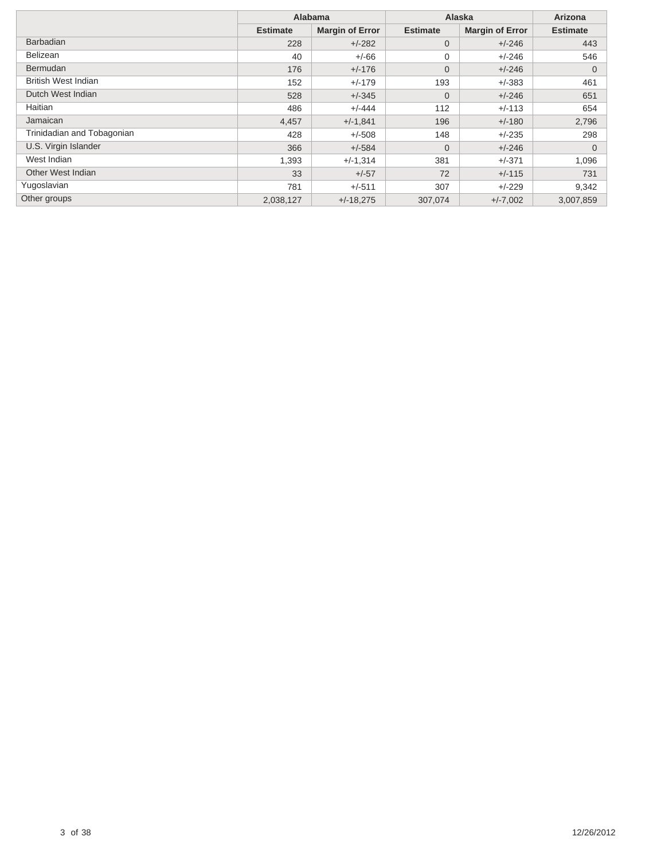|                            | <b>Alabama</b>  |                        | Alaska          | Arizona                |                 |
|----------------------------|-----------------|------------------------|-----------------|------------------------|-----------------|
|                            | <b>Estimate</b> | <b>Margin of Error</b> | <b>Estimate</b> | <b>Margin of Error</b> | <b>Estimate</b> |
| <b>Barbadian</b>           | 228             | $+/-282$               | $\overline{0}$  | $+/-246$               | 443             |
| <b>Belizean</b>            | 40              | $+/-66$                | 0               | $+/-246$               | 546             |
| <b>Bermudan</b>            | 176             | $+/-176$               | $\overline{0}$  | $+/-246$               | $\mathbf{0}$    |
| <b>British West Indian</b> | 152             | $+/-179$               | 193             | $+/-383$               | 461             |
| Dutch West Indian          | 528             | $+/-345$               | $\Omega$        | $+/-246$               | 651             |
| Haitian                    | 486             | $+/-444$               | 112             | $+/-113$               | 654             |
| Jamaican                   | 4,457           | $+/-1,841$             | 196             | $+/-180$               | 2,796           |
| Trinidadian and Tobagonian | 428             | $+/-508$               | 148             | $+/-235$               | 298             |
| U.S. Virgin Islander       | 366             | $+/-584$               | $\Omega$        | $+/-246$               | $\Omega$        |
| West Indian                | 1,393           | $+/-1,314$             | 381             | $+/-371$               | 1,096           |
| Other West Indian          | 33              | $+/-57$                | 72              | $+/-115$               | 731             |
| Yugoslavian                | 781             | $+/-511$               | 307             | $+/-229$               | 9,342           |
| Other groups               | 2,038,127       | $+/-18.275$            | 307,074         | $+/-7,002$             | 3,007,859       |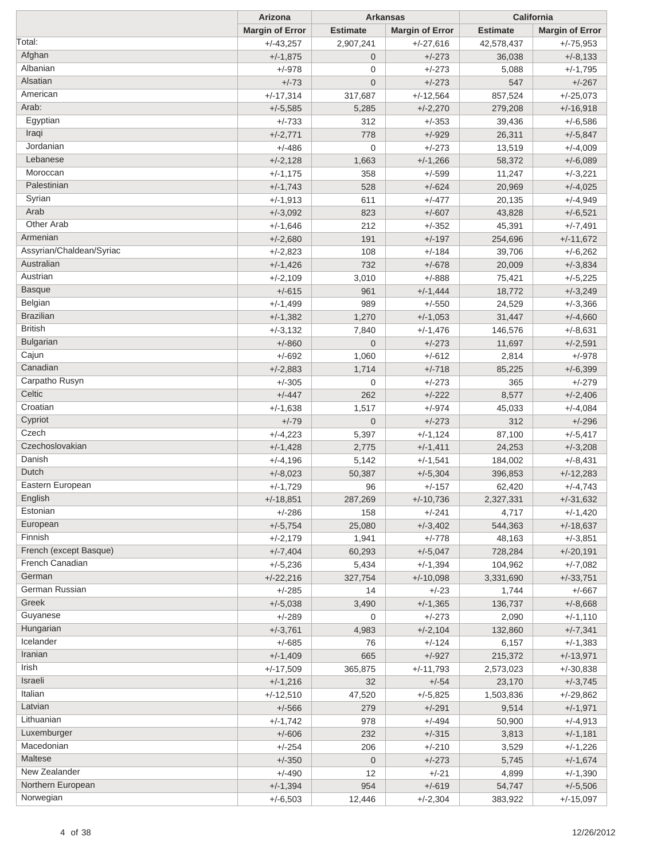|                          | Arizona                |                  | <b>Arkansas</b>        |                 | California             |
|--------------------------|------------------------|------------------|------------------------|-----------------|------------------------|
|                          | <b>Margin of Error</b> | <b>Estimate</b>  | <b>Margin of Error</b> | <b>Estimate</b> | <b>Margin of Error</b> |
| Total:                   | $+/-43,257$            | 2,907,241        | $+/-27,616$            | 42,578,437      | $+/-75,953$            |
| Afghan                   | $+/-1,875$             | $\overline{0}$   | $+/-273$               | 36,038          | $+/-8,133$             |
| Albanian                 | $+/-978$               | $\mathbf 0$      | $+/-273$               | 5,088           | $+/-1,795$             |
| Alsatian                 | $+/-73$                | $\overline{0}$   | $+/-273$               | 547             | $+/-267$               |
| American                 | $+/-17,314$            | 317,687          | $+/-12,564$            | 857,524         | $+/-25,073$            |
| Arab:                    | $+/-5,585$             | 5,285            | $+/-2,270$             | 279,208         | $+/-16,918$            |
| Egyptian                 | $+/-733$               | 312              | $+/-353$               | 39,436          | $+/-6,586$             |
| Iraqi                    | $+/-2,771$             | 778              | $+/-929$               | 26,311          | $+/-5,847$             |
| Jordanian                | $+/-486$               | $\mathbf 0$      | $+/-273$               | 13,519          | $+/-4,009$             |
| Lebanese                 | $+/-2,128$             | 1,663            | $+/-1,266$             | 58,372          | $+/-6,089$             |
| Moroccan                 | $+/-1,175$             | 358              | $+/-599$               | 11,247          | $+/-3,221$             |
| Palestinian              | $+/-1,743$             | 528              | $+/-624$               | 20,969          | $+/-4,025$             |
| Syrian                   | $+/-1,913$             | 611              | $+/-477$               | 20,135          | $+/-4,949$             |
| Arab                     | $+/-3,092$             | 823              | $+/-607$               | 43,828          | $+/-6,521$             |
| Other Arab               | $+/-1,646$             | 212              | $+/-352$               | 45,391          | $+/-7,491$             |
| Armenian                 | $+/-2,680$             | 191              | $+/-197$               | 254,696         | $+/-11,672$            |
| Assyrian/Chaldean/Syriac | $+/-2,823$             | 108              | $+/-184$               | 39,706          | $+/-6,262$             |
| Australian               | $+/-1,426$             | 732              | $+/-678$               | 20,009          | $+/-3,834$             |
| Austrian                 | $+/-2,109$             | 3,010            | $+/-888$               | 75,421          | $+/-5,225$             |
| <b>Basque</b>            | $+/-615$               | 961              | $+/-1,444$             | 18,772          | $+/-3,249$             |
| Belgian                  | $+/-1,499$             | 989              | $+/-550$               | 24,529          | $+/-3,366$             |
| <b>Brazilian</b>         | $+/-1,382$             | 1,270            | $+/-1,053$             | 31,447          | $+/-4,660$             |
| <b>British</b>           | $+/-3,132$             | 7,840            | $+/-1,476$             | 146,576         | $+/-8,631$             |
| <b>Bulgarian</b>         | $+/-860$               | $\overline{0}$   | $+/-273$               | 11,697          | $+/-2,591$             |
| Cajun                    | $+/-692$               | 1,060            | $+/-612$               | 2,814           | $+/-978$               |
| Canadian                 | $+/-2,883$             | 1,714            | $+/-718$               | 85,225          | $+/-6,399$             |
| Carpatho Rusyn           | $+/-305$               | $\mathbf 0$      | $+/-273$               | 365             | $+/-279$               |
| Celtic                   | $+/-447$               | 262              | $+/-222$               | 8,577           | $+/-2,406$             |
| Croatian                 | $+/-1,638$             | 1,517            | $+/-974$               | 45,033          | $+/-4,084$             |
| Cypriot                  | $+/-79$                | $\mathbf 0$      | $+/-273$               | 312             | $+/-296$               |
| Czech                    | $+/-4,223$             | 5,397            | $+/-1,124$             | 87,100          | $+/-5,417$             |
| Czechoslovakian          | $+/-1,428$             | 2,775            | $+/-1,411$             | 24,253          | $+/-3,208$             |
| Danish                   | $+/-4,196$             | 5,142            | $+/-1,541$             | 184,002         | $+/-8,431$             |
| Dutch                    | $+/-8,023$             | 50,387           | $+/-5,304$             | 396,853         | $+/-12,283$            |
| Eastern European         | $+/-1,729$             | 96               | $+/-157$               | 62,420          | $+/-4,743$             |
| English                  | $+/-18,851$            | 287,269          | $+/-10,736$            | 2,327,331       | $+/-31,632$            |
| Estonian                 | $+/-286$               | 158              | $+/-241$               | 4,717           | $+/-1,420$             |
| European                 | $+/-5,754$             | 25,080           | $+/-3,402$             | 544,363         | $+/-18,637$            |
| Finnish                  | $+/-2,179$             | 1,941            | $+/-778$               | 48,163          | $+/-3,851$             |
| French (except Basque)   | $+/-7,404$             | 60,293           | $+/-5,047$             | 728,284         | $+/-20,191$            |
| French Canadian          | $+/-5,236$             | 5,434            | $+/-1,394$             | 104,962         | $+/-7,082$             |
| German                   | $+/-22,216$            | 327,754          | $+/-10,098$            | 3,331,690       | $+/-33,751$            |
| German Russian           | $+/-285$               | 14               | $+/-23$                | 1,744           | $+/-667$               |
| Greek                    | $+/-5,038$             | 3,490            | $+/-1,365$             | 136,737         | $+/-8,668$             |
| Guyanese                 | $+/-289$               | 0                | $+/-273$               | 2,090           | $+/-1,110$             |
| Hungarian                | $+/-3,761$             | 4,983            | $+/-2,104$             | 132,860         | $+/-7,341$             |
| Icelander                | $+/-685$               | 76               | $+/-124$               | 6,157           | $+/-1,383$             |
| Iranian                  | $+/-1,409$             | 665              | $+/-927$               | 215,372         | $+/-13,971$            |
| Irish                    | $+/-17,509$            | 365,875          | $+/-11,793$            | 2,573,023       | $+/-30,838$            |
| Israeli                  | $+/-1,216$             | 32               | $+/-54$                | 23,170          | $+/-3,745$             |
| Italian                  | $+/-12,510$            | 47,520           | $+/-5,825$             | 1,503,836       | $+/-29,862$            |
| Latvian                  | $+/-566$               | 279              | $+/-291$               | 9,514           | $+/-1,971$             |
| Lithuanian               | $+/-1,742$             | 978              | $+/-494$               | 50,900          | $+/-4,913$             |
| Luxemburger              | $+/-606$               | 232              | $+/-315$               | 3,813           | $+/-1,181$             |
| Macedonian               | $+/-254$               | 206              | $+/-210$               | 3,529           | $+/-1,226$             |
| Maltese                  | $+/-350$               | $\boldsymbol{0}$ | $+/-273$               | 5,745           | $+/-1,674$             |
| New Zealander            | $+/-490$               | 12               | $+/-21$                | 4,899           | $+/-1,390$             |
| Northern European        | $+/-1,394$             | 954              | $+/-619$               | 54,747          | $+/-5,506$             |
| Norwegian                | $+/-6,503$             | 12,446           | $+/-2,304$             | 383,922         | $+/-15,097$            |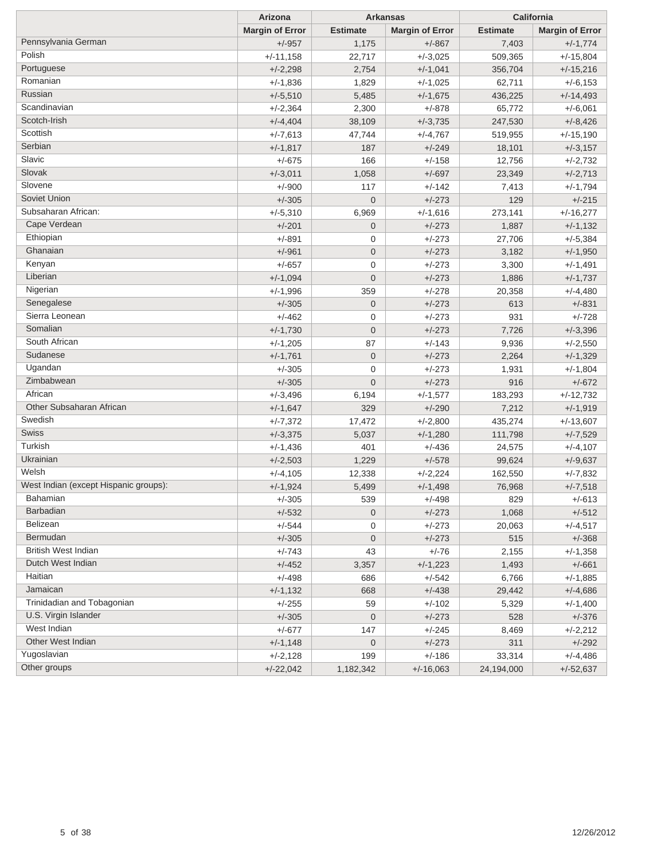|                                       | Arizona                |                  | <b>Arkansas</b>        |                 | California             |  |
|---------------------------------------|------------------------|------------------|------------------------|-----------------|------------------------|--|
|                                       | <b>Margin of Error</b> | <b>Estimate</b>  | <b>Margin of Error</b> | <b>Estimate</b> | <b>Margin of Error</b> |  |
| Pennsylvania German                   | $+/-957$               | 1,175            | $+/-867$               | 7,403           | $+/-1,774$             |  |
| Polish                                | $+/-11,158$            | 22,717           | $+/-3,025$             | 509,365         | $+/-15,804$            |  |
| Portuguese                            | $+/-2,298$             | 2,754            | $+/-1,041$             | 356,704         | $+/-15,216$            |  |
| Romanian                              | $+/-1,836$             | 1,829            | $+/-1,025$             | 62,711          | $+/-6,153$             |  |
| Russian                               | $+/-5,510$             | 5,485            | $+/-1,675$             | 436,225         | $+/-14,493$            |  |
| Scandinavian                          | $+/-2,364$             | 2,300            | $+/-878$               | 65,772          | $+/-6,061$             |  |
| Scotch-Irish                          | $+/-4,404$             | 38,109           | $+/-3,735$             | 247,530         | $+/-8,426$             |  |
| Scottish                              | $+/-7,613$             | 47,744           | $+/-4,767$             | 519,955         | $+/-15,190$            |  |
| Serbian                               | $+/-1,817$             | 187              | $+/-249$               | 18,101          | $+/-3,157$             |  |
| Slavic                                | $+/-675$               | 166              | $+/-158$               | 12,756          | $+/-2,732$             |  |
| Slovak                                | $+/-3,011$             | 1,058            | $+/-697$               | 23,349          | $+/-2,713$             |  |
| Slovene                               | $+/-900$               | 117              | $+/-142$               | 7,413           | $+/-1,794$             |  |
| Soviet Union                          | $+/-305$               | $\mathbf 0$      | $+/-273$               | 129             | $+/-215$               |  |
| Subsaharan African:                   | $+/-5,310$             | 6,969            | $+/-1,616$             | 273,141         | $+/-16,277$            |  |
| Cape Verdean                          | $+/-201$               | $\mathbf 0$      | $+/-273$               | 1,887           | $+/-1,132$             |  |
| Ethiopian                             | $+/-891$               | 0                | $+/-273$               | 27,706          | $+/-5,384$             |  |
| Ghanaian                              | $+/-961$               | $\mathbf 0$      | $+/-273$               | 3,182           | $+/-1,950$             |  |
| Kenyan                                | $+/-657$               | 0                | $+/-273$               | 3,300           | $+/-1,491$             |  |
| Liberian                              | $+/-1,094$             | $\mathbf 0$      | $+/-273$               | 1,886           | $+/-1,737$             |  |
| Nigerian                              | $+/-1,996$             | 359              | $+/-278$               | 20,358          | $+/-4,480$             |  |
| Senegalese                            | $+/-305$               | $\mathbf 0$      | $+/-273$               | 613             | $+/-831$               |  |
| Sierra Leonean                        | $+/-462$               | 0                | $+/-273$               | 931             | $+/-728$               |  |
| Somalian                              | $+/-1,730$             | $\mathbf 0$      | $+/-273$               | 7,726           | $+/-3,396$             |  |
| South African                         | $+/-1,205$             | 87               | $+/-143$               | 9,936           | $+/-2,550$             |  |
| Sudanese                              | $+/-1,761$             | $\mathbf 0$      | $+/-273$               | 2,264           | $+/-1,329$             |  |
| Ugandan                               | $+/-305$               | 0                | $+/-273$               | 1,931           | $+/-1,804$             |  |
| Zimbabwean                            | $+/-305$               | $\mathbf 0$      | $+/-273$               | 916             | $+/-672$               |  |
| African                               | $+/-3,496$             | 6,194            | $+/-1,577$             | 183,293         | $+/-12,732$            |  |
| Other Subsaharan African              | $+/-1,647$             | 329              | $+/-290$               | 7,212           | $+/-1,919$             |  |
| Swedish                               | $+/-7,372$             | 17,472           | $+/-2,800$             | 435,274         | $+/-13,607$            |  |
| Swiss                                 | $+/-3,375$             | 5,037            | $+/-1,280$             | 111,798         | $+/-7,529$             |  |
| Turkish                               | $+/-1,436$             | 401              | $+/-436$               | 24,575          | $+/-4,107$             |  |
| Ukrainian                             | $+/-2,503$             | 1,229            | $+/-578$               | 99,624          | $+/-9,637$             |  |
| Welsh                                 | $+/-4,105$             | 12,338           | $+/-2,224$             | 162,550         | $+/-7,832$             |  |
| West Indian (except Hispanic groups): | $+/-1,924$             | 5,499            | $+/-1,498$             | 76,968          | $+/-7,518$             |  |
| Bahamian                              | +/-305                 | 539              | +/-498                 | 829             | +/-613                 |  |
| <b>Barbadian</b>                      | $+/-532$               | $\mathbf 0$      | $+/-273$               | 1,068           | $+/-512$               |  |
| Belizean                              | $+/-544$               | 0                | $+/-273$               | 20,063          | $+/-4,517$             |  |
| Bermudan                              | $+/-305$               | $\mathbf 0$      | $+/-273$               | 515             | $+/-368$               |  |
| <b>British West Indian</b>            | $+/-743$               | 43               | $+/-76$                | 2,155           | $+/-1,358$             |  |
| Dutch West Indian                     | $+/-452$               | 3,357            | $+/-1,223$             | 1,493           | $+/-661$               |  |
| Haitian                               | $+/-498$               | 686              | $+/-542$               | 6,766           | $+/-1,885$             |  |
| Jamaican                              | $+/-1,132$             | 668              | $+/-438$               | 29,442          | $+/-4,686$             |  |
| Trinidadian and Tobagonian            | $+/-255$               | 59               | $+/-102$               | 5,329           | $+/-1,400$             |  |
| U.S. Virgin Islander                  | $+/-305$               | $\boldsymbol{0}$ | $+/-273$               | 528             | $+/-376$               |  |
| West Indian                           | $+/-677$               | 147              | $+/-245$               | 8,469           | $+/-2,212$             |  |
| Other West Indian                     | $+/-1,148$             | $\boldsymbol{0}$ | $+/-273$               | 311             | $+/-292$               |  |
| Yugoslavian                           | $+/-2,128$             | 199              | $+/-186$               | 33,314          | $+/-4,486$             |  |
| Other groups                          | $+/-22,042$            | 1,182,342        | $+/-16,063$            | 24,194,000      | $+/-52,637$            |  |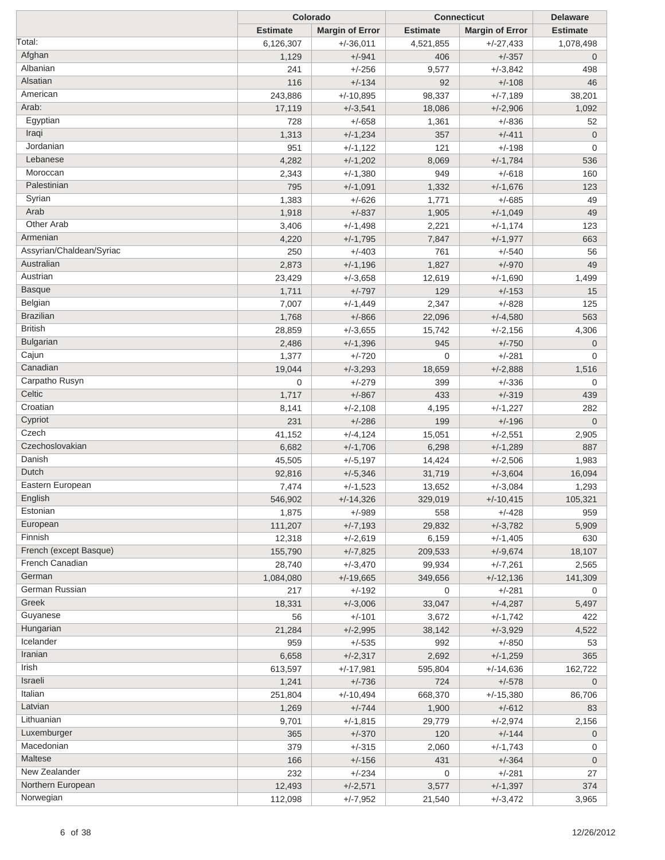|                          |                 | Colorado               |                 | <b>Connecticut</b>     | <b>Delaware</b> |
|--------------------------|-----------------|------------------------|-----------------|------------------------|-----------------|
|                          | <b>Estimate</b> | <b>Margin of Error</b> | <b>Estimate</b> | <b>Margin of Error</b> | <b>Estimate</b> |
| Total:                   | 6,126,307       | $+/-36,011$            | 4,521,855       | $+/-27,433$            | 1,078,498       |
| Afghan                   | 1,129           | $+/-941$               | 406             | $+/-357$               | $\mathbf{0}$    |
| Albanian                 | 241             | $+/-256$               | 9,577           | $+/-3,842$             | 498             |
| Alsatian                 | 116             | $+/-134$               | 92              | $+/-108$               | 46              |
| American                 | 243,886         | $+/-10,895$            | 98,337          | $+/-7,189$             | 38,201          |
| Arab:                    | 17,119          | $+/-3,541$             | 18,086          | $+/-2,906$             | 1,092           |
| Egyptian                 | 728             | $+/-658$               | 1,361           | $+/-836$               | 52              |
| Iraqi                    | 1,313           | $+/-1,234$             | 357             | $+/-411$               | $\mathbf 0$     |
| Jordanian                | 951             | $+/-1,122$             | 121             | $+/-198$               | 0               |
| Lebanese                 | 4,282           | $+/-1,202$             | 8,069           | $+/-1,784$             | 536             |
| Moroccan                 | 2,343           | $+/-1,380$             | 949             | $+/-618$               | 160             |
| Palestinian              | 795             | $+/-1,091$             | 1,332           | $+/-1,676$             | 123             |
| Syrian                   |                 |                        |                 | $+/-685$               |                 |
| Arab                     | 1,383           | $+/-626$               | 1,771           |                        | 49              |
| Other Arab               | 1,918           | $+/-837$               | 1,905           | $+/-1,049$             | 49              |
| Armenian                 | 3,406           | $+/-1,498$             | 2,221           | $+/-1,174$             | 123             |
|                          | 4,220           | $+/-1,795$             | 7,847           | $+/-1,977$             | 663             |
| Assyrian/Chaldean/Syriac | 250             | $+/-403$               | 761             | $+/-540$               | 56              |
| Australian               | 2,873           | $+/-1,196$             | 1,827           | $+/-970$               | 49              |
| Austrian                 | 23,429          | $+/-3,658$             | 12,619          | $+/-1,690$             | 1,499           |
| <b>Basque</b>            | 1,711           | $+/-797$               | 129             | $+/-153$               | 15              |
| Belgian                  | 7,007           | $+/-1,449$             | 2,347           | $+/-828$               | 125             |
| <b>Brazilian</b>         | 1,768           | $+/-866$               | 22,096          | $+/-4,580$             | 563             |
| <b>British</b>           | 28,859          | $+/-3,655$             | 15,742          | $+/-2,156$             | 4,306           |
| <b>Bulgarian</b>         | 2,486           | $+/-1,396$             | 945             | $+/-750$               | $\mathbf 0$     |
| Cajun                    | 1,377           | $+/-720$               | $\mathbf 0$     | $+/-281$               | 0               |
| Canadian                 | 19,044          | $+/-3,293$             | 18,659          | $+/-2,888$             | 1,516           |
| Carpatho Rusyn           | $\mathbf{0}$    | $+/-279$               | 399             | $+/-336$               | 0               |
| Celtic                   | 1,717           | $+/-867$               | 433             | $+/-319$               | 439             |
| Croatian                 | 8,141           | $+/-2,108$             | 4,195           | $+/-1,227$             | 282             |
| Cypriot                  | 231             | $+/-286$               | 199             | $+/-196$               | $\overline{0}$  |
| Czech                    | 41,152          | $+/-4,124$             | 15,051          | $+/-2,551$             | 2,905           |
| Czechoslovakian          | 6,682           | $+/-1,706$             | 6,298           | $+/-1,289$             | 887             |
| Danish                   | 45,505          | $+/-5,197$             | 14,424          | $+/-2,506$             | 1,983           |
| Dutch                    | 92,816          | $+/-5,346$             | 31,719          | $+/-3,604$             | 16,094          |
| Eastern European         | 7,474           | $+/-1,523$             | 13,652          | $+/-3,084$             | 1,293           |
| English                  | 546,902         | $+/-14,326$            | 329,019         | $+/-10,415$            | 105,321         |
| Estonian                 | 1,875           | $+/-989$               | 558             | $+/-428$               | 959             |
| European                 | 111,207         | $+/-7,193$             | 29,832          | $+/-3,782$             | 5,909           |
| Finnish                  | 12,318          | $+/-2,619$             | 6,159           | $+/-1,405$             | 630             |
| French (except Basque)   | 155,790         | $+/-7,825$             | 209,533         | $+/-9,674$             | 18,107          |
| French Canadian          | 28,740          | $+/-3,470$             | 99,934          | $+/-7,261$             | 2,565           |
| German                   | 1,084,080       | $+/-19,665$            | 349,656         | $+/-12,136$            | 141,309         |
| German Russian           | 217             | $+/-192$               | 0               | $+/-281$               | 0               |
| Greek                    | 18,331          | $+/-3,006$             | 33,047          | $+/-4,287$             | 5,497           |
| Guyanese                 | 56              | $+/-101$               | 3,672           | $+/-1,742$             | 422             |
| Hungarian                | 21,284          | $+/-2,995$             | 38,142          | $+/-3,929$             | 4,522           |
| Icelander                | 959             | $+/-535$               | 992             | $+/-850$               | 53              |
| Iranian                  | 6,658           | $+/-2,317$             | 2,692           | $+/-1,259$             | 365             |
| Irish                    |                 |                        |                 |                        |                 |
| Israeli                  | 613,597         | $+/-17,981$            | 595,804         | $+/-14,636$            | 162,722         |
| Italian                  | 1,241           | $+/-736$               | 724             | $+/-578$               | $\mathbf 0$     |
| Latvian                  | 251,804         | $+/-10,494$            | 668,370         | $+/-15,380$            | 86,706          |
|                          | 1,269           | $+/-744$               | 1,900           | $+/-612$               | 83              |
| Lithuanian               | 9,701           | $+/-1,815$             | 29,779          | $+/-2,974$             | 2,156           |
| Luxemburger              | 365             | $+/-370$               | 120             | $+/-144$               | $\mathbf 0$     |
| Macedonian               | 379             | $+/-315$               | 2,060           | $+/-1,743$             | 0               |
| Maltese                  | 166             | $+/-156$               | 431             | $+/-364$               | $\mathbf 0$     |
| New Zealander            | 232             | $+/-234$               | 0               | $+/-281$               | 27              |
| Northern European        | 12,493          | $+/-2,571$             | 3,577           | $+/-1,397$             | 374             |
| Norwegian                | 112,098         | $+/-7,952$             | 21,540          | $+/-3,472$             | 3,965           |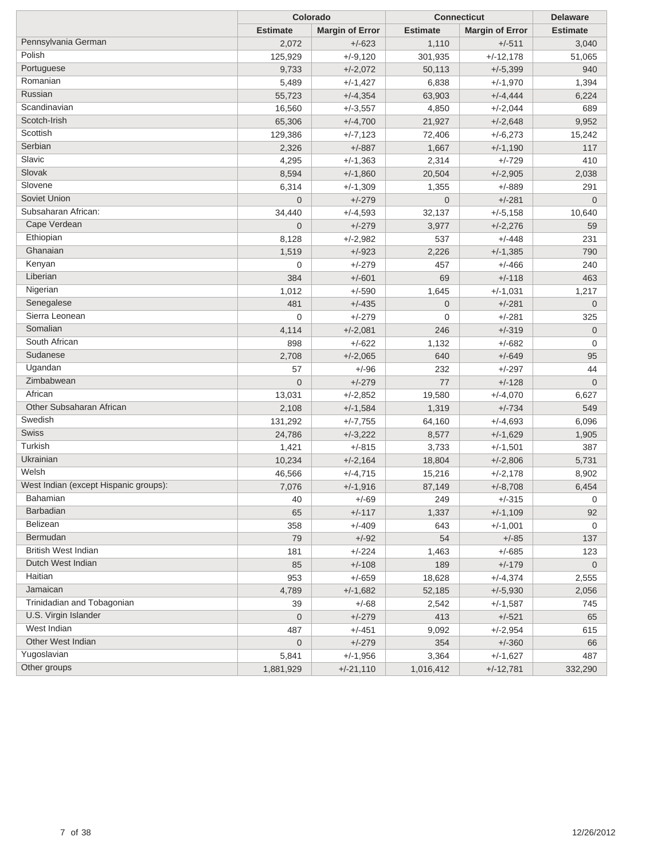|                                       | Colorado        |                        | <b>Connecticut</b> | <b>Delaware</b>        |                 |
|---------------------------------------|-----------------|------------------------|--------------------|------------------------|-----------------|
|                                       | <b>Estimate</b> | <b>Margin of Error</b> | <b>Estimate</b>    | <b>Margin of Error</b> | <b>Estimate</b> |
| Pennsylvania German                   | 2,072           | $+/-623$               | 1,110              | $+/-511$               | 3,040           |
| Polish                                | 125,929         | $+/-9,120$             | 301,935            | $+/-12,178$            | 51,065          |
| Portuguese                            | 9,733           | $+/-2,072$             | 50,113             | $+/-5,399$             | 940             |
| Romanian                              | 5,489           | $+/-1,427$             | 6,838              | $+/-1,970$             | 1,394           |
| Russian                               | 55,723          | $+/-4,354$             | 63,903             | $+/-4,444$             | 6,224           |
| Scandinavian                          | 16,560          | $+/-3,557$             | 4,850              | $+/-2,044$             | 689             |
| Scotch-Irish                          | 65,306          | $+/-4,700$             | 21,927             | $+/-2,648$             | 9,952           |
| Scottish                              | 129,386         | $+/-7,123$             | 72,406             | $+/-6,273$             | 15,242          |
| Serbian                               | 2,326           | $+/-887$               | 1,667              | $+/-1,190$             | 117             |
| Slavic                                | 4,295           | $+/-1,363$             | 2,314              | $+/-729$               | 410             |
| Slovak                                | 8,594           | $+/-1,860$             | 20,504             | $+/-2,905$             | 2,038           |
| Slovene                               | 6,314           | $+/-1,309$             | 1,355              | $+/-889$               | 291             |
| Soviet Union                          | $\overline{0}$  | $+/-279$               | $\overline{0}$     | $+/-281$               | $\mathbf 0$     |
| Subsaharan African:                   | 34,440          | $+/-4,593$             | 32,137             | $+/-5,158$             | 10,640          |
| Cape Verdean                          | $\overline{0}$  | $+/-279$               | 3,977              | $+/-2,276$             | 59              |
| Ethiopian                             | 8,128           | $+/-2,982$             | 537                | $+/-448$               | 231             |
| Ghanaian                              | 1,519           | $+/-923$               | 2,226              | $+/-1,385$             | 790             |
| Kenyan                                | 0               | $+/-279$               | 457                | $+/-466$               | 240             |
| Liberian                              | 384             | $+/-601$               | 69                 | $+/-118$               | 463             |
| Nigerian                              | 1,012           | $+/-590$               | 1,645              | $+/-1,031$             | 1,217           |
| Senegalese                            | 481             | $+/-435$               | $\mathbf 0$        | $+/-281$               | $\mathbf 0$     |
| Sierra Leonean                        | $\mathbf 0$     | $+/-279$               | 0                  | $+/-281$               | 325             |
| Somalian                              | 4,114           | $+/-2,081$             | 246                | $+/-319$               | $\mathbf 0$     |
| South African                         | 898             | $+/-622$               | 1,132              | $+/-682$               | 0               |
| Sudanese                              | 2,708           | $+/-2,065$             | 640                | $+/-649$               | 95              |
| Ugandan                               | 57              | $+/-96$                | 232                | $+/-297$               | 44              |
| Zimbabwean                            | $\overline{0}$  | $+/-279$               | 77                 | $+/-128$               | $\mathbf 0$     |
| African                               | 13,031          | $+/-2,852$             | 19,580             | $+/-4,070$             | 6,627           |
| Other Subsaharan African              | 2,108           | $+/-1,584$             | 1,319              | $+/-734$               | 549             |
| Swedish                               | 131,292         | $+/-7,755$             | 64,160             | $+/-4,693$             | 6,096           |
| Swiss                                 | 24,786          | $+/-3,222$             | 8,577              | $+/-1,629$             | 1,905           |
| Turkish                               | 1,421           | $+/-815$               | 3,733              | $+/-1,501$             | 387             |
| Ukrainian                             | 10,234          | $+/-2,164$             | 18,804             | $+/-2,806$             | 5,731           |
| Welsh                                 | 46,566          | $+/-4,715$             | 15,216             | $+/-2,178$             | 8,902           |
| West Indian (except Hispanic groups): | 7,076           | $+/-1,916$             | 87,149             | $+/-8,708$             | 6,454           |
| Bahamian                              | 40              | +/-69                  | 249                | $+/-315$               | 0               |
| <b>Barbadian</b>                      | 65              | $+/-117$               | 1,337              | $+/-1,109$             | 92              |
| Belizean                              | 358             | $+/-409$               | 643                | $+/-1,001$             | 0               |
| Bermudan                              | 79              | $+/-92$                | 54                 | $+/-85$                | 137             |
| <b>British West Indian</b>            | 181             | $+/-224$               | 1,463              | $+/-685$               | 123             |
| Dutch West Indian                     | 85              | $+/-108$               | 189                | $+/-179$               | $\mathbf 0$     |
| Haitian                               | 953             | $+/-659$               | 18,628             | $+/-4,374$             | 2,555           |
| Jamaican                              | 4,789           | $+/-1,682$             | 52,185             | $+/-5,930$             | 2,056           |
| Trinidadian and Tobagonian            | 39              | $+/-68$                | 2,542              | $+/-1,587$             | 745             |
| U.S. Virgin Islander                  | 0               | $+/-279$               | 413                | $+/-521$               | 65              |
| West Indian                           | 487             | $+/-451$               | 9,092              | $+/-2,954$             | 615             |
| Other West Indian                     | $\mathbf 0$     | $+/-279$               | 354                | $+/-360$               | 66              |
| Yugoslavian                           | 5,841           | $+/-1,956$             | 3,364              | $+/-1,627$             | 487             |
| Other groups                          | 1,881,929       | $+/-21,110$            | 1,016,412          | $+/-12,781$            | 332,290         |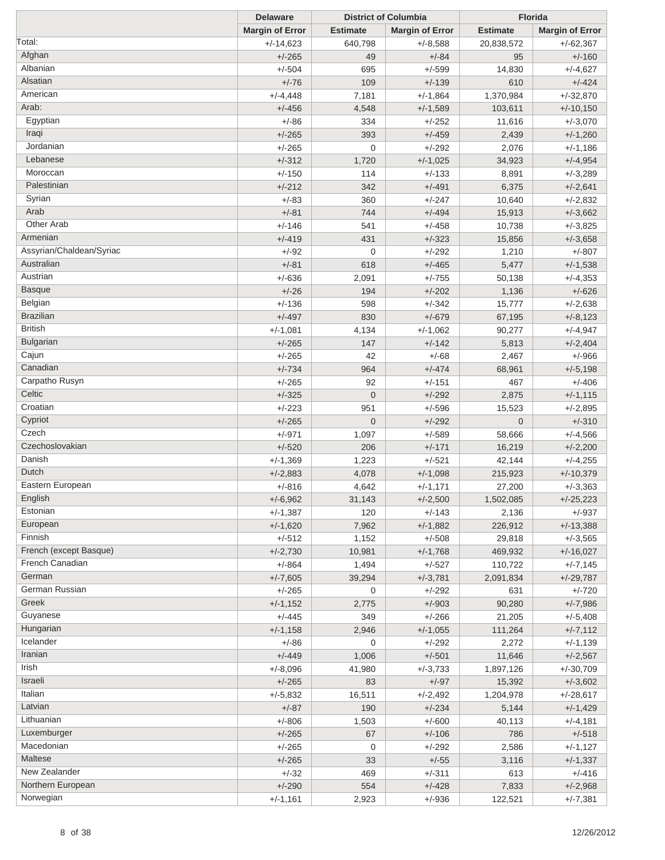|                          | <b>Delaware</b>        |                 | <b>District of Columbia</b> |                 | <b>Florida</b>         |
|--------------------------|------------------------|-----------------|-----------------------------|-----------------|------------------------|
|                          | <b>Margin of Error</b> | <b>Estimate</b> | <b>Margin of Error</b>      | <b>Estimate</b> | <b>Margin of Error</b> |
| Total:                   | $+/-14,623$            | 640,798         | $+/-8,588$                  | 20,838,572      | $+/-62,367$            |
| Afghan                   | $+/-265$               | 49              | $+/-84$                     | 95              | $+/-160$               |
| Albanian                 | $+/-504$               | 695             | $+/-599$                    | 14,830          | $+/-4,627$             |
| Alsatian                 | $+/-76$                | 109             | $+/-139$                    | 610             | $+/-424$               |
| American                 | $+/-4,448$             | 7,181           | $+/-1,864$                  | 1,370,984       | $+/-32,870$            |
| Arab:                    | $+/-456$               | 4,548           | $+/-1,589$                  | 103,611         | $+/-10,150$            |
| Egyptian                 | $+/-86$                | 334             | $+/-252$                    | 11,616          | $+/-3,070$             |
| Iraqi                    | $+/-265$               | 393             | $+/-459$                    | 2,439           | $+/-1,260$             |
| Jordanian                | $+/-265$               | $\mathbf 0$     | $+/-292$                    | 2,076           | $+/-1,186$             |
| Lebanese                 | $+/-312$               | 1,720           | $+/-1,025$                  | 34,923          | $+/-4,954$             |
| Moroccan                 | $+/-150$               | 114             | $+/-133$                    | 8,891           | $+/-3,289$             |
| Palestinian              | $+/-212$               | 342             | $+/-491$                    | 6,375           | $+/-2,641$             |
| Syrian                   | $+/-83$                | 360             | $+/-247$                    | 10,640          | $+/-2,832$             |
| Arab                     | $+/-81$                | 744             | $+/-494$                    |                 |                        |
| Other Arab               |                        |                 | $+/-458$                    | 15,913          | $+/-3,662$             |
| Armenian                 | $+/-146$               | 541             |                             | 10,738          | $+/-3,825$             |
| Assyrian/Chaldean/Syriac | $+/-419$               | 431             | $+/-323$                    | 15,856          | $+/-3,658$             |
| Australian               | $+/-92$                | $\mathbf 0$     | $+/-292$                    | 1,210           | $+/-807$               |
|                          | $+/-81$                | 618             | $+/-465$                    | 5,477           | $+/-1,538$             |
| Austrian                 | $+/-636$               | 2,091           | $+/-755$                    | 50,138          | $+/-4,353$             |
| <b>Basque</b>            | $+/-26$                | 194             | $+/-202$                    | 1,136           | $+/-626$               |
| Belgian                  | $+/-136$               | 598             | $+/-342$                    | 15,777          | $+/-2,638$             |
| <b>Brazilian</b>         | $+/-497$               | 830             | $+/-679$                    | 67,195          | $+/-8,123$             |
| <b>British</b>           | $+/-1,081$             | 4,134           | $+/-1,062$                  | 90,277          | $+/-4,947$             |
| Bulgarian                | $+/-265$               | 147             | $+/-142$                    | 5,813           | $+/-2,404$             |
| Cajun                    | $+/-265$               | 42              | $+/-68$                     | 2,467           | $+/-966$               |
| Canadian                 | $+/-734$               | 964             | $+/-474$                    | 68,961          | $+/-5,198$             |
| Carpatho Rusyn           | $+/-265$               | 92              | $+/-151$                    | 467             | $+/-406$               |
| Celtic                   | $+/-325$               | $\mathbf{0}$    | $+/-292$                    | 2,875           | $+/-1,115$             |
| Croatian                 | $+/-223$               | 951             | $+/-596$                    | 15,523          | $+/-2,895$             |
| Cypriot                  | $+/-265$               | $\overline{0}$  | $+/-292$                    | $\overline{0}$  | $+/-310$               |
| Czech                    | $+/-971$               | 1,097           | $+/-589$                    | 58,666          | $+/-4,566$             |
| Czechoslovakian          | $+/-520$               | 206             | $+/-171$                    | 16,219          | $+/-2,200$             |
| Danish                   | $+/-1,369$             | 1,223           | $+/-521$                    | 42,144          | $+/-4,255$             |
| Dutch                    | $+/-2,883$             | 4,078           | $+/-1,098$                  | 215,923         | $+/-10,379$            |
| Eastern European         | $+/-816$               | 4,642           | $+/-1,171$                  | 27,200          | $+/-3,363$             |
| English                  | $+/-6,962$             | 31,143          | $+/-2,500$                  | 1,502,085       | $+/-25,223$            |
| Estonian                 | $+/-1,387$             | 120             | $+/-143$                    | 2,136           | $+/-937$               |
| European                 | $+/-1,620$             | 7,962           | $+/-1,882$                  | 226,912         | $+/-13,388$            |
| Finnish                  | $+/-512$               | 1,152           | $+/-508$                    | 29,818          | $+/-3,565$             |
| French (except Basque)   | $+/-2,730$             | 10,981          | $+/-1,768$                  | 469,932         | $+/-16,027$            |
| French Canadian          | $+/-864$               | 1,494           | $+/-527$                    | 110,722         | $+/-7,145$             |
| German                   | $+/-7,605$             | 39,294          | $+/-3,781$                  | 2,091,834       | $+/-29,787$            |
| German Russian           | $+/-265$               | 0               | $+/-292$                    | 631             | $+/-720$               |
| Greek                    | $+/-1,152$             | 2,775           | $+/-903$                    | 90,280          | $+/-7,986$             |
| Guyanese                 | $+/-445$               | 349             | $+/-266$                    | 21,205          | $+/-5,408$             |
| Hungarian                | $+/-1,158$             | 2,946           | $+/-1,055$                  | 111,264         | $+/-7,112$             |
| Icelander                | $+/-86$                | 0               | $+/-292$                    | 2,272           | $+/-1,139$             |
| Iranian                  | $+/-449$               | 1,006           | $+/-501$                    | 11,646          | $+/-2,567$             |
| Irish                    |                        |                 |                             |                 |                        |
| Israeli                  | $+/-8,096$             | 41,980          | $+/-3,733$                  | 1,897,126       | $+/-30,709$            |
| Italian                  | $+/-265$               | 83              | $+/-97$                     | 15,392          | $+/-3,602$             |
| Latvian                  | $+/-5,832$             | 16,511          | $+/-2,492$                  | 1,204,978       | $+/-28,617$            |
|                          | $+/-87$                | 190             | $+/-234$                    | 5,144           | $+/-1,429$             |
| Lithuanian               | $+/-806$               | 1,503           | $+/-600$                    | 40,113          | $+/-4,181$             |
| Luxemburger              | $+/-265$               | 67              | $+/-106$                    | 786             | $+/-518$               |
| Macedonian               | $+/-265$               | 0               | $+/-292$                    | 2,586           | $+/-1,127$             |
| Maltese                  | $+/-265$               | 33              | $+/-55$                     | 3,116           | $+/-1,337$             |
| New Zealander            | $+/-32$                | 469             | $+/-311$                    | 613             | $+/-416$               |
| Northern European        | $+/-290$               | 554             | $+/-428$                    | 7,833           | $+/-2,968$             |
| Norwegian                | $+/-1,161$             | 2,923           | $+/-936$                    | 122,521         | $+/-7,381$             |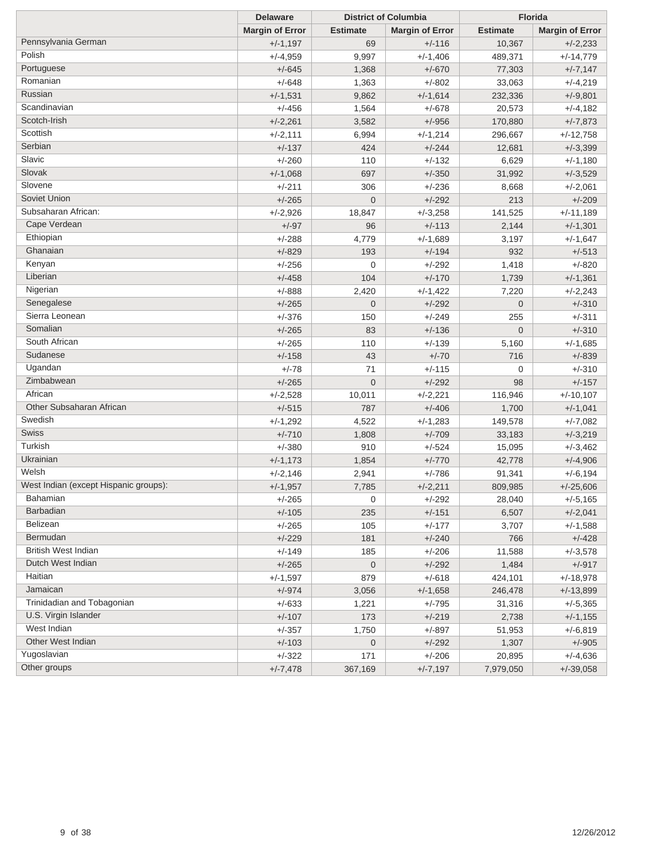|                                       | <b>Delaware</b>        |                  | <b>District of Columbia</b> |                 | <b>Florida</b>         |  |
|---------------------------------------|------------------------|------------------|-----------------------------|-----------------|------------------------|--|
|                                       | <b>Margin of Error</b> | <b>Estimate</b>  | <b>Margin of Error</b>      | <b>Estimate</b> | <b>Margin of Error</b> |  |
| Pennsylvania German                   | $+/-1,197$             | 69               | $+/-116$                    | 10,367          | $+/-2,233$             |  |
| Polish                                | $+/-4,959$             | 9,997            | $+/-1,406$                  | 489,371         | $+/-14,779$            |  |
| Portuguese                            | $+/-645$               | 1,368            | $+/-670$                    | 77,303          | $+/-7,147$             |  |
| Romanian                              | $+/-648$               | 1,363            | $+/-802$                    | 33,063          | $+/-4,219$             |  |
| Russian                               | $+/-1,531$             | 9,862            | $+/-1,614$                  | 232,336         | $+/-9,801$             |  |
| Scandinavian                          | $+/-456$               | 1,564            | $+/-678$                    | 20,573          | $+/-4,182$             |  |
| Scotch-Irish                          | $+/-2,261$             | 3,582            | $+/-956$                    | 170,880         | $+/-7,873$             |  |
| Scottish                              | $+/-2,111$             | 6,994            | $+/-1,214$                  | 296,667         | $+/-12,758$            |  |
| Serbian                               | $+/-137$               | 424              | $+/-244$                    | 12,681          | $+/-3,399$             |  |
| Slavic                                | $+/-260$               | 110              | $+/-132$                    | 6,629           | $+/-1,180$             |  |
| Slovak                                | $+/-1,068$             | 697              | $+/-350$                    | 31,992          | $+/-3,529$             |  |
| Slovene                               | $+/-211$               | 306              | $+/-236$                    | 8,668           | $+/-2,061$             |  |
| Soviet Union                          | $+/-265$               | $\mathbf{0}$     | $+/-292$                    | 213             | $+/-209$               |  |
| Subsaharan African:                   | $+/-2,926$             | 18,847           | $+/-3,258$                  | 141,525         | $+/-11,189$            |  |
| Cape Verdean                          | $+/-97$                | 96               | $+/-113$                    | 2,144           | $+/-1,301$             |  |
| Ethiopian                             | $+/-288$               | 4,779            | $+/-1,689$                  | 3,197           | $+/-1,647$             |  |
| Ghanaian                              | $+/-829$               | 193              | $+/-194$                    | 932             | $+/-513$               |  |
| Kenyan                                | $+/-256$               | $\mathbf 0$      | $+/-292$                    | 1,418           | $+/-820$               |  |
| Liberian                              | $+/-458$               | 104              | $+/-170$                    | 1,739           | $+/-1,361$             |  |
| Nigerian                              | $+/-888$               | 2,420            | $+/-1,422$                  | 7,220           | $+/-2,243$             |  |
| Senegalese                            | $+/-265$               | $\mathbf 0$      | $+/-292$                    | $\mathbf{0}$    | $+/-310$               |  |
| Sierra Leonean                        | $+/-376$               | 150              | $+/-249$                    | 255             | $+/-311$               |  |
| Somalian                              | $+/-265$               | 83               | $+/-136$                    | $\overline{0}$  | $+/-310$               |  |
| South African                         | $+/-265$               | 110              | $+/-139$                    | 5,160           | $+/-1,685$             |  |
| Sudanese                              | $+/-158$               | 43               | $+/-70$                     | 716             | $+/-839$               |  |
| Ugandan                               | $+/-78$                | 71               | $+/-115$                    | $\mathbf 0$     | $+/-310$               |  |
| Zimbabwean                            |                        | $\mathbf 0$      |                             | 98              |                        |  |
| African                               | $+/-265$               |                  | $+/-292$                    |                 | $+/-157$               |  |
| Other Subsaharan African              | $+/-2,528$             | 10,011           | $+/-2,221$                  | 116,946         | $+/-10,107$            |  |
| Swedish                               | $+/-515$               | 787              | $+/-406$                    | 1,700           | $+/-1,041$             |  |
| Swiss                                 | $+/-1,292$             | 4,522            | $+/-1,283$                  | 149,578         | $+/-7,082$             |  |
| Turkish                               | $+/-710$               | 1,808            | $+/-709$                    | 33,183          | $+/-3,219$             |  |
| Ukrainian                             | $+/-380$               | 910              | $+/-524$                    | 15,095          | $+/-3,462$             |  |
| Welsh                                 | $+/-1,173$             | 1,854            | $+/-770$                    | 42,778          | $+/-4,906$             |  |
| West Indian (except Hispanic groups): | $+/-2,146$             | 2,941            | $+/-786$                    | 91,341          | $+/-6,194$             |  |
| Bahamian                              | $+/-1,957$             | 7,785            | $+/-2,211$                  | 809,985         | $+/-25,606$            |  |
| <b>Barbadian</b>                      | +/-265                 | 0                | +/-292                      | 28,040          | $+/-5,165$             |  |
| Belizean                              | $+/-105$               | 235              | $+/-151$                    | 6,507           | $+/-2,041$             |  |
| Bermudan                              | $+/-265$               | 105              | $+/-177$                    | 3,707           | $+/-1,588$             |  |
| British West Indian                   | $+/-229$               | 181              | $+/-240$                    | 766             | $+/-428$               |  |
| Dutch West Indian                     | $+/-149$               | 185              | $+/-206$                    | 11,588          | $+/-3,578$             |  |
|                                       | $+/-265$               | $\boldsymbol{0}$ | $+/-292$                    | 1,484           | $+/-917$               |  |
| Haitian                               | $+/-1,597$             | 879              | $+/-618$                    | 424,101         | $+/-18,978$            |  |
| Jamaican                              | $+/-974$               | 3,056            | $+/-1,658$                  | 246,478         | $+/-13,899$            |  |
| Trinidadian and Tobagonian            | $+/-633$               | 1,221            | $+/-795$                    | 31,316          | $+/-5,365$             |  |
| U.S. Virgin Islander                  | $+/-107$               | 173              | $+/-219$                    | 2,738           | $+/-1,155$             |  |
| West Indian                           | $+/-357$               | 1,750            | $+/-897$                    | 51,953          | $+/-6,819$             |  |
| Other West Indian                     | $+/-103$               | $\boldsymbol{0}$ | $+/-292$                    | 1,307           | $+/-905$               |  |
| Yugoslavian                           | $+/-322$               | 171              | $+/-206$                    | 20,895          | $+/-4,636$             |  |
| Other groups                          | $+/-7,478$             | 367,169          | $+/-7,197$                  | 7,979,050       | $+/-39,058$            |  |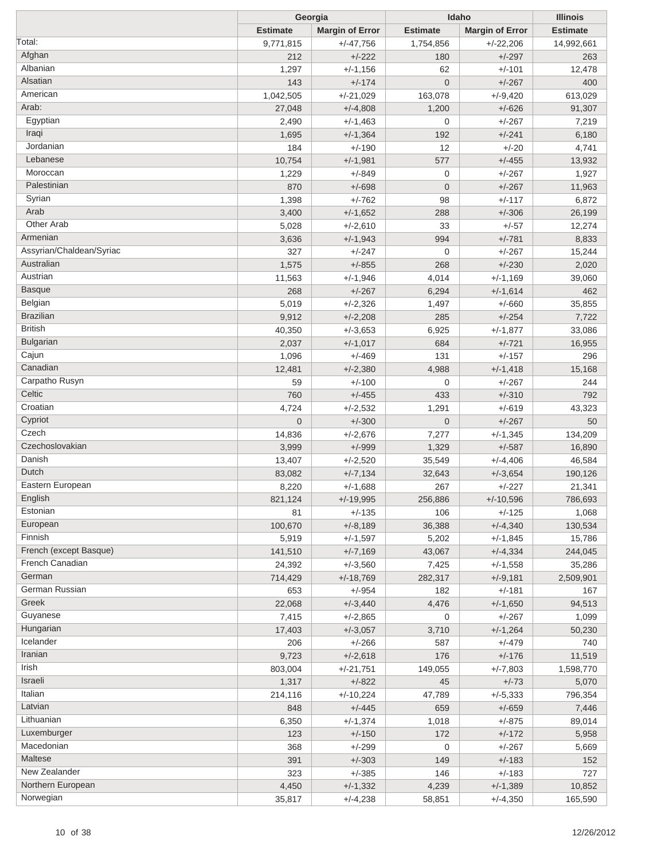|                          |                 | Georgia<br>Idaho         |                 | <b>Illinois</b>        |                 |
|--------------------------|-----------------|--------------------------|-----------------|------------------------|-----------------|
|                          | <b>Estimate</b> | <b>Margin of Error</b>   | <b>Estimate</b> | <b>Margin of Error</b> | <b>Estimate</b> |
| Total:                   | 9,771,815       | $+/-47,756$              | 1,754,856       | $+/-22,206$            | 14,992,661      |
| Afghan                   | 212             | $+/-222$                 | 180             | $+/-297$               | 263             |
| Albanian                 | 1,297           | $+/-1,156$               | 62              | $+/-101$               | 12,478          |
| Alsatian                 | 143             | $+/-174$                 | $\mathbf 0$     | $+/-267$               | 400             |
| American                 | 1,042,505       | $+/-21,029$              | 163,078         | $+/-9,420$             | 613,029         |
| Arab:                    | 27,048          | $+/-4,808$               | 1,200           | $+/-626$               | 91,307          |
| Egyptian                 | 2,490           | $+/-1,463$               | $\mathbf 0$     | $+/-267$               | 7,219           |
| Iraqi                    | 1,695           | $+/-1,364$               | 192             | $+/-241$               | 6,180           |
| Jordanian                | 184             | $+/-190$                 | 12              | $+/-20$                | 4,741           |
| Lebanese                 | 10,754          | $+/-1,981$               | 577             | $+/-455$               | 13,932          |
| Moroccan                 | 1,229           | $+/-849$                 | $\mathbf 0$     | $+/-267$               | 1,927           |
| Palestinian              | 870             | $+/-698$                 | $\mathbf 0$     | $+/-267$               | 11,963          |
| Syrian                   | 1,398           | $+/-762$                 | 98              | $+/-117$               | 6,872           |
| Arab                     | 3,400           | $+/-1,652$               | 288             | $+/-306$               | 26,199          |
| <b>Other Arab</b>        | 5,028           | $+/-2,610$               | 33              | $+/-57$                | 12,274          |
| Armenian                 | 3,636           | $+/-1,943$               | 994             | $+/-781$               | 8,833           |
| Assyrian/Chaldean/Syriac | 327             | $+/-247$                 | $\mathbf 0$     | $+/-267$               | 15,244          |
| Australian               | 1,575           | $+/-855$                 | 268             | $+/-230$               | 2,020           |
| Austrian                 | 11,563          | $+/-1,946$               | 4,014           | $+/-1,169$             | 39,060          |
| <b>Basque</b>            | 268             | $+/-267$                 | 6,294           | $+/-1,614$             | 462             |
| Belgian                  | 5,019           |                          | 1,497           | $+/-660$               |                 |
| <b>Brazilian</b>         | 9,912           | $+/-2,326$<br>$+/-2,208$ | 285             | $+/-254$               | 35,855<br>7,722 |
| <b>British</b>           |                 |                          |                 |                        |                 |
| Bulgarian                | 40,350          | $+/-3,653$               | 6,925           | $+/-1,877$             | 33,086          |
| Cajun                    | 2,037           | $+/-1,017$               | 684             | $+/-721$               | 16,955          |
| Canadian                 | 1,096           | $+/-469$                 | 131             | $+/-157$               | 296             |
| Carpatho Rusyn           | 12,481          | $+/-2,380$               | 4,988           | $+/-1,418$             | 15,168          |
| Celtic                   | 59              | $+/-100$                 | $\mathbf 0$     | $+/-267$               | 244             |
| Croatian                 | 760             | $+/-455$                 | 433             | $+/-310$               | 792             |
|                          | 4,724           | $+/-2,532$               | 1,291           | $+/-619$               | 43,323          |
| Cypriot                  | $\overline{0}$  | $+/-300$                 | $\mathbf 0$     | $+/-267$               | 50              |
| Czech                    | 14,836          | $+/-2,676$               | 7,277           | $+/-1,345$             | 134,209         |
| Czechoslovakian          | 3,999           | $+/-999$                 | 1,329           | $+/-587$               | 16,890          |
| Danish                   | 13,407          | $+/-2,520$               | 35,549          | $+/-4,406$             | 46,584          |
| Dutch                    | 83,082          | $+/-7,134$               | 32,643          | $+/-3,654$             | 190,126         |
| Eastern European         | 8,220           | $+/-1,688$               | 267             | $+/-227$               | 21,341          |
| English                  | 821,124         | $+/-19,995$              | 256,886         | $+/-10,596$            | 786,693         |
| Estonian                 | 81              | $+/-135$                 | 106             | $+/-125$               | 1,068           |
| European                 | 100,670         | $+/-8,189$               | 36,388          | $+/-4,340$             | 130,534         |
| Finnish                  | 5,919           | $+/-1,597$               | 5,202           | $+/-1,845$             | 15,786          |
| French (except Basque)   | 141,510         | $+/-7,169$               | 43,067          | $+/-4,334$             | 244,045         |
| French Canadian          | 24,392          | $+/-3,560$               | 7,425           | $+/-1,558$             | 35,286          |
| German                   | 714,429         | $+/-18,769$              | 282,317         | $+/-9,181$             | 2,509,901       |
| German Russian           | 653             | $+/-954$                 | 182             | $+/-181$               | 167             |
| Greek                    | 22,068          | $+/-3,440$               | 4,476           | $+/-1,650$             | 94,513          |
| Guyanese                 | 7,415           | $+/-2,865$               | $\mathbf 0$     | $+/-267$               | 1,099           |
| Hungarian                | 17,403          | $+/-3,057$               | 3,710           | $+/-1,264$             | 50,230          |
| Icelander                | 206             | $+/-266$                 | 587             | $+/-479$               | 740             |
| Iranian                  | 9,723           | $+/-2,618$               | 176             | $+/-176$               | 11,519          |
| Irish                    | 803,004         | $+/-21,751$              | 149,055         | $+/-7,803$             | 1,598,770       |
| Israeli                  | 1,317           | $+/-822$                 | 45              | $+/-73$                | 5,070           |
| Italian                  | 214,116         | $+/-10,224$              | 47,789          | $+/-5,333$             | 796,354         |
| Latvian                  | 848             | $+/-445$                 | 659             | $+/-659$               | 7,446           |
| Lithuanian               | 6,350           | $+/-1,374$               | 1,018           | $+/-875$               | 89,014          |
| Luxemburger              | 123             | $+/-150$                 | 172             | $+/-172$               | 5,958           |
| Macedonian               | 368             | $+/-299$                 | $\mathbf 0$     | $+/-267$               | 5,669           |
| Maltese                  | 391             | $+/-303$                 | 149             | $+/-183$               | 152             |
| New Zealander            | 323             | $+/-385$                 | 146             | $+/-183$               | 727             |
| Northern European        | 4,450           | $+/-1,332$               | 4,239           | $+/-1,389$             | 10,852          |
| Norwegian                | 35,817          | $+/-4,238$               | 58,851          | $+/-4,350$             | 165,590         |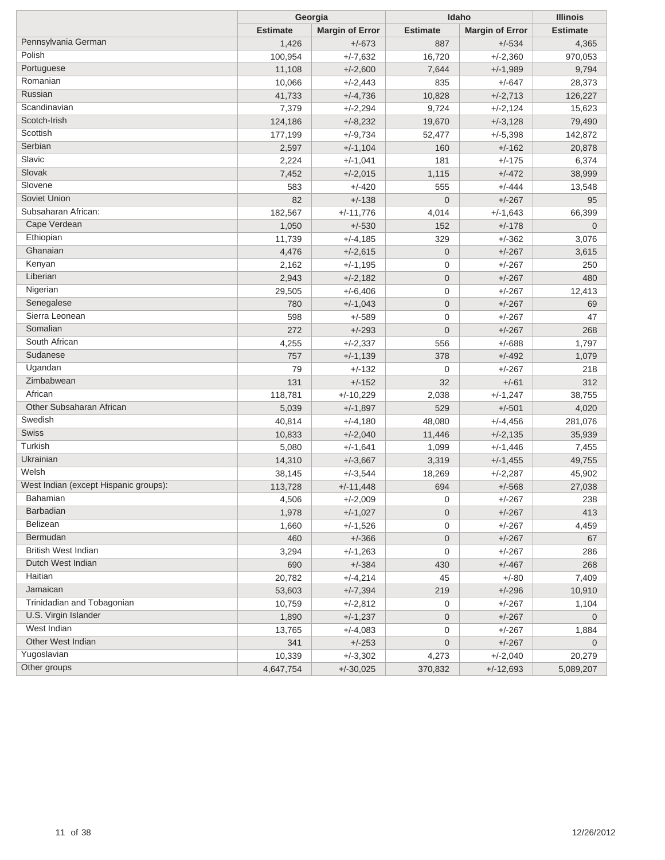| <b>Estimate</b><br><b>Estimate</b><br><b>Margin of Error</b><br><b>Estimate</b><br><b>Margin of Error</b><br>Pennsylvania German<br>1,426<br>$+/-673$<br>887<br>$+/-534$<br>4,365<br>Polish<br>$+/-2,360$<br>100,954<br>$+/-7,632$<br>16,720<br>970,053<br>Portuguese<br>11,108<br>$+/-2,600$<br>7,644<br>$+/-1,989$<br>9,794<br>Romanian<br>10,066<br>$+/-2,443$<br>835<br>$+/-647$<br>28,373<br>Russian<br>41,733<br>$+/-2,713$<br>$+/-4,736$<br>10,828<br>126,227<br>Scandinavian<br>7,379<br>$+/-2,294$<br>9,724<br>$+/-2,124$<br>15,623<br>Scotch-Irish<br>124,186<br>$+/-8,232$<br>19,670<br>$+/-3,128$<br>79,490<br>Scottish<br>177,199<br>$+/-9,734$<br>52,477<br>$+/-5,398$<br>142,872<br>Serbian<br>2,597<br>$+/-1,104$<br>160<br>$+/-162$<br>20,878<br>Slavic<br>$+/-175$<br>2,224<br>$+/-1,041$<br>181<br>6,374<br>Slovak<br>7,452<br>$+/-472$<br>$+/-2,015$<br>1,115<br>38,999<br>Slovene<br>$+/-444$<br>583<br>$+/-420$<br>555<br>13,548<br>Soviet Union<br>$+/-267$<br>82<br>$+/-138$<br>$\overline{0}$<br>95<br>Subsaharan African:<br>182,567<br>$+/-11,776$<br>4,014<br>$+/-1,643$<br>66,399<br>Cape Verdean<br>1,050<br>$+/-530$<br>152<br>$+/-178$<br>$\mathbf 0$<br>Ethiopian<br>$+/-362$<br>11,739<br>$+/-4,185$<br>329<br>3,076<br>Ghanaian<br>$+/-267$<br>4,476<br>$+/-2,615$<br>$\overline{0}$<br>3,615<br>Kenyan<br>$+/-267$<br>2,162<br>$+/-1,195$<br>0<br>250<br>Liberian<br>2,943<br>$+/-267$<br>$+/-2,182$<br>$\overline{0}$<br>480<br>Nigerian<br>$+/-267$<br>29,505<br>$+/-6,406$<br>0<br>12,413<br>Senegalese<br>$\mathbf 0$<br>$+/-267$<br>780<br>$+/-1,043$<br>69<br>Sierra Leonean<br>$+/-267$<br>598<br>$+/-589$<br>0<br>47<br>Somalian<br>272<br>$+/-293$<br>$\mathbf 0$<br>$+/-267$<br>268<br>South African<br>$+/-688$<br>4,255<br>$+/-2,337$<br>556<br>1,797<br>Sudanese<br>757<br>378<br>$+/-492$<br>$+/-1,139$<br>1,079<br>Ugandan<br>79<br>$+/-267$<br>$+/-132$<br>0<br>218<br>Zimbabwean<br>131<br>$+/-152$<br>32<br>$+/-61$<br>312<br>African<br>118,781<br>$+/-10,229$<br>2,038<br>$+/-1,247$<br>38,755<br>Other Subsaharan African<br>529<br>5,039<br>$+/-1,897$<br>$+/-501$<br>4,020<br>Swedish<br>40,814<br>$+/-4,180$<br>48,080<br>$+/-4,456$<br>281,076<br>Swiss<br>10,833<br>$+/-2,040$<br>11,446<br>$+/-2,135$<br>35,939<br>Turkish<br>5,080<br>$+/-1,641$<br>1,099<br>$+/-1,446$<br>7,455<br>Ukrainian<br>14,310<br>$+/-3,667$<br>3,319<br>$+/-1,455$<br>49,755<br>Welsh<br>38,145<br>$+/-3,544$<br>18,269<br>$+/-2,287$<br>45,902<br>West Indian (except Hispanic groups):<br>113,728<br>$+/-11,448$<br>694<br>$+/-568$<br>27,038<br><b>Bahamian</b><br>4,506<br>$+/-2,009$<br>0<br>$+/-267$<br>238<br><b>Barbadian</b><br>1,978<br>$+/-1,027$<br>$\overline{0}$<br>$+/-267$<br>413<br>Belizean<br>$+/-267$<br>1,660<br>$+/-1,526$<br>0<br>4,459<br>Bermudan<br>$+/-267$<br>460<br>$+/-366$<br>$\overline{0}$<br>67<br><b>British West Indian</b><br>3,294<br>$+/-1,263$<br>0<br>$+/-267$<br>286<br>Dutch West Indian<br>$+/-384$<br>690<br>430<br>$+/-467$<br>268<br>Haitian<br>20,782<br>$+/-4,214$<br>45<br>$+/-80$<br>7,409<br>Jamaican<br>53,603<br>$+/-7,394$<br>219<br>$+/-296$<br>10,910<br>Trinidadian and Tobagonian<br>10,759<br>$+/-267$<br>$+/-2,812$<br>0<br>1,104<br>U.S. Virgin Islander<br>1,890<br>$+/-1,237$<br>$\overline{0}$<br>$+/-267$<br>$\mathbf 0$<br>West Indian<br>13,765<br>$+/-4,083$<br>0<br>$+/-267$<br>1,884<br>Other West Indian<br>$+/-267$<br>341<br>$+/-253$<br>0<br>$\mathbf 0$<br>Yugoslavian<br>10,339<br>$+/-3,302$<br>4,273<br>$+/-2,040$<br>20,279<br>Other groups<br>4,647,754<br>$+/-30,025$<br>370,832<br>$+/-12,693$<br>5,089,207 | Georgia |  | Idaho | <b>Illinois</b> |  |
|------------------------------------------------------------------------------------------------------------------------------------------------------------------------------------------------------------------------------------------------------------------------------------------------------------------------------------------------------------------------------------------------------------------------------------------------------------------------------------------------------------------------------------------------------------------------------------------------------------------------------------------------------------------------------------------------------------------------------------------------------------------------------------------------------------------------------------------------------------------------------------------------------------------------------------------------------------------------------------------------------------------------------------------------------------------------------------------------------------------------------------------------------------------------------------------------------------------------------------------------------------------------------------------------------------------------------------------------------------------------------------------------------------------------------------------------------------------------------------------------------------------------------------------------------------------------------------------------------------------------------------------------------------------------------------------------------------------------------------------------------------------------------------------------------------------------------------------------------------------------------------------------------------------------------------------------------------------------------------------------------------------------------------------------------------------------------------------------------------------------------------------------------------------------------------------------------------------------------------------------------------------------------------------------------------------------------------------------------------------------------------------------------------------------------------------------------------------------------------------------------------------------------------------------------------------------------------------------------------------------------------------------------------------------------------------------------------------------------------------------------------------------------------------------------------------------------------------------------------------------------------------------------------------------------------------------------------------------------------------------------------------------------------------------------------------------------------------------------------------------------------------------------------------------------------------------------------------------------------------------------------------------------------------------------------------------------------------------------------------------------------------------------------------------------------------------------------------------------------------------------------------------------------------------------------------------------------------------------------------------------------------|---------|--|-------|-----------------|--|
|                                                                                                                                                                                                                                                                                                                                                                                                                                                                                                                                                                                                                                                                                                                                                                                                                                                                                                                                                                                                                                                                                                                                                                                                                                                                                                                                                                                                                                                                                                                                                                                                                                                                                                                                                                                                                                                                                                                                                                                                                                                                                                                                                                                                                                                                                                                                                                                                                                                                                                                                                                                                                                                                                                                                                                                                                                                                                                                                                                                                                                                                                                                                                                                                                                                                                                                                                                                                                                                                                                                                                                                                                                          |         |  |       |                 |  |
|                                                                                                                                                                                                                                                                                                                                                                                                                                                                                                                                                                                                                                                                                                                                                                                                                                                                                                                                                                                                                                                                                                                                                                                                                                                                                                                                                                                                                                                                                                                                                                                                                                                                                                                                                                                                                                                                                                                                                                                                                                                                                                                                                                                                                                                                                                                                                                                                                                                                                                                                                                                                                                                                                                                                                                                                                                                                                                                                                                                                                                                                                                                                                                                                                                                                                                                                                                                                                                                                                                                                                                                                                                          |         |  |       |                 |  |
|                                                                                                                                                                                                                                                                                                                                                                                                                                                                                                                                                                                                                                                                                                                                                                                                                                                                                                                                                                                                                                                                                                                                                                                                                                                                                                                                                                                                                                                                                                                                                                                                                                                                                                                                                                                                                                                                                                                                                                                                                                                                                                                                                                                                                                                                                                                                                                                                                                                                                                                                                                                                                                                                                                                                                                                                                                                                                                                                                                                                                                                                                                                                                                                                                                                                                                                                                                                                                                                                                                                                                                                                                                          |         |  |       |                 |  |
|                                                                                                                                                                                                                                                                                                                                                                                                                                                                                                                                                                                                                                                                                                                                                                                                                                                                                                                                                                                                                                                                                                                                                                                                                                                                                                                                                                                                                                                                                                                                                                                                                                                                                                                                                                                                                                                                                                                                                                                                                                                                                                                                                                                                                                                                                                                                                                                                                                                                                                                                                                                                                                                                                                                                                                                                                                                                                                                                                                                                                                                                                                                                                                                                                                                                                                                                                                                                                                                                                                                                                                                                                                          |         |  |       |                 |  |
|                                                                                                                                                                                                                                                                                                                                                                                                                                                                                                                                                                                                                                                                                                                                                                                                                                                                                                                                                                                                                                                                                                                                                                                                                                                                                                                                                                                                                                                                                                                                                                                                                                                                                                                                                                                                                                                                                                                                                                                                                                                                                                                                                                                                                                                                                                                                                                                                                                                                                                                                                                                                                                                                                                                                                                                                                                                                                                                                                                                                                                                                                                                                                                                                                                                                                                                                                                                                                                                                                                                                                                                                                                          |         |  |       |                 |  |
|                                                                                                                                                                                                                                                                                                                                                                                                                                                                                                                                                                                                                                                                                                                                                                                                                                                                                                                                                                                                                                                                                                                                                                                                                                                                                                                                                                                                                                                                                                                                                                                                                                                                                                                                                                                                                                                                                                                                                                                                                                                                                                                                                                                                                                                                                                                                                                                                                                                                                                                                                                                                                                                                                                                                                                                                                                                                                                                                                                                                                                                                                                                                                                                                                                                                                                                                                                                                                                                                                                                                                                                                                                          |         |  |       |                 |  |
|                                                                                                                                                                                                                                                                                                                                                                                                                                                                                                                                                                                                                                                                                                                                                                                                                                                                                                                                                                                                                                                                                                                                                                                                                                                                                                                                                                                                                                                                                                                                                                                                                                                                                                                                                                                                                                                                                                                                                                                                                                                                                                                                                                                                                                                                                                                                                                                                                                                                                                                                                                                                                                                                                                                                                                                                                                                                                                                                                                                                                                                                                                                                                                                                                                                                                                                                                                                                                                                                                                                                                                                                                                          |         |  |       |                 |  |
|                                                                                                                                                                                                                                                                                                                                                                                                                                                                                                                                                                                                                                                                                                                                                                                                                                                                                                                                                                                                                                                                                                                                                                                                                                                                                                                                                                                                                                                                                                                                                                                                                                                                                                                                                                                                                                                                                                                                                                                                                                                                                                                                                                                                                                                                                                                                                                                                                                                                                                                                                                                                                                                                                                                                                                                                                                                                                                                                                                                                                                                                                                                                                                                                                                                                                                                                                                                                                                                                                                                                                                                                                                          |         |  |       |                 |  |
|                                                                                                                                                                                                                                                                                                                                                                                                                                                                                                                                                                                                                                                                                                                                                                                                                                                                                                                                                                                                                                                                                                                                                                                                                                                                                                                                                                                                                                                                                                                                                                                                                                                                                                                                                                                                                                                                                                                                                                                                                                                                                                                                                                                                                                                                                                                                                                                                                                                                                                                                                                                                                                                                                                                                                                                                                                                                                                                                                                                                                                                                                                                                                                                                                                                                                                                                                                                                                                                                                                                                                                                                                                          |         |  |       |                 |  |
|                                                                                                                                                                                                                                                                                                                                                                                                                                                                                                                                                                                                                                                                                                                                                                                                                                                                                                                                                                                                                                                                                                                                                                                                                                                                                                                                                                                                                                                                                                                                                                                                                                                                                                                                                                                                                                                                                                                                                                                                                                                                                                                                                                                                                                                                                                                                                                                                                                                                                                                                                                                                                                                                                                                                                                                                                                                                                                                                                                                                                                                                                                                                                                                                                                                                                                                                                                                                                                                                                                                                                                                                                                          |         |  |       |                 |  |
|                                                                                                                                                                                                                                                                                                                                                                                                                                                                                                                                                                                                                                                                                                                                                                                                                                                                                                                                                                                                                                                                                                                                                                                                                                                                                                                                                                                                                                                                                                                                                                                                                                                                                                                                                                                                                                                                                                                                                                                                                                                                                                                                                                                                                                                                                                                                                                                                                                                                                                                                                                                                                                                                                                                                                                                                                                                                                                                                                                                                                                                                                                                                                                                                                                                                                                                                                                                                                                                                                                                                                                                                                                          |         |  |       |                 |  |
|                                                                                                                                                                                                                                                                                                                                                                                                                                                                                                                                                                                                                                                                                                                                                                                                                                                                                                                                                                                                                                                                                                                                                                                                                                                                                                                                                                                                                                                                                                                                                                                                                                                                                                                                                                                                                                                                                                                                                                                                                                                                                                                                                                                                                                                                                                                                                                                                                                                                                                                                                                                                                                                                                                                                                                                                                                                                                                                                                                                                                                                                                                                                                                                                                                                                                                                                                                                                                                                                                                                                                                                                                                          |         |  |       |                 |  |
|                                                                                                                                                                                                                                                                                                                                                                                                                                                                                                                                                                                                                                                                                                                                                                                                                                                                                                                                                                                                                                                                                                                                                                                                                                                                                                                                                                                                                                                                                                                                                                                                                                                                                                                                                                                                                                                                                                                                                                                                                                                                                                                                                                                                                                                                                                                                                                                                                                                                                                                                                                                                                                                                                                                                                                                                                                                                                                                                                                                                                                                                                                                                                                                                                                                                                                                                                                                                                                                                                                                                                                                                                                          |         |  |       |                 |  |
|                                                                                                                                                                                                                                                                                                                                                                                                                                                                                                                                                                                                                                                                                                                                                                                                                                                                                                                                                                                                                                                                                                                                                                                                                                                                                                                                                                                                                                                                                                                                                                                                                                                                                                                                                                                                                                                                                                                                                                                                                                                                                                                                                                                                                                                                                                                                                                                                                                                                                                                                                                                                                                                                                                                                                                                                                                                                                                                                                                                                                                                                                                                                                                                                                                                                                                                                                                                                                                                                                                                                                                                                                                          |         |  |       |                 |  |
|                                                                                                                                                                                                                                                                                                                                                                                                                                                                                                                                                                                                                                                                                                                                                                                                                                                                                                                                                                                                                                                                                                                                                                                                                                                                                                                                                                                                                                                                                                                                                                                                                                                                                                                                                                                                                                                                                                                                                                                                                                                                                                                                                                                                                                                                                                                                                                                                                                                                                                                                                                                                                                                                                                                                                                                                                                                                                                                                                                                                                                                                                                                                                                                                                                                                                                                                                                                                                                                                                                                                                                                                                                          |         |  |       |                 |  |
|                                                                                                                                                                                                                                                                                                                                                                                                                                                                                                                                                                                                                                                                                                                                                                                                                                                                                                                                                                                                                                                                                                                                                                                                                                                                                                                                                                                                                                                                                                                                                                                                                                                                                                                                                                                                                                                                                                                                                                                                                                                                                                                                                                                                                                                                                                                                                                                                                                                                                                                                                                                                                                                                                                                                                                                                                                                                                                                                                                                                                                                                                                                                                                                                                                                                                                                                                                                                                                                                                                                                                                                                                                          |         |  |       |                 |  |
|                                                                                                                                                                                                                                                                                                                                                                                                                                                                                                                                                                                                                                                                                                                                                                                                                                                                                                                                                                                                                                                                                                                                                                                                                                                                                                                                                                                                                                                                                                                                                                                                                                                                                                                                                                                                                                                                                                                                                                                                                                                                                                                                                                                                                                                                                                                                                                                                                                                                                                                                                                                                                                                                                                                                                                                                                                                                                                                                                                                                                                                                                                                                                                                                                                                                                                                                                                                                                                                                                                                                                                                                                                          |         |  |       |                 |  |
|                                                                                                                                                                                                                                                                                                                                                                                                                                                                                                                                                                                                                                                                                                                                                                                                                                                                                                                                                                                                                                                                                                                                                                                                                                                                                                                                                                                                                                                                                                                                                                                                                                                                                                                                                                                                                                                                                                                                                                                                                                                                                                                                                                                                                                                                                                                                                                                                                                                                                                                                                                                                                                                                                                                                                                                                                                                                                                                                                                                                                                                                                                                                                                                                                                                                                                                                                                                                                                                                                                                                                                                                                                          |         |  |       |                 |  |
|                                                                                                                                                                                                                                                                                                                                                                                                                                                                                                                                                                                                                                                                                                                                                                                                                                                                                                                                                                                                                                                                                                                                                                                                                                                                                                                                                                                                                                                                                                                                                                                                                                                                                                                                                                                                                                                                                                                                                                                                                                                                                                                                                                                                                                                                                                                                                                                                                                                                                                                                                                                                                                                                                                                                                                                                                                                                                                                                                                                                                                                                                                                                                                                                                                                                                                                                                                                                                                                                                                                                                                                                                                          |         |  |       |                 |  |
|                                                                                                                                                                                                                                                                                                                                                                                                                                                                                                                                                                                                                                                                                                                                                                                                                                                                                                                                                                                                                                                                                                                                                                                                                                                                                                                                                                                                                                                                                                                                                                                                                                                                                                                                                                                                                                                                                                                                                                                                                                                                                                                                                                                                                                                                                                                                                                                                                                                                                                                                                                                                                                                                                                                                                                                                                                                                                                                                                                                                                                                                                                                                                                                                                                                                                                                                                                                                                                                                                                                                                                                                                                          |         |  |       |                 |  |
|                                                                                                                                                                                                                                                                                                                                                                                                                                                                                                                                                                                                                                                                                                                                                                                                                                                                                                                                                                                                                                                                                                                                                                                                                                                                                                                                                                                                                                                                                                                                                                                                                                                                                                                                                                                                                                                                                                                                                                                                                                                                                                                                                                                                                                                                                                                                                                                                                                                                                                                                                                                                                                                                                                                                                                                                                                                                                                                                                                                                                                                                                                                                                                                                                                                                                                                                                                                                                                                                                                                                                                                                                                          |         |  |       |                 |  |
|                                                                                                                                                                                                                                                                                                                                                                                                                                                                                                                                                                                                                                                                                                                                                                                                                                                                                                                                                                                                                                                                                                                                                                                                                                                                                                                                                                                                                                                                                                                                                                                                                                                                                                                                                                                                                                                                                                                                                                                                                                                                                                                                                                                                                                                                                                                                                                                                                                                                                                                                                                                                                                                                                                                                                                                                                                                                                                                                                                                                                                                                                                                                                                                                                                                                                                                                                                                                                                                                                                                                                                                                                                          |         |  |       |                 |  |
|                                                                                                                                                                                                                                                                                                                                                                                                                                                                                                                                                                                                                                                                                                                                                                                                                                                                                                                                                                                                                                                                                                                                                                                                                                                                                                                                                                                                                                                                                                                                                                                                                                                                                                                                                                                                                                                                                                                                                                                                                                                                                                                                                                                                                                                                                                                                                                                                                                                                                                                                                                                                                                                                                                                                                                                                                                                                                                                                                                                                                                                                                                                                                                                                                                                                                                                                                                                                                                                                                                                                                                                                                                          |         |  |       |                 |  |
|                                                                                                                                                                                                                                                                                                                                                                                                                                                                                                                                                                                                                                                                                                                                                                                                                                                                                                                                                                                                                                                                                                                                                                                                                                                                                                                                                                                                                                                                                                                                                                                                                                                                                                                                                                                                                                                                                                                                                                                                                                                                                                                                                                                                                                                                                                                                                                                                                                                                                                                                                                                                                                                                                                                                                                                                                                                                                                                                                                                                                                                                                                                                                                                                                                                                                                                                                                                                                                                                                                                                                                                                                                          |         |  |       |                 |  |
|                                                                                                                                                                                                                                                                                                                                                                                                                                                                                                                                                                                                                                                                                                                                                                                                                                                                                                                                                                                                                                                                                                                                                                                                                                                                                                                                                                                                                                                                                                                                                                                                                                                                                                                                                                                                                                                                                                                                                                                                                                                                                                                                                                                                                                                                                                                                                                                                                                                                                                                                                                                                                                                                                                                                                                                                                                                                                                                                                                                                                                                                                                                                                                                                                                                                                                                                                                                                                                                                                                                                                                                                                                          |         |  |       |                 |  |
|                                                                                                                                                                                                                                                                                                                                                                                                                                                                                                                                                                                                                                                                                                                                                                                                                                                                                                                                                                                                                                                                                                                                                                                                                                                                                                                                                                                                                                                                                                                                                                                                                                                                                                                                                                                                                                                                                                                                                                                                                                                                                                                                                                                                                                                                                                                                                                                                                                                                                                                                                                                                                                                                                                                                                                                                                                                                                                                                                                                                                                                                                                                                                                                                                                                                                                                                                                                                                                                                                                                                                                                                                                          |         |  |       |                 |  |
|                                                                                                                                                                                                                                                                                                                                                                                                                                                                                                                                                                                                                                                                                                                                                                                                                                                                                                                                                                                                                                                                                                                                                                                                                                                                                                                                                                                                                                                                                                                                                                                                                                                                                                                                                                                                                                                                                                                                                                                                                                                                                                                                                                                                                                                                                                                                                                                                                                                                                                                                                                                                                                                                                                                                                                                                                                                                                                                                                                                                                                                                                                                                                                                                                                                                                                                                                                                                                                                                                                                                                                                                                                          |         |  |       |                 |  |
|                                                                                                                                                                                                                                                                                                                                                                                                                                                                                                                                                                                                                                                                                                                                                                                                                                                                                                                                                                                                                                                                                                                                                                                                                                                                                                                                                                                                                                                                                                                                                                                                                                                                                                                                                                                                                                                                                                                                                                                                                                                                                                                                                                                                                                                                                                                                                                                                                                                                                                                                                                                                                                                                                                                                                                                                                                                                                                                                                                                                                                                                                                                                                                                                                                                                                                                                                                                                                                                                                                                                                                                                                                          |         |  |       |                 |  |
|                                                                                                                                                                                                                                                                                                                                                                                                                                                                                                                                                                                                                                                                                                                                                                                                                                                                                                                                                                                                                                                                                                                                                                                                                                                                                                                                                                                                                                                                                                                                                                                                                                                                                                                                                                                                                                                                                                                                                                                                                                                                                                                                                                                                                                                                                                                                                                                                                                                                                                                                                                                                                                                                                                                                                                                                                                                                                                                                                                                                                                                                                                                                                                                                                                                                                                                                                                                                                                                                                                                                                                                                                                          |         |  |       |                 |  |
|                                                                                                                                                                                                                                                                                                                                                                                                                                                                                                                                                                                                                                                                                                                                                                                                                                                                                                                                                                                                                                                                                                                                                                                                                                                                                                                                                                                                                                                                                                                                                                                                                                                                                                                                                                                                                                                                                                                                                                                                                                                                                                                                                                                                                                                                                                                                                                                                                                                                                                                                                                                                                                                                                                                                                                                                                                                                                                                                                                                                                                                                                                                                                                                                                                                                                                                                                                                                                                                                                                                                                                                                                                          |         |  |       |                 |  |
|                                                                                                                                                                                                                                                                                                                                                                                                                                                                                                                                                                                                                                                                                                                                                                                                                                                                                                                                                                                                                                                                                                                                                                                                                                                                                                                                                                                                                                                                                                                                                                                                                                                                                                                                                                                                                                                                                                                                                                                                                                                                                                                                                                                                                                                                                                                                                                                                                                                                                                                                                                                                                                                                                                                                                                                                                                                                                                                                                                                                                                                                                                                                                                                                                                                                                                                                                                                                                                                                                                                                                                                                                                          |         |  |       |                 |  |
|                                                                                                                                                                                                                                                                                                                                                                                                                                                                                                                                                                                                                                                                                                                                                                                                                                                                                                                                                                                                                                                                                                                                                                                                                                                                                                                                                                                                                                                                                                                                                                                                                                                                                                                                                                                                                                                                                                                                                                                                                                                                                                                                                                                                                                                                                                                                                                                                                                                                                                                                                                                                                                                                                                                                                                                                                                                                                                                                                                                                                                                                                                                                                                                                                                                                                                                                                                                                                                                                                                                                                                                                                                          |         |  |       |                 |  |
|                                                                                                                                                                                                                                                                                                                                                                                                                                                                                                                                                                                                                                                                                                                                                                                                                                                                                                                                                                                                                                                                                                                                                                                                                                                                                                                                                                                                                                                                                                                                                                                                                                                                                                                                                                                                                                                                                                                                                                                                                                                                                                                                                                                                                                                                                                                                                                                                                                                                                                                                                                                                                                                                                                                                                                                                                                                                                                                                                                                                                                                                                                                                                                                                                                                                                                                                                                                                                                                                                                                                                                                                                                          |         |  |       |                 |  |
|                                                                                                                                                                                                                                                                                                                                                                                                                                                                                                                                                                                                                                                                                                                                                                                                                                                                                                                                                                                                                                                                                                                                                                                                                                                                                                                                                                                                                                                                                                                                                                                                                                                                                                                                                                                                                                                                                                                                                                                                                                                                                                                                                                                                                                                                                                                                                                                                                                                                                                                                                                                                                                                                                                                                                                                                                                                                                                                                                                                                                                                                                                                                                                                                                                                                                                                                                                                                                                                                                                                                                                                                                                          |         |  |       |                 |  |
|                                                                                                                                                                                                                                                                                                                                                                                                                                                                                                                                                                                                                                                                                                                                                                                                                                                                                                                                                                                                                                                                                                                                                                                                                                                                                                                                                                                                                                                                                                                                                                                                                                                                                                                                                                                                                                                                                                                                                                                                                                                                                                                                                                                                                                                                                                                                                                                                                                                                                                                                                                                                                                                                                                                                                                                                                                                                                                                                                                                                                                                                                                                                                                                                                                                                                                                                                                                                                                                                                                                                                                                                                                          |         |  |       |                 |  |
|                                                                                                                                                                                                                                                                                                                                                                                                                                                                                                                                                                                                                                                                                                                                                                                                                                                                                                                                                                                                                                                                                                                                                                                                                                                                                                                                                                                                                                                                                                                                                                                                                                                                                                                                                                                                                                                                                                                                                                                                                                                                                                                                                                                                                                                                                                                                                                                                                                                                                                                                                                                                                                                                                                                                                                                                                                                                                                                                                                                                                                                                                                                                                                                                                                                                                                                                                                                                                                                                                                                                                                                                                                          |         |  |       |                 |  |
|                                                                                                                                                                                                                                                                                                                                                                                                                                                                                                                                                                                                                                                                                                                                                                                                                                                                                                                                                                                                                                                                                                                                                                                                                                                                                                                                                                                                                                                                                                                                                                                                                                                                                                                                                                                                                                                                                                                                                                                                                                                                                                                                                                                                                                                                                                                                                                                                                                                                                                                                                                                                                                                                                                                                                                                                                                                                                                                                                                                                                                                                                                                                                                                                                                                                                                                                                                                                                                                                                                                                                                                                                                          |         |  |       |                 |  |
|                                                                                                                                                                                                                                                                                                                                                                                                                                                                                                                                                                                                                                                                                                                                                                                                                                                                                                                                                                                                                                                                                                                                                                                                                                                                                                                                                                                                                                                                                                                                                                                                                                                                                                                                                                                                                                                                                                                                                                                                                                                                                                                                                                                                                                                                                                                                                                                                                                                                                                                                                                                                                                                                                                                                                                                                                                                                                                                                                                                                                                                                                                                                                                                                                                                                                                                                                                                                                                                                                                                                                                                                                                          |         |  |       |                 |  |
|                                                                                                                                                                                                                                                                                                                                                                                                                                                                                                                                                                                                                                                                                                                                                                                                                                                                                                                                                                                                                                                                                                                                                                                                                                                                                                                                                                                                                                                                                                                                                                                                                                                                                                                                                                                                                                                                                                                                                                                                                                                                                                                                                                                                                                                                                                                                                                                                                                                                                                                                                                                                                                                                                                                                                                                                                                                                                                                                                                                                                                                                                                                                                                                                                                                                                                                                                                                                                                                                                                                                                                                                                                          |         |  |       |                 |  |
|                                                                                                                                                                                                                                                                                                                                                                                                                                                                                                                                                                                                                                                                                                                                                                                                                                                                                                                                                                                                                                                                                                                                                                                                                                                                                                                                                                                                                                                                                                                                                                                                                                                                                                                                                                                                                                                                                                                                                                                                                                                                                                                                                                                                                                                                                                                                                                                                                                                                                                                                                                                                                                                                                                                                                                                                                                                                                                                                                                                                                                                                                                                                                                                                                                                                                                                                                                                                                                                                                                                                                                                                                                          |         |  |       |                 |  |
|                                                                                                                                                                                                                                                                                                                                                                                                                                                                                                                                                                                                                                                                                                                                                                                                                                                                                                                                                                                                                                                                                                                                                                                                                                                                                                                                                                                                                                                                                                                                                                                                                                                                                                                                                                                                                                                                                                                                                                                                                                                                                                                                                                                                                                                                                                                                                                                                                                                                                                                                                                                                                                                                                                                                                                                                                                                                                                                                                                                                                                                                                                                                                                                                                                                                                                                                                                                                                                                                                                                                                                                                                                          |         |  |       |                 |  |
|                                                                                                                                                                                                                                                                                                                                                                                                                                                                                                                                                                                                                                                                                                                                                                                                                                                                                                                                                                                                                                                                                                                                                                                                                                                                                                                                                                                                                                                                                                                                                                                                                                                                                                                                                                                                                                                                                                                                                                                                                                                                                                                                                                                                                                                                                                                                                                                                                                                                                                                                                                                                                                                                                                                                                                                                                                                                                                                                                                                                                                                                                                                                                                                                                                                                                                                                                                                                                                                                                                                                                                                                                                          |         |  |       |                 |  |
|                                                                                                                                                                                                                                                                                                                                                                                                                                                                                                                                                                                                                                                                                                                                                                                                                                                                                                                                                                                                                                                                                                                                                                                                                                                                                                                                                                                                                                                                                                                                                                                                                                                                                                                                                                                                                                                                                                                                                                                                                                                                                                                                                                                                                                                                                                                                                                                                                                                                                                                                                                                                                                                                                                                                                                                                                                                                                                                                                                                                                                                                                                                                                                                                                                                                                                                                                                                                                                                                                                                                                                                                                                          |         |  |       |                 |  |
|                                                                                                                                                                                                                                                                                                                                                                                                                                                                                                                                                                                                                                                                                                                                                                                                                                                                                                                                                                                                                                                                                                                                                                                                                                                                                                                                                                                                                                                                                                                                                                                                                                                                                                                                                                                                                                                                                                                                                                                                                                                                                                                                                                                                                                                                                                                                                                                                                                                                                                                                                                                                                                                                                                                                                                                                                                                                                                                                                                                                                                                                                                                                                                                                                                                                                                                                                                                                                                                                                                                                                                                                                                          |         |  |       |                 |  |
|                                                                                                                                                                                                                                                                                                                                                                                                                                                                                                                                                                                                                                                                                                                                                                                                                                                                                                                                                                                                                                                                                                                                                                                                                                                                                                                                                                                                                                                                                                                                                                                                                                                                                                                                                                                                                                                                                                                                                                                                                                                                                                                                                                                                                                                                                                                                                                                                                                                                                                                                                                                                                                                                                                                                                                                                                                                                                                                                                                                                                                                                                                                                                                                                                                                                                                                                                                                                                                                                                                                                                                                                                                          |         |  |       |                 |  |
|                                                                                                                                                                                                                                                                                                                                                                                                                                                                                                                                                                                                                                                                                                                                                                                                                                                                                                                                                                                                                                                                                                                                                                                                                                                                                                                                                                                                                                                                                                                                                                                                                                                                                                                                                                                                                                                                                                                                                                                                                                                                                                                                                                                                                                                                                                                                                                                                                                                                                                                                                                                                                                                                                                                                                                                                                                                                                                                                                                                                                                                                                                                                                                                                                                                                                                                                                                                                                                                                                                                                                                                                                                          |         |  |       |                 |  |
|                                                                                                                                                                                                                                                                                                                                                                                                                                                                                                                                                                                                                                                                                                                                                                                                                                                                                                                                                                                                                                                                                                                                                                                                                                                                                                                                                                                                                                                                                                                                                                                                                                                                                                                                                                                                                                                                                                                                                                                                                                                                                                                                                                                                                                                                                                                                                                                                                                                                                                                                                                                                                                                                                                                                                                                                                                                                                                                                                                                                                                                                                                                                                                                                                                                                                                                                                                                                                                                                                                                                                                                                                                          |         |  |       |                 |  |
|                                                                                                                                                                                                                                                                                                                                                                                                                                                                                                                                                                                                                                                                                                                                                                                                                                                                                                                                                                                                                                                                                                                                                                                                                                                                                                                                                                                                                                                                                                                                                                                                                                                                                                                                                                                                                                                                                                                                                                                                                                                                                                                                                                                                                                                                                                                                                                                                                                                                                                                                                                                                                                                                                                                                                                                                                                                                                                                                                                                                                                                                                                                                                                                                                                                                                                                                                                                                                                                                                                                                                                                                                                          |         |  |       |                 |  |
|                                                                                                                                                                                                                                                                                                                                                                                                                                                                                                                                                                                                                                                                                                                                                                                                                                                                                                                                                                                                                                                                                                                                                                                                                                                                                                                                                                                                                                                                                                                                                                                                                                                                                                                                                                                                                                                                                                                                                                                                                                                                                                                                                                                                                                                                                                                                                                                                                                                                                                                                                                                                                                                                                                                                                                                                                                                                                                                                                                                                                                                                                                                                                                                                                                                                                                                                                                                                                                                                                                                                                                                                                                          |         |  |       |                 |  |
|                                                                                                                                                                                                                                                                                                                                                                                                                                                                                                                                                                                                                                                                                                                                                                                                                                                                                                                                                                                                                                                                                                                                                                                                                                                                                                                                                                                                                                                                                                                                                                                                                                                                                                                                                                                                                                                                                                                                                                                                                                                                                                                                                                                                                                                                                                                                                                                                                                                                                                                                                                                                                                                                                                                                                                                                                                                                                                                                                                                                                                                                                                                                                                                                                                                                                                                                                                                                                                                                                                                                                                                                                                          |         |  |       |                 |  |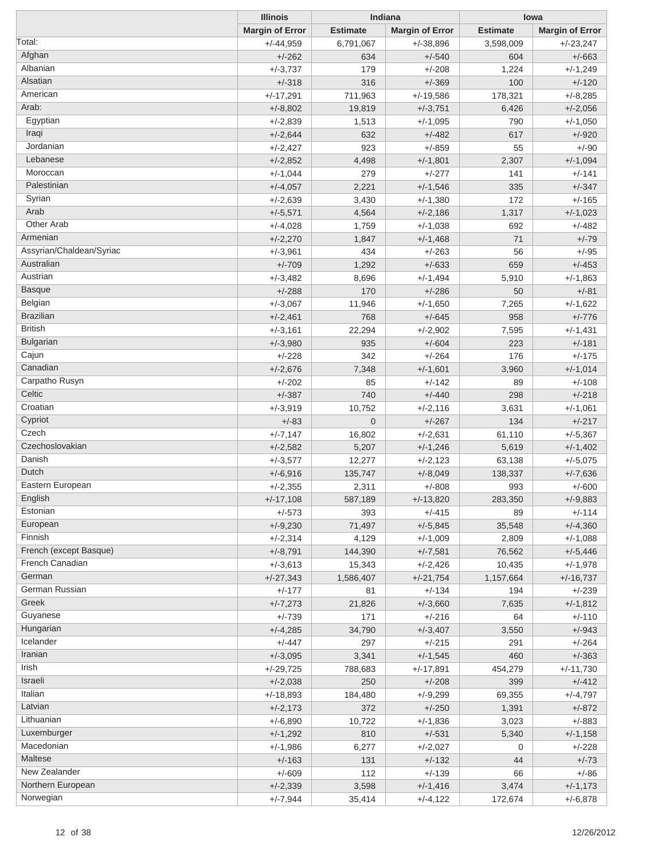|                          | <b>Illinois</b>        |                 | Indiana                |                 | lowa                   |
|--------------------------|------------------------|-----------------|------------------------|-----------------|------------------------|
|                          | <b>Margin of Error</b> | <b>Estimate</b> | <b>Margin of Error</b> | <b>Estimate</b> | <b>Margin of Error</b> |
| Total:                   | $+/-44,959$            | 6,791,067       | $+/-38,896$            | 3,598,009       | $+/-23,247$            |
| Afghan                   | $+/-262$               | 634             | $+/-540$               | 604             | $+/-663$               |
| Albanian                 | $+/-3,737$             | 179             | $+/-208$               | 1,224           | $+/-1,249$             |
| Alsatian                 | $+/-318$               | 316             | $+/-369$               | 100             | $+/-120$               |
| American                 | $+/-17,291$            | 711,963         | $+/-19,586$            | 178,321         | $+/-8,285$             |
| Arab:                    | $+/-8,802$             | 19,819          | $+/-3,751$             | 6,426           | $+/-2,056$             |
| Egyptian                 | $+/-2,839$             | 1,513           | $+/-1,095$             | 790             | $+/-1,050$             |
| Iraqi                    | $+/-2,644$             | 632             | $+/-482$               | 617             | $+/-920$               |
| Jordanian                | $+/-2,427$             | 923             | $+/-859$               | 55              | $+/-90$                |
| Lebanese                 | $+/-2,852$             | 4,498           | $+/-1,801$             | 2,307           | $+/-1,094$             |
| Moroccan                 | $+/-1,044$             | 279             | $+/-277$               | 141             | $+/-141$               |
| Palestinian              | $+/-4,057$             | 2,221           | $+/-1,546$             | 335             | $+/-347$               |
| Syrian                   | $+/-2,639$             | 3,430           | $+/-1,380$             | 172             | $+/-165$               |
| Arab                     | $+/-5,571$             | 4,564           | $+/-2,186$             | 1,317           | $+/-1,023$             |
| <b>Other Arab</b>        | $+/-4,028$             | 1,759           | $+/-1,038$             | 692             | $+/-482$               |
| Armenian                 | $+/-2,270$             | 1,847           | $+/-1,468$             | 71              | $+/-79$                |
| Assyrian/Chaldean/Syriac | $+/-3,961$             | 434             | $+/-263$               | 56              | $+/-95$                |
| Australian               | $+/-709$               | 1,292           | $+/-633$               | 659             | $+/-453$               |
| Austrian                 | $+/-3,482$             | 8,696           | $+/-1,494$             | 5,910           | $+/-1,863$             |
| <b>Basque</b>            | $+/-288$               | 170             | $+/-286$               | 50              | $+/-81$                |
| Belgian                  | $+/-3,067$             | 11,946          | $+/-1,650$             | 7,265           | $+/-1,622$             |
| <b>Brazilian</b>         | $+/-2,461$             | 768             | $+/-645$               | 958             | $+/-776$               |
| <b>British</b>           | $+/-3,161$             | 22,294          | $+/-2,902$             | 7,595           | $+/-1,431$             |
| <b>Bulgarian</b>         | $+/-3,980$             | 935             | $+/-604$               | 223             | $+/-181$               |
| Cajun                    | $+/-228$               | 342             | $+/-264$               | 176             | $+/-175$               |
| Canadian                 | $+/-2,676$             | 7,348           | $+/-1,601$             | 3,960           | $+/-1,014$             |
| Carpatho Rusyn           | $+/-202$               | 85              | $+/-142$               | 89              | $+/-108$               |
| Celtic                   | $+/-387$               | 740             | $+/-440$               | 298             | $+/-218$               |
| Croatian                 | $+/-3,919$             | 10,752          | $+/-2,116$             | 3,631           | $+/-1,061$             |
| Cypriot                  | $+/-83$                | $\mathbf 0$     | $+/-267$               | 134             | $+/-217$               |
| Czech                    | $+/-7,147$             | 16,802          | $+/-2,631$             | 61,110          | $+/-5,367$             |
| Czechoslovakian          | $+/-2,582$             | 5,207           | $+/-1,246$             | 5,619           | $+/-1,402$             |
| Danish                   | $+/-3,577$             | 12,277          | $+/-2,123$             | 63,138          | $+/-5,075$             |
| Dutch                    | $+/-6,916$             | 135,747         | $+/-8,049$             | 138,337         | $+/-7,636$             |
| Eastern European         | $+/-2,355$             | 2,311           | $+/-808$               | 993             | $+/-600$               |
| English                  | $+/-17,108$            | 587,189         | $+/-13,820$            | 283,350         | $+/-9,883$             |
| Estonian                 | $+/-573$               | 393             | $+/-415$               | 89              | $+/-114$               |
| European                 | $+/-9,230$             | 71,497          | $+/-5,845$             | 35,548          | $+/-4,360$             |
| Finnish                  | $+/-2,314$             | 4,129           | $+/-1,009$             | 2,809           | $+/-1,088$             |
| French (except Basque)   | $+/-8,791$             | 144,390         | $+/-7,581$             | 76,562          | $+/-5,446$             |
| French Canadian          | $+/-3,613$             | 15,343          | $+/-2,426$             | 10,435          | $+/-1,978$             |
| German                   | $+/-27,343$            | 1,586,407       | $+/-21,754$            | 1,157,664       | $+/-16,737$            |
| German Russian           | $+/-177$               | 81              | $+/-134$               | 194             | $+/-239$               |
| Greek                    | $+/-7,273$             | 21,826          | $+/-3,660$             | 7,635           | $+/-1,812$             |
| Guyanese                 | $+/-739$               | 171             | $+/-216$               | 64              | $+/-110$               |
| Hungarian                | $+/-4,285$             | 34,790          | $+/-3,407$             | 3,550           | $+/-943$               |
| Icelander                | $+/-447$               | 297             | $+/-215$               | 291             | $+/-264$               |
| Iranian                  | $+/-3,095$             | 3,341           | $+/-1,545$             | 460             | $+/-363$               |
| Irish                    | $+/-29,725$            | 788,683         | $+/-17,891$            | 454,279         | $+/-11,730$            |
| Israeli                  | $+/-2,038$             | 250             | $+/-208$               | 399             | $+/-412$               |
| Italian                  | $+/-18,893$            | 184,480         | $+/-9,299$             | 69,355          | $+/-4,797$             |
| Latvian                  | $+/-2,173$             | 372             | $+/-250$               | 1,391           | $+/-872$               |
| Lithuanian               | $+/-6,890$             | 10,722          | $+/-1,836$             | 3,023           | $+/-883$               |
| Luxemburger              | $+/-1,292$             | 810             | $+/-531$               | 5,340           | $+/-1,158$             |
| Macedonian               |                        |                 | $+/-2,027$             |                 | $+/-228$               |
| Maltese                  | $+/-1,986$             | 6,277           |                        | 0               |                        |
| New Zealander            | $+/-163$               | 131             | $+/-132$               | 44              | $+/-73$                |
| Northern European        | $+/-609$               | 112             | $+/-139$               | 66              | $+/-86$                |
| Norwegian                | $+/-2,339$             | 3,598           | $+/-1,416$             | 3,474           | $+/-1,173$             |
|                          | $+/-7,944$             | 35,414          | $+/-4,122$             | 172,674         | $+/-6,878$             |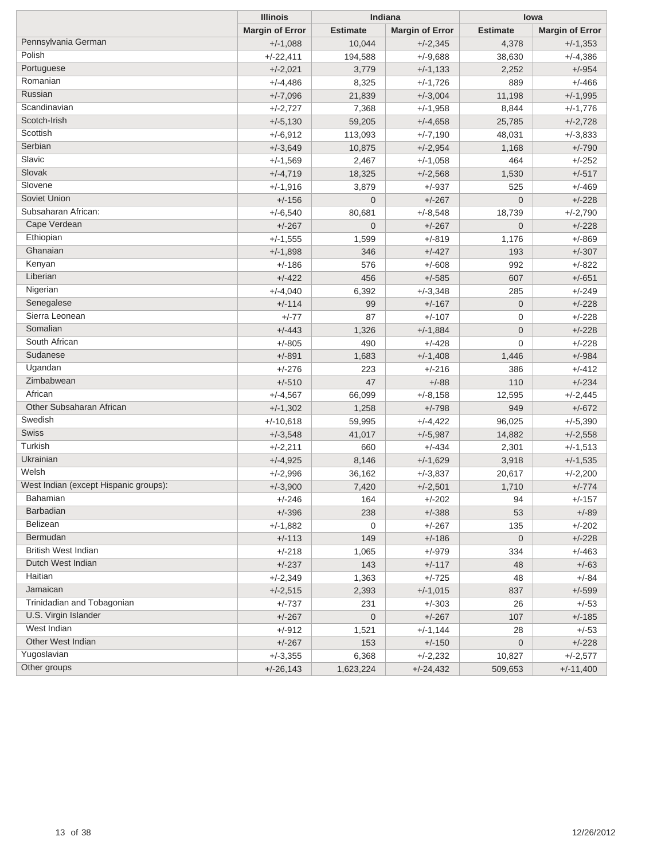|                                       | <b>Illinois</b>        | Indiana         |                        | lowa            |                        |  |
|---------------------------------------|------------------------|-----------------|------------------------|-----------------|------------------------|--|
|                                       | <b>Margin of Error</b> | <b>Estimate</b> | <b>Margin of Error</b> | <b>Estimate</b> | <b>Margin of Error</b> |  |
| Pennsylvania German                   | $+/-1,088$             | 10,044          | $+/-2,345$             | 4,378           | $+/-1,353$             |  |
| Polish                                | $+/-22,411$            | 194,588         | $+/-9,688$             | 38,630          | $+/-4,386$             |  |
| Portuguese                            | $+/-2,021$             | 3,779           | $+/-1,133$             | 2,252           | $+/-954$               |  |
| Romanian                              | $+/-4,486$             | 8,325           | $+/-1,726$             | 889             | $+/-466$               |  |
| Russian                               | $+/-7,096$             | 21,839          | $+/-3,004$             | 11,198          | $+/-1,995$             |  |
| Scandinavian                          | $+/-2,727$             | 7,368           | $+/-1,958$             | 8,844           | $+/-1,776$             |  |
| Scotch-Irish                          | $+/-5,130$             | 59,205          | $+/-4,658$             | 25,785          | $+/-2,728$             |  |
| Scottish                              | $+/-6,912$             | 113,093         | $+/-7,190$             | 48,031          | $+/-3.833$             |  |
| Serbian                               | $+/-3,649$             | 10,875          | $+/-2,954$             | 1,168           | $+/-790$               |  |
| Slavic                                | $+/-1,569$             | 2,467           | $+/-1,058$             | 464             | $+/-252$               |  |
| Slovak                                | $+/-4,719$             | 18,325          | $+/-2,568$             | 1,530           | $+/-517$               |  |
| Slovene                               | $+/-1,916$             | 3,879           | +/-937                 | 525             | $+/-469$               |  |
| Soviet Union                          | $+/-156$               | $\mathbf 0$     | $+/-267$               | $\mathbf 0$     | $+/-228$               |  |
| Subsaharan African:                   | $+/-6,540$             | 80,681          | $+/-8,548$             | 18,739          | $+/-2,790$             |  |
| Cape Verdean                          | $+/-267$               | $\mathbf 0$     | $+/-267$               | $\mathbf{0}$    | $+/-228$               |  |
| Ethiopian                             | $+/-1,555$             | 1,599           | $+/-819$               | 1,176           | $+/-869$               |  |
| Ghanaian                              | $+/-1,898$             | 346             | $+/-427$               | 193             | $+/-307$               |  |
| Kenyan                                | $+/-186$               | 576             | $+/-608$               | 992             | $+/-822$               |  |
| Liberian                              | $+/-422$               | 456             | $+/-585$               | 607             | $+/-651$               |  |
| Nigerian                              | $+/-4,040$             | 6,392           | $+/-3,348$             | 285             | $+/-249$               |  |
| Senegalese                            | $+/-114$               | 99              | $+/-167$               | $\mathbf 0$     | $+/-228$               |  |
| Sierra Leonean                        | $+/-77$                | 87              | $+/-107$               | $\mathbf 0$     | $+/-228$               |  |
| Somalian                              | $+/-443$               | 1,326           | $+/-1,884$             | $\mathbf 0$     | $+/-228$               |  |
| South African                         | $+/-805$               | 490             | +/-428                 | $\mathbf{0}$    | $+/-228$               |  |
| Sudanese                              | $+/-891$               | 1,683           | $+/-1,408$             | 1,446           | $+/-984$               |  |
| Ugandan                               | $+/-276$               | 223             | $+/-216$               | 386             | $+/-412$               |  |
| Zimbabwean                            | $+/-510$               | 47              | $+/-88$                | 110             | $+/-234$               |  |
| African                               | $+/-4,567$             | 66,099          | $+/-8,158$             | 12,595          | $+/-2,445$             |  |
| Other Subsaharan African              | $+/-1,302$             | 1,258           | $+/-798$               | 949             | $+/-672$               |  |
| Swedish                               | $+/-10,618$            | 59,995          | $+/-4,422$             | 96,025          | $+/-5,390$             |  |
| Swiss                                 | $+/-3,548$             | 41,017          | $+/-5,987$             | 14,882          | $+/-2,558$             |  |
| Turkish                               | $+/-2,211$             | 660             | +/-434                 | 2,301           | $+/-1,513$             |  |
| Ukrainian                             | $+/-4,925$             | 8,146           | $+/-1,629$             | 3,918           | $+/-1,535$             |  |
| Welsh                                 | $+/-2,996$             | 36,162          | $+/-3,837$             | 20,617          | $+/-2,200$             |  |
| West Indian (except Hispanic groups): | $+/-3,900$             | 7,420           | $+/-2,501$             | 1,710           | $+/-774$               |  |
| Bahamian                              | +/-246                 | 164             | +/-202                 | 94              | $+/-157$               |  |
| <b>Barbadian</b>                      | $+/-396$               | 238             | $+/-388$               | 53              | $+/-89$                |  |
| Belizean                              | $+/-1,882$             | 0               | $+/-267$               | 135             | $+/-202$               |  |
| Bermudan                              | $+/-113$               | 149             | $+/-186$               | $\mathbf 0$     | $+/-228$               |  |
| <b>British West Indian</b>            | $+/-218$               | 1,065           | $+/-979$               | 334             | $+/-463$               |  |
| Dutch West Indian                     | $+/-237$               | 143             | $+/-117$               | 48              | $+/-63$                |  |
| Haitian                               | $+/-2,349$             | 1,363           | $+/-725$               | 48              | $+/-84$                |  |
| Jamaican                              | $+/-2,515$             | 2,393           | $+/-1,015$             | 837             | $+/-599$               |  |
| Trinidadian and Tobagonian            | +/-737                 | 231             | +/-303                 | 26              | $+/-53$                |  |
| U.S. Virgin Islander                  | $+/-267$               | $\mathbf 0$     | $+/-267$               | 107             | $+/-185$               |  |
| West Indian                           | $+/-912$               | 1,521           | $+/-1,144$             | 28              | $+/-53$                |  |
| Other West Indian                     | $+/-267$               | 153             | $+/-150$               | $\mathbf 0$     | $+/-228$               |  |
| Yugoslavian                           | $+/-3,355$             | 6,368           | $+/-2,232$             | 10,827          | $+/-2,577$             |  |
| Other groups                          | $+/-26,143$            | 1,623,224       | $+/-24,432$            | 509,653         | $+/-11,400$            |  |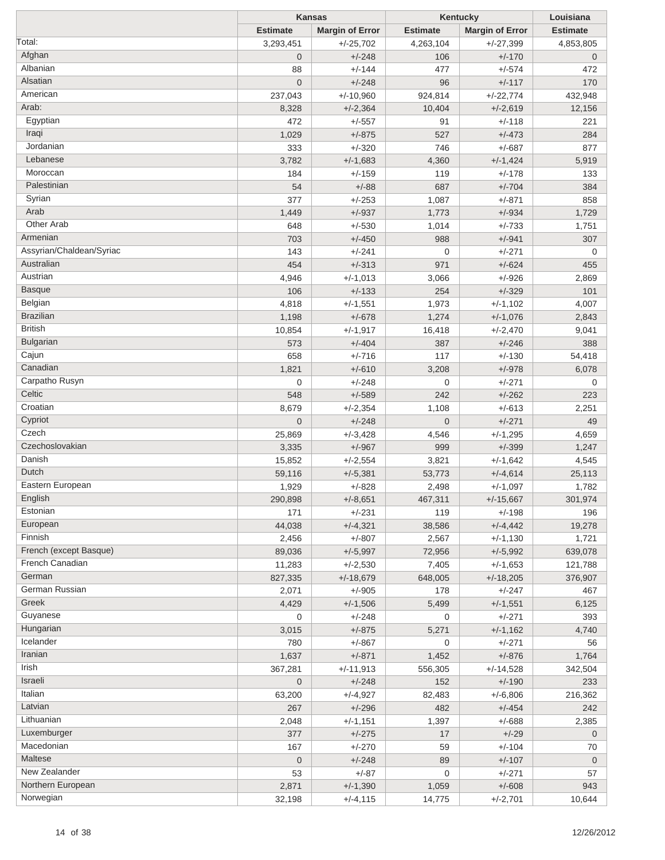|                          | <b>Kansas</b>           |                        | Kentucky                | Louisiana              |                 |
|--------------------------|-------------------------|------------------------|-------------------------|------------------------|-----------------|
|                          | <b>Estimate</b>         | <b>Margin of Error</b> | <b>Estimate</b>         | <b>Margin of Error</b> | <b>Estimate</b> |
| Total:                   | 3,293,451               | $+/-25,702$            | 4,263,104               | $+/-27,399$            | 4,853,805       |
| Afghan                   | $\overline{0}$          | $+/-248$               | 106                     | $+/-170$               | $\mathbf 0$     |
| Albanian                 | 88                      | $+/-144$               | 477                     | $+/-574$               | 472             |
| Alsatian                 | $\overline{0}$          | $+/-248$               | 96                      | $+/-117$               | 170             |
| American                 | 237,043                 | $+/-10,960$            | 924,814                 | $+/-22,774$            | 432,948         |
| Arab:                    | 8,328                   | $+/-2,364$             | 10,404                  | $+/-2,619$             | 12,156          |
| Egyptian                 | 472                     | $+/-557$               | 91                      | $+/-118$               | 221             |
| Iraqi                    | 1,029                   | $+/-875$               | 527                     | $+/-473$               | 284             |
| Jordanian                | 333                     | $+/-320$               | 746                     | $+/-687$               | 877             |
| Lebanese                 |                         |                        |                         |                        |                 |
| Moroccan                 | 3,782                   | $+/-1,683$             | 4,360                   | $+/-1,424$             | 5,919           |
|                          | 184                     | $+/-159$               | 119                     | $+/-178$               | 133             |
| Palestinian              | 54                      | $+/-88$                | 687                     | $+/-704$               | 384             |
| Syrian                   | 377                     | $+/-253$               | 1,087                   | $+/-871$               | 858             |
| Arab                     | 1,449                   | $+/-937$               | 1,773                   | $+/-934$               | 1,729           |
| Other Arab               | 648                     | $+/-530$               | 1,014                   | $+/-733$               | 1,751           |
| Armenian                 | 703                     | $+/-450$               | 988                     | $+/-941$               | 307             |
| Assyrian/Chaldean/Syriac | 143                     | $+/-241$               | $\overline{0}$          | $+/-271$               | 0               |
| Australian               | 454                     | $+/-313$               | 971                     | $+/-624$               | 455             |
| Austrian                 | 4,946                   | $+/-1,013$             | 3,066                   | $+/-926$               | 2,869           |
| <b>Basque</b>            | 106                     | $+/-133$               | 254                     | $+/-329$               | 101             |
| Belgian                  | 4,818                   | $+/-1,551$             | 1,973                   | $+/-1,102$             | 4,007           |
| <b>Brazilian</b>         | 1,198                   | $+/-678$               | 1,274                   | $+/-1,076$             | 2,843           |
| <b>British</b>           | 10,854                  | $+/-1,917$             | 16,418                  | $+/-2,470$             | 9,041           |
| Bulgarian                | 573                     | $+/-404$               | 387                     | $+/-246$               | 388             |
| Cajun                    | 658                     | $+/-716$               | 117                     | $+/-130$               | 54,418          |
| Canadian                 | 1,821                   | $+/-610$               | 3,208                   | $+/-978$               | 6,078           |
| Carpatho Rusyn           | $\mathbf 0$             | $+/-248$               | $\overline{0}$          | $+/-271$               | 0               |
| Celtic                   | 548                     | $+/-589$               | 242                     | $+/-262$               | 223             |
| Croatian                 |                         |                        |                         |                        |                 |
| Cypriot                  | 8,679<br>$\overline{0}$ | $+/-2,354$             | 1,108<br>$\overline{0}$ | $+/-613$<br>$+/-271$   | 2,251           |
| Czech                    |                         | $+/-248$               |                         |                        | 49              |
| Czechoslovakian          | 25,869                  | $+/-3,428$             | 4,546                   | $+/-1,295$             | 4,659           |
| Danish                   | 3,335                   | $+/-967$               | 999                     | $+/-399$               | 1,247           |
| Dutch                    | 15,852                  | $+/-2,554$             | 3,821                   | $+/-1,642$             | 4,545           |
|                          | 59,116                  | $+/-5,381$             | 53,773                  | $+/-4,614$             | 25,113          |
| Eastern European         | 1,929                   | $+/-828$               | 2,498                   | $+/-1,097$             | 1,782           |
| English                  | 290,898                 | $+/-8,651$             | 467,311                 | $+/-15,667$            | 301,974         |
| Estonian                 | 171                     | $+/-231$               | 119                     | $+/-198$               | 196             |
| European                 | 44,038                  | $+/-4,321$             | 38,586                  | $+/-4,442$             | 19,278          |
| Finnish                  | 2,456                   | $+/-807$               | 2,567                   | $+/-1,130$             | 1,721           |
| French (except Basque)   | 89,036                  | $+/-5,997$             | 72,956                  | $+/-5,992$             | 639,078         |
| French Canadian          | 11,283                  | $+/-2,530$             | 7,405                   | $+/-1,653$             | 121,788         |
| German                   | 827,335                 | $+/-18,679$            | 648,005                 | $+/-18,205$            | 376,907         |
| German Russian           | 2,071                   | $+/-905$               | 178                     | $+/-247$               | 467             |
| Greek                    | 4,429                   | $+/-1,506$             | 5,499                   | $+/-1,551$             | 6,125           |
| Guyanese                 | 0                       | $+/-248$               | $\mathbf 0$             | $+/-271$               | 393             |
| Hungarian                | 3,015                   | $+/-875$               | 5,271                   | $+/-1,162$             | 4,740           |
| Icelander                | 780                     | $+/-867$               | $\mathbf 0$             | $+/-271$               | 56              |
| Iranian                  | 1,637                   | $+/-871$               | 1,452                   | $+/-876$               | 1,764           |
| Irish                    | 367,281                 | $+/-11,913$            | 556,305                 | $+/-14,528$            | 342,504         |
| Israeli                  | $\overline{0}$          | $+/-248$               | 152                     | $+/-190$               | 233             |
| Italian                  |                         |                        |                         |                        |                 |
| Latvian                  | 63,200                  | $+/-4,927$             | 82,483<br>482           | $+/-6,806$             | 216,362         |
| Lithuanian               | 267                     | $+/-296$               |                         | $+/-454$               | 242             |
|                          | 2,048                   | $+/-1,151$             | 1,397                   | $+/-688$               | 2,385           |
| Luxemburger              | 377                     | $+/-275$               | 17                      | $+/-29$                | $\mathbf 0$     |
| Macedonian               | 167                     | $+/-270$               | 59                      | $+/-104$               | 70              |
| Maltese                  | $\overline{0}$          | $+/-248$               | 89                      | $+/-107$               | $\mathbf 0$     |
| New Zealander            | 53                      | $+/-87$                | $\mathbf 0$             | $+/-271$               | 57              |
| Northern European        | 2,871                   | $+/-1,390$             | 1,059                   | $+/-608$               | 943             |
| Norwegian                | 32,198                  | $+/-4, 115$            | 14,775                  | $+/-2,701$             | 10,644          |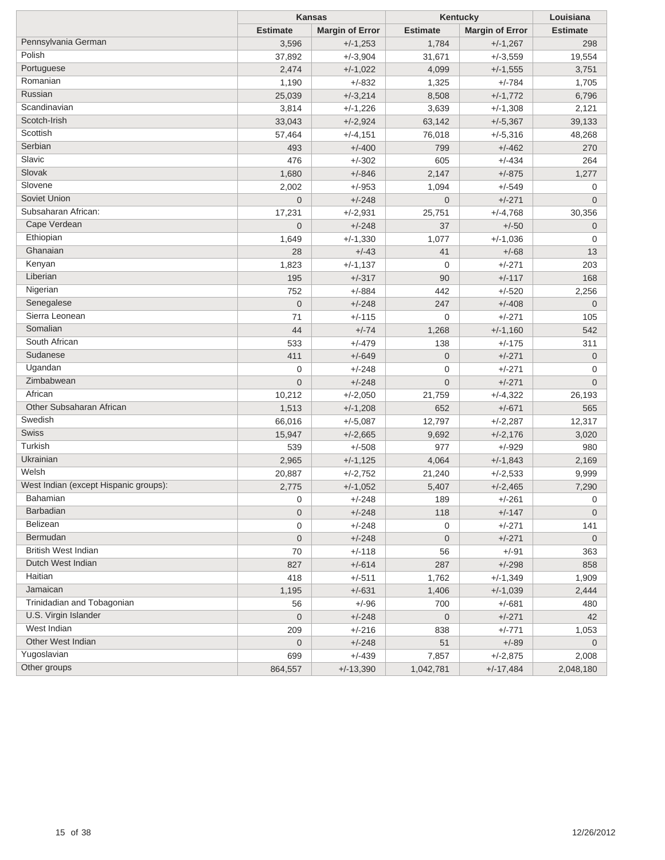|                                       | <b>Kansas</b>   |                        | Kentucky        | Louisiana              |                 |
|---------------------------------------|-----------------|------------------------|-----------------|------------------------|-----------------|
|                                       | <b>Estimate</b> | <b>Margin of Error</b> | <b>Estimate</b> | <b>Margin of Error</b> | <b>Estimate</b> |
| Pennsylvania German                   | 3,596           | $+/-1,253$             | 1,784           | $+/-1,267$             | 298             |
| Polish                                | 37,892          | $+/-3,904$             | 31,671          | $+/-3,559$             | 19,554          |
| Portuguese                            | 2,474           | $+/-1,022$             | 4,099           | $+/-1,555$             | 3,751           |
| Romanian                              | 1,190           | $+/-832$               | 1,325           | $+/-784$               | 1,705           |
| Russian                               | 25,039          | $+/-3,214$             | 8,508           | $+/-1,772$             | 6,796           |
| Scandinavian                          | 3,814           | $+/-1,226$             | 3,639           | $+/-1,308$             | 2,121           |
| Scotch-Irish                          | 33,043          | $+/-2,924$             | 63,142          | $+/-5,367$             | 39,133          |
| Scottish                              | 57,464          | $+/-4,151$             | 76,018          | $+/-5,316$             | 48,268          |
| Serbian                               | 493             | $+/-400$               | 799             | $+/-462$               | 270             |
| Slavic                                | 476             | $+/-302$               | 605             | $+/-434$               | 264             |
| Slovak                                | 1,680           | $+/-846$               | 2,147           | $+/-875$               | 1,277           |
| Slovene                               | 2,002           | $+/-953$               | 1,094           | $+/-549$               | 0               |
| Soviet Union                          | $\overline{0}$  | $+/-248$               | $\overline{0}$  | $+/-271$               | 0               |
| Subsaharan African:                   | 17,231          | $+/-2,931$             | 25,751          | $+/-4,768$             | 30,356          |
| Cape Verdean                          | $\overline{0}$  | $+/-248$               | 37              | $+/-50$                | 0               |
| Ethiopian                             | 1,649           | $+/-1,330$             | 1,077           | $+/-1,036$             | 0               |
| Ghanaian                              | 28              | $+/-43$                | 41              | $+/-68$                | 13              |
| Kenyan                                | 1,823           | $+/-1,137$             | 0               | $+/-271$               | 203             |
| Liberian                              | 195             | $+/-317$               | 90              | $+/-117$               | 168             |
| Nigerian                              | 752             | $+/-884$               | 442             | $+/-520$               | 2,256           |
| Senegalese                            | $\mathbf 0$     | $+/-248$               | 247             | $+/-408$               | $\mathbf 0$     |
| Sierra Leonean                        | 71              | $+/-115$               | 0               | $+/-271$               | 105             |
| Somalian                              | 44              | $+/-74$                | 1,268           | $+/-1,160$             | 542             |
| South African                         | 533             | $+/-479$               | 138             | $+/-175$               | 311             |
| Sudanese                              | 411             | $+/-649$               | $\mathbf 0$     | $+/-271$               | $\mathbf 0$     |
| Ugandan                               | 0               | $+/-248$               | 0               | $+/-271$               | 0               |
| Zimbabwean                            | $\overline{0}$  | $+/-248$               | 0               | $+/-271$               | $\mathbf 0$     |
| African                               | 10,212          | $+/-2,050$             | 21,759          | $+/-4,322$             | 26,193          |
| Other Subsaharan African              | 1,513           | $+/-1,208$             | 652             | $+/-671$               | 565             |
| Swedish                               | 66,016          | $+/-5,087$             | 12,797          | $+/-2,287$             | 12,317          |
| Swiss                                 | 15,947          | $+/-2,665$             | 9,692           | $+/-2,176$             | 3,020           |
| Turkish                               | 539             | $+/-508$               | 977             | $+/-929$               | 980             |
| Ukrainian                             | 2,965           | $+/-1,125$             | 4,064           | $+/-1,843$             | 2,169           |
| Welsh                                 | 20,887          | $+/-2,752$             | 21,240          | $+/-2,533$             | 9,999           |
| West Indian (except Hispanic groups): | 2,775           | $+/-1,052$             | 5,407           | $+/-2,465$             | 7,290           |
| Bahamian                              | 0               | $+/-248$               | 189             | $+/-261$               | 0               |
| <b>Barbadian</b>                      | 0               | $+/-248$               | 118             | $+/-147$               | $\mathbf 0$     |
| Belizean                              | 0               | $+/-248$               | 0               | $+/-271$               | 141             |
| Bermudan                              | 0               | $+/-248$               | $\mathbf 0$     | $+/-271$               | $\mathbf 0$     |
| <b>British West Indian</b>            | 70              | $+/-118$               | 56              | $+/-91$                | 363             |
| Dutch West Indian                     | 827             | $+/-614$               | 287             | $+/-298$               | 858             |
| Haitian                               | 418             | $+/-511$               | 1,762           | $+/-1,349$             | 1,909           |
| Jamaican                              | 1,195           | $+/-631$               | 1,406           | $+/-1,039$             | 2,444           |
| Trinidadian and Tobagonian            | 56              | $+/-96$                | 700             | $+/-681$               | 480             |
| U.S. Virgin Islander                  | 0               | $+/-248$               | $\mathbf 0$     | $+/-271$               | 42              |
| West Indian                           | 209             | $+/-216$               | 838             | $+/-771$               | 1,053           |
| Other West Indian                     | $\mathbf 0$     | $+/-248$               | 51              | $+/-89$                | $\overline{0}$  |
| Yugoslavian                           | 699             | $+/-439$               | 7,857           | $+/-2,875$             | 2,008           |
| Other groups                          | 864,557         | $+/-13,390$            | 1,042,781       | $+/-17,484$            | 2,048,180       |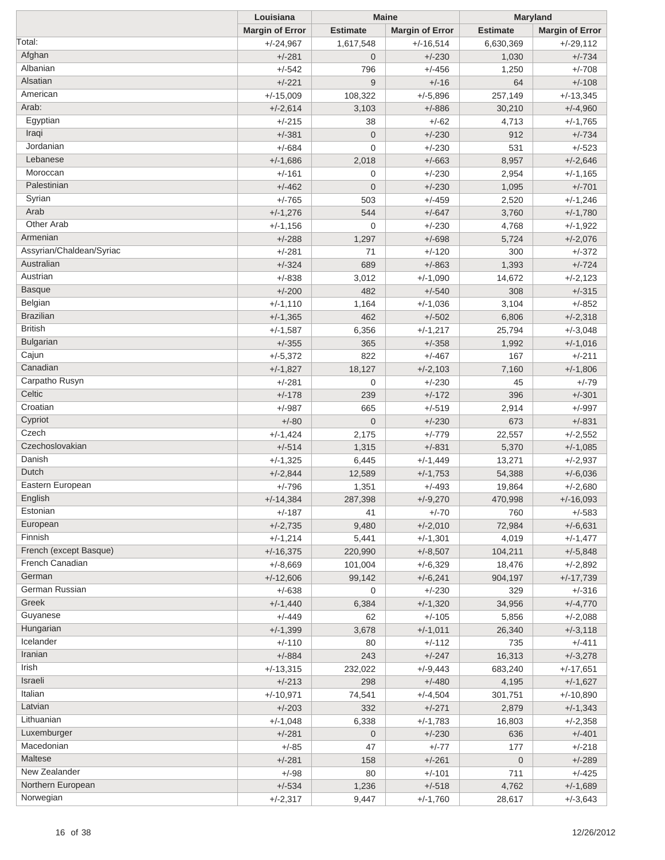| <b>Margin of Error</b><br><b>Estimate</b><br><b>Estimate</b><br><b>Margin of Error</b><br><b>Margin of Error</b><br>Total:<br>$+/-29,112$<br>$+/-24,967$<br>1,617,548<br>$+/-16,514$<br>6,630,369<br>Afghan<br>$+/-230$<br>$+/-734$<br>$+/-281$<br>$\overline{0}$<br>1,030<br>Albanian<br>$+/-542$<br>$+/-456$<br>$+/-708$<br>796<br>1,250<br>Alsatian<br>$+/-221$<br>9<br>$+/-16$<br>$+/-108$<br>64<br>American<br>$+/-15,009$<br>$+/-5,896$<br>257,149<br>$+/-13,345$<br>108,322<br>Arab:<br>$+/-2,614$<br>3,103<br>$+/-886$<br>30,210<br>$+/-4,960$<br>Egyptian<br>$+/-62$<br>4,713<br>$+/-1,765$<br>$+/-215$<br>38<br>Iraqi<br>$+/-381$<br>$\mathbf{0}$<br>$+/-230$<br>912<br>$+/-734$<br>Jordanian<br>$+/-684$<br>$+/-230$<br>$+/-523$<br>$\mathbf 0$<br>531<br>Lebanese<br>$+/-1,686$<br>$+/-663$<br>8,957<br>$+/-2,646$<br>2,018<br>Moroccan<br>$+/-230$<br>$+/-161$<br>$\overline{0}$<br>$+/-1,165$<br>2,954<br>Palestinian<br>$+/-230$<br>$+/-701$<br>$+/-462$<br>$\mathbf 0$<br>1,095<br>Syrian<br>$+/-765$<br>$+/-459$<br>2,520<br>$+/-1,246$<br>503<br>Arab<br>$+/-1,276$<br>544<br>$+/-647$<br>3,760<br>$+/-1,780$<br><b>Other Arab</b><br>$+/-230$<br>$+/-1,156$<br>$\mathbf 0$<br>4,768<br>$+/-1,922$<br>Armenian<br>$+/-288$<br>$+/-698$<br>5,724<br>$+/-2,076$<br>1,297<br>Assyrian/Chaldean/Syriac<br>$+/-281$<br>$+/-120$<br>300<br>$+/-372$<br>71<br>Australian<br>$+/-324$<br>$+/-724$<br>689<br>$+/-863$<br>1,393<br>Austrian<br>$+/-838$<br>3,012<br>$+/-1,090$<br>14,672<br>$+/-2,123$<br><b>Basque</b><br>$+/-200$<br>482<br>308<br>$+/-315$<br>$+/-540$<br>Belgian<br>$+/-852$<br>$+/-1,110$<br>1,164<br>$+/-1,036$<br>3,104<br><b>Brazilian</b><br>$+/-1,365$<br>462<br>$+/-2,318$<br>$+/-502$<br>6,806<br><b>British</b><br>$+/-1,587$<br>$+/-1,217$<br>25,794<br>$+/-3,048$<br>6,356<br><b>Bulgarian</b><br>$+/-355$<br>365<br>$+/-1,016$<br>$+/-358$<br>1,992<br>Cajun<br>$+/-211$<br>$+/-5,372$<br>822<br>$+/-467$<br>167<br>Canadian<br>$+/-1,827$<br>18,127<br>$+/-2,103$<br>7,160<br>$+/-1,806$<br>Carpatho Rusyn<br>$+/-281$<br>$+/-230$<br>45<br>$+/-79$<br>0<br>Celtic<br>$+/-178$<br>239<br>$+/-172$<br>396<br>$+/-301$<br>Croatian<br>$+/-997$<br>$+/-987$<br>665<br>$+/-519$<br>2,914<br>Cypriot<br>$+/-80$<br>$\mathbf 0$<br>$+/-230$<br>$+/-831$<br>673<br>Czech<br>$+/-1,424$<br>$+/-779$<br>$+/-2,552$<br>2,175<br>22,557<br>Czechoslovakian<br>$+/-514$<br>$+/-831$<br>$+/-1,085$<br>1,315<br>5,370<br>Danish<br>$+/-1,325$<br>6,445<br>$+/-1,449$<br>$+/-2,937$<br>13,271<br>Dutch<br>$+/-2,844$<br>12,589<br>$+/-1,753$<br>54,388<br>$+/-6,036$<br>Eastern European<br>$+/-796$<br>1,351<br>$+/-493$<br>19,864<br>$+/-2,680$<br>English<br>$+/-14,384$<br>287,398<br>$+/-9,270$<br>470,998<br>$+/-16,093$<br>Estonian<br>$+/-187$<br>41<br>$+/-70$<br>760<br>$+/-583$<br>European<br>$+/-2,735$<br>9,480<br>$+/-2,010$<br>72,984<br>$+/-6,631$<br>Finnish<br>$+/-1,214$<br>5,441<br>$+/-1,477$<br>$+/-1,301$<br>4,019<br>French (except Basque)<br>$+/-16,375$<br>$+/-5,848$<br>220,990<br>$+/-8,507$<br>104,211<br>French Canadian<br>$+/-8,669$<br>$+/-2,892$<br>101,004<br>$+/-6,329$<br>18,476<br>German<br>$+/-12,606$<br>99,142<br>$+/-17,739$<br>$+/-6,241$<br>904,197<br>German Russian<br>$+/-638$<br>$+/-230$<br>0<br>329<br>$+/-316$<br>Greek<br>$+/-1,440$<br>$+/-1,320$<br>$+/-4,770$<br>6,384<br>34,956<br>Guyanese<br>$+/-449$<br>$+/-105$<br>62<br>5,856<br>$+/-2,088$<br>Hungarian<br>$+/-1,399$<br>$+/-1,011$<br>3,678<br>26,340<br>$+/-3,118$<br>Icelander<br>$+/-110$<br>$+/-411$<br>80<br>$+/-112$<br>735<br>Iranian<br>$+/-884$<br>$+/-247$<br>$+/-3,278$<br>243<br>16,313<br>Irish<br>$+/-13,315$<br>$+/-9,443$<br>232,022<br>683,240<br>$+/-17,651$<br>Israeli<br>$+/-213$<br>$+/-480$<br>298<br>4,195<br>$+/-1,627$<br>Italian<br>$+/-10,971$<br>74,541<br>$+/-4,504$<br>$+/-10,890$<br>301,751<br>Latvian<br>$+/-203$<br>$+/-271$<br>$+/-1,343$<br>332<br>2,879<br>Lithuanian<br>$+/-1,048$<br>$+/-1,783$<br>6,338<br>16,803<br>$+/-2,358$<br>Luxemburger<br>$\mathbf 0$<br>$+/-281$<br>$+/-230$<br>636<br>$+/-401$<br>Macedonian<br>$+/-85$<br>$+/-77$<br>$+/-218$<br>47<br>177<br>Maltese<br>$+/-281$<br>$+/-261$<br>$\mathbf 0$<br>$+/-289$<br>158<br>New Zealander<br>$+/-425$<br>$+/-98$<br>80<br>$+/-101$<br>711<br>Northern European<br>$+/-534$<br>$+/-518$<br>4,762<br>$+/-1,689$<br>1,236<br>Norwegian<br>$+/-2,317$<br>9,447<br>$+/-1,760$<br>$+/-3,643$<br>28,617 | Louisiana | <b>Maine</b> |  | Maryland |  |  |
|--------------------------------------------------------------------------------------------------------------------------------------------------------------------------------------------------------------------------------------------------------------------------------------------------------------------------------------------------------------------------------------------------------------------------------------------------------------------------------------------------------------------------------------------------------------------------------------------------------------------------------------------------------------------------------------------------------------------------------------------------------------------------------------------------------------------------------------------------------------------------------------------------------------------------------------------------------------------------------------------------------------------------------------------------------------------------------------------------------------------------------------------------------------------------------------------------------------------------------------------------------------------------------------------------------------------------------------------------------------------------------------------------------------------------------------------------------------------------------------------------------------------------------------------------------------------------------------------------------------------------------------------------------------------------------------------------------------------------------------------------------------------------------------------------------------------------------------------------------------------------------------------------------------------------------------------------------------------------------------------------------------------------------------------------------------------------------------------------------------------------------------------------------------------------------------------------------------------------------------------------------------------------------------------------------------------------------------------------------------------------------------------------------------------------------------------------------------------------------------------------------------------------------------------------------------------------------------------------------------------------------------------------------------------------------------------------------------------------------------------------------------------------------------------------------------------------------------------------------------------------------------------------------------------------------------------------------------------------------------------------------------------------------------------------------------------------------------------------------------------------------------------------------------------------------------------------------------------------------------------------------------------------------------------------------------------------------------------------------------------------------------------------------------------------------------------------------------------------------------------------------------------------------------------------------------------------------------------------------------------------------------------------------------------------------------------------------------------------------------------------------------------------------------------------------------------------------------------------------------------------------------------------------------------------------------------------------------------------------------------------------------------------------------------------------------------------------------------------------------------------------------------------------------------------------------------------------------------------------------------------------------------------------------------------------------------------------------------------------------------------------------------------------------------------------------------------------|-----------|--------------|--|----------|--|--|
|                                                                                                                                                                                                                                                                                                                                                                                                                                                                                                                                                                                                                                                                                                                                                                                                                                                                                                                                                                                                                                                                                                                                                                                                                                                                                                                                                                                                                                                                                                                                                                                                                                                                                                                                                                                                                                                                                                                                                                                                                                                                                                                                                                                                                                                                                                                                                                                                                                                                                                                                                                                                                                                                                                                                                                                                                                                                                                                                                                                                                                                                                                                                                                                                                                                                                                                                                                                                                                                                                                                                                                                                                                                                                                                                                                                                                                                                                                                                                                                                                                                                                                                                                                                                                                                                                                                                                                                                                                                        |           |              |  |          |  |  |
|                                                                                                                                                                                                                                                                                                                                                                                                                                                                                                                                                                                                                                                                                                                                                                                                                                                                                                                                                                                                                                                                                                                                                                                                                                                                                                                                                                                                                                                                                                                                                                                                                                                                                                                                                                                                                                                                                                                                                                                                                                                                                                                                                                                                                                                                                                                                                                                                                                                                                                                                                                                                                                                                                                                                                                                                                                                                                                                                                                                                                                                                                                                                                                                                                                                                                                                                                                                                                                                                                                                                                                                                                                                                                                                                                                                                                                                                                                                                                                                                                                                                                                                                                                                                                                                                                                                                                                                                                                                        |           |              |  |          |  |  |
|                                                                                                                                                                                                                                                                                                                                                                                                                                                                                                                                                                                                                                                                                                                                                                                                                                                                                                                                                                                                                                                                                                                                                                                                                                                                                                                                                                                                                                                                                                                                                                                                                                                                                                                                                                                                                                                                                                                                                                                                                                                                                                                                                                                                                                                                                                                                                                                                                                                                                                                                                                                                                                                                                                                                                                                                                                                                                                                                                                                                                                                                                                                                                                                                                                                                                                                                                                                                                                                                                                                                                                                                                                                                                                                                                                                                                                                                                                                                                                                                                                                                                                                                                                                                                                                                                                                                                                                                                                                        |           |              |  |          |  |  |
|                                                                                                                                                                                                                                                                                                                                                                                                                                                                                                                                                                                                                                                                                                                                                                                                                                                                                                                                                                                                                                                                                                                                                                                                                                                                                                                                                                                                                                                                                                                                                                                                                                                                                                                                                                                                                                                                                                                                                                                                                                                                                                                                                                                                                                                                                                                                                                                                                                                                                                                                                                                                                                                                                                                                                                                                                                                                                                                                                                                                                                                                                                                                                                                                                                                                                                                                                                                                                                                                                                                                                                                                                                                                                                                                                                                                                                                                                                                                                                                                                                                                                                                                                                                                                                                                                                                                                                                                                                                        |           |              |  |          |  |  |
|                                                                                                                                                                                                                                                                                                                                                                                                                                                                                                                                                                                                                                                                                                                                                                                                                                                                                                                                                                                                                                                                                                                                                                                                                                                                                                                                                                                                                                                                                                                                                                                                                                                                                                                                                                                                                                                                                                                                                                                                                                                                                                                                                                                                                                                                                                                                                                                                                                                                                                                                                                                                                                                                                                                                                                                                                                                                                                                                                                                                                                                                                                                                                                                                                                                                                                                                                                                                                                                                                                                                                                                                                                                                                                                                                                                                                                                                                                                                                                                                                                                                                                                                                                                                                                                                                                                                                                                                                                                        |           |              |  |          |  |  |
|                                                                                                                                                                                                                                                                                                                                                                                                                                                                                                                                                                                                                                                                                                                                                                                                                                                                                                                                                                                                                                                                                                                                                                                                                                                                                                                                                                                                                                                                                                                                                                                                                                                                                                                                                                                                                                                                                                                                                                                                                                                                                                                                                                                                                                                                                                                                                                                                                                                                                                                                                                                                                                                                                                                                                                                                                                                                                                                                                                                                                                                                                                                                                                                                                                                                                                                                                                                                                                                                                                                                                                                                                                                                                                                                                                                                                                                                                                                                                                                                                                                                                                                                                                                                                                                                                                                                                                                                                                                        |           |              |  |          |  |  |
|                                                                                                                                                                                                                                                                                                                                                                                                                                                                                                                                                                                                                                                                                                                                                                                                                                                                                                                                                                                                                                                                                                                                                                                                                                                                                                                                                                                                                                                                                                                                                                                                                                                                                                                                                                                                                                                                                                                                                                                                                                                                                                                                                                                                                                                                                                                                                                                                                                                                                                                                                                                                                                                                                                                                                                                                                                                                                                                                                                                                                                                                                                                                                                                                                                                                                                                                                                                                                                                                                                                                                                                                                                                                                                                                                                                                                                                                                                                                                                                                                                                                                                                                                                                                                                                                                                                                                                                                                                                        |           |              |  |          |  |  |
|                                                                                                                                                                                                                                                                                                                                                                                                                                                                                                                                                                                                                                                                                                                                                                                                                                                                                                                                                                                                                                                                                                                                                                                                                                                                                                                                                                                                                                                                                                                                                                                                                                                                                                                                                                                                                                                                                                                                                                                                                                                                                                                                                                                                                                                                                                                                                                                                                                                                                                                                                                                                                                                                                                                                                                                                                                                                                                                                                                                                                                                                                                                                                                                                                                                                                                                                                                                                                                                                                                                                                                                                                                                                                                                                                                                                                                                                                                                                                                                                                                                                                                                                                                                                                                                                                                                                                                                                                                                        |           |              |  |          |  |  |
|                                                                                                                                                                                                                                                                                                                                                                                                                                                                                                                                                                                                                                                                                                                                                                                                                                                                                                                                                                                                                                                                                                                                                                                                                                                                                                                                                                                                                                                                                                                                                                                                                                                                                                                                                                                                                                                                                                                                                                                                                                                                                                                                                                                                                                                                                                                                                                                                                                                                                                                                                                                                                                                                                                                                                                                                                                                                                                                                                                                                                                                                                                                                                                                                                                                                                                                                                                                                                                                                                                                                                                                                                                                                                                                                                                                                                                                                                                                                                                                                                                                                                                                                                                                                                                                                                                                                                                                                                                                        |           |              |  |          |  |  |
|                                                                                                                                                                                                                                                                                                                                                                                                                                                                                                                                                                                                                                                                                                                                                                                                                                                                                                                                                                                                                                                                                                                                                                                                                                                                                                                                                                                                                                                                                                                                                                                                                                                                                                                                                                                                                                                                                                                                                                                                                                                                                                                                                                                                                                                                                                                                                                                                                                                                                                                                                                                                                                                                                                                                                                                                                                                                                                                                                                                                                                                                                                                                                                                                                                                                                                                                                                                                                                                                                                                                                                                                                                                                                                                                                                                                                                                                                                                                                                                                                                                                                                                                                                                                                                                                                                                                                                                                                                                        |           |              |  |          |  |  |
|                                                                                                                                                                                                                                                                                                                                                                                                                                                                                                                                                                                                                                                                                                                                                                                                                                                                                                                                                                                                                                                                                                                                                                                                                                                                                                                                                                                                                                                                                                                                                                                                                                                                                                                                                                                                                                                                                                                                                                                                                                                                                                                                                                                                                                                                                                                                                                                                                                                                                                                                                                                                                                                                                                                                                                                                                                                                                                                                                                                                                                                                                                                                                                                                                                                                                                                                                                                                                                                                                                                                                                                                                                                                                                                                                                                                                                                                                                                                                                                                                                                                                                                                                                                                                                                                                                                                                                                                                                                        |           |              |  |          |  |  |
|                                                                                                                                                                                                                                                                                                                                                                                                                                                                                                                                                                                                                                                                                                                                                                                                                                                                                                                                                                                                                                                                                                                                                                                                                                                                                                                                                                                                                                                                                                                                                                                                                                                                                                                                                                                                                                                                                                                                                                                                                                                                                                                                                                                                                                                                                                                                                                                                                                                                                                                                                                                                                                                                                                                                                                                                                                                                                                                                                                                                                                                                                                                                                                                                                                                                                                                                                                                                                                                                                                                                                                                                                                                                                                                                                                                                                                                                                                                                                                                                                                                                                                                                                                                                                                                                                                                                                                                                                                                        |           |              |  |          |  |  |
|                                                                                                                                                                                                                                                                                                                                                                                                                                                                                                                                                                                                                                                                                                                                                                                                                                                                                                                                                                                                                                                                                                                                                                                                                                                                                                                                                                                                                                                                                                                                                                                                                                                                                                                                                                                                                                                                                                                                                                                                                                                                                                                                                                                                                                                                                                                                                                                                                                                                                                                                                                                                                                                                                                                                                                                                                                                                                                                                                                                                                                                                                                                                                                                                                                                                                                                                                                                                                                                                                                                                                                                                                                                                                                                                                                                                                                                                                                                                                                                                                                                                                                                                                                                                                                                                                                                                                                                                                                                        |           |              |  |          |  |  |
|                                                                                                                                                                                                                                                                                                                                                                                                                                                                                                                                                                                                                                                                                                                                                                                                                                                                                                                                                                                                                                                                                                                                                                                                                                                                                                                                                                                                                                                                                                                                                                                                                                                                                                                                                                                                                                                                                                                                                                                                                                                                                                                                                                                                                                                                                                                                                                                                                                                                                                                                                                                                                                                                                                                                                                                                                                                                                                                                                                                                                                                                                                                                                                                                                                                                                                                                                                                                                                                                                                                                                                                                                                                                                                                                                                                                                                                                                                                                                                                                                                                                                                                                                                                                                                                                                                                                                                                                                                                        |           |              |  |          |  |  |
|                                                                                                                                                                                                                                                                                                                                                                                                                                                                                                                                                                                                                                                                                                                                                                                                                                                                                                                                                                                                                                                                                                                                                                                                                                                                                                                                                                                                                                                                                                                                                                                                                                                                                                                                                                                                                                                                                                                                                                                                                                                                                                                                                                                                                                                                                                                                                                                                                                                                                                                                                                                                                                                                                                                                                                                                                                                                                                                                                                                                                                                                                                                                                                                                                                                                                                                                                                                                                                                                                                                                                                                                                                                                                                                                                                                                                                                                                                                                                                                                                                                                                                                                                                                                                                                                                                                                                                                                                                                        |           |              |  |          |  |  |
|                                                                                                                                                                                                                                                                                                                                                                                                                                                                                                                                                                                                                                                                                                                                                                                                                                                                                                                                                                                                                                                                                                                                                                                                                                                                                                                                                                                                                                                                                                                                                                                                                                                                                                                                                                                                                                                                                                                                                                                                                                                                                                                                                                                                                                                                                                                                                                                                                                                                                                                                                                                                                                                                                                                                                                                                                                                                                                                                                                                                                                                                                                                                                                                                                                                                                                                                                                                                                                                                                                                                                                                                                                                                                                                                                                                                                                                                                                                                                                                                                                                                                                                                                                                                                                                                                                                                                                                                                                                        |           |              |  |          |  |  |
|                                                                                                                                                                                                                                                                                                                                                                                                                                                                                                                                                                                                                                                                                                                                                                                                                                                                                                                                                                                                                                                                                                                                                                                                                                                                                                                                                                                                                                                                                                                                                                                                                                                                                                                                                                                                                                                                                                                                                                                                                                                                                                                                                                                                                                                                                                                                                                                                                                                                                                                                                                                                                                                                                                                                                                                                                                                                                                                                                                                                                                                                                                                                                                                                                                                                                                                                                                                                                                                                                                                                                                                                                                                                                                                                                                                                                                                                                                                                                                                                                                                                                                                                                                                                                                                                                                                                                                                                                                                        |           |              |  |          |  |  |
|                                                                                                                                                                                                                                                                                                                                                                                                                                                                                                                                                                                                                                                                                                                                                                                                                                                                                                                                                                                                                                                                                                                                                                                                                                                                                                                                                                                                                                                                                                                                                                                                                                                                                                                                                                                                                                                                                                                                                                                                                                                                                                                                                                                                                                                                                                                                                                                                                                                                                                                                                                                                                                                                                                                                                                                                                                                                                                                                                                                                                                                                                                                                                                                                                                                                                                                                                                                                                                                                                                                                                                                                                                                                                                                                                                                                                                                                                                                                                                                                                                                                                                                                                                                                                                                                                                                                                                                                                                                        |           |              |  |          |  |  |
|                                                                                                                                                                                                                                                                                                                                                                                                                                                                                                                                                                                                                                                                                                                                                                                                                                                                                                                                                                                                                                                                                                                                                                                                                                                                                                                                                                                                                                                                                                                                                                                                                                                                                                                                                                                                                                                                                                                                                                                                                                                                                                                                                                                                                                                                                                                                                                                                                                                                                                                                                                                                                                                                                                                                                                                                                                                                                                                                                                                                                                                                                                                                                                                                                                                                                                                                                                                                                                                                                                                                                                                                                                                                                                                                                                                                                                                                                                                                                                                                                                                                                                                                                                                                                                                                                                                                                                                                                                                        |           |              |  |          |  |  |
|                                                                                                                                                                                                                                                                                                                                                                                                                                                                                                                                                                                                                                                                                                                                                                                                                                                                                                                                                                                                                                                                                                                                                                                                                                                                                                                                                                                                                                                                                                                                                                                                                                                                                                                                                                                                                                                                                                                                                                                                                                                                                                                                                                                                                                                                                                                                                                                                                                                                                                                                                                                                                                                                                                                                                                                                                                                                                                                                                                                                                                                                                                                                                                                                                                                                                                                                                                                                                                                                                                                                                                                                                                                                                                                                                                                                                                                                                                                                                                                                                                                                                                                                                                                                                                                                                                                                                                                                                                                        |           |              |  |          |  |  |
|                                                                                                                                                                                                                                                                                                                                                                                                                                                                                                                                                                                                                                                                                                                                                                                                                                                                                                                                                                                                                                                                                                                                                                                                                                                                                                                                                                                                                                                                                                                                                                                                                                                                                                                                                                                                                                                                                                                                                                                                                                                                                                                                                                                                                                                                                                                                                                                                                                                                                                                                                                                                                                                                                                                                                                                                                                                                                                                                                                                                                                                                                                                                                                                                                                                                                                                                                                                                                                                                                                                                                                                                                                                                                                                                                                                                                                                                                                                                                                                                                                                                                                                                                                                                                                                                                                                                                                                                                                                        |           |              |  |          |  |  |
|                                                                                                                                                                                                                                                                                                                                                                                                                                                                                                                                                                                                                                                                                                                                                                                                                                                                                                                                                                                                                                                                                                                                                                                                                                                                                                                                                                                                                                                                                                                                                                                                                                                                                                                                                                                                                                                                                                                                                                                                                                                                                                                                                                                                                                                                                                                                                                                                                                                                                                                                                                                                                                                                                                                                                                                                                                                                                                                                                                                                                                                                                                                                                                                                                                                                                                                                                                                                                                                                                                                                                                                                                                                                                                                                                                                                                                                                                                                                                                                                                                                                                                                                                                                                                                                                                                                                                                                                                                                        |           |              |  |          |  |  |
|                                                                                                                                                                                                                                                                                                                                                                                                                                                                                                                                                                                                                                                                                                                                                                                                                                                                                                                                                                                                                                                                                                                                                                                                                                                                                                                                                                                                                                                                                                                                                                                                                                                                                                                                                                                                                                                                                                                                                                                                                                                                                                                                                                                                                                                                                                                                                                                                                                                                                                                                                                                                                                                                                                                                                                                                                                                                                                                                                                                                                                                                                                                                                                                                                                                                                                                                                                                                                                                                                                                                                                                                                                                                                                                                                                                                                                                                                                                                                                                                                                                                                                                                                                                                                                                                                                                                                                                                                                                        |           |              |  |          |  |  |
|                                                                                                                                                                                                                                                                                                                                                                                                                                                                                                                                                                                                                                                                                                                                                                                                                                                                                                                                                                                                                                                                                                                                                                                                                                                                                                                                                                                                                                                                                                                                                                                                                                                                                                                                                                                                                                                                                                                                                                                                                                                                                                                                                                                                                                                                                                                                                                                                                                                                                                                                                                                                                                                                                                                                                                                                                                                                                                                                                                                                                                                                                                                                                                                                                                                                                                                                                                                                                                                                                                                                                                                                                                                                                                                                                                                                                                                                                                                                                                                                                                                                                                                                                                                                                                                                                                                                                                                                                                                        |           |              |  |          |  |  |
|                                                                                                                                                                                                                                                                                                                                                                                                                                                                                                                                                                                                                                                                                                                                                                                                                                                                                                                                                                                                                                                                                                                                                                                                                                                                                                                                                                                                                                                                                                                                                                                                                                                                                                                                                                                                                                                                                                                                                                                                                                                                                                                                                                                                                                                                                                                                                                                                                                                                                                                                                                                                                                                                                                                                                                                                                                                                                                                                                                                                                                                                                                                                                                                                                                                                                                                                                                                                                                                                                                                                                                                                                                                                                                                                                                                                                                                                                                                                                                                                                                                                                                                                                                                                                                                                                                                                                                                                                                                        |           |              |  |          |  |  |
|                                                                                                                                                                                                                                                                                                                                                                                                                                                                                                                                                                                                                                                                                                                                                                                                                                                                                                                                                                                                                                                                                                                                                                                                                                                                                                                                                                                                                                                                                                                                                                                                                                                                                                                                                                                                                                                                                                                                                                                                                                                                                                                                                                                                                                                                                                                                                                                                                                                                                                                                                                                                                                                                                                                                                                                                                                                                                                                                                                                                                                                                                                                                                                                                                                                                                                                                                                                                                                                                                                                                                                                                                                                                                                                                                                                                                                                                                                                                                                                                                                                                                                                                                                                                                                                                                                                                                                                                                                                        |           |              |  |          |  |  |
|                                                                                                                                                                                                                                                                                                                                                                                                                                                                                                                                                                                                                                                                                                                                                                                                                                                                                                                                                                                                                                                                                                                                                                                                                                                                                                                                                                                                                                                                                                                                                                                                                                                                                                                                                                                                                                                                                                                                                                                                                                                                                                                                                                                                                                                                                                                                                                                                                                                                                                                                                                                                                                                                                                                                                                                                                                                                                                                                                                                                                                                                                                                                                                                                                                                                                                                                                                                                                                                                                                                                                                                                                                                                                                                                                                                                                                                                                                                                                                                                                                                                                                                                                                                                                                                                                                                                                                                                                                                        |           |              |  |          |  |  |
|                                                                                                                                                                                                                                                                                                                                                                                                                                                                                                                                                                                                                                                                                                                                                                                                                                                                                                                                                                                                                                                                                                                                                                                                                                                                                                                                                                                                                                                                                                                                                                                                                                                                                                                                                                                                                                                                                                                                                                                                                                                                                                                                                                                                                                                                                                                                                                                                                                                                                                                                                                                                                                                                                                                                                                                                                                                                                                                                                                                                                                                                                                                                                                                                                                                                                                                                                                                                                                                                                                                                                                                                                                                                                                                                                                                                                                                                                                                                                                                                                                                                                                                                                                                                                                                                                                                                                                                                                                                        |           |              |  |          |  |  |
|                                                                                                                                                                                                                                                                                                                                                                                                                                                                                                                                                                                                                                                                                                                                                                                                                                                                                                                                                                                                                                                                                                                                                                                                                                                                                                                                                                                                                                                                                                                                                                                                                                                                                                                                                                                                                                                                                                                                                                                                                                                                                                                                                                                                                                                                                                                                                                                                                                                                                                                                                                                                                                                                                                                                                                                                                                                                                                                                                                                                                                                                                                                                                                                                                                                                                                                                                                                                                                                                                                                                                                                                                                                                                                                                                                                                                                                                                                                                                                                                                                                                                                                                                                                                                                                                                                                                                                                                                                                        |           |              |  |          |  |  |
|                                                                                                                                                                                                                                                                                                                                                                                                                                                                                                                                                                                                                                                                                                                                                                                                                                                                                                                                                                                                                                                                                                                                                                                                                                                                                                                                                                                                                                                                                                                                                                                                                                                                                                                                                                                                                                                                                                                                                                                                                                                                                                                                                                                                                                                                                                                                                                                                                                                                                                                                                                                                                                                                                                                                                                                                                                                                                                                                                                                                                                                                                                                                                                                                                                                                                                                                                                                                                                                                                                                                                                                                                                                                                                                                                                                                                                                                                                                                                                                                                                                                                                                                                                                                                                                                                                                                                                                                                                                        |           |              |  |          |  |  |
|                                                                                                                                                                                                                                                                                                                                                                                                                                                                                                                                                                                                                                                                                                                                                                                                                                                                                                                                                                                                                                                                                                                                                                                                                                                                                                                                                                                                                                                                                                                                                                                                                                                                                                                                                                                                                                                                                                                                                                                                                                                                                                                                                                                                                                                                                                                                                                                                                                                                                                                                                                                                                                                                                                                                                                                                                                                                                                                                                                                                                                                                                                                                                                                                                                                                                                                                                                                                                                                                                                                                                                                                                                                                                                                                                                                                                                                                                                                                                                                                                                                                                                                                                                                                                                                                                                                                                                                                                                                        |           |              |  |          |  |  |
|                                                                                                                                                                                                                                                                                                                                                                                                                                                                                                                                                                                                                                                                                                                                                                                                                                                                                                                                                                                                                                                                                                                                                                                                                                                                                                                                                                                                                                                                                                                                                                                                                                                                                                                                                                                                                                                                                                                                                                                                                                                                                                                                                                                                                                                                                                                                                                                                                                                                                                                                                                                                                                                                                                                                                                                                                                                                                                                                                                                                                                                                                                                                                                                                                                                                                                                                                                                                                                                                                                                                                                                                                                                                                                                                                                                                                                                                                                                                                                                                                                                                                                                                                                                                                                                                                                                                                                                                                                                        |           |              |  |          |  |  |
|                                                                                                                                                                                                                                                                                                                                                                                                                                                                                                                                                                                                                                                                                                                                                                                                                                                                                                                                                                                                                                                                                                                                                                                                                                                                                                                                                                                                                                                                                                                                                                                                                                                                                                                                                                                                                                                                                                                                                                                                                                                                                                                                                                                                                                                                                                                                                                                                                                                                                                                                                                                                                                                                                                                                                                                                                                                                                                                                                                                                                                                                                                                                                                                                                                                                                                                                                                                                                                                                                                                                                                                                                                                                                                                                                                                                                                                                                                                                                                                                                                                                                                                                                                                                                                                                                                                                                                                                                                                        |           |              |  |          |  |  |
|                                                                                                                                                                                                                                                                                                                                                                                                                                                                                                                                                                                                                                                                                                                                                                                                                                                                                                                                                                                                                                                                                                                                                                                                                                                                                                                                                                                                                                                                                                                                                                                                                                                                                                                                                                                                                                                                                                                                                                                                                                                                                                                                                                                                                                                                                                                                                                                                                                                                                                                                                                                                                                                                                                                                                                                                                                                                                                                                                                                                                                                                                                                                                                                                                                                                                                                                                                                                                                                                                                                                                                                                                                                                                                                                                                                                                                                                                                                                                                                                                                                                                                                                                                                                                                                                                                                                                                                                                                                        |           |              |  |          |  |  |
|                                                                                                                                                                                                                                                                                                                                                                                                                                                                                                                                                                                                                                                                                                                                                                                                                                                                                                                                                                                                                                                                                                                                                                                                                                                                                                                                                                                                                                                                                                                                                                                                                                                                                                                                                                                                                                                                                                                                                                                                                                                                                                                                                                                                                                                                                                                                                                                                                                                                                                                                                                                                                                                                                                                                                                                                                                                                                                                                                                                                                                                                                                                                                                                                                                                                                                                                                                                                                                                                                                                                                                                                                                                                                                                                                                                                                                                                                                                                                                                                                                                                                                                                                                                                                                                                                                                                                                                                                                                        |           |              |  |          |  |  |
|                                                                                                                                                                                                                                                                                                                                                                                                                                                                                                                                                                                                                                                                                                                                                                                                                                                                                                                                                                                                                                                                                                                                                                                                                                                                                                                                                                                                                                                                                                                                                                                                                                                                                                                                                                                                                                                                                                                                                                                                                                                                                                                                                                                                                                                                                                                                                                                                                                                                                                                                                                                                                                                                                                                                                                                                                                                                                                                                                                                                                                                                                                                                                                                                                                                                                                                                                                                                                                                                                                                                                                                                                                                                                                                                                                                                                                                                                                                                                                                                                                                                                                                                                                                                                                                                                                                                                                                                                                                        |           |              |  |          |  |  |
|                                                                                                                                                                                                                                                                                                                                                                                                                                                                                                                                                                                                                                                                                                                                                                                                                                                                                                                                                                                                                                                                                                                                                                                                                                                                                                                                                                                                                                                                                                                                                                                                                                                                                                                                                                                                                                                                                                                                                                                                                                                                                                                                                                                                                                                                                                                                                                                                                                                                                                                                                                                                                                                                                                                                                                                                                                                                                                                                                                                                                                                                                                                                                                                                                                                                                                                                                                                                                                                                                                                                                                                                                                                                                                                                                                                                                                                                                                                                                                                                                                                                                                                                                                                                                                                                                                                                                                                                                                                        |           |              |  |          |  |  |
|                                                                                                                                                                                                                                                                                                                                                                                                                                                                                                                                                                                                                                                                                                                                                                                                                                                                                                                                                                                                                                                                                                                                                                                                                                                                                                                                                                                                                                                                                                                                                                                                                                                                                                                                                                                                                                                                                                                                                                                                                                                                                                                                                                                                                                                                                                                                                                                                                                                                                                                                                                                                                                                                                                                                                                                                                                                                                                                                                                                                                                                                                                                                                                                                                                                                                                                                                                                                                                                                                                                                                                                                                                                                                                                                                                                                                                                                                                                                                                                                                                                                                                                                                                                                                                                                                                                                                                                                                                                        |           |              |  |          |  |  |
|                                                                                                                                                                                                                                                                                                                                                                                                                                                                                                                                                                                                                                                                                                                                                                                                                                                                                                                                                                                                                                                                                                                                                                                                                                                                                                                                                                                                                                                                                                                                                                                                                                                                                                                                                                                                                                                                                                                                                                                                                                                                                                                                                                                                                                                                                                                                                                                                                                                                                                                                                                                                                                                                                                                                                                                                                                                                                                                                                                                                                                                                                                                                                                                                                                                                                                                                                                                                                                                                                                                                                                                                                                                                                                                                                                                                                                                                                                                                                                                                                                                                                                                                                                                                                                                                                                                                                                                                                                                        |           |              |  |          |  |  |
|                                                                                                                                                                                                                                                                                                                                                                                                                                                                                                                                                                                                                                                                                                                                                                                                                                                                                                                                                                                                                                                                                                                                                                                                                                                                                                                                                                                                                                                                                                                                                                                                                                                                                                                                                                                                                                                                                                                                                                                                                                                                                                                                                                                                                                                                                                                                                                                                                                                                                                                                                                                                                                                                                                                                                                                                                                                                                                                                                                                                                                                                                                                                                                                                                                                                                                                                                                                                                                                                                                                                                                                                                                                                                                                                                                                                                                                                                                                                                                                                                                                                                                                                                                                                                                                                                                                                                                                                                                                        |           |              |  |          |  |  |
|                                                                                                                                                                                                                                                                                                                                                                                                                                                                                                                                                                                                                                                                                                                                                                                                                                                                                                                                                                                                                                                                                                                                                                                                                                                                                                                                                                                                                                                                                                                                                                                                                                                                                                                                                                                                                                                                                                                                                                                                                                                                                                                                                                                                                                                                                                                                                                                                                                                                                                                                                                                                                                                                                                                                                                                                                                                                                                                                                                                                                                                                                                                                                                                                                                                                                                                                                                                                                                                                                                                                                                                                                                                                                                                                                                                                                                                                                                                                                                                                                                                                                                                                                                                                                                                                                                                                                                                                                                                        |           |              |  |          |  |  |
|                                                                                                                                                                                                                                                                                                                                                                                                                                                                                                                                                                                                                                                                                                                                                                                                                                                                                                                                                                                                                                                                                                                                                                                                                                                                                                                                                                                                                                                                                                                                                                                                                                                                                                                                                                                                                                                                                                                                                                                                                                                                                                                                                                                                                                                                                                                                                                                                                                                                                                                                                                                                                                                                                                                                                                                                                                                                                                                                                                                                                                                                                                                                                                                                                                                                                                                                                                                                                                                                                                                                                                                                                                                                                                                                                                                                                                                                                                                                                                                                                                                                                                                                                                                                                                                                                                                                                                                                                                                        |           |              |  |          |  |  |
|                                                                                                                                                                                                                                                                                                                                                                                                                                                                                                                                                                                                                                                                                                                                                                                                                                                                                                                                                                                                                                                                                                                                                                                                                                                                                                                                                                                                                                                                                                                                                                                                                                                                                                                                                                                                                                                                                                                                                                                                                                                                                                                                                                                                                                                                                                                                                                                                                                                                                                                                                                                                                                                                                                                                                                                                                                                                                                                                                                                                                                                                                                                                                                                                                                                                                                                                                                                                                                                                                                                                                                                                                                                                                                                                                                                                                                                                                                                                                                                                                                                                                                                                                                                                                                                                                                                                                                                                                                                        |           |              |  |          |  |  |
|                                                                                                                                                                                                                                                                                                                                                                                                                                                                                                                                                                                                                                                                                                                                                                                                                                                                                                                                                                                                                                                                                                                                                                                                                                                                                                                                                                                                                                                                                                                                                                                                                                                                                                                                                                                                                                                                                                                                                                                                                                                                                                                                                                                                                                                                                                                                                                                                                                                                                                                                                                                                                                                                                                                                                                                                                                                                                                                                                                                                                                                                                                                                                                                                                                                                                                                                                                                                                                                                                                                                                                                                                                                                                                                                                                                                                                                                                                                                                                                                                                                                                                                                                                                                                                                                                                                                                                                                                                                        |           |              |  |          |  |  |
|                                                                                                                                                                                                                                                                                                                                                                                                                                                                                                                                                                                                                                                                                                                                                                                                                                                                                                                                                                                                                                                                                                                                                                                                                                                                                                                                                                                                                                                                                                                                                                                                                                                                                                                                                                                                                                                                                                                                                                                                                                                                                                                                                                                                                                                                                                                                                                                                                                                                                                                                                                                                                                                                                                                                                                                                                                                                                                                                                                                                                                                                                                                                                                                                                                                                                                                                                                                                                                                                                                                                                                                                                                                                                                                                                                                                                                                                                                                                                                                                                                                                                                                                                                                                                                                                                                                                                                                                                                                        |           |              |  |          |  |  |
|                                                                                                                                                                                                                                                                                                                                                                                                                                                                                                                                                                                                                                                                                                                                                                                                                                                                                                                                                                                                                                                                                                                                                                                                                                                                                                                                                                                                                                                                                                                                                                                                                                                                                                                                                                                                                                                                                                                                                                                                                                                                                                                                                                                                                                                                                                                                                                                                                                                                                                                                                                                                                                                                                                                                                                                                                                                                                                                                                                                                                                                                                                                                                                                                                                                                                                                                                                                                                                                                                                                                                                                                                                                                                                                                                                                                                                                                                                                                                                                                                                                                                                                                                                                                                                                                                                                                                                                                                                                        |           |              |  |          |  |  |
|                                                                                                                                                                                                                                                                                                                                                                                                                                                                                                                                                                                                                                                                                                                                                                                                                                                                                                                                                                                                                                                                                                                                                                                                                                                                                                                                                                                                                                                                                                                                                                                                                                                                                                                                                                                                                                                                                                                                                                                                                                                                                                                                                                                                                                                                                                                                                                                                                                                                                                                                                                                                                                                                                                                                                                                                                                                                                                                                                                                                                                                                                                                                                                                                                                                                                                                                                                                                                                                                                                                                                                                                                                                                                                                                                                                                                                                                                                                                                                                                                                                                                                                                                                                                                                                                                                                                                                                                                                                        |           |              |  |          |  |  |
|                                                                                                                                                                                                                                                                                                                                                                                                                                                                                                                                                                                                                                                                                                                                                                                                                                                                                                                                                                                                                                                                                                                                                                                                                                                                                                                                                                                                                                                                                                                                                                                                                                                                                                                                                                                                                                                                                                                                                                                                                                                                                                                                                                                                                                                                                                                                                                                                                                                                                                                                                                                                                                                                                                                                                                                                                                                                                                                                                                                                                                                                                                                                                                                                                                                                                                                                                                                                                                                                                                                                                                                                                                                                                                                                                                                                                                                                                                                                                                                                                                                                                                                                                                                                                                                                                                                                                                                                                                                        |           |              |  |          |  |  |
|                                                                                                                                                                                                                                                                                                                                                                                                                                                                                                                                                                                                                                                                                                                                                                                                                                                                                                                                                                                                                                                                                                                                                                                                                                                                                                                                                                                                                                                                                                                                                                                                                                                                                                                                                                                                                                                                                                                                                                                                                                                                                                                                                                                                                                                                                                                                                                                                                                                                                                                                                                                                                                                                                                                                                                                                                                                                                                                                                                                                                                                                                                                                                                                                                                                                                                                                                                                                                                                                                                                                                                                                                                                                                                                                                                                                                                                                                                                                                                                                                                                                                                                                                                                                                                                                                                                                                                                                                                                        |           |              |  |          |  |  |
|                                                                                                                                                                                                                                                                                                                                                                                                                                                                                                                                                                                                                                                                                                                                                                                                                                                                                                                                                                                                                                                                                                                                                                                                                                                                                                                                                                                                                                                                                                                                                                                                                                                                                                                                                                                                                                                                                                                                                                                                                                                                                                                                                                                                                                                                                                                                                                                                                                                                                                                                                                                                                                                                                                                                                                                                                                                                                                                                                                                                                                                                                                                                                                                                                                                                                                                                                                                                                                                                                                                                                                                                                                                                                                                                                                                                                                                                                                                                                                                                                                                                                                                                                                                                                                                                                                                                                                                                                                                        |           |              |  |          |  |  |
|                                                                                                                                                                                                                                                                                                                                                                                                                                                                                                                                                                                                                                                                                                                                                                                                                                                                                                                                                                                                                                                                                                                                                                                                                                                                                                                                                                                                                                                                                                                                                                                                                                                                                                                                                                                                                                                                                                                                                                                                                                                                                                                                                                                                                                                                                                                                                                                                                                                                                                                                                                                                                                                                                                                                                                                                                                                                                                                                                                                                                                                                                                                                                                                                                                                                                                                                                                                                                                                                                                                                                                                                                                                                                                                                                                                                                                                                                                                                                                                                                                                                                                                                                                                                                                                                                                                                                                                                                                                        |           |              |  |          |  |  |
|                                                                                                                                                                                                                                                                                                                                                                                                                                                                                                                                                                                                                                                                                                                                                                                                                                                                                                                                                                                                                                                                                                                                                                                                                                                                                                                                                                                                                                                                                                                                                                                                                                                                                                                                                                                                                                                                                                                                                                                                                                                                                                                                                                                                                                                                                                                                                                                                                                                                                                                                                                                                                                                                                                                                                                                                                                                                                                                                                                                                                                                                                                                                                                                                                                                                                                                                                                                                                                                                                                                                                                                                                                                                                                                                                                                                                                                                                                                                                                                                                                                                                                                                                                                                                                                                                                                                                                                                                                                        |           |              |  |          |  |  |
|                                                                                                                                                                                                                                                                                                                                                                                                                                                                                                                                                                                                                                                                                                                                                                                                                                                                                                                                                                                                                                                                                                                                                                                                                                                                                                                                                                                                                                                                                                                                                                                                                                                                                                                                                                                                                                                                                                                                                                                                                                                                                                                                                                                                                                                                                                                                                                                                                                                                                                                                                                                                                                                                                                                                                                                                                                                                                                                                                                                                                                                                                                                                                                                                                                                                                                                                                                                                                                                                                                                                                                                                                                                                                                                                                                                                                                                                                                                                                                                                                                                                                                                                                                                                                                                                                                                                                                                                                                                        |           |              |  |          |  |  |
|                                                                                                                                                                                                                                                                                                                                                                                                                                                                                                                                                                                                                                                                                                                                                                                                                                                                                                                                                                                                                                                                                                                                                                                                                                                                                                                                                                                                                                                                                                                                                                                                                                                                                                                                                                                                                                                                                                                                                                                                                                                                                                                                                                                                                                                                                                                                                                                                                                                                                                                                                                                                                                                                                                                                                                                                                                                                                                                                                                                                                                                                                                                                                                                                                                                                                                                                                                                                                                                                                                                                                                                                                                                                                                                                                                                                                                                                                                                                                                                                                                                                                                                                                                                                                                                                                                                                                                                                                                                        |           |              |  |          |  |  |
|                                                                                                                                                                                                                                                                                                                                                                                                                                                                                                                                                                                                                                                                                                                                                                                                                                                                                                                                                                                                                                                                                                                                                                                                                                                                                                                                                                                                                                                                                                                                                                                                                                                                                                                                                                                                                                                                                                                                                                                                                                                                                                                                                                                                                                                                                                                                                                                                                                                                                                                                                                                                                                                                                                                                                                                                                                                                                                                                                                                                                                                                                                                                                                                                                                                                                                                                                                                                                                                                                                                                                                                                                                                                                                                                                                                                                                                                                                                                                                                                                                                                                                                                                                                                                                                                                                                                                                                                                                                        |           |              |  |          |  |  |
|                                                                                                                                                                                                                                                                                                                                                                                                                                                                                                                                                                                                                                                                                                                                                                                                                                                                                                                                                                                                                                                                                                                                                                                                                                                                                                                                                                                                                                                                                                                                                                                                                                                                                                                                                                                                                                                                                                                                                                                                                                                                                                                                                                                                                                                                                                                                                                                                                                                                                                                                                                                                                                                                                                                                                                                                                                                                                                                                                                                                                                                                                                                                                                                                                                                                                                                                                                                                                                                                                                                                                                                                                                                                                                                                                                                                                                                                                                                                                                                                                                                                                                                                                                                                                                                                                                                                                                                                                                                        |           |              |  |          |  |  |
|                                                                                                                                                                                                                                                                                                                                                                                                                                                                                                                                                                                                                                                                                                                                                                                                                                                                                                                                                                                                                                                                                                                                                                                                                                                                                                                                                                                                                                                                                                                                                                                                                                                                                                                                                                                                                                                                                                                                                                                                                                                                                                                                                                                                                                                                                                                                                                                                                                                                                                                                                                                                                                                                                                                                                                                                                                                                                                                                                                                                                                                                                                                                                                                                                                                                                                                                                                                                                                                                                                                                                                                                                                                                                                                                                                                                                                                                                                                                                                                                                                                                                                                                                                                                                                                                                                                                                                                                                                                        |           |              |  |          |  |  |
|                                                                                                                                                                                                                                                                                                                                                                                                                                                                                                                                                                                                                                                                                                                                                                                                                                                                                                                                                                                                                                                                                                                                                                                                                                                                                                                                                                                                                                                                                                                                                                                                                                                                                                                                                                                                                                                                                                                                                                                                                                                                                                                                                                                                                                                                                                                                                                                                                                                                                                                                                                                                                                                                                                                                                                                                                                                                                                                                                                                                                                                                                                                                                                                                                                                                                                                                                                                                                                                                                                                                                                                                                                                                                                                                                                                                                                                                                                                                                                                                                                                                                                                                                                                                                                                                                                                                                                                                                                                        |           |              |  |          |  |  |
|                                                                                                                                                                                                                                                                                                                                                                                                                                                                                                                                                                                                                                                                                                                                                                                                                                                                                                                                                                                                                                                                                                                                                                                                                                                                                                                                                                                                                                                                                                                                                                                                                                                                                                                                                                                                                                                                                                                                                                                                                                                                                                                                                                                                                                                                                                                                                                                                                                                                                                                                                                                                                                                                                                                                                                                                                                                                                                                                                                                                                                                                                                                                                                                                                                                                                                                                                                                                                                                                                                                                                                                                                                                                                                                                                                                                                                                                                                                                                                                                                                                                                                                                                                                                                                                                                                                                                                                                                                                        |           |              |  |          |  |  |
|                                                                                                                                                                                                                                                                                                                                                                                                                                                                                                                                                                                                                                                                                                                                                                                                                                                                                                                                                                                                                                                                                                                                                                                                                                                                                                                                                                                                                                                                                                                                                                                                                                                                                                                                                                                                                                                                                                                                                                                                                                                                                                                                                                                                                                                                                                                                                                                                                                                                                                                                                                                                                                                                                                                                                                                                                                                                                                                                                                                                                                                                                                                                                                                                                                                                                                                                                                                                                                                                                                                                                                                                                                                                                                                                                                                                                                                                                                                                                                                                                                                                                                                                                                                                                                                                                                                                                                                                                                                        |           |              |  |          |  |  |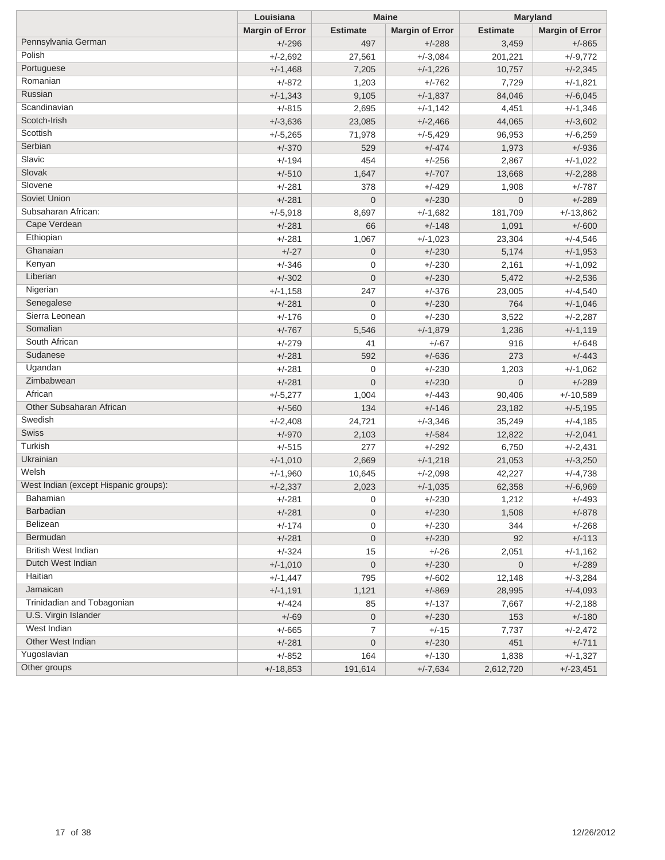|                                       | Louisiana              | <b>Maine</b>     |                        | <b>Maryland</b> |                        |
|---------------------------------------|------------------------|------------------|------------------------|-----------------|------------------------|
|                                       | <b>Margin of Error</b> | <b>Estimate</b>  | <b>Margin of Error</b> | <b>Estimate</b> | <b>Margin of Error</b> |
| Pennsylvania German                   | $+/-296$               | 497              | $+/-288$               | 3,459           | $+/-865$               |
| Polish                                | $+/-2,692$             | 27,561           | $+/-3,084$             | 201,221         | $+/-9,772$             |
| Portuguese                            | $+/-1,468$             | 7,205            | $+/-1,226$             | 10,757          | $+/-2,345$             |
| Romanian                              | +/-872                 | 1,203            | $+/-762$               | 7,729           | $+/-1,821$             |
| Russian                               | $+/-1,343$             | 9,105            | $+/-1,837$             | 84,046          | $+/-6,045$             |
| Scandinavian                          | $+/-815$               | 2,695            | $+/-1,142$             | 4,451           | $+/-1,346$             |
| Scotch-Irish                          | $+/-3,636$             | 23,085           | $+/-2,466$             | 44,065          | $+/-3,602$             |
| Scottish                              | $+/-5,265$             | 71,978           | $+/-5,429$             | 96,953          | $+/-6,259$             |
| Serbian                               | $+/-370$               | 529              | $+/-474$               | 1,973           | $+/-936$               |
| Slavic                                | $+/-194$               | 454              | $+/-256$               | 2,867           | $+/-1,022$             |
| Slovak                                | $+/-510$               | 1,647            | $+/-707$               | 13,668          | $+/-2,288$             |
| Slovene                               | $+/-281$               | 378              | +/-429                 | 1,908           | $+/-787$               |
| Soviet Union                          | $+/-281$               | $\mathbf 0$      | $+/-230$               | $\mathbf 0$     | $+/-289$               |
| Subsaharan African:                   | $+/-5,918$             | 8,697            | $+/-1,682$             | 181,709         | $+/-13,862$            |
| Cape Verdean                          | $+/-281$               | 66               | $+/-148$               | 1,091           | $+/-600$               |
| Ethiopian                             | $+/-281$               | 1,067            | $+/-1,023$             | 23,304          | $+/-4,546$             |
| Ghanaian                              | $+/-27$                | $\mathbf 0$      | $+/-230$               | 5,174           | $+/-1,953$             |
| Kenyan                                | $+/-346$               | 0                | $+/-230$               | 2,161           | $+/-1,092$             |
| Liberian                              | $+/-302$               | $\mathbf 0$      | $+/-230$               | 5,472           | $+/-2,536$             |
| Nigerian                              | $+/-1,158$             | 247              | $+/-376$               | 23,005          | $+/-4,540$             |
| Senegalese                            | $+/-281$               | $\mathbf 0$      | $+/-230$               | 764             | $+/-1,046$             |
| Sierra Leonean                        | $+/-176$               | $\mathbf 0$      | $+/-230$               | 3,522           | $+/-2,287$             |
| Somalian                              | $+/-767$               | 5,546            | $+/-1,879$             | 1,236           | $+/-1,119$             |
| South African                         | $+/-279$               | 41               | $+/-67$                | 916             | $+/-648$               |
| Sudanese                              | $+/-281$               | 592              | $+/-636$               | 273             | $+/-443$               |
| Ugandan                               | $+/-281$               | 0                | $+/-230$               | 1,203           | $+/-1,062$             |
| Zimbabwean                            | $+/-281$               | $\mathbf{0}$     | $+/-230$               | $\mathbf 0$     | $+/-289$               |
| African                               | $+/-5,277$             | 1,004            | $+/-443$               | 90,406          | $+/-10,589$            |
| Other Subsaharan African              | $+/-560$               | 134              | $+/-146$               | 23,182          | $+/-5,195$             |
| Swedish                               | $+/-2,408$             | 24,721           | $+/-3,346$             | 35,249          | $+/-4,185$             |
| Swiss                                 | $+/-970$               | 2,103            | $+/-584$               | 12,822          | $+/-2,041$             |
| Turkish                               | $+/-515$               | 277              | $+/-292$               | 6,750           | $+/-2,431$             |
| Ukrainian                             | $+/-1,010$             | 2,669            | $+/-1,218$             | 21,053          | $+/-3,250$             |
| Welsh                                 | $+/-1,960$             | 10,645           | $+/-2,098$             | 42,227          | $+/-4,738$             |
| West Indian (except Hispanic groups): | $+/-2,337$             | 2,023            | $+/-1,035$             | 62,358          | $+/-6,969$             |
| Bahamian                              | +/-281                 | 0                | +/-230                 | 1,212           | $+/-493$               |
| <b>Barbadian</b>                      | $+/-281$               | $\mathbf 0$      | $+/-230$               | 1,508           | $+/-878$               |
| Belizean                              | $+/-174$               | 0                | $+/-230$               | 344             | $+/-268$               |
| Bermudan                              | $+/-281$               | $\mathbf 0$      | $+/-230$               | 92              | $+/-113$               |
| British West Indian                   | $+/-324$               | 15               | $+/-26$                | 2,051           | $+/-1,162$             |
| Dutch West Indian                     | $+/-1,010$             | $\boldsymbol{0}$ | $+/-230$               | $\mathbf 0$     | $+/-289$               |
| Haitian                               | $+/-1,447$             | 795              | $+/-602$               | 12,148          | $+/-3,284$             |
| Jamaican                              | $+/-1,191$             | 1,121            | $+/-869$               | 28,995          | $+/-4,093$             |
| Trinidadian and Tobagonian            | $+/-424$               | 85               | $+/-137$               | 7,667           | $+/-2,188$             |
| U.S. Virgin Islander                  | $+/-69$                | $\overline{0}$   | $+/-230$               | 153             | $+/-180$               |
| West Indian                           | $+/-665$               | $\overline{7}$   | $+/-15$                | 7,737           | $+/-2,472$             |
| Other West Indian                     | $+/-281$               | $\boldsymbol{0}$ | $+/-230$               | 451             | $+/-711$               |
| Yugoslavian                           | $+/-852$               | 164              | $+/-130$               | 1,838           | $+/-1,327$             |
| Other groups                          | $+/-18,853$            | 191,614          | $+/-7,634$             | 2,612,720       | $+/-23,451$            |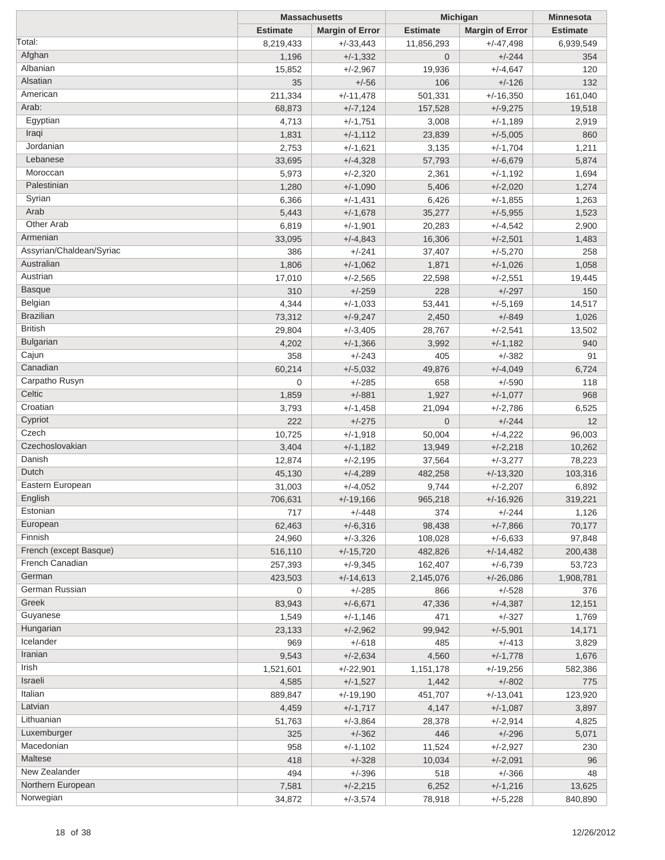|                          | <b>Massachusetts</b> |                        | Michigan         | <b>Minnesota</b>       |                 |
|--------------------------|----------------------|------------------------|------------------|------------------------|-----------------|
|                          | <b>Estimate</b>      | <b>Margin of Error</b> | <b>Estimate</b>  | <b>Margin of Error</b> | <b>Estimate</b> |
| Total:                   | 8,219,433            | $+/-33,443$            | 11,856,293       | $+/-47,498$            | 6,939,549       |
| Afghan                   | 1,196                | $+/-1,332$             | $\overline{0}$   | $+/-244$               | 354             |
| Albanian                 | 15,852               | $+/-2,967$             | 19,936           | $+/-4,647$             | 120             |
| Alsatian                 | 35                   | $+/-56$                | 106              | $+/-126$               | 132             |
| American                 | 211,334              | $+/-11,478$            | 501,331          | $+/-16,350$            | 161,040         |
| Arab:                    | 68,873               | $+/-7,124$             | 157,528          | $+/-9,275$             | 19,518          |
| Egyptian                 | 4,713                | $+/-1,751$             | 3,008            | $+/-1,189$             | 2,919           |
| Iraqi                    | 1,831                | $+/-1,112$             | 23,839           | $+/-5,005$             | 860             |
| Jordanian                | 2,753                | $+/-1,621$             | 3,135            | $+/-1,704$             | 1,211           |
| Lebanese                 | 33,695               | $+/-4,328$             | 57,793           | $+/-6,679$             | 5,874           |
| Moroccan                 | 5,973                | $+/-2,320$             | 2,361            | $+/-1,192$             | 1,694           |
| Palestinian              | 1,280                | $+/-1,090$             | 5,406            | $+/-2,020$             | 1,274           |
| Syrian                   | 6,366                | $+/-1,431$             | 6,426            | $+/-1,855$             | 1,263           |
| Arab                     | 5,443                | $+/-1,678$             | 35,277           | $+/-5,955$             | 1,523           |
| Other Arab               |                      |                        |                  | $+/-4,542$             |                 |
| Armenian                 | 6,819                | $+/-1,901$             | 20,283<br>16,306 |                        | 2,900           |
| Assyrian/Chaldean/Syriac | 33,095               | $+/-4,843$             |                  | $+/-2,501$             | 1,483           |
| Australian               | 386                  | $+/-241$               | 37,407           | $+/-5,270$             | 258             |
| Austrian                 | 1,806                | $+/-1,062$             | 1,871            | $+/-1,026$             | 1,058           |
|                          | 17,010               | $+/-2,565$             | 22,598           | $+/-2,551$             | 19,445          |
| <b>Basque</b>            | 310                  | $+/-259$               | 228              | $+/-297$               | 150             |
| Belgian                  | 4,344                | $+/-1,033$             | 53,441           | $+/-5,169$             | 14,517          |
| <b>Brazilian</b>         | 73,312               | $+/-9,247$             | 2,450            | $+/-849$               | 1,026           |
| <b>British</b>           | 29,804               | $+/-3,405$             | 28,767           | $+/-2,541$             | 13,502          |
| <b>Bulgarian</b>         | 4,202                | $+/-1,366$             | 3,992            | $+/-1,182$             | 940             |
| Cajun                    | 358                  | $+/-243$               | 405              | $+/-382$               | 91              |
| Canadian                 | 60,214               | $+/-5,032$             | 49,876           | $+/-4,049$             | 6,724           |
| Carpatho Rusyn           | 0                    | $+/-285$               | 658              | $+/-590$               | 118             |
| Celtic                   | 1,859                | $+/-881$               | 1,927            | $+/-1,077$             | 968             |
| Croatian                 | 3,793                | $+/-1,458$             | 21,094           | $+/-2,786$             | 6,525           |
| Cypriot                  | 222                  | $+/-275$               | $\mathbf 0$      | $+/-244$               | 12              |
| Czech                    | 10,725               | $+/-1,918$             | 50,004           | $+/-4,222$             | 96,003          |
| Czechoslovakian          | 3,404                | $+/-1,182$             | 13,949           | $+/-2,218$             | 10,262          |
| Danish                   | 12,874               | $+/-2,195$             | 37,564           | $+/-3,277$             | 78,223          |
| Dutch                    | 45,130               | $+/-4,289$             | 482,258          | $+/-13,320$            | 103,316         |
| Eastern European         | 31,003               | $+/-4,052$             | 9,744            | $+/-2,207$             | 6,892           |
| English                  | 706,631              | $+/-19,166$            | 965,218          | $+/-16,926$            | 319,221         |
| Estonian                 | 717                  | $+/-448$               | 374              | $+/-244$               | 1,126           |
| European                 | 62,463               | $+/-6,316$             | 98,438           | $+/-7,866$             | 70,177          |
| Finnish                  | 24,960               | $+/-3,326$             | 108,028          | $+/-6,633$             | 97,848          |
| French (except Basque)   | 516,110              | $+/-15,720$            | 482,826          | $+/-14,482$            | 200,438         |
| French Canadian          | 257,393              | $+/-9.345$             | 162,407          | $+/-6,739$             | 53,723          |
| German                   | 423,503              | $+/-14,613$            | 2,145,076        | $+/-26,086$            | 1,908,781       |
| German Russian           | 0                    | $+/-285$               | 866              | $+/-528$               | 376             |
| Greek                    | 83,943               | $+/-6,671$             | 47,336           | $+/-4,387$             | 12,151          |
| Guyanese                 | 1,549                | +/-1,146               | 471              | $+/-327$               | 1,769           |
| Hungarian                | 23,133               | $+/-2,962$             | 99,942           | $+/-5,901$             | 14,171          |
| Icelander                | 969                  | $+/-618$               | 485              | $+/-413$               | 3,829           |
| Iranian                  | 9,543                | $+/-2,634$             | 4,560            | $+/-1,778$             | 1,676           |
| Irish                    | 1,521,601            | $+/-22,901$            | 1,151,178        | $+/-19,256$            | 582,386         |
| Israeli                  | 4,585                | $+/-1,527$             | 1,442            | $+/-802$               | 775             |
| Italian                  | 889,847              | $+/-19,190$            | 451,707          | $+/-13,041$            | 123,920         |
| Latvian                  |                      |                        |                  |                        |                 |
| Lithuanian               | 4,459                | $+/-1,717$             | 4,147            | $+/-1,087$             | 3,897           |
| Luxemburger              | 51,763               | $+/-3,864$             | 28,378           | $+/-2,914$             | 4,825           |
| Macedonian               | 325                  | $+/-362$               | 446              | $+/-296$               | 5,071           |
|                          | 958                  | $+/-1,102$             | 11,524           | $+/-2,927$             | 230             |
| Maltese                  | 418                  | $+/-328$               | 10,034           | $+/-2,091$             | 96              |
| New Zealander            | 494                  | $+/-396$               | 518              | $+/-366$               | 48              |
| Northern European        | 7,581                | $+/-2,215$             | 6,252            | $+/-1,216$             | 13,625          |
| Norwegian                | 34,872               | $+/-3,574$             | 78,918           | $+/-5,228$             | 840,890         |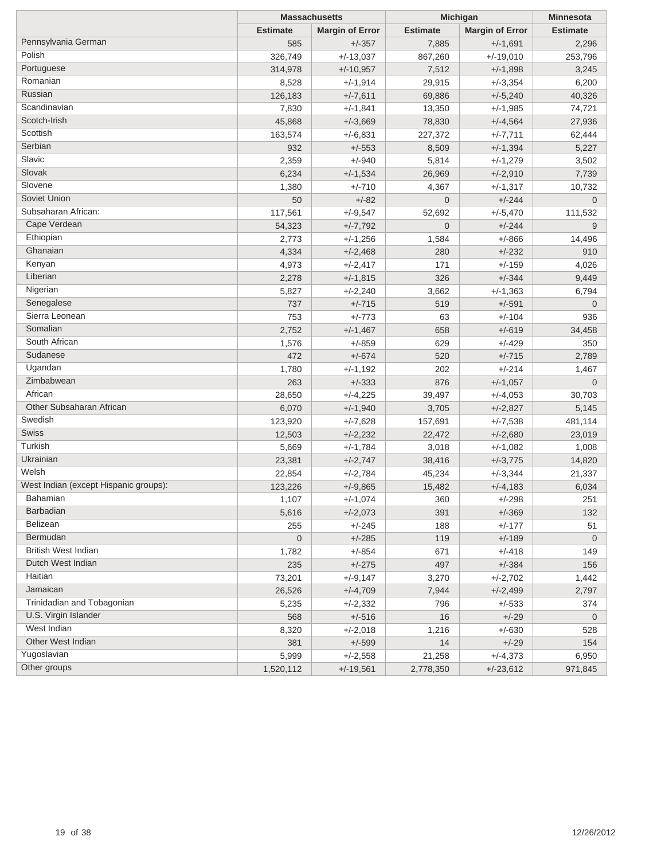|                                       | <b>Massachusetts</b> |                        | Michigan        | <b>Minnesota</b>       |                 |
|---------------------------------------|----------------------|------------------------|-----------------|------------------------|-----------------|
|                                       | <b>Estimate</b>      | <b>Margin of Error</b> | <b>Estimate</b> | <b>Margin of Error</b> | <b>Estimate</b> |
| Pennsylvania German                   | 585                  | $+/-357$               | 7,885           | $+/-1,691$             | 2,296           |
| Polish                                | 326,749              | $+/-13,037$            | 867,260         | $+/-19,010$            | 253,796         |
| Portuguese                            | 314,978              | $+/-10,957$            | 7,512           | $+/-1,898$             | 3,245           |
| Romanian                              | 8,528                | $+/-1,914$             | 29,915          | $+/-3,354$             | 6,200           |
| Russian                               | 126,183              | $+/-7,611$             | 69,886          | $+/-5,240$             | 40,326          |
| Scandinavian                          | 7,830                | $+/-1,841$             | 13,350          | $+/-1,985$             | 74,721          |
| Scotch-Irish                          | 45,868               | $+/-3,669$             | 78,830          | $+/-4,564$             | 27,936          |
| Scottish                              | 163,574              | $+/-6,831$             | 227,372         | $+/-7,711$             | 62,444          |
| Serbian                               | 932                  | $+/-553$               | 8,509           | $+/-1,394$             | 5,227           |
| Slavic                                | 2,359                | $+/-940$               | 5,814           | $+/-1,279$             | 3,502           |
| Slovak                                | 6,234                | $+/-1,534$             | 26,969          | $+/-2,910$             | 7,739           |
| Slovene                               | 1,380                | $+/-710$               | 4,367           | $+/-1,317$             | 10,732          |
| Soviet Union                          | 50                   | $+/-82$                | $\overline{0}$  | $+/-244$               | $\mathbf 0$     |
| Subsaharan African:                   | 117,561              | $+/-9,547$             | 52,692          | $+/-5,470$             | 111,532         |
| Cape Verdean                          | 54,323               | $+/-7,792$             | $\overline{0}$  | $+/-244$               | 9               |
| Ethiopian                             | 2,773                | $+/-1,256$             | 1,584           | $+/-866$               | 14,496          |
| Ghanaian                              | 4,334                | $+/-2,468$             | 280             | $+/-232$               | 910             |
| Kenyan                                | 4,973                | $+/-2,417$             | 171             | $+/-159$               | 4,026           |
| Liberian                              | 2,278                | $+/-1,815$             | 326             | $+/-344$               | 9,449           |
| Nigerian                              | 5,827                | $+/-2,240$             | 3,662           | $+/-1,363$             | 6,794           |
| Senegalese                            | 737                  | $+/-715$               | 519             | $+/-591$               | $\mathbf 0$     |
| Sierra Leonean                        | 753                  | $+/-773$               | 63              | $+/-104$               | 936             |
| Somalian                              | 2,752                | $+/-1,467$             | 658             | $+/-619$               | 34,458          |
| South African                         | 1,576                | $+/-859$               | 629             | $+/-429$               | 350             |
| Sudanese                              | 472                  | $+/-674$               | 520             | $+/-715$               | 2,789           |
| Ugandan                               | 1,780                | $+/-1,192$             | 202             | $+/-214$               | 1,467           |
| Zimbabwean                            | 263                  | $+/-333$               | 876             | $+/-1,057$             | $\mathbf 0$     |
| African                               | 28,650               | $+/-4,225$             | 39,497          | $+/-4,053$             | 30,703          |
| Other Subsaharan African              | 6,070                | $+/-1,940$             | 3,705           | $+/-2,827$             | 5,145           |
| Swedish                               | 123,920              | $+/-7,628$             | 157,691         | $+/-7,538$             | 481,114         |
| Swiss                                 | 12,503               | $+/-2,232$             | 22,472          | $+/-2,680$             | 23,019          |
| Turkish                               | 5,669                | $+/-1,784$             | 3,018           | $+/-1,082$             | 1,008           |
| Ukrainian                             | 23,381               | $+/-2,747$             | 38,416          | $+/-3,775$             | 14,820          |
| Welsh                                 | 22,854               | $+/-2,784$             | 45,234          | $+/-3,344$             | 21,337          |
| West Indian (except Hispanic groups): | 123,226              | $+/-9,865$             | 15,482          | $+/-4,183$             | 6,034           |
| <b>Bahamian</b>                       | 1,107                | $+/-1,074$             | 360             | $+/-298$               | 251             |
| <b>Barbadian</b>                      | 5,616                | $+/-2,073$             | 391             | $+/-369$               | 132             |
| Belizean                              | 255                  | $+/-245$               | 188             | $+/-177$               | 51              |
| Bermudan                              | $\mathbf 0$          | $+/-285$               | 119             | $+/-189$               | $\mathbf 0$     |
| <b>British West Indian</b>            | 1,782                | $+/-854$               | 671             | $+/-418$               | 149             |
| Dutch West Indian                     | 235                  | $+/-275$               | 497             | $+/-384$               | 156             |
| Haitian                               | 73,201               | $+/-9,147$             | 3,270           | $+/-2,702$             | 1,442           |
| Jamaican                              | 26,526               | $+/-4,709$             | 7,944           | $+/-2,499$             | 2,797           |
| Trinidadian and Tobagonian            | 5,235                | $+/-2,332$             | 796             | $+/-533$               | 374             |
| U.S. Virgin Islander                  | 568                  | $+/-516$               | 16              | $+/-29$                | $\overline{0}$  |
| West Indian                           | 8,320                | $+/-2,018$             | 1,216           | $+/-630$               | 528             |
| Other West Indian                     | 381                  | $+/-599$               | 14              | $+/-29$                | 154             |
| Yugoslavian                           | 5,999                | $+/-2,558$             | 21,258          | $+/-4,373$             | 6,950           |
| Other groups                          | 1,520,112            | $+/-19,561$            | 2,778,350       | $+/-23,612$            | 971,845         |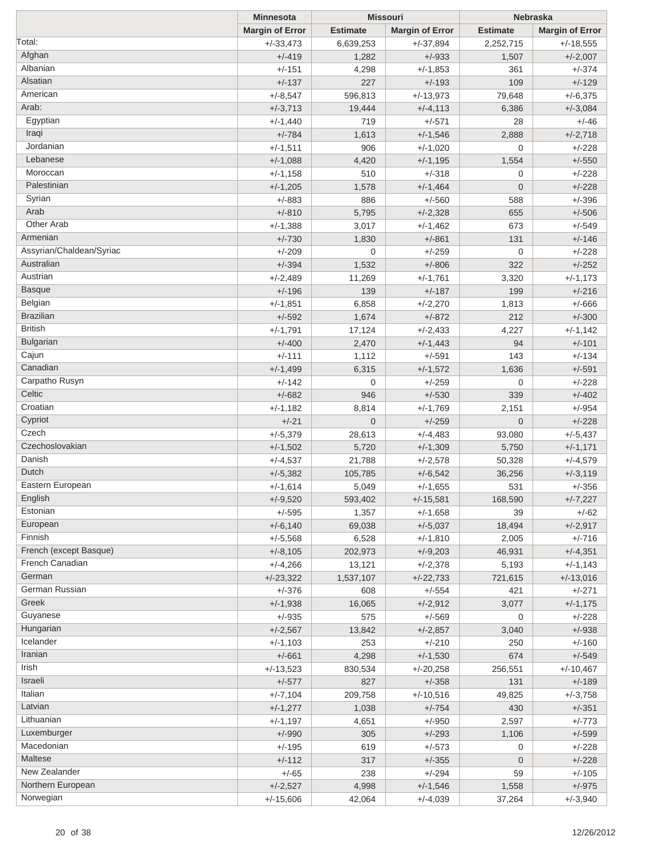|                          | <b>Minnesota</b>       |                 | <b>Missouri</b>        |                 | Nebraska               |  |
|--------------------------|------------------------|-----------------|------------------------|-----------------|------------------------|--|
|                          | <b>Margin of Error</b> | <b>Estimate</b> | <b>Margin of Error</b> | <b>Estimate</b> | <b>Margin of Error</b> |  |
| Total:                   | $+/-33,473$            | 6,639,253       | $+/-37,894$            | 2,252,715       | $+/-18,555$            |  |
| Afghan                   | $+/-419$               | 1,282           | $+/-933$               | 1,507           | $+/-2,007$             |  |
| Albanian                 | $+/-151$               | 4,298           | $+/-1,853$             | 361             | $+/-374$               |  |
| Alsatian                 | $+/-137$               | 227             | $+/-193$               | 109             | $+/-129$               |  |
| American                 | $+/-8,547$             | 596,813         | $+/-13,973$            | 79,648          | $+/-6,375$             |  |
| Arab:                    | $+/-3,713$             | 19,444          | $+/-4, 113$            | 6,386           | $+/-3,084$             |  |
| Egyptian                 | $+/-1,440$             | 719             | $+/-571$               | 28              | $+/-46$                |  |
| Iraqi                    | $+/-784$               | 1,613           | $+/-1,546$             | 2,888           | $+/-2,718$             |  |
| Jordanian                |                        |                 |                        | $\mathbf{0}$    |                        |  |
| Lebanese                 | $+/-1,511$             | 906             | $+/-1,020$             |                 | $+/-228$               |  |
| Moroccan                 | $+/-1,088$             | 4,420           | $+/-1,195$             | 1,554           | $+/-550$               |  |
|                          | $+/-1,158$             | 510             | $+/-318$               | 0               | $+/-228$               |  |
| Palestinian              | $+/-1,205$             | 1,578           | $+/-1,464$             | $\overline{0}$  | $+/-228$               |  |
| Syrian                   | $+/-883$               | 886             | $+/-560$               | 588             | $+/-396$               |  |
| Arab                     | $+/-810$               | 5,795           | $+/-2,328$             | 655             | $+/-506$               |  |
| Other Arab               | $+/-1,388$             | 3,017           | $+/-1,462$             | 673             | $+/-549$               |  |
| Armenian                 | $+/-730$               | 1,830           | $+/-861$               | 131             | $+/-146$               |  |
| Assyrian/Chaldean/Syriac | $+/-209$               | $\mathbf 0$     | $+/-259$               | $\mathbf{0}$    | $+/-228$               |  |
| Australian               | $+/-394$               | 1,532           | $+/-806$               | 322             | $+/-252$               |  |
| Austrian                 | $+/-2,489$             | 11,269          | $+/-1,761$             | 3,320           | $+/-1,173$             |  |
| <b>Basque</b>            | $+/-196$               | 139             | $+/-187$               | 199             | $+/-216$               |  |
| Belgian                  | $+/-1,851$             | 6,858           | $+/-2,270$             | 1,813           | $+/-666$               |  |
| <b>Brazilian</b>         | $+/-592$               | 1,674           | $+/-872$               | 212             | $+/-300$               |  |
| <b>British</b>           | $+/-1,791$             | 17,124          | $+/-2,433$             | 4,227           | $+/-1,142$             |  |
| <b>Bulgarian</b>         | $+/-400$               | 2,470           | $+/-1,443$             | 94              | $+/-101$               |  |
| Cajun                    | $+/-111$               | 1,112           | $+/-591$               | 143             | $+/-134$               |  |
| Canadian                 | $+/-1,499$             | 6,315           | $+/-1,572$             | 1,636           | $+/-591$               |  |
| Carpatho Rusyn           | $+/-142$               | 0               | $+/-259$               | 0               | $+/-228$               |  |
| Celtic                   | $+/-682$               | 946             | $+/-530$               | 339             | $+/-402$               |  |
| Croatian                 |                        |                 |                        |                 |                        |  |
| Cypriot                  | $+/-1,182$             | 8,814           | $+/-1,769$             | 2,151           | $+/-954$               |  |
| Czech                    | $+/-21$                | $\mathbf{0}$    | $+/-259$               | $\overline{0}$  | $+/-228$               |  |
| Czechoslovakian          | $+/-5,379$             | 28,613          | $+/-4,483$             | 93,080          | $+/-5,437$             |  |
| Danish                   | $+/-1,502$             | 5,720           | $+/-1,309$             | 5,750           | $+/-1,171$             |  |
|                          | $+/-4,537$             | 21,788          | $+/-2,578$             | 50,328          | $+/-4,579$             |  |
| Dutch                    | $+/-5,382$             | 105,785         | $+/-6,542$             | 36,256          | $+/-3,119$             |  |
| Eastern European         | $+/-1,614$             | 5,049           | $+/-1,655$             | 531             | $+/-356$               |  |
| English                  | $+/-9,520$             | 593,402         | $+/-15,581$            | 168,590         | $+/-7,227$             |  |
| Estonian                 | $+/-595$               | 1,357           | $+/-1,658$             | 39              | $+/-62$                |  |
| European                 | $+/-6,140$             | 69,038          | $+/-5,037$             | 18,494          | $+/-2,917$             |  |
| Finnish                  | $+/-5,568$             | 6,528           | $+/-1,810$             | 2,005           | $+/-716$               |  |
| French (except Basque)   | $+/-8,105$             | 202,973         | $+/-9,203$             | 46,931          | $+/-4,351$             |  |
| French Canadian          | $+/-4,266$             | 13,121          | $+/-2,378$             | 5,193           | $+/-1,143$             |  |
| German                   | $+/-23,322$            | 1,537,107       | $+/-22,733$            | 721,615         | $+/-13,016$            |  |
| German Russian           | $+/-376$               | 608             | $+/-554$               | 421             | $+/-271$               |  |
| Greek                    | $+/-1,938$             | 16,065          | $+/-2,912$             | 3,077           | $+/-1,175$             |  |
| Guyanese                 | $+/-935$               | 575             | $+/-569$               | 0               | $+/-228$               |  |
| Hungarian                | $+/-2,567$             | 13,842          | $+/-2,857$             | 3,040           | $+/-938$               |  |
| Icelander                | $+/-1,103$             | 253             | $+/-210$               | 250             | $+/-160$               |  |
| Iranian                  | $+/-661$               | 4,298           | $+/-1,530$             | 674             | $+/-549$               |  |
| Irish                    | $+/-13,523$            | 830,534         | $+/-20,258$            | 256,551         | $+/-10,467$            |  |
| Israeli                  | $+/-577$               | 827             | $+/-358$               | 131             | $+/-189$               |  |
| Italian                  | $+/-7,104$             | 209,758         | $+/-10,516$            | 49,825          |                        |  |
| Latvian                  |                        |                 |                        |                 | $+/-3,758$             |  |
| Lithuanian               | $+/-1,277$             | 1,038           | $+/-754$               | 430             | $+/-351$               |  |
|                          | $+/-1,197$             | 4,651           | $+/-950$               | 2,597           | $+/-773$               |  |
| Luxemburger              | $+/-990$               | 305             | $+/-293$               | 1,106           | $+/-599$               |  |
| Macedonian               | $+/-195$               | 619             | $+/-573$               | 0               | $+/-228$               |  |
| Maltese                  | $+/-112$               | 317             | $+/-355$               | 0               | $+/-228$               |  |
| New Zealander            | $+/-65$                | 238             | $+/-294$               | 59              | $+/-105$               |  |
| Northern European        | $+/-2,527$             | 4,998           | $+/-1,546$             | 1,558           | $+/-975$               |  |
| Norwegian                | $+/-15,606$            | 42,064          | $+/-4,039$             | 37,264          | $+/-3,940$             |  |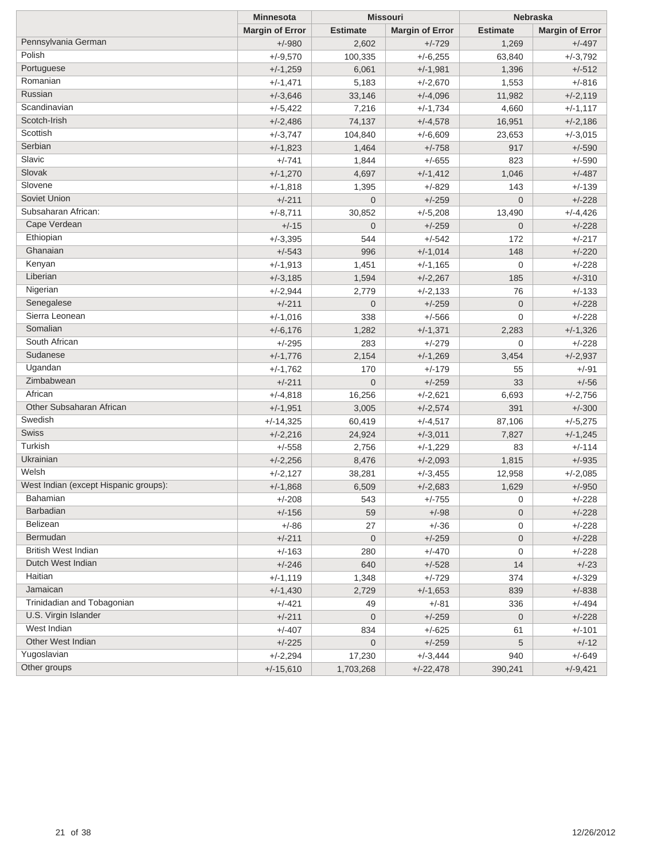|                                       | <b>Minnesota</b>       | <b>Missouri</b> |                        | <b>Nebraska</b>     |                        |
|---------------------------------------|------------------------|-----------------|------------------------|---------------------|------------------------|
|                                       | <b>Margin of Error</b> | <b>Estimate</b> | <b>Margin of Error</b> | <b>Estimate</b>     | <b>Margin of Error</b> |
| Pennsylvania German                   | $+/-980$               | 2,602           | $+/-729$               | 1,269               | $+/-497$               |
| Polish                                | $+/-9,570$             | 100,335         | $+/-6,255$             | 63,840              | $+/-3,792$             |
| Portuguese                            | $+/-1,259$             | 6,061           | $+/-1,981$             | 1,396               | $+/-512$               |
| Romanian                              | $+/-1,471$             | 5,183           | $+/-2,670$             | 1,553               | $+/-816$               |
| Russian                               | $+/-3,646$             | 33,146          | $+/-4,096$             | 11,982              | $+/-2,119$             |
| Scandinavian                          | $+/-5,422$             | 7,216           | $+/-1,734$             | 4,660               | $+/-1,117$             |
| Scotch-Irish                          | $+/-2,486$             | 74,137          | $+/-4,578$             | 16,951              | $+/-2,186$             |
| Scottish                              | $+/-3,747$             | 104,840         | $+/-6,609$             | 23,653              | $+/-3,015$             |
| Serbian                               | $+/-1,823$             | 1,464           | $+/-758$               | 917                 | $+/-590$               |
| Slavic                                | $+/-741$               | 1,844           | $+/-655$               | 823                 | $+/-590$               |
| Slovak                                | $+/-1,270$             | 4,697           | $+/-1,412$             | 1,046               | $+/-487$               |
| Slovene                               | $+/-1,818$             | 1,395           | $+/-829$               | 143                 | $+/-139$               |
| Soviet Union                          | $+/-211$               | $\mathbf 0$     | $+/-259$               | $\overline{0}$      | $+/-228$               |
| Subsaharan African:                   | $+/-8,711$             | 30,852          | $+/-5,208$             | 13,490              | $+/-4,426$             |
| Cape Verdean                          | $+/-15$                | $\mathbf 0$     | $+/-259$               | $\overline{0}$      | $+/-228$               |
| Ethiopian                             | $+/-3,395$             | 544             | $+/-542$               | 172                 | $+/-217$               |
| Ghanaian                              | $+/-543$               | 996             | $+/-1,014$             | 148                 | $+/-220$               |
| Kenyan                                | $+/-1,913$             | 1,451           | $+/-1,165$             | $\mathbf{0}$        | $+/-228$               |
| Liberian                              | $+/-3,185$             | 1,594           | $+/-2,267$             | 185                 | $+/-310$               |
| Nigerian                              | $+/-2,944$             | 2,779           | $+/-2,133$             | 76                  | $+/-133$               |
| Senegalese                            | $+/-211$               | $\mathbf 0$     | $+/-259$               | $\mathbf 0$         | $+/-228$               |
| Sierra Leonean                        | $+/-1,016$             | 338             | $+/-566$               | $\mathbf{0}$        | $+/-228$               |
| Somalian                              | $+/-6,176$             | 1,282           | $+/-1,371$             | 2,283               | $+/-1,326$             |
| South African                         | $+/-295$               | 283             | $+/-279$               | $\mathbf{0}$        | $+/-228$               |
| Sudanese                              | $+/-1,776$             | 2,154           | $+/-1,269$             | 3,454               | $+/-2,937$             |
| Ugandan                               | $+/-1,762$             | 170             | $+/-179$               | 55                  | $+/-91$                |
| Zimbabwean                            | $+/-211$               | $\mathbf 0$     | $+/-259$               | 33                  | $+/-56$                |
| African                               | $+/-4,818$             | 16,256          | $+/-2,621$             | 6,693               | $+/-2,756$             |
| Other Subsaharan African              | $+/-1,951$             | 3,005           | $+/-2,574$             | 391                 | $+/-300$               |
| Swedish                               | $+/-14,325$            | 60,419          | $+/-4,517$             | 87,106              | $+/-5,275$             |
| Swiss                                 | $+/-2,216$             | 24,924          | $+/-3,011$             | 7,827               | $+/-1,245$             |
| Turkish                               | $+/-558$               | 2,756           | $+/-1,229$             | 83                  | $+/-114$               |
| Ukrainian                             | $+/-2,256$             | 8,476           | $+/-2,093$             | 1,815               | $+/-935$               |
| Welsh                                 | $+/-2,127$             | 38,281          | $+/-3,455$             | 12,958              | $+/-2,085$             |
| West Indian (except Hispanic groups): | $+/-1,868$             | 6,509           | $+/-2,683$             | 1,629               | $+/-950$               |
| Bahamian                              | +/-208                 | 543             | +/-755                 | 0                   | +/-228                 |
| <b>Barbadian</b>                      | $+/-156$               | 59              | $+/-98$                | $\mathsf{O}\xspace$ | $+/-228$               |
| Belizean                              | $+/-86$                | 27              | $+/-36$                | 0                   | $+/-228$               |
| Bermudan                              | $+/-211$               | $\mathbf 0$     | $+/-259$               | $\mathbf 0$         | $+/-228$               |
| <b>British West Indian</b>            | $+/-163$               | 280             | $+/-470$               | 0                   | $+/-228$               |
| Dutch West Indian                     | $+/-246$               | 640             | $+/-528$               | 14                  | $+/-23$                |
| Haitian                               | $+/-1,119$             | 1,348           | $+/-729$               | 374                 | $+/-329$               |
| Jamaican                              | $+/-1,430$             | 2,729           | $+/-1,653$             | 839                 | $+/-838$               |
| Trinidadian and Tobagonian            | $+/-421$               | 49              | $+/-81$                | 336                 | $+/-494$               |
| U.S. Virgin Islander                  | $+/-211$               | $\mathbf 0$     | $+/-259$               | $\mathbf 0$         | $+/-228$               |
| West Indian                           | $+/-407$               | 834             | $+/-625$               | 61                  | $+/-101$               |
| Other West Indian                     | $+/-225$               | $\mathbf 0$     | $+/-259$               | 5                   | $+/-12$                |
| Yugoslavian                           | $+/-2,294$             | 17,230          | $+/-3,444$             | 940                 | $+/-649$               |
| Other groups                          | $+/-15,610$            | 1,703,268       | $+/-22,478$            | 390,241             | $+/-9,421$             |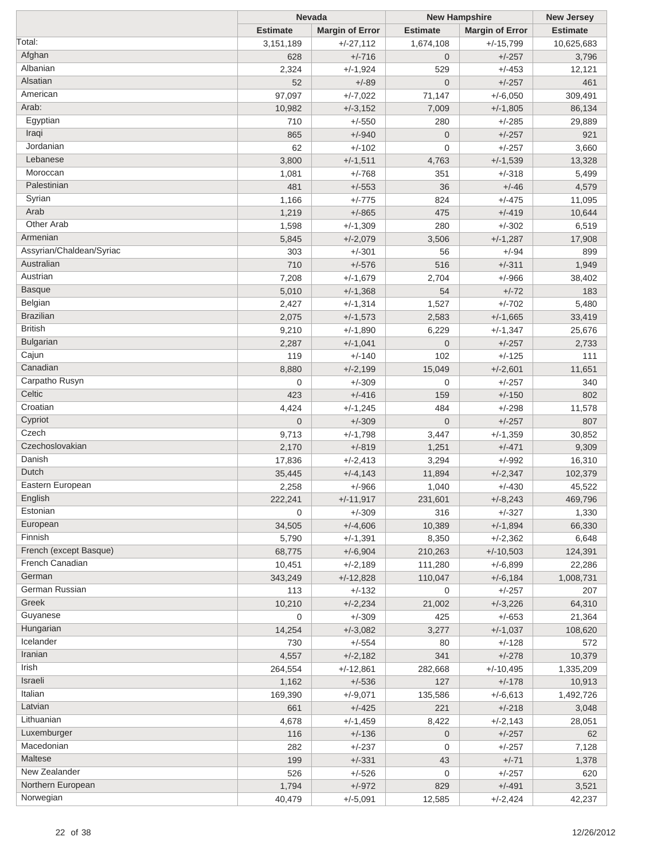|                          | <b>Nevada</b>   |                        | <b>New Hampshire</b> | <b>New Jersey</b>      |                 |
|--------------------------|-----------------|------------------------|----------------------|------------------------|-----------------|
|                          | <b>Estimate</b> | <b>Margin of Error</b> | <b>Estimate</b>      | <b>Margin of Error</b> | <b>Estimate</b> |
| Total:                   | 3,151,189       | $+/-27,112$            | 1,674,108            | $+/-15,799$            | 10,625,683      |
| Afghan                   | 628             | $+/-716$               | $\overline{0}$       | $+/-257$               | 3,796           |
| Albanian                 | 2,324           | $+/-1,924$             | 529                  | $+/-453$               | 12,121          |
| Alsatian                 | 52              | $+/-89$                | $\overline{0}$       | $+/-257$               | 461             |
| American                 | 97,097          | $+/-7,022$             | 71,147               | $+/-6,050$             | 309,491         |
| Arab:                    | 10,982          | $+/-3,152$             | 7,009                | $+/-1,805$             | 86,134          |
| Egyptian                 | 710             | $+/-550$               | 280                  | $+/-285$               | 29,889          |
| Iraqi                    | 865             | $+/-940$               | $\overline{0}$       | $+/-257$               | 921             |
| Jordanian                | 62              | $+/-102$               | 0                    | $+/-257$               |                 |
| Lebanese                 |                 |                        |                      |                        | 3,660           |
| Moroccan                 | 3,800           | $+/-1,511$             | 4,763                | $+/-1,539$             | 13,328          |
|                          | 1,081           | $+/-768$               | 351                  | $+/-318$               | 5,499           |
| Palestinian              | 481             | $+/-553$               | 36                   | $+/-46$                | 4,579           |
| Syrian                   | 1,166           | $+/-775$               | 824                  | $+/-475$               | 11,095          |
| Arab                     | 1,219           | $+/-865$               | 475                  | $+/-419$               | 10,644          |
| Other Arab               | 1,598           | $+/-1,309$             | 280                  | $+/-302$               | 6,519           |
| Armenian                 | 5,845           | $+/-2,079$             | 3,506                | $+/-1,287$             | 17,908          |
| Assyrian/Chaldean/Syriac | 303             | $+/-301$               | 56                   | $+/-94$                | 899             |
| Australian               | 710             | $+/-576$               | 516                  | $+/-311$               | 1,949           |
| Austrian                 | 7,208           | $+/-1,679$             | 2,704                | $+/-966$               | 38,402          |
| <b>Basque</b>            | 5,010           | $+/-1,368$             | 54                   | $+/-72$                | 183             |
| Belgian                  | 2,427           | $+/-1,314$             | 1,527                | $+/-702$               | 5,480           |
| <b>Brazilian</b>         | 2,075           | $+/-1,573$             | 2,583                | $+/-1,665$             | 33,419          |
| <b>British</b>           | 9,210           | $+/-1,890$             | 6,229                | $+/-1,347$             | 25,676          |
| <b>Bulgarian</b>         | 2,287           | $+/-1,041$             | $\overline{0}$       | $+/-257$               | 2,733           |
| Cajun                    | 119             | $+/-140$               | 102                  | $+/-125$               | 111             |
| Canadian                 | 8,880           | $+/-2,199$             | 15,049               | $+/-2,601$             | 11,651          |
| Carpatho Rusyn           | $\mathbf 0$     | $+/-309$               | $\overline{0}$       | $+/-257$               | 340             |
| Celtic                   | 423             | $+/-416$               | 159                  | $+/-150$               | 802             |
| Croatian                 | 4,424           | $+/-1,245$             | 484                  | $+/-298$               | 11,578          |
| Cypriot                  | $\overline{0}$  | $+/-309$               | $\mathbf 0$          | $+/-257$               | 807             |
| Czech                    | 9,713           | $+/-1,798$             | 3,447                | $+/-1,359$             | 30,852          |
| Czechoslovakian          |                 |                        |                      | $+/-471$               |                 |
| Danish                   | 2,170           | $+/-819$               | 1,251                |                        | 9,309           |
| Dutch                    | 17,836          | $+/-2,413$             | 3,294                | $+/-992$               | 16,310          |
|                          | 35,445          | $+/-4,143$             | 11,894               | $+/-2,347$             | 102,379         |
| Eastern European         | 2,258           | $+/-966$               | 1,040                | $+/-430$               | 45,522          |
| English                  | 222,241         | $+/-11,917$            | 231,601              | $+/-8,243$             | 469,796         |
| Estonian                 | 0               | $+/-309$               | 316                  | $+/-327$               | 1,330           |
| European                 | 34,505          | $+/-4,606$             | 10,389               | $+/-1,894$             | 66,330          |
| Finnish                  | 5,790           | $+/-1,391$             | 8,350                | $+/-2,362$             | 6,648           |
| French (except Basque)   | 68,775          | $+/-6,904$             | 210,263              | $+/-10,503$            | 124,391         |
| French Canadian          | 10,451          | $+/-2,189$             | 111,280              | $+/-6,899$             | 22,286          |
| German                   | 343,249         | $+/-12,828$            | 110,047              | $+/-6,184$             | 1,008,731       |
| German Russian           | 113             | $+/-132$               | 0                    | $+/-257$               | 207             |
| Greek                    | 10,210          | $+/-2,234$             | 21,002               | $+/-3,226$             | 64,310          |
| Guyanese                 | 0               | $+/-309$               | 425                  | $+/-653$               | 21,364          |
| Hungarian                | 14,254          | $+/-3,082$             | 3,277                | $+/-1,037$             | 108,620         |
| Icelander                | 730             | $+/-554$               | 80                   | $+/-128$               | 572             |
| Iranian                  | 4,557           | $+/-2,182$             | 341                  | $+/-278$               | 10,379          |
| Irish                    | 264,554         | $+/-12,861$            | 282,668              | $+/-10,495$            | 1,335,209       |
| Israeli                  | 1,162           | $+/-536$               | 127                  | $+/-178$               | 10,913          |
| Italian                  | 169,390         | $+/-9,071$             | 135,586              | $+/-6,613$             | 1,492,726       |
| Latvian                  | 661             | $+/-425$               | 221                  | $+/-218$               | 3,048           |
| Lithuanian               | 4,678           | $+/-1,459$             | 8,422                | $+/-2,143$             | 28,051          |
| Luxemburger              | 116             |                        | $\mathbf{0}$         |                        | 62              |
| Macedonian               |                 | $+/-136$               |                      | $+/-257$               |                 |
| Maltese                  | 282             | $+/-237$               | $\mathbf 0$          | $+/-257$               | 7,128           |
| New Zealander            | 199             | $+/-331$               | 43                   | $+/-71$                | 1,378           |
| Northern European        | 526             | $+/-526$               | $\mathbf 0$          | $+/-257$               | 620             |
|                          | 1,794           | $+/-972$               | 829                  | $+/-491$               | 3,521           |
| Norwegian                | 40,479          | $+/-5,091$             | 12,585               | $+/-2,424$             | 42,237          |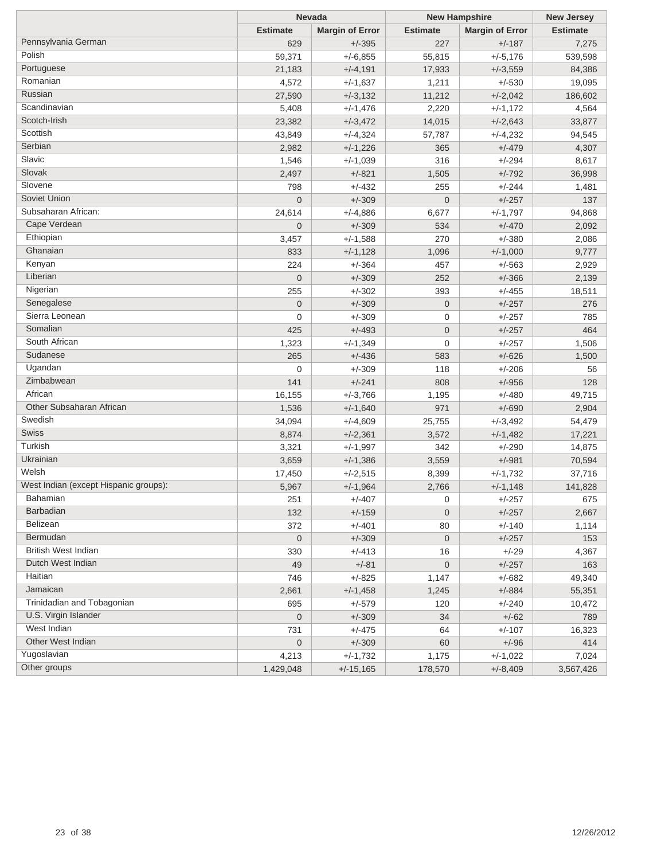| <b>Margin of Error</b><br><b>Estimate</b><br><b>Margin of Error</b><br><b>Estimate</b><br><b>Estimate</b><br>Pennsylvania German<br>629<br>227<br>$+/-395$<br>$+/-187$<br>7,275<br>Polish<br>59,371<br>$+/-6,855$<br>55,815<br>$+/-5,176$<br>539,598<br>Portuguese<br>21,183<br>$+/-4,191$<br>17,933<br>84,386<br>$+/-3,559$<br>Romanian<br>4,572<br>$+/-1,637$<br>1,211<br>$+/-530$<br>19,095<br>Russian<br>$+/-2,042$<br>27,590<br>$+/-3,132$<br>11,212<br>186,602<br>Scandinavian<br>5,408<br>$+/-1,476$<br>2,220<br>4,564<br>$+/-1,172$<br>Scotch-Irish<br>23,382<br>$+/-3,472$<br>14,015<br>$+/-2,643$<br>33,877<br>Scottish<br>43,849<br>$+/-4,324$<br>$+/-4,232$<br>94,545<br>57,787<br>Serbian<br>2,982<br>$+/-1,226$<br>365<br>$+/-479$<br>4,307<br>Slavic<br>$+/-294$<br>1,546<br>$+/-1,039$<br>316<br>8,617<br>Slovak<br>$+/-792$<br>2,497<br>$+/-821$<br>1,505<br>36,998<br>Slovene<br>$+/-432$<br>798<br>255<br>$+/-244$<br>1,481<br>Soviet Union<br>$+/-309$<br>$\mathbf 0$<br>$+/-257$<br>$\overline{0}$<br>137<br>Subsaharan African:<br>6,677<br>24,614<br>$+/-4,886$<br>$+/-1,797$<br>94,868<br>Cape Verdean<br>$\overline{0}$<br>$+/-309$<br>534<br>$+/-470$<br>2,092<br>Ethiopian<br>270<br>3,457<br>$+/-1,588$<br>$+/-380$<br>2,086<br>Ghanaian<br>833<br>$+/-1,000$<br>$+/-1,128$<br>1,096<br>9,777<br>Kenyan<br>224<br>$+/-364$<br>457<br>2,929<br>$+/-563$<br>Liberian<br>$\mathbf 0$<br>$+/-309$<br>252<br>$+/-366$<br>2,139<br>Nigerian<br>255<br>$+/-302$<br>393<br>$+/-455$<br>18,511<br>Senegalese<br>$\mathbf 0$<br>$+/-309$<br>$\mathbf 0$<br>$+/-257$<br>276<br>Sierra Leonean<br>0<br>$+/-309$<br>0<br>$+/-257$<br>785<br>Somalian<br>425<br>$+/-493$<br>$\mathbf 0$<br>$+/-257$<br>464<br>South African<br>$+/-257$<br>1,323<br>$+/-1,349$<br>0<br>1,506<br>Sudanese<br>265<br>$+/-436$<br>$+/-626$<br>583<br>1,500<br>Ugandan<br>0<br>$+/-309$<br>118<br>$+/-206$<br>56<br>Zimbabwean<br>141<br>$+/-241$<br>808<br>$+/-956$<br>128<br>African<br>16,155<br>$+/-3,766$<br>$+/-480$<br>49,715<br>1,195<br>Other Subsaharan African<br>1,536<br>971<br>$+/-690$<br>$+/-1,640$<br>2,904<br>Swedish<br>34,094<br>25,755<br>$+/-3,492$<br>54,479<br>$+/-4,609$<br>Swiss<br>3,572<br>8,874<br>$+/-2,361$<br>$+/-1,482$<br>17,221<br>Turkish<br>3,321<br>342<br>$+/-290$<br>14,875<br>$+/-1,997$<br>Ukrainian<br>3,559<br>$+/-981$<br>3,659<br>$+/-1,386$<br>70,594<br>Welsh<br>17,450<br>8,399<br>$+/-1,732$<br>37,716<br>$+/-2,515$<br>West Indian (except Hispanic groups):<br>5,967<br>$+/-1,964$<br>2,766<br>$+/-1,148$<br>141,828<br>Bahamian<br>251<br>$+/-407$<br>0<br>$+/-257$<br>675<br><b>Barbadian</b><br>132<br>$+/-159$<br>$\overline{0}$<br>$+/-257$<br>2,667<br>Belizean<br>$+/-401$<br>372<br>80<br>$+/-140$<br>1,114<br>Bermudan<br>$\mathbf 0$<br>$+/-309$<br>$\overline{0}$<br>$+/-257$<br>153<br><b>British West Indian</b><br>330<br>$+/-413$<br>16<br>$+/-29$<br>4,367<br>Dutch West Indian<br>49<br>$+/-81$<br>$\pmb{0}$<br>$+/-257$<br>163<br>Haitian<br>746<br>$+/-825$<br>1,147<br>$+/-682$<br>49,340<br>Jamaican<br>2,661<br>$+/-1,458$<br>$+/-884$<br>55,351<br>1,245<br>Trinidadian and Tobagonian<br>695<br>$+/-579$<br>$+/-240$<br>120<br>10,472<br>U.S. Virgin Islander<br>$\mathbf 0$<br>$+/-309$<br>34<br>$+/-62$<br>789<br>West Indian<br>731<br>$+/-475$<br>$+/-107$<br>64<br>16,323<br>Other West Indian<br>$\mathbf 0$<br>$+/-309$<br>60<br>$+/-96$<br>414<br>Yugoslavian<br>4,213<br>$+/-1,732$<br>1,175<br>7,024<br>$+/-1,022$<br>Other groups<br>1,429,048<br>$+/-15,165$<br>178,570<br>$+/-8,409$<br>3,567,426 | <b>Nevada</b> |  | <b>New Hampshire</b> | <b>New Jersey</b> |  |
|--------------------------------------------------------------------------------------------------------------------------------------------------------------------------------------------------------------------------------------------------------------------------------------------------------------------------------------------------------------------------------------------------------------------------------------------------------------------------------------------------------------------------------------------------------------------------------------------------------------------------------------------------------------------------------------------------------------------------------------------------------------------------------------------------------------------------------------------------------------------------------------------------------------------------------------------------------------------------------------------------------------------------------------------------------------------------------------------------------------------------------------------------------------------------------------------------------------------------------------------------------------------------------------------------------------------------------------------------------------------------------------------------------------------------------------------------------------------------------------------------------------------------------------------------------------------------------------------------------------------------------------------------------------------------------------------------------------------------------------------------------------------------------------------------------------------------------------------------------------------------------------------------------------------------------------------------------------------------------------------------------------------------------------------------------------------------------------------------------------------------------------------------------------------------------------------------------------------------------------------------------------------------------------------------------------------------------------------------------------------------------------------------------------------------------------------------------------------------------------------------------------------------------------------------------------------------------------------------------------------------------------------------------------------------------------------------------------------------------------------------------------------------------------------------------------------------------------------------------------------------------------------------------------------------------------------------------------------------------------------------------------------------------------------------------------------------------------------------------------------------------------------------------------------------------------------------------------------------------------------------------------------------------------------------------------------------------------------------------------------------------------------------------------------------------------------------------------------------------------------------------------------------------------------------------------------------------------|---------------|--|----------------------|-------------------|--|
|                                                                                                                                                                                                                                                                                                                                                                                                                                                                                                                                                                                                                                                                                                                                                                                                                                                                                                                                                                                                                                                                                                                                                                                                                                                                                                                                                                                                                                                                                                                                                                                                                                                                                                                                                                                                                                                                                                                                                                                                                                                                                                                                                                                                                                                                                                                                                                                                                                                                                                                                                                                                                                                                                                                                                                                                                                                                                                                                                                                                                                                                                                                                                                                                                                                                                                                                                                                                                                                                                                                                                                                      |               |  |                      |                   |  |
|                                                                                                                                                                                                                                                                                                                                                                                                                                                                                                                                                                                                                                                                                                                                                                                                                                                                                                                                                                                                                                                                                                                                                                                                                                                                                                                                                                                                                                                                                                                                                                                                                                                                                                                                                                                                                                                                                                                                                                                                                                                                                                                                                                                                                                                                                                                                                                                                                                                                                                                                                                                                                                                                                                                                                                                                                                                                                                                                                                                                                                                                                                                                                                                                                                                                                                                                                                                                                                                                                                                                                                                      |               |  |                      |                   |  |
|                                                                                                                                                                                                                                                                                                                                                                                                                                                                                                                                                                                                                                                                                                                                                                                                                                                                                                                                                                                                                                                                                                                                                                                                                                                                                                                                                                                                                                                                                                                                                                                                                                                                                                                                                                                                                                                                                                                                                                                                                                                                                                                                                                                                                                                                                                                                                                                                                                                                                                                                                                                                                                                                                                                                                                                                                                                                                                                                                                                                                                                                                                                                                                                                                                                                                                                                                                                                                                                                                                                                                                                      |               |  |                      |                   |  |
|                                                                                                                                                                                                                                                                                                                                                                                                                                                                                                                                                                                                                                                                                                                                                                                                                                                                                                                                                                                                                                                                                                                                                                                                                                                                                                                                                                                                                                                                                                                                                                                                                                                                                                                                                                                                                                                                                                                                                                                                                                                                                                                                                                                                                                                                                                                                                                                                                                                                                                                                                                                                                                                                                                                                                                                                                                                                                                                                                                                                                                                                                                                                                                                                                                                                                                                                                                                                                                                                                                                                                                                      |               |  |                      |                   |  |
|                                                                                                                                                                                                                                                                                                                                                                                                                                                                                                                                                                                                                                                                                                                                                                                                                                                                                                                                                                                                                                                                                                                                                                                                                                                                                                                                                                                                                                                                                                                                                                                                                                                                                                                                                                                                                                                                                                                                                                                                                                                                                                                                                                                                                                                                                                                                                                                                                                                                                                                                                                                                                                                                                                                                                                                                                                                                                                                                                                                                                                                                                                                                                                                                                                                                                                                                                                                                                                                                                                                                                                                      |               |  |                      |                   |  |
|                                                                                                                                                                                                                                                                                                                                                                                                                                                                                                                                                                                                                                                                                                                                                                                                                                                                                                                                                                                                                                                                                                                                                                                                                                                                                                                                                                                                                                                                                                                                                                                                                                                                                                                                                                                                                                                                                                                                                                                                                                                                                                                                                                                                                                                                                                                                                                                                                                                                                                                                                                                                                                                                                                                                                                                                                                                                                                                                                                                                                                                                                                                                                                                                                                                                                                                                                                                                                                                                                                                                                                                      |               |  |                      |                   |  |
|                                                                                                                                                                                                                                                                                                                                                                                                                                                                                                                                                                                                                                                                                                                                                                                                                                                                                                                                                                                                                                                                                                                                                                                                                                                                                                                                                                                                                                                                                                                                                                                                                                                                                                                                                                                                                                                                                                                                                                                                                                                                                                                                                                                                                                                                                                                                                                                                                                                                                                                                                                                                                                                                                                                                                                                                                                                                                                                                                                                                                                                                                                                                                                                                                                                                                                                                                                                                                                                                                                                                                                                      |               |  |                      |                   |  |
|                                                                                                                                                                                                                                                                                                                                                                                                                                                                                                                                                                                                                                                                                                                                                                                                                                                                                                                                                                                                                                                                                                                                                                                                                                                                                                                                                                                                                                                                                                                                                                                                                                                                                                                                                                                                                                                                                                                                                                                                                                                                                                                                                                                                                                                                                                                                                                                                                                                                                                                                                                                                                                                                                                                                                                                                                                                                                                                                                                                                                                                                                                                                                                                                                                                                                                                                                                                                                                                                                                                                                                                      |               |  |                      |                   |  |
|                                                                                                                                                                                                                                                                                                                                                                                                                                                                                                                                                                                                                                                                                                                                                                                                                                                                                                                                                                                                                                                                                                                                                                                                                                                                                                                                                                                                                                                                                                                                                                                                                                                                                                                                                                                                                                                                                                                                                                                                                                                                                                                                                                                                                                                                                                                                                                                                                                                                                                                                                                                                                                                                                                                                                                                                                                                                                                                                                                                                                                                                                                                                                                                                                                                                                                                                                                                                                                                                                                                                                                                      |               |  |                      |                   |  |
|                                                                                                                                                                                                                                                                                                                                                                                                                                                                                                                                                                                                                                                                                                                                                                                                                                                                                                                                                                                                                                                                                                                                                                                                                                                                                                                                                                                                                                                                                                                                                                                                                                                                                                                                                                                                                                                                                                                                                                                                                                                                                                                                                                                                                                                                                                                                                                                                                                                                                                                                                                                                                                                                                                                                                                                                                                                                                                                                                                                                                                                                                                                                                                                                                                                                                                                                                                                                                                                                                                                                                                                      |               |  |                      |                   |  |
|                                                                                                                                                                                                                                                                                                                                                                                                                                                                                                                                                                                                                                                                                                                                                                                                                                                                                                                                                                                                                                                                                                                                                                                                                                                                                                                                                                                                                                                                                                                                                                                                                                                                                                                                                                                                                                                                                                                                                                                                                                                                                                                                                                                                                                                                                                                                                                                                                                                                                                                                                                                                                                                                                                                                                                                                                                                                                                                                                                                                                                                                                                                                                                                                                                                                                                                                                                                                                                                                                                                                                                                      |               |  |                      |                   |  |
|                                                                                                                                                                                                                                                                                                                                                                                                                                                                                                                                                                                                                                                                                                                                                                                                                                                                                                                                                                                                                                                                                                                                                                                                                                                                                                                                                                                                                                                                                                                                                                                                                                                                                                                                                                                                                                                                                                                                                                                                                                                                                                                                                                                                                                                                                                                                                                                                                                                                                                                                                                                                                                                                                                                                                                                                                                                                                                                                                                                                                                                                                                                                                                                                                                                                                                                                                                                                                                                                                                                                                                                      |               |  |                      |                   |  |
|                                                                                                                                                                                                                                                                                                                                                                                                                                                                                                                                                                                                                                                                                                                                                                                                                                                                                                                                                                                                                                                                                                                                                                                                                                                                                                                                                                                                                                                                                                                                                                                                                                                                                                                                                                                                                                                                                                                                                                                                                                                                                                                                                                                                                                                                                                                                                                                                                                                                                                                                                                                                                                                                                                                                                                                                                                                                                                                                                                                                                                                                                                                                                                                                                                                                                                                                                                                                                                                                                                                                                                                      |               |  |                      |                   |  |
|                                                                                                                                                                                                                                                                                                                                                                                                                                                                                                                                                                                                                                                                                                                                                                                                                                                                                                                                                                                                                                                                                                                                                                                                                                                                                                                                                                                                                                                                                                                                                                                                                                                                                                                                                                                                                                                                                                                                                                                                                                                                                                                                                                                                                                                                                                                                                                                                                                                                                                                                                                                                                                                                                                                                                                                                                                                                                                                                                                                                                                                                                                                                                                                                                                                                                                                                                                                                                                                                                                                                                                                      |               |  |                      |                   |  |
|                                                                                                                                                                                                                                                                                                                                                                                                                                                                                                                                                                                                                                                                                                                                                                                                                                                                                                                                                                                                                                                                                                                                                                                                                                                                                                                                                                                                                                                                                                                                                                                                                                                                                                                                                                                                                                                                                                                                                                                                                                                                                                                                                                                                                                                                                                                                                                                                                                                                                                                                                                                                                                                                                                                                                                                                                                                                                                                                                                                                                                                                                                                                                                                                                                                                                                                                                                                                                                                                                                                                                                                      |               |  |                      |                   |  |
|                                                                                                                                                                                                                                                                                                                                                                                                                                                                                                                                                                                                                                                                                                                                                                                                                                                                                                                                                                                                                                                                                                                                                                                                                                                                                                                                                                                                                                                                                                                                                                                                                                                                                                                                                                                                                                                                                                                                                                                                                                                                                                                                                                                                                                                                                                                                                                                                                                                                                                                                                                                                                                                                                                                                                                                                                                                                                                                                                                                                                                                                                                                                                                                                                                                                                                                                                                                                                                                                                                                                                                                      |               |  |                      |                   |  |
|                                                                                                                                                                                                                                                                                                                                                                                                                                                                                                                                                                                                                                                                                                                                                                                                                                                                                                                                                                                                                                                                                                                                                                                                                                                                                                                                                                                                                                                                                                                                                                                                                                                                                                                                                                                                                                                                                                                                                                                                                                                                                                                                                                                                                                                                                                                                                                                                                                                                                                                                                                                                                                                                                                                                                                                                                                                                                                                                                                                                                                                                                                                                                                                                                                                                                                                                                                                                                                                                                                                                                                                      |               |  |                      |                   |  |
|                                                                                                                                                                                                                                                                                                                                                                                                                                                                                                                                                                                                                                                                                                                                                                                                                                                                                                                                                                                                                                                                                                                                                                                                                                                                                                                                                                                                                                                                                                                                                                                                                                                                                                                                                                                                                                                                                                                                                                                                                                                                                                                                                                                                                                                                                                                                                                                                                                                                                                                                                                                                                                                                                                                                                                                                                                                                                                                                                                                                                                                                                                                                                                                                                                                                                                                                                                                                                                                                                                                                                                                      |               |  |                      |                   |  |
|                                                                                                                                                                                                                                                                                                                                                                                                                                                                                                                                                                                                                                                                                                                                                                                                                                                                                                                                                                                                                                                                                                                                                                                                                                                                                                                                                                                                                                                                                                                                                                                                                                                                                                                                                                                                                                                                                                                                                                                                                                                                                                                                                                                                                                                                                                                                                                                                                                                                                                                                                                                                                                                                                                                                                                                                                                                                                                                                                                                                                                                                                                                                                                                                                                                                                                                                                                                                                                                                                                                                                                                      |               |  |                      |                   |  |
|                                                                                                                                                                                                                                                                                                                                                                                                                                                                                                                                                                                                                                                                                                                                                                                                                                                                                                                                                                                                                                                                                                                                                                                                                                                                                                                                                                                                                                                                                                                                                                                                                                                                                                                                                                                                                                                                                                                                                                                                                                                                                                                                                                                                                                                                                                                                                                                                                                                                                                                                                                                                                                                                                                                                                                                                                                                                                                                                                                                                                                                                                                                                                                                                                                                                                                                                                                                                                                                                                                                                                                                      |               |  |                      |                   |  |
|                                                                                                                                                                                                                                                                                                                                                                                                                                                                                                                                                                                                                                                                                                                                                                                                                                                                                                                                                                                                                                                                                                                                                                                                                                                                                                                                                                                                                                                                                                                                                                                                                                                                                                                                                                                                                                                                                                                                                                                                                                                                                                                                                                                                                                                                                                                                                                                                                                                                                                                                                                                                                                                                                                                                                                                                                                                                                                                                                                                                                                                                                                                                                                                                                                                                                                                                                                                                                                                                                                                                                                                      |               |  |                      |                   |  |
|                                                                                                                                                                                                                                                                                                                                                                                                                                                                                                                                                                                                                                                                                                                                                                                                                                                                                                                                                                                                                                                                                                                                                                                                                                                                                                                                                                                                                                                                                                                                                                                                                                                                                                                                                                                                                                                                                                                                                                                                                                                                                                                                                                                                                                                                                                                                                                                                                                                                                                                                                                                                                                                                                                                                                                                                                                                                                                                                                                                                                                                                                                                                                                                                                                                                                                                                                                                                                                                                                                                                                                                      |               |  |                      |                   |  |
|                                                                                                                                                                                                                                                                                                                                                                                                                                                                                                                                                                                                                                                                                                                                                                                                                                                                                                                                                                                                                                                                                                                                                                                                                                                                                                                                                                                                                                                                                                                                                                                                                                                                                                                                                                                                                                                                                                                                                                                                                                                                                                                                                                                                                                                                                                                                                                                                                                                                                                                                                                                                                                                                                                                                                                                                                                                                                                                                                                                                                                                                                                                                                                                                                                                                                                                                                                                                                                                                                                                                                                                      |               |  |                      |                   |  |
|                                                                                                                                                                                                                                                                                                                                                                                                                                                                                                                                                                                                                                                                                                                                                                                                                                                                                                                                                                                                                                                                                                                                                                                                                                                                                                                                                                                                                                                                                                                                                                                                                                                                                                                                                                                                                                                                                                                                                                                                                                                                                                                                                                                                                                                                                                                                                                                                                                                                                                                                                                                                                                                                                                                                                                                                                                                                                                                                                                                                                                                                                                                                                                                                                                                                                                                                                                                                                                                                                                                                                                                      |               |  |                      |                   |  |
|                                                                                                                                                                                                                                                                                                                                                                                                                                                                                                                                                                                                                                                                                                                                                                                                                                                                                                                                                                                                                                                                                                                                                                                                                                                                                                                                                                                                                                                                                                                                                                                                                                                                                                                                                                                                                                                                                                                                                                                                                                                                                                                                                                                                                                                                                                                                                                                                                                                                                                                                                                                                                                                                                                                                                                                                                                                                                                                                                                                                                                                                                                                                                                                                                                                                                                                                                                                                                                                                                                                                                                                      |               |  |                      |                   |  |
|                                                                                                                                                                                                                                                                                                                                                                                                                                                                                                                                                                                                                                                                                                                                                                                                                                                                                                                                                                                                                                                                                                                                                                                                                                                                                                                                                                                                                                                                                                                                                                                                                                                                                                                                                                                                                                                                                                                                                                                                                                                                                                                                                                                                                                                                                                                                                                                                                                                                                                                                                                                                                                                                                                                                                                                                                                                                                                                                                                                                                                                                                                                                                                                                                                                                                                                                                                                                                                                                                                                                                                                      |               |  |                      |                   |  |
|                                                                                                                                                                                                                                                                                                                                                                                                                                                                                                                                                                                                                                                                                                                                                                                                                                                                                                                                                                                                                                                                                                                                                                                                                                                                                                                                                                                                                                                                                                                                                                                                                                                                                                                                                                                                                                                                                                                                                                                                                                                                                                                                                                                                                                                                                                                                                                                                                                                                                                                                                                                                                                                                                                                                                                                                                                                                                                                                                                                                                                                                                                                                                                                                                                                                                                                                                                                                                                                                                                                                                                                      |               |  |                      |                   |  |
|                                                                                                                                                                                                                                                                                                                                                                                                                                                                                                                                                                                                                                                                                                                                                                                                                                                                                                                                                                                                                                                                                                                                                                                                                                                                                                                                                                                                                                                                                                                                                                                                                                                                                                                                                                                                                                                                                                                                                                                                                                                                                                                                                                                                                                                                                                                                                                                                                                                                                                                                                                                                                                                                                                                                                                                                                                                                                                                                                                                                                                                                                                                                                                                                                                                                                                                                                                                                                                                                                                                                                                                      |               |  |                      |                   |  |
|                                                                                                                                                                                                                                                                                                                                                                                                                                                                                                                                                                                                                                                                                                                                                                                                                                                                                                                                                                                                                                                                                                                                                                                                                                                                                                                                                                                                                                                                                                                                                                                                                                                                                                                                                                                                                                                                                                                                                                                                                                                                                                                                                                                                                                                                                                                                                                                                                                                                                                                                                                                                                                                                                                                                                                                                                                                                                                                                                                                                                                                                                                                                                                                                                                                                                                                                                                                                                                                                                                                                                                                      |               |  |                      |                   |  |
|                                                                                                                                                                                                                                                                                                                                                                                                                                                                                                                                                                                                                                                                                                                                                                                                                                                                                                                                                                                                                                                                                                                                                                                                                                                                                                                                                                                                                                                                                                                                                                                                                                                                                                                                                                                                                                                                                                                                                                                                                                                                                                                                                                                                                                                                                                                                                                                                                                                                                                                                                                                                                                                                                                                                                                                                                                                                                                                                                                                                                                                                                                                                                                                                                                                                                                                                                                                                                                                                                                                                                                                      |               |  |                      |                   |  |
|                                                                                                                                                                                                                                                                                                                                                                                                                                                                                                                                                                                                                                                                                                                                                                                                                                                                                                                                                                                                                                                                                                                                                                                                                                                                                                                                                                                                                                                                                                                                                                                                                                                                                                                                                                                                                                                                                                                                                                                                                                                                                                                                                                                                                                                                                                                                                                                                                                                                                                                                                                                                                                                                                                                                                                                                                                                                                                                                                                                                                                                                                                                                                                                                                                                                                                                                                                                                                                                                                                                                                                                      |               |  |                      |                   |  |
|                                                                                                                                                                                                                                                                                                                                                                                                                                                                                                                                                                                                                                                                                                                                                                                                                                                                                                                                                                                                                                                                                                                                                                                                                                                                                                                                                                                                                                                                                                                                                                                                                                                                                                                                                                                                                                                                                                                                                                                                                                                                                                                                                                                                                                                                                                                                                                                                                                                                                                                                                                                                                                                                                                                                                                                                                                                                                                                                                                                                                                                                                                                                                                                                                                                                                                                                                                                                                                                                                                                                                                                      |               |  |                      |                   |  |
|                                                                                                                                                                                                                                                                                                                                                                                                                                                                                                                                                                                                                                                                                                                                                                                                                                                                                                                                                                                                                                                                                                                                                                                                                                                                                                                                                                                                                                                                                                                                                                                                                                                                                                                                                                                                                                                                                                                                                                                                                                                                                                                                                                                                                                                                                                                                                                                                                                                                                                                                                                                                                                                                                                                                                                                                                                                                                                                                                                                                                                                                                                                                                                                                                                                                                                                                                                                                                                                                                                                                                                                      |               |  |                      |                   |  |
|                                                                                                                                                                                                                                                                                                                                                                                                                                                                                                                                                                                                                                                                                                                                                                                                                                                                                                                                                                                                                                                                                                                                                                                                                                                                                                                                                                                                                                                                                                                                                                                                                                                                                                                                                                                                                                                                                                                                                                                                                                                                                                                                                                                                                                                                                                                                                                                                                                                                                                                                                                                                                                                                                                                                                                                                                                                                                                                                                                                                                                                                                                                                                                                                                                                                                                                                                                                                                                                                                                                                                                                      |               |  |                      |                   |  |
|                                                                                                                                                                                                                                                                                                                                                                                                                                                                                                                                                                                                                                                                                                                                                                                                                                                                                                                                                                                                                                                                                                                                                                                                                                                                                                                                                                                                                                                                                                                                                                                                                                                                                                                                                                                                                                                                                                                                                                                                                                                                                                                                                                                                                                                                                                                                                                                                                                                                                                                                                                                                                                                                                                                                                                                                                                                                                                                                                                                                                                                                                                                                                                                                                                                                                                                                                                                                                                                                                                                                                                                      |               |  |                      |                   |  |
|                                                                                                                                                                                                                                                                                                                                                                                                                                                                                                                                                                                                                                                                                                                                                                                                                                                                                                                                                                                                                                                                                                                                                                                                                                                                                                                                                                                                                                                                                                                                                                                                                                                                                                                                                                                                                                                                                                                                                                                                                                                                                                                                                                                                                                                                                                                                                                                                                                                                                                                                                                                                                                                                                                                                                                                                                                                                                                                                                                                                                                                                                                                                                                                                                                                                                                                                                                                                                                                                                                                                                                                      |               |  |                      |                   |  |
|                                                                                                                                                                                                                                                                                                                                                                                                                                                                                                                                                                                                                                                                                                                                                                                                                                                                                                                                                                                                                                                                                                                                                                                                                                                                                                                                                                                                                                                                                                                                                                                                                                                                                                                                                                                                                                                                                                                                                                                                                                                                                                                                                                                                                                                                                                                                                                                                                                                                                                                                                                                                                                                                                                                                                                                                                                                                                                                                                                                                                                                                                                                                                                                                                                                                                                                                                                                                                                                                                                                                                                                      |               |  |                      |                   |  |
|                                                                                                                                                                                                                                                                                                                                                                                                                                                                                                                                                                                                                                                                                                                                                                                                                                                                                                                                                                                                                                                                                                                                                                                                                                                                                                                                                                                                                                                                                                                                                                                                                                                                                                                                                                                                                                                                                                                                                                                                                                                                                                                                                                                                                                                                                                                                                                                                                                                                                                                                                                                                                                                                                                                                                                                                                                                                                                                                                                                                                                                                                                                                                                                                                                                                                                                                                                                                                                                                                                                                                                                      |               |  |                      |                   |  |
|                                                                                                                                                                                                                                                                                                                                                                                                                                                                                                                                                                                                                                                                                                                                                                                                                                                                                                                                                                                                                                                                                                                                                                                                                                                                                                                                                                                                                                                                                                                                                                                                                                                                                                                                                                                                                                                                                                                                                                                                                                                                                                                                                                                                                                                                                                                                                                                                                                                                                                                                                                                                                                                                                                                                                                                                                                                                                                                                                                                                                                                                                                                                                                                                                                                                                                                                                                                                                                                                                                                                                                                      |               |  |                      |                   |  |
|                                                                                                                                                                                                                                                                                                                                                                                                                                                                                                                                                                                                                                                                                                                                                                                                                                                                                                                                                                                                                                                                                                                                                                                                                                                                                                                                                                                                                                                                                                                                                                                                                                                                                                                                                                                                                                                                                                                                                                                                                                                                                                                                                                                                                                                                                                                                                                                                                                                                                                                                                                                                                                                                                                                                                                                                                                                                                                                                                                                                                                                                                                                                                                                                                                                                                                                                                                                                                                                                                                                                                                                      |               |  |                      |                   |  |
|                                                                                                                                                                                                                                                                                                                                                                                                                                                                                                                                                                                                                                                                                                                                                                                                                                                                                                                                                                                                                                                                                                                                                                                                                                                                                                                                                                                                                                                                                                                                                                                                                                                                                                                                                                                                                                                                                                                                                                                                                                                                                                                                                                                                                                                                                                                                                                                                                                                                                                                                                                                                                                                                                                                                                                                                                                                                                                                                                                                                                                                                                                                                                                                                                                                                                                                                                                                                                                                                                                                                                                                      |               |  |                      |                   |  |
|                                                                                                                                                                                                                                                                                                                                                                                                                                                                                                                                                                                                                                                                                                                                                                                                                                                                                                                                                                                                                                                                                                                                                                                                                                                                                                                                                                                                                                                                                                                                                                                                                                                                                                                                                                                                                                                                                                                                                                                                                                                                                                                                                                                                                                                                                                                                                                                                                                                                                                                                                                                                                                                                                                                                                                                                                                                                                                                                                                                                                                                                                                                                                                                                                                                                                                                                                                                                                                                                                                                                                                                      |               |  |                      |                   |  |
|                                                                                                                                                                                                                                                                                                                                                                                                                                                                                                                                                                                                                                                                                                                                                                                                                                                                                                                                                                                                                                                                                                                                                                                                                                                                                                                                                                                                                                                                                                                                                                                                                                                                                                                                                                                                                                                                                                                                                                                                                                                                                                                                                                                                                                                                                                                                                                                                                                                                                                                                                                                                                                                                                                                                                                                                                                                                                                                                                                                                                                                                                                                                                                                                                                                                                                                                                                                                                                                                                                                                                                                      |               |  |                      |                   |  |
|                                                                                                                                                                                                                                                                                                                                                                                                                                                                                                                                                                                                                                                                                                                                                                                                                                                                                                                                                                                                                                                                                                                                                                                                                                                                                                                                                                                                                                                                                                                                                                                                                                                                                                                                                                                                                                                                                                                                                                                                                                                                                                                                                                                                                                                                                                                                                                                                                                                                                                                                                                                                                                                                                                                                                                                                                                                                                                                                                                                                                                                                                                                                                                                                                                                                                                                                                                                                                                                                                                                                                                                      |               |  |                      |                   |  |
|                                                                                                                                                                                                                                                                                                                                                                                                                                                                                                                                                                                                                                                                                                                                                                                                                                                                                                                                                                                                                                                                                                                                                                                                                                                                                                                                                                                                                                                                                                                                                                                                                                                                                                                                                                                                                                                                                                                                                                                                                                                                                                                                                                                                                                                                                                                                                                                                                                                                                                                                                                                                                                                                                                                                                                                                                                                                                                                                                                                                                                                                                                                                                                                                                                                                                                                                                                                                                                                                                                                                                                                      |               |  |                      |                   |  |
|                                                                                                                                                                                                                                                                                                                                                                                                                                                                                                                                                                                                                                                                                                                                                                                                                                                                                                                                                                                                                                                                                                                                                                                                                                                                                                                                                                                                                                                                                                                                                                                                                                                                                                                                                                                                                                                                                                                                                                                                                                                                                                                                                                                                                                                                                                                                                                                                                                                                                                                                                                                                                                                                                                                                                                                                                                                                                                                                                                                                                                                                                                                                                                                                                                                                                                                                                                                                                                                                                                                                                                                      |               |  |                      |                   |  |
|                                                                                                                                                                                                                                                                                                                                                                                                                                                                                                                                                                                                                                                                                                                                                                                                                                                                                                                                                                                                                                                                                                                                                                                                                                                                                                                                                                                                                                                                                                                                                                                                                                                                                                                                                                                                                                                                                                                                                                                                                                                                                                                                                                                                                                                                                                                                                                                                                                                                                                                                                                                                                                                                                                                                                                                                                                                                                                                                                                                                                                                                                                                                                                                                                                                                                                                                                                                                                                                                                                                                                                                      |               |  |                      |                   |  |
|                                                                                                                                                                                                                                                                                                                                                                                                                                                                                                                                                                                                                                                                                                                                                                                                                                                                                                                                                                                                                                                                                                                                                                                                                                                                                                                                                                                                                                                                                                                                                                                                                                                                                                                                                                                                                                                                                                                                                                                                                                                                                                                                                                                                                                                                                                                                                                                                                                                                                                                                                                                                                                                                                                                                                                                                                                                                                                                                                                                                                                                                                                                                                                                                                                                                                                                                                                                                                                                                                                                                                                                      |               |  |                      |                   |  |
|                                                                                                                                                                                                                                                                                                                                                                                                                                                                                                                                                                                                                                                                                                                                                                                                                                                                                                                                                                                                                                                                                                                                                                                                                                                                                                                                                                                                                                                                                                                                                                                                                                                                                                                                                                                                                                                                                                                                                                                                                                                                                                                                                                                                                                                                                                                                                                                                                                                                                                                                                                                                                                                                                                                                                                                                                                                                                                                                                                                                                                                                                                                                                                                                                                                                                                                                                                                                                                                                                                                                                                                      |               |  |                      |                   |  |
|                                                                                                                                                                                                                                                                                                                                                                                                                                                                                                                                                                                                                                                                                                                                                                                                                                                                                                                                                                                                                                                                                                                                                                                                                                                                                                                                                                                                                                                                                                                                                                                                                                                                                                                                                                                                                                                                                                                                                                                                                                                                                                                                                                                                                                                                                                                                                                                                                                                                                                                                                                                                                                                                                                                                                                                                                                                                                                                                                                                                                                                                                                                                                                                                                                                                                                                                                                                                                                                                                                                                                                                      |               |  |                      |                   |  |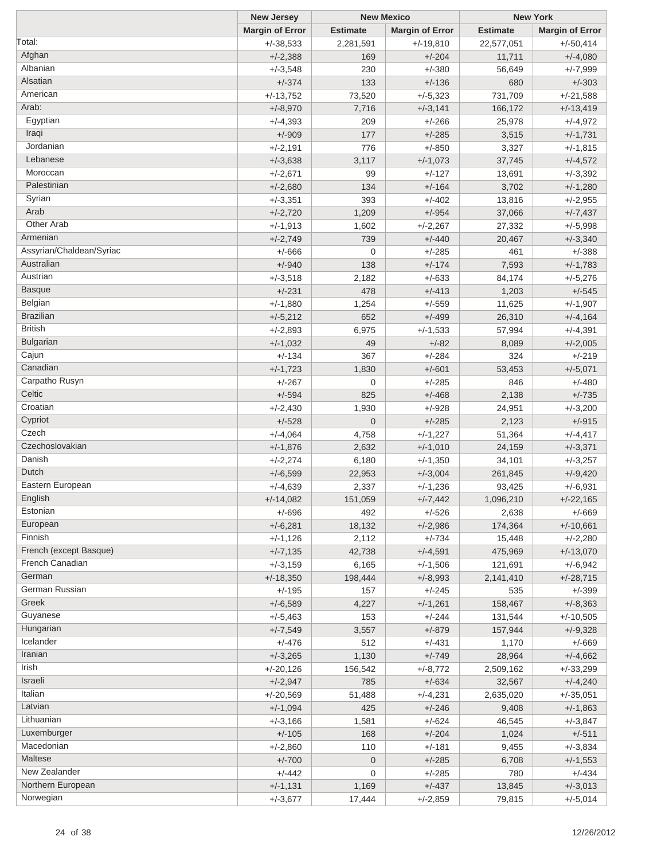|                          | <b>New Jersey</b>      |                 | <b>New Mexico</b>      |                 | <b>New York</b>        |
|--------------------------|------------------------|-----------------|------------------------|-----------------|------------------------|
|                          | <b>Margin of Error</b> | <b>Estimate</b> | <b>Margin of Error</b> | <b>Estimate</b> | <b>Margin of Error</b> |
| Total:                   | $+/-38,533$            | 2,281,591       | $+/-19,810$            | 22,577,051      | $+/-50,414$            |
| Afghan                   | $+/-2,388$             | 169             | $+/-204$               | 11,711          | $+/-4,080$             |
| Albanian                 | $+/-3,548$             | 230             | $+/-380$               | 56,649          | $+/-7,999$             |
| Alsatian                 | $+/-374$               | 133             | $+/-136$               | 680             | $+/-303$               |
| American                 | $+/-13,752$            | 73,520          | $+/-5,323$             | 731,709         | $+/-21,588$            |
| Arab:                    | $+/-8,970$             | 7,716           | $+/-3,141$             | 166,172         | $+/-13,419$            |
| Egyptian                 | $+/-4,393$             | 209             | $+/-266$               | 25,978          | $+/-4,972$             |
| Iraqi                    | $+/-909$               | 177             | $+/-285$               | 3,515           | $+/-1,731$             |
| Jordanian                | $+/-2,191$             | 776             | $+/-850$               |                 |                        |
| Lebanese                 |                        |                 |                        | 3,327           | $+/-1,815$             |
| Moroccan                 | $+/-3,638$             | 3,117           | $+/-1,073$             | 37,745          | $+/-4,572$             |
|                          | $+/-2,671$             | 99              | $+/-127$               | 13,691          | $+/-3,392$             |
| Palestinian              | $+/-2,680$             | 134             | $+/-164$               | 3,702           | $+/-1,280$             |
| Syrian                   | $+/-3,351$             | 393             | $+/-402$               | 13,816          | $+/-2,955$             |
| Arab                     | $+/-2,720$             | 1,209           | $+/-954$               | 37,066          | $+/-7,437$             |
| Other Arab               | $+/-1,913$             | 1,602           | $+/-2,267$             | 27,332          | $+/-5,998$             |
| Armenian                 | $+/-2,749$             | 739             | $+/-440$               | 20,467          | $+/-3,340$             |
| Assyrian/Chaldean/Syriac | $+/-666$               | $\mathbf 0$     | $+/-285$               | 461             | $+/-388$               |
| Australian               | $+/-940$               | 138             | $+/-174$               | 7,593           | $+/-1,783$             |
| Austrian                 | $+/-3,518$             | 2,182           | $+/-633$               | 84,174          | $+/-5,276$             |
| <b>Basque</b>            | $+/-231$               | 478             | $+/-413$               | 1,203           | $+/-545$               |
| Belgian                  | $+/-1,880$             | 1,254           | $+/-559$               | 11,625          | $+/-1,907$             |
| <b>Brazilian</b>         | $+/-5,212$             | 652             | $+/-499$               | 26,310          | $+/-4,164$             |
| <b>British</b>           | $+/-2,893$             | 6,975           | $+/-1,533$             | 57,994          | $+/-4,391$             |
| <b>Bulgarian</b>         | $+/-1,032$             | 49              | $+/-82$                | 8,089           | $+/-2,005$             |
| Cajun                    | $+/-134$               | 367             | $+/-284$               | 324             | $+/-219$               |
| Canadian                 |                        |                 |                        |                 |                        |
|                          | $+/-1,723$             | 1,830           | $+/-601$               | 53,453          | $+/-5,071$             |
| Carpatho Rusyn<br>Celtic | $+/-267$               | 0               | $+/-285$               | 846             | $+/-480$               |
|                          | $+/-594$               | 825             | $+/-468$               | 2,138           | $+/-735$               |
| Croatian                 | $+/-2,430$             | 1,930           | $+/-928$               | 24,951          | $+/-3,200$             |
| Cypriot                  | $+/-528$               | $\overline{0}$  | $+/-285$               | 2,123           | $+/-915$               |
| Czech                    | $+/-4,064$             | 4,758           | $+/-1,227$             | 51,364          | $+/-4,417$             |
| Czechoslovakian          | $+/-1,876$             | 2,632           | $+/-1,010$             | 24,159          | $+/-3,371$             |
| Danish                   | $+/-2,274$             | 6,180           | $+/-1,350$             | 34,101          | $+/-3,257$             |
| Dutch                    | $+/-6,599$             | 22,953          | $+/-3,004$             | 261,845         | $+/-9,420$             |
| Eastern European         | $+/-4,639$             | 2,337           | $+/-1,236$             | 93,425          | $+/-6,931$             |
| English                  | $+/-14,082$            | 151,059         | $+/-7,442$             | 1,096,210       | $+/-22,165$            |
| Estonian                 | $+/-696$               | 492             | $+/-526$               | 2,638           | $+/-669$               |
| European                 | $+/-6,281$             | 18,132          | $+/-2,986$             | 174,364         | $+/-10,661$            |
| Finnish                  | $+/-1,126$             | 2,112           | $+/-734$               | 15,448          | $+/-2,280$             |
| French (except Basque)   | $+/-7,135$             | 42,738          | $+/-4,591$             | 475,969         | $+/-13,070$            |
| French Canadian          | $+/-3,159$             | 6,165           | $+/-1,506$             | 121,691         | $+/-6,942$             |
| German                   | $+/-18,350$            | 198,444         | $+/-8,993$             | 2,141,410       | $+/-28,715$            |
| German Russian           | $+/-195$               | 157             | $+/-245$               | 535             | $+/-399$               |
| Greek                    | $+/-6,589$             |                 | $+/-1,261$             |                 |                        |
| Guyanese                 |                        | 4,227           |                        | 158,467         | $+/-8,363$             |
| Hungarian                | $+/-5,463$             | 153             | $+/-244$               | 131,544         | $+/-10,505$            |
| Icelander                | $+/-7,549$             | 3,557           | $+/-879$               | 157,944         | $+/-9,328$             |
|                          | $+/-476$               | 512             | $+/-431$               | 1,170           | $+/-669$               |
| Iranian                  | $+/-3,265$             | 1,130           | $+/-749$               | 28,964          | $+/-4,662$             |
| Irish                    | $+/-20,126$            | 156,542         | $+/-8,772$             | 2,509,162       | $+/-33,299$            |
| Israeli                  | $+/-2,947$             | 785             | $+/-634$               | 32,567          | $+/-4,240$             |
| Italian                  | $+/-20,569$            | 51,488          | $+/-4,231$             | 2,635,020       | $+/-35,051$            |
| Latvian                  | $+/-1,094$             | 425             | $+/-246$               | 9,408           | $+/-1,863$             |
| Lithuanian               | $+/-3,166$             | 1,581           | $+/-624$               | 46,545          | $+/-3,847$             |
| Luxemburger              | $+/-105$               | 168             | $+/-204$               | 1,024           | $+/-511$               |
| Macedonian               | $+/-2,860$             | 110             | $+/-181$               | 9,455           | $+/-3,834$             |
| Maltese                  | $+/-700$               | $\mathbf{0}$    | $+/-285$               | 6,708           | $+/-1,553$             |
| New Zealander            | $+/-442$               | $\mathbf 0$     | $+/-285$               | 780             | $+/-434$               |
| Northern European        | $+/-1,131$             | 1,169           | $+/-437$               | 13,845          | $+/-3,013$             |
| Norwegian                | $+/-3,677$             | 17,444          | $+/-2,859$             | 79,815          | $+/-5,014$             |
|                          |                        |                 |                        |                 |                        |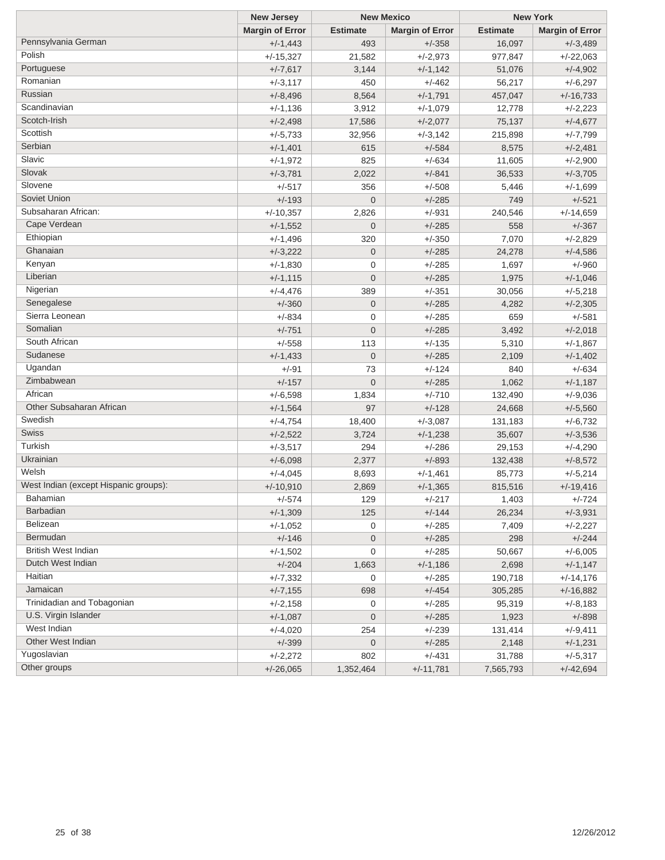|                                       | <b>New Jersey</b>      | <b>New Mexico</b> |                        |                 | <b>New York</b>        |
|---------------------------------------|------------------------|-------------------|------------------------|-----------------|------------------------|
|                                       | <b>Margin of Error</b> | <b>Estimate</b>   | <b>Margin of Error</b> | <b>Estimate</b> | <b>Margin of Error</b> |
| Pennsylvania German                   | $+/-1,443$             | 493               | $+/-358$               | 16,097          | $+/-3,489$             |
| Polish                                | $+/-15,327$            | 21,582            | $+/-2,973$             | 977,847         | $+/-22,063$            |
| Portuguese                            | $+/-7,617$             | 3,144             | $+/-1,142$             | 51,076          | $+/-4,902$             |
| Romanian                              | $+/-3,117$             | 450               | $+/-462$               | 56,217          | $+/-6,297$             |
| Russian                               | $+/-8,496$             | 8,564             | $+/-1,791$             | 457,047         | $+/-16,733$            |
| Scandinavian                          | $+/-1,136$             | 3,912             | $+/-1,079$             | 12,778          | $+/-2,223$             |
| Scotch-Irish                          | $+/-2,498$             | 17,586            | $+/-2,077$             | 75,137          | $+/-4,677$             |
| Scottish                              | $+/-5,733$             | 32,956            | $+/-3,142$             | 215,898         | $+/-7,799$             |
| Serbian                               | $+/-1,401$             | 615               | $+/-584$               | 8,575           | $+/-2,481$             |
| Slavic                                | $+/-1,972$             | 825               | $+/-634$               | 11,605          | $+/-2,900$             |
| Slovak                                | $+/-3,781$             | 2,022             | $+/-841$               | 36,533          | $+/-3,705$             |
| Slovene                               | $+/-517$               | 356               | $+/-508$               | 5,446           | $+/-1,699$             |
| Soviet Union                          | $+/-193$               | $\mathbf 0$       | $+/-285$               | 749             | $+/-521$               |
| Subsaharan African:                   | $+/-10,357$            | 2,826             | $+/-931$               | 240,546         | $+/-14,659$            |
| Cape Verdean                          | $+/-1,552$             | $\mathbf 0$       | $+/-285$               | 558             | $+/-367$               |
| Ethiopian                             | $+/-1,496$             | 320               | $+/-350$               | 7,070           | $+/-2,829$             |
| Ghanaian                              | $+/-3,222$             | $\mathbf 0$       | $+/-285$               | 24,278          | $+/-4,586$             |
| Kenyan                                | $+/-1,830$             | 0                 | $+/-285$               | 1,697           | $+/-960$               |
| Liberian                              | $+/-1,115$             | $\mathbf 0$       | $+/-285$               | 1,975           | $+/-1,046$             |
| Nigerian                              | $+/-4,476$             | 389               | $+/-351$               | 30,056          | $+/-5,218$             |
| Senegalese                            | $+/-360$               | $\mathbf 0$       | $+/-285$               | 4,282           | $+/-2,305$             |
| Sierra Leonean                        | $+/-834$               | 0                 | $+/-285$               | 659             | $+/-581$               |
| Somalian                              | $+/-751$               | $\mathbf 0$       | $+/-285$               | 3,492           | $+/-2,018$             |
| South African                         | $+/-558$               | 113               | $+/-135$               | 5,310           | $+/-1,867$             |
| Sudanese                              | $+/-1,433$             | $\mathbf 0$       | $+/-285$               | 2,109           | $+/-1,402$             |
| Ugandan                               | $+/-91$                | 73                | $+/-124$               | 840             | $+/-634$               |
| Zimbabwean                            | $+/-157$               | $\overline{0}$    | $+/-285$               | 1,062           | $+/-1,187$             |
| African                               | $+/-6,598$             | 1,834             | $+/-710$               | 132,490         | $+/-9,036$             |
| Other Subsaharan African              | $+/-1,564$             | 97                | $+/-128$               | 24,668          | $+/-5,560$             |
| Swedish                               | $+/-4,754$             | 18,400            | $+/-3,087$             | 131,183         | $+/-6,732$             |
| Swiss                                 | $+/-2,522$             | 3,724             | $+/-1,238$             | 35,607          | $+/-3,536$             |
| Turkish                               | $+/-3,517$             | 294               | $+/-286$               | 29,153          | $+/-4,290$             |
| Ukrainian                             | $+/-6,098$             | 2,377             | $+/-893$               | 132,438         | $+/-8,572$             |
| Welsh                                 | $+/-4,045$             | 8,693             | $+/-1,461$             | 85,773          | $+/-5,214$             |
| West Indian (except Hispanic groups): | $+/-10,910$            | 2,869             | $+/-1,365$             | 815,516         | $+/-19,416$            |
| Bahamian                              | +/-574                 | 129               | +/-217                 | 1,403           | +/-724                 |
| Barbadian                             | $+/-1,309$             | 125               | $+/-144$               | 26,234          | $+/-3,931$             |
| Belizean                              | $+/-1,052$             | 0                 | $+/-285$               | 7,409           | $+/-2,227$             |
| Bermudan                              | $+/-146$               | $\mathbf 0$       | $+/-285$               | 298             | $+/-244$               |
| <b>British West Indian</b>            | $+/-1,502$             | 0                 | $+/-285$               | 50,667          | $+/-6,005$             |
| Dutch West Indian                     | $+/-204$               | 1,663             | $+/-1,186$             | 2,698           | $+/-1,147$             |
| Haitian                               | $+/-7,332$             | 0                 | $+/-285$               | 190,718         | $+/-14,176$            |
| Jamaican                              | $+/-7,155$             | 698               | $+/-454$               | 305,285         | $+/-16,882$            |
| Trinidadian and Tobagonian            | $+/-2,158$             | 0                 | $+/-285$               | 95,319          | $+/-8,183$             |
| U.S. Virgin Islander                  | $+/-1,087$             | $\boldsymbol{0}$  | $+/-285$               | 1,923           | $+/-898$               |
| West Indian                           | $+/-4,020$             | 254               | $+/-239$               | 131,414         | $+/-9,411$             |
| Other West Indian                     | $+/-399$               | $\boldsymbol{0}$  | $+/-285$               | 2,148           | $+/-1,231$             |
| Yugoslavian                           | $+/-2,272$             | 802               | $+/-431$               | 31,788          | $+/-5,317$             |
| Other groups                          | $+/-26,065$            | 1,352,464         | $+/-11,781$            | 7,565,793       | $+/-42,694$            |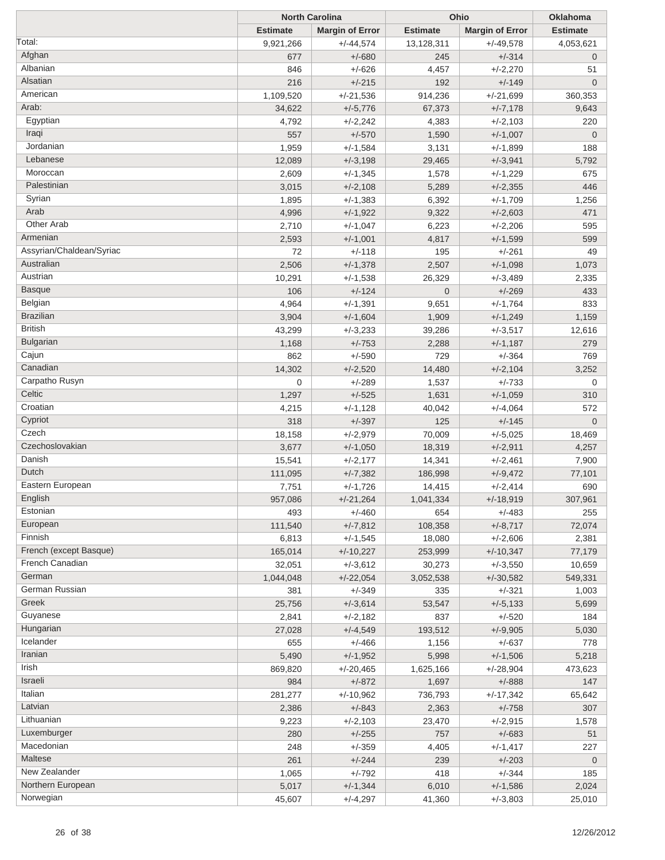| <b>Estimate</b><br><b>Estimate</b><br><b>Margin of Error</b><br><b>Estimate</b><br><b>Margin of Error</b><br>Total:<br>9,921,266<br>$+/-44,574$<br>13,128,311<br>$+/-49,578$<br>Afghan<br>$+/-314$<br>677<br>$+/-680$<br>245<br>Albanian<br>846<br>$+/-2,270$<br>$+/-626$<br>4,457<br>Alsatian<br>216<br>$+/-215$<br>192<br>$+/-149$<br>American<br>1,109,520<br>$+/-21,536$<br>914,236<br>$+/-21,699$<br>Arab:<br>34,622<br>67,373<br>$+/-7,178$<br>$+/-5,776$<br>Egyptian<br>4,792<br>$+/-2,242$<br>4,383<br>$+/-2,103$<br>Iraqi<br>557<br>$+/-570$<br>1,590<br>$+/-1,007$<br>Jordanian<br>1,959<br>$+/-1,584$<br>3,131<br>$+/-1,899$<br>Lebanese<br>12,089<br>$+/-3,198$<br>29,465<br>$+/-3,941$<br>Moroccan<br>2,609<br>$+/-1,345$<br>1,578<br>$+/-1,229$<br>Palestinian<br>5,289<br>3,015<br>$+/-2,108$<br>$+/-2,355$<br>Syrian<br>1,895<br>$+/-1,383$<br>6,392<br>$+/-1,709$<br>Arab<br>4,996<br>9,322<br>$+/-1,922$<br>$+/-2,603$<br>Other Arab<br>2,710<br>$+/-1,047$<br>6,223<br>$+/-2,206$<br>Armenian<br>2,593<br>$+/-1,001$<br>4,817<br>$+/-1,599$<br>Assyrian/Chaldean/Syriac<br>72<br>195<br>$+/-261$<br>$+/-118$<br>Australian<br>2,506<br>2,507<br>$+/-1,098$<br>$+/-1,378$<br>Austrian<br>10,291<br>$+/-1,538$<br>26,329<br>$+/-3,489$ | 4,053,621<br>$\mathbf 0$<br>51<br>$\overline{0}$<br>360,353<br>9,643<br>220<br>$\overline{0}$<br>188<br>5,792<br>675<br>446<br>1,256<br>471<br>595<br>599<br>49<br>1,073<br>2,335<br>433<br>833 |
|---------------------------------------------------------------------------------------------------------------------------------------------------------------------------------------------------------------------------------------------------------------------------------------------------------------------------------------------------------------------------------------------------------------------------------------------------------------------------------------------------------------------------------------------------------------------------------------------------------------------------------------------------------------------------------------------------------------------------------------------------------------------------------------------------------------------------------------------------------------------------------------------------------------------------------------------------------------------------------------------------------------------------------------------------------------------------------------------------------------------------------------------------------------------------------------------------------------------------------------------------------|-------------------------------------------------------------------------------------------------------------------------------------------------------------------------------------------------|
|                                                                                                                                                                                                                                                                                                                                                                                                                                                                                                                                                                                                                                                                                                                                                                                                                                                                                                                                                                                                                                                                                                                                                                                                                                                         |                                                                                                                                                                                                 |
|                                                                                                                                                                                                                                                                                                                                                                                                                                                                                                                                                                                                                                                                                                                                                                                                                                                                                                                                                                                                                                                                                                                                                                                                                                                         |                                                                                                                                                                                                 |
|                                                                                                                                                                                                                                                                                                                                                                                                                                                                                                                                                                                                                                                                                                                                                                                                                                                                                                                                                                                                                                                                                                                                                                                                                                                         |                                                                                                                                                                                                 |
|                                                                                                                                                                                                                                                                                                                                                                                                                                                                                                                                                                                                                                                                                                                                                                                                                                                                                                                                                                                                                                                                                                                                                                                                                                                         |                                                                                                                                                                                                 |
|                                                                                                                                                                                                                                                                                                                                                                                                                                                                                                                                                                                                                                                                                                                                                                                                                                                                                                                                                                                                                                                                                                                                                                                                                                                         |                                                                                                                                                                                                 |
|                                                                                                                                                                                                                                                                                                                                                                                                                                                                                                                                                                                                                                                                                                                                                                                                                                                                                                                                                                                                                                                                                                                                                                                                                                                         |                                                                                                                                                                                                 |
|                                                                                                                                                                                                                                                                                                                                                                                                                                                                                                                                                                                                                                                                                                                                                                                                                                                                                                                                                                                                                                                                                                                                                                                                                                                         |                                                                                                                                                                                                 |
|                                                                                                                                                                                                                                                                                                                                                                                                                                                                                                                                                                                                                                                                                                                                                                                                                                                                                                                                                                                                                                                                                                                                                                                                                                                         |                                                                                                                                                                                                 |
|                                                                                                                                                                                                                                                                                                                                                                                                                                                                                                                                                                                                                                                                                                                                                                                                                                                                                                                                                                                                                                                                                                                                                                                                                                                         |                                                                                                                                                                                                 |
|                                                                                                                                                                                                                                                                                                                                                                                                                                                                                                                                                                                                                                                                                                                                                                                                                                                                                                                                                                                                                                                                                                                                                                                                                                                         |                                                                                                                                                                                                 |
|                                                                                                                                                                                                                                                                                                                                                                                                                                                                                                                                                                                                                                                                                                                                                                                                                                                                                                                                                                                                                                                                                                                                                                                                                                                         |                                                                                                                                                                                                 |
|                                                                                                                                                                                                                                                                                                                                                                                                                                                                                                                                                                                                                                                                                                                                                                                                                                                                                                                                                                                                                                                                                                                                                                                                                                                         |                                                                                                                                                                                                 |
|                                                                                                                                                                                                                                                                                                                                                                                                                                                                                                                                                                                                                                                                                                                                                                                                                                                                                                                                                                                                                                                                                                                                                                                                                                                         |                                                                                                                                                                                                 |
|                                                                                                                                                                                                                                                                                                                                                                                                                                                                                                                                                                                                                                                                                                                                                                                                                                                                                                                                                                                                                                                                                                                                                                                                                                                         |                                                                                                                                                                                                 |
|                                                                                                                                                                                                                                                                                                                                                                                                                                                                                                                                                                                                                                                                                                                                                                                                                                                                                                                                                                                                                                                                                                                                                                                                                                                         |                                                                                                                                                                                                 |
|                                                                                                                                                                                                                                                                                                                                                                                                                                                                                                                                                                                                                                                                                                                                                                                                                                                                                                                                                                                                                                                                                                                                                                                                                                                         |                                                                                                                                                                                                 |
|                                                                                                                                                                                                                                                                                                                                                                                                                                                                                                                                                                                                                                                                                                                                                                                                                                                                                                                                                                                                                                                                                                                                                                                                                                                         |                                                                                                                                                                                                 |
|                                                                                                                                                                                                                                                                                                                                                                                                                                                                                                                                                                                                                                                                                                                                                                                                                                                                                                                                                                                                                                                                                                                                                                                                                                                         |                                                                                                                                                                                                 |
|                                                                                                                                                                                                                                                                                                                                                                                                                                                                                                                                                                                                                                                                                                                                                                                                                                                                                                                                                                                                                                                                                                                                                                                                                                                         |                                                                                                                                                                                                 |
|                                                                                                                                                                                                                                                                                                                                                                                                                                                                                                                                                                                                                                                                                                                                                                                                                                                                                                                                                                                                                                                                                                                                                                                                                                                         |                                                                                                                                                                                                 |
| <b>Basque</b><br>106<br>$+/-124$<br>$\overline{0}$<br>$+/-269$                                                                                                                                                                                                                                                                                                                                                                                                                                                                                                                                                                                                                                                                                                                                                                                                                                                                                                                                                                                                                                                                                                                                                                                          |                                                                                                                                                                                                 |
| Belgian<br>4,964<br>$+/-1,764$<br>$+/-1,391$<br>9,651                                                                                                                                                                                                                                                                                                                                                                                                                                                                                                                                                                                                                                                                                                                                                                                                                                                                                                                                                                                                                                                                                                                                                                                                   |                                                                                                                                                                                                 |
| <b>Brazilian</b><br>3,904<br>1,909<br>$+/-1,604$<br>$+/-1,249$                                                                                                                                                                                                                                                                                                                                                                                                                                                                                                                                                                                                                                                                                                                                                                                                                                                                                                                                                                                                                                                                                                                                                                                          | 1,159                                                                                                                                                                                           |
| <b>British</b><br>43,299<br>$+/-3,233$<br>39,286<br>$+/-3,517$                                                                                                                                                                                                                                                                                                                                                                                                                                                                                                                                                                                                                                                                                                                                                                                                                                                                                                                                                                                                                                                                                                                                                                                          | 12,616                                                                                                                                                                                          |
| <b>Bulgarian</b><br>1,168<br>$+/-753$<br>2,288<br>$+/-1,187$                                                                                                                                                                                                                                                                                                                                                                                                                                                                                                                                                                                                                                                                                                                                                                                                                                                                                                                                                                                                                                                                                                                                                                                            | 279                                                                                                                                                                                             |
| Cajun<br>862<br>$+/-590$<br>729<br>$+/-364$                                                                                                                                                                                                                                                                                                                                                                                                                                                                                                                                                                                                                                                                                                                                                                                                                                                                                                                                                                                                                                                                                                                                                                                                             | 769                                                                                                                                                                                             |
| Canadian<br>14,302<br>$+/-2,104$<br>$+/-2,520$<br>14,480                                                                                                                                                                                                                                                                                                                                                                                                                                                                                                                                                                                                                                                                                                                                                                                                                                                                                                                                                                                                                                                                                                                                                                                                | 3,252                                                                                                                                                                                           |
| Carpatho Rusyn<br>0<br>$+/-289$<br>1,537<br>$+/-733$                                                                                                                                                                                                                                                                                                                                                                                                                                                                                                                                                                                                                                                                                                                                                                                                                                                                                                                                                                                                                                                                                                                                                                                                    | 0                                                                                                                                                                                               |
| Celtic<br>1,297<br>$+/-525$<br>1,631<br>$+/-1,059$                                                                                                                                                                                                                                                                                                                                                                                                                                                                                                                                                                                                                                                                                                                                                                                                                                                                                                                                                                                                                                                                                                                                                                                                      | 310                                                                                                                                                                                             |
| Croatian<br>4,215<br>$+/-1,128$<br>40,042<br>$+/-4,064$                                                                                                                                                                                                                                                                                                                                                                                                                                                                                                                                                                                                                                                                                                                                                                                                                                                                                                                                                                                                                                                                                                                                                                                                 | 572                                                                                                                                                                                             |
| Cypriot<br>318<br>$+/-397$<br>125<br>$+/-145$                                                                                                                                                                                                                                                                                                                                                                                                                                                                                                                                                                                                                                                                                                                                                                                                                                                                                                                                                                                                                                                                                                                                                                                                           | $\overline{0}$                                                                                                                                                                                  |
| Czech<br>18,158<br>$+/-2,979$<br>70,009<br>$+/-5,025$                                                                                                                                                                                                                                                                                                                                                                                                                                                                                                                                                                                                                                                                                                                                                                                                                                                                                                                                                                                                                                                                                                                                                                                                   | 18,469                                                                                                                                                                                          |
| Czechoslovakian<br>3,677<br>$+/-1,050$<br>18,319<br>$+/-2,911$                                                                                                                                                                                                                                                                                                                                                                                                                                                                                                                                                                                                                                                                                                                                                                                                                                                                                                                                                                                                                                                                                                                                                                                          | 4,257                                                                                                                                                                                           |
| Danish<br>15,541<br>$+/-2,177$<br>14,341<br>$+/-2,461$                                                                                                                                                                                                                                                                                                                                                                                                                                                                                                                                                                                                                                                                                                                                                                                                                                                                                                                                                                                                                                                                                                                                                                                                  | 7,900                                                                                                                                                                                           |
| Dutch<br>111,095<br>$+/-7,382$<br>186,998<br>$+/-9,472$                                                                                                                                                                                                                                                                                                                                                                                                                                                                                                                                                                                                                                                                                                                                                                                                                                                                                                                                                                                                                                                                                                                                                                                                 | 77,101                                                                                                                                                                                          |
| Eastern European<br>7,751<br>14,415<br>$+/-2,414$<br>$+/-1,726$                                                                                                                                                                                                                                                                                                                                                                                                                                                                                                                                                                                                                                                                                                                                                                                                                                                                                                                                                                                                                                                                                                                                                                                         | 690                                                                                                                                                                                             |
| English<br>$+/-21,264$<br>$+/-18,919$<br>957,086<br>1,041,334                                                                                                                                                                                                                                                                                                                                                                                                                                                                                                                                                                                                                                                                                                                                                                                                                                                                                                                                                                                                                                                                                                                                                                                           | 307,961                                                                                                                                                                                         |
| Estonian<br>493<br>$+/-460$<br>654<br>$+/-483$                                                                                                                                                                                                                                                                                                                                                                                                                                                                                                                                                                                                                                                                                                                                                                                                                                                                                                                                                                                                                                                                                                                                                                                                          | 255                                                                                                                                                                                             |
| European<br>111,540<br>$+/-7,812$<br>$+/-8,717$<br>108,358                                                                                                                                                                                                                                                                                                                                                                                                                                                                                                                                                                                                                                                                                                                                                                                                                                                                                                                                                                                                                                                                                                                                                                                              | 72,074                                                                                                                                                                                          |
| Finnish<br>6,813<br>$+/-1,545$<br>18,080<br>$+/-2,606$                                                                                                                                                                                                                                                                                                                                                                                                                                                                                                                                                                                                                                                                                                                                                                                                                                                                                                                                                                                                                                                                                                                                                                                                  | 2,381                                                                                                                                                                                           |
| French (except Basque)<br>165,014<br>$+/-10,227$<br>253,999<br>$+/-10,347$                                                                                                                                                                                                                                                                                                                                                                                                                                                                                                                                                                                                                                                                                                                                                                                                                                                                                                                                                                                                                                                                                                                                                                              | 77,179                                                                                                                                                                                          |
| French Canadian<br>32,051<br>$+/-3,612$<br>30,273<br>$+/-3,550$                                                                                                                                                                                                                                                                                                                                                                                                                                                                                                                                                                                                                                                                                                                                                                                                                                                                                                                                                                                                                                                                                                                                                                                         | 10,659                                                                                                                                                                                          |
| German<br>1,044,048<br>$+/-22,054$<br>3,052,538<br>$+/-30,582$                                                                                                                                                                                                                                                                                                                                                                                                                                                                                                                                                                                                                                                                                                                                                                                                                                                                                                                                                                                                                                                                                                                                                                                          | 549,331                                                                                                                                                                                         |
| German Russian<br>381<br>$+/-349$<br>335<br>$+/-321$                                                                                                                                                                                                                                                                                                                                                                                                                                                                                                                                                                                                                                                                                                                                                                                                                                                                                                                                                                                                                                                                                                                                                                                                    | 1,003                                                                                                                                                                                           |
| Greek<br>$+/-3,614$<br>$+/-5,133$<br>25,756<br>53,547                                                                                                                                                                                                                                                                                                                                                                                                                                                                                                                                                                                                                                                                                                                                                                                                                                                                                                                                                                                                                                                                                                                                                                                                   | 5,699                                                                                                                                                                                           |
| Guyanese<br>2,841<br>$+/-2,182$<br>837<br>$+/-520$                                                                                                                                                                                                                                                                                                                                                                                                                                                                                                                                                                                                                                                                                                                                                                                                                                                                                                                                                                                                                                                                                                                                                                                                      | 184                                                                                                                                                                                             |
| Hungarian<br>$+/-9,905$<br>27,028<br>$+/-4,549$<br>193,512                                                                                                                                                                                                                                                                                                                                                                                                                                                                                                                                                                                                                                                                                                                                                                                                                                                                                                                                                                                                                                                                                                                                                                                              | 5,030                                                                                                                                                                                           |
| Icelander<br>655<br>$+/-466$<br>$+/-637$<br>1,156                                                                                                                                                                                                                                                                                                                                                                                                                                                                                                                                                                                                                                                                                                                                                                                                                                                                                                                                                                                                                                                                                                                                                                                                       | 778                                                                                                                                                                                             |
| Iranian<br>5,490<br>$+/-1,506$<br>$+/-1,952$<br>5,998                                                                                                                                                                                                                                                                                                                                                                                                                                                                                                                                                                                                                                                                                                                                                                                                                                                                                                                                                                                                                                                                                                                                                                                                   | 5,218                                                                                                                                                                                           |
| Irish<br>869,820<br>$+/-20,465$<br>1,625,166<br>$+/-28,904$                                                                                                                                                                                                                                                                                                                                                                                                                                                                                                                                                                                                                                                                                                                                                                                                                                                                                                                                                                                                                                                                                                                                                                                             | 473,623                                                                                                                                                                                         |
| Israeli<br>984<br>$+/-872$<br>1,697<br>$+/-888$                                                                                                                                                                                                                                                                                                                                                                                                                                                                                                                                                                                                                                                                                                                                                                                                                                                                                                                                                                                                                                                                                                                                                                                                         | 147                                                                                                                                                                                             |
| Italian<br>281,277<br>$+/-10,962$<br>736,793<br>$+/-17,342$                                                                                                                                                                                                                                                                                                                                                                                                                                                                                                                                                                                                                                                                                                                                                                                                                                                                                                                                                                                                                                                                                                                                                                                             | 65,642                                                                                                                                                                                          |
| Latvian<br>2,386<br>$+/-843$<br>2,363<br>$+/-758$                                                                                                                                                                                                                                                                                                                                                                                                                                                                                                                                                                                                                                                                                                                                                                                                                                                                                                                                                                                                                                                                                                                                                                                                       | 307                                                                                                                                                                                             |
| Lithuanian<br>9,223<br>$+/-2,103$<br>23,470<br>$+/-2,915$                                                                                                                                                                                                                                                                                                                                                                                                                                                                                                                                                                                                                                                                                                                                                                                                                                                                                                                                                                                                                                                                                                                                                                                               | 1,578                                                                                                                                                                                           |
| Luxemburger<br>280<br>$+/-255$<br>757<br>$+/-683$                                                                                                                                                                                                                                                                                                                                                                                                                                                                                                                                                                                                                                                                                                                                                                                                                                                                                                                                                                                                                                                                                                                                                                                                       | 51                                                                                                                                                                                              |
| Macedonian<br>248<br>$+/-359$<br>4,405<br>$+/-1,417$                                                                                                                                                                                                                                                                                                                                                                                                                                                                                                                                                                                                                                                                                                                                                                                                                                                                                                                                                                                                                                                                                                                                                                                                    | 227                                                                                                                                                                                             |
| Maltese<br>261<br>$+/-244$<br>239<br>$+/-203$                                                                                                                                                                                                                                                                                                                                                                                                                                                                                                                                                                                                                                                                                                                                                                                                                                                                                                                                                                                                                                                                                                                                                                                                           | $\mathbf 0$                                                                                                                                                                                     |
| New Zealander<br>$+/-792$<br>418<br>$+/-344$<br>1,065                                                                                                                                                                                                                                                                                                                                                                                                                                                                                                                                                                                                                                                                                                                                                                                                                                                                                                                                                                                                                                                                                                                                                                                                   | 185                                                                                                                                                                                             |
| Northern European<br>5,017<br>$+/-1,344$<br>6,010<br>$+/-1,586$                                                                                                                                                                                                                                                                                                                                                                                                                                                                                                                                                                                                                                                                                                                                                                                                                                                                                                                                                                                                                                                                                                                                                                                         | 2,024                                                                                                                                                                                           |
| Norwegian<br>45,607<br>$+/-4,297$<br>41,360<br>$+/-3,803$                                                                                                                                                                                                                                                                                                                                                                                                                                                                                                                                                                                                                                                                                                                                                                                                                                                                                                                                                                                                                                                                                                                                                                                               | 25,010                                                                                                                                                                                          |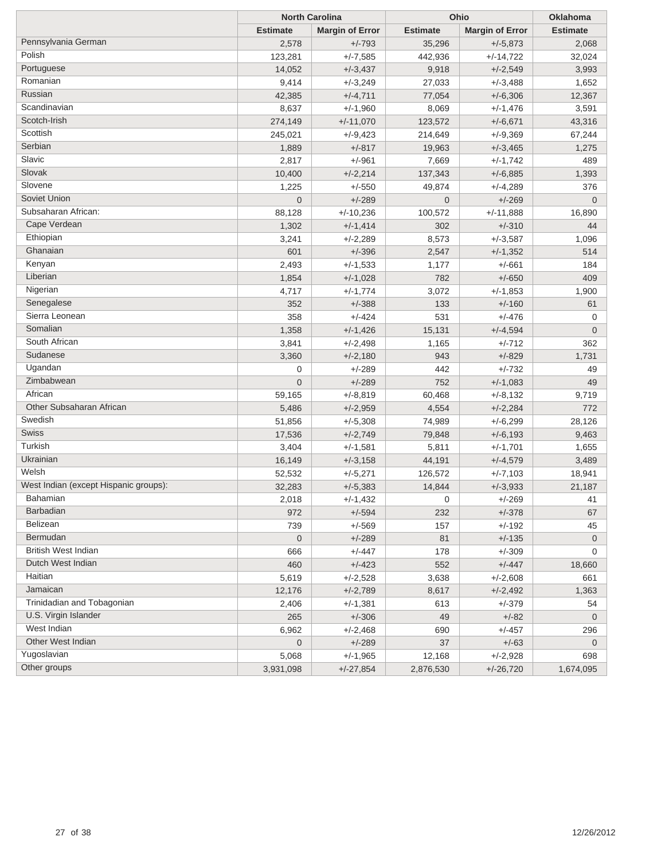|                                       | <b>North Carolina</b> |                        | Ohio            | <b>Oklahoma</b>        |                 |
|---------------------------------------|-----------------------|------------------------|-----------------|------------------------|-----------------|
|                                       | <b>Estimate</b>       | <b>Margin of Error</b> | <b>Estimate</b> | <b>Margin of Error</b> | <b>Estimate</b> |
| Pennsylvania German                   | 2,578                 | $+/-793$               | 35,296          | $+/-5,873$             | 2,068           |
| Polish                                | 123,281               | $+/-7,585$             | 442,936         | $+/-14,722$            | 32,024          |
| Portuguese                            | 14,052                | $+/-3,437$             | 9,918           | $+/-2,549$             | 3,993           |
| Romanian                              | 9,414                 | $+/-3,249$             | 27,033          | $+/-3,488$             | 1,652           |
| Russian                               | 42,385                | $+/-4,711$             | 77,054          | $+/-6,306$             | 12,367          |
| Scandinavian                          | 8,637                 | $+/-1,960$             | 8,069           | $+/-1,476$             | 3,591           |
| Scotch-Irish                          | 274,149               | $+/-11,070$            | 123,572         | $+/-6,671$             | 43,316          |
| Scottish                              | 245,021               | $+/-9,423$             | 214,649         | $+/-9,369$             | 67,244          |
| Serbian                               | 1,889                 | $+/-817$               | 19,963          | $+/-3,465$             | 1,275           |
| Slavic                                | 2,817                 | $+/-961$               | 7,669           | $+/-1,742$             | 489             |
| Slovak                                | 10,400                | $+/-2,214$             | 137,343         | $+/-6,885$             | 1,393           |
| Slovene                               | 1,225                 | $+/-550$               | 49,874          | $+/-4,289$             | 376             |
| Soviet Union                          | $\overline{0}$        | $+/-289$               | $\overline{0}$  | $+/-269$               | $\mathbf 0$     |
| Subsaharan African:                   | 88,128                | $+/-10,236$            | 100,572         | $+/-11,888$            | 16,890          |
| Cape Verdean                          | 1,302                 | $+/-1,414$             | 302             | $+/-310$               | 44              |
| Ethiopian                             | 3,241                 | $+/-2,289$             | 8,573           | $+/-3,587$             | 1,096           |
| Ghanaian                              | 601                   | $+/-396$               | 2,547           | $+/-1,352$             | 514             |
| Kenyan                                | 2,493                 | $+/-1,533$             | 1,177           | $+/-661$               | 184             |
| Liberian                              | 1,854                 | $+/-1,028$             | 782             | $+/-650$               | 409             |
| Nigerian                              | 4,717                 | $+/-1,774$             | 3,072           | $+/-1,853$             | 1,900           |
| Senegalese                            | 352                   | $+/-388$               | 133             | $+/-160$               | 61              |
| Sierra Leonean                        | 358                   | $+/-424$               | 531             | $+/-476$               | 0               |
| Somalian                              | 1,358                 | $+/-1,426$             | 15,131          | $+/-4,594$             | $\mathbf 0$     |
| South African                         | 3,841                 | $+/-2,498$             | 1,165           | $+/-712$               | 362             |
| Sudanese                              | 3,360                 | $+/-2,180$             | 943             | $+/-829$               | 1,731           |
| Ugandan                               | 0                     | $+/-289$               | 442             | $+/-732$               | 49              |
| Zimbabwean                            | $\overline{0}$        | $+/-289$               | 752             | $+/-1,083$             | 49              |
| African                               | 59,165                | $+/-8,819$             | 60,468          | $+/-8,132$             | 9,719           |
| Other Subsaharan African              | 5,486                 | $+/-2,959$             | 4,554           | $+/-2,284$             | 772             |
| Swedish                               | 51,856                | $+/-5,308$             | 74,989          | $+/-6,299$             | 28,126          |
| Swiss                                 | 17,536                | $+/-2,749$             | 79,848          | $+/-6,193$             | 9,463           |
| Turkish                               | 3,404                 | $+/-1,581$             | 5,811           | $+/-1,701$             | 1,655           |
| Ukrainian                             | 16,149                | $+/-3,158$             | 44,191          | $+/-4,579$             | 3,489           |
| Welsh                                 | 52,532                | $+/-5,271$             | 126,572         | $+/-7,103$             | 18,941          |
| West Indian (except Hispanic groups): | 32,283                | $+/-5,383$             | 14,844          | $+/-3,933$             | 21,187          |
| Bahamian                              | 2,018                 | $+/-1,432$             | 0               | $+/-269$               | 41              |
| Barbadian                             | 972                   | $+/-594$               | 232             | $+/-378$               | 67              |
| Belizean                              | 739                   | $+/-569$               | 157             | $+/-192$               | 45              |
| Bermudan                              | 0                     | $+/-289$               | 81              | $+/-135$               | $\overline{0}$  |
| <b>British West Indian</b>            | 666                   | $+/-447$               | 178             | $+/-309$               | $\mathbf 0$     |
| Dutch West Indian                     | 460                   | $+/-423$               | 552             | $+/-447$               | 18,660          |
| Haitian                               | 5,619                 | $+/-2,528$             | 3,638           | $+/-2,608$             | 661             |
| Jamaican                              | 12,176                | $+/-2,789$             | 8,617           | $+/-2,492$             | 1,363           |
| Trinidadian and Tobagonian            | 2,406                 | $+/-1,381$             | 613             | $+/-379$               | 54              |
| U.S. Virgin Islander                  | 265                   | $+/-306$               | 49              | $+/-82$                | 0               |
| West Indian                           | 6,962                 | $+/-2,468$             | 690             | $+/-457$               | 296             |
| Other West Indian                     | 0                     | $+/-289$               | 37              | $+/-63$                | 0               |
| Yugoslavian                           | 5,068                 | $+/-1,965$             | 12,168          | $+/-2,928$             | 698             |
| Other groups                          | 3,931,098             | $+/-27,854$            | 2,876,530       | $+/-26,720$            | 1,674,095       |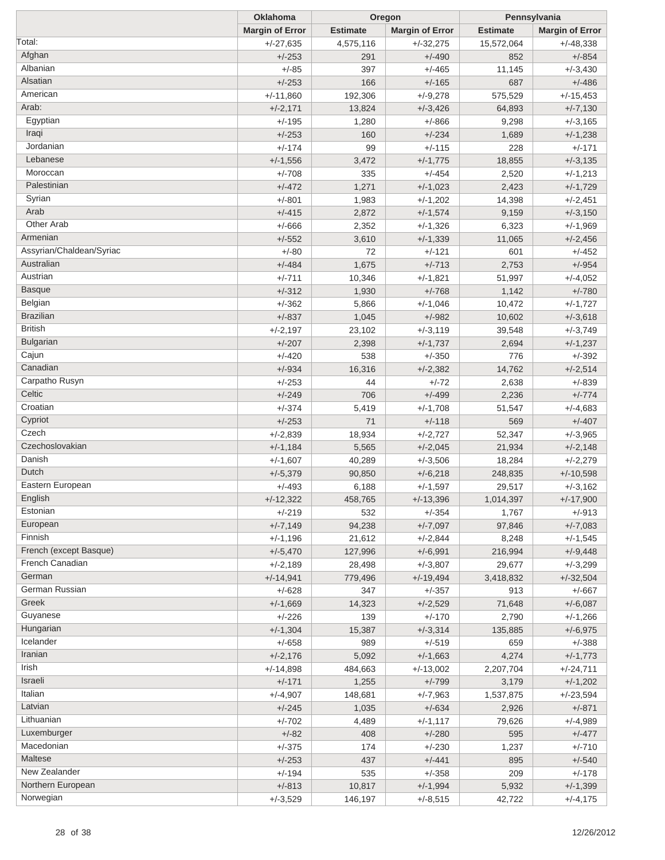|                          | <b>Oklahoma</b>        |                 | Oregon                 |                 | Pennsylvania           |
|--------------------------|------------------------|-----------------|------------------------|-----------------|------------------------|
|                          | <b>Margin of Error</b> | <b>Estimate</b> | <b>Margin of Error</b> | <b>Estimate</b> | <b>Margin of Error</b> |
| Total:                   | $+/-27,635$            | 4,575,116       | $+/-32,275$            | 15,572,064      | $+/-48,338$            |
| Afghan                   | $+/-253$               | 291             | $+/-490$               | 852             | $+/-854$               |
| Albanian                 | $+/-85$                | 397             | $+/-465$               | 11,145          | $+/-3,430$             |
| Alsatian                 | $+/-253$               | 166             | $+/-165$               | 687             | $+/-486$               |
| American                 | $+/-11,860$            | 192,306         | $+/-9,278$             | 575,529         | $+/-15,453$            |
| Arab:                    | $+/-2,171$             | 13,824          | $+/-3,426$             | 64,893          | $+/-7,130$             |
| Egyptian                 | $+/-195$               | 1,280           | $+/-866$               | 9,298           | $+/-3,165$             |
| Iraqi                    | $+/-253$               | 160             | $+/-234$               | 1,689           | $+/-1,238$             |
| Jordanian                | $+/-174$               | 99              | $+/-115$               | 228             | $+/-171$               |
| Lebanese                 | $+/-1,556$             | 3,472           | $+/-1,775$             | 18,855          | $+/-3,135$             |
| Moroccan                 | $+/-708$               | 335             | $+/-454$               | 2,520           | $+/-1,213$             |
| Palestinian              | $+/-472$               | 1,271           | $+/-1,023$             | 2,423           | $+/-1,729$             |
| Syrian                   | $+/-801$               | 1,983           | $+/-1,202$             | 14,398          | $+/-2,451$             |
| Arab                     | $+/-415$               | 2,872           | $+/-1,574$             | 9,159           | $+/-3,150$             |
| Other Arab               | $+/-666$               | 2,352           | $+/-1,326$             | 6,323           | $+/-1,969$             |
| Armenian                 | $+/-552$               | 3,610           | $+/-1,339$             | 11,065          | $+/-2,456$             |
| Assyrian/Chaldean/Syriac | $+/-80$                | 72              | $+/-121$               | 601             | $+/-452$               |
| Australian               | $+/-484$               | 1,675           | $+/-713$               | 2,753           | $+/-954$               |
| Austrian                 | $+/-711$               | 10,346          | $+/-1,821$             | 51,997          | $+/-4,052$             |
| <b>Basque</b>            | $+/-312$               | 1,930           | $+/-768$               | 1,142           | $+/-780$               |
| Belgian                  | $+/-362$               | 5,866           | $+/-1,046$             | 10,472          | $+/-1,727$             |
| <b>Brazilian</b>         | $+/-837$               | 1,045           | $+/-982$               | 10,602          | $+/-3,618$             |
| <b>British</b>           | $+/-2,197$             | 23,102          | $+/-3,119$             | 39,548          | $+/-3,749$             |
| <b>Bulgarian</b>         | $+/-207$               | 2,398           | $+/-1,737$             | 2,694           | $+/-1,237$             |
| Cajun                    | $+/-420$               | 538             | $+/-350$               | 776             | $+/-392$               |
| Canadian                 | $+/-934$               | 16,316          | $+/-2,382$             | 14,762          | $+/-2,514$             |
| Carpatho Rusyn           | $+/-253$               | 44              | $+/-72$                | 2,638           | $+/-839$               |
| Celtic                   | $+/-249$               | 706             | $+/-499$               | 2,236           | $+/-774$               |
| Croatian                 | $+/-374$               | 5,419           | $+/-1,708$             | 51,547          | $+/-4,683$             |
| Cypriot                  | $+/-253$               | 71              | $+/-118$               | 569             | $+/-407$               |
| Czech                    | $+/-2,839$             | 18,934          | $+/-2,727$             | 52,347          | $+/-3,965$             |
| Czechoslovakian          | $+/-1,184$             | 5,565           | $+/-2,045$             | 21,934          | $+/-2,148$             |
| Danish                   | $+/-1,607$             | 40,289          | $+/-3,506$             | 18,284          | $+/-2,279$             |
| Dutch                    | $+/-5,379$             | 90,850          | $+/-6,218$             | 248,835         | $+/-10,598$            |
| Eastern European         | $+/-493$               | 6,188           | $+/-1,597$             | 29,517          | $+/-3,162$             |
| English                  | $+/-12,322$            | 458,765         | $+/-13,396$            | 1,014,397       | $+/-17,900$            |
| Estonian                 | $+/-219$               | 532             | $+/-354$               | 1,767           | $+/-913$               |
| European                 | $+/-7,149$             | 94,238          | $+/-7,097$             | 97,846          | $+/-7,083$             |
| Finnish                  | $+/-1,196$             | 21,612          | $+/-2,844$             | 8,248           | $+/-1,545$             |
| French (except Basque)   | $+/-5,470$             | 127,996         | $+/-6,991$             | 216,994         | $+/-9,448$             |
| French Canadian          | $+/-2,189$             | 28,498          | $+/-3,807$             | 29,677          | $+/-3,299$             |
| German                   | $+/-14,941$            | 779,496         | $+/-19,494$            | 3,418,832       | $+/-32,504$            |
| German Russian           | $+/-628$               | 347             | $+/-357$               | 913             | $+/-667$               |
| Greek                    | $+/-1,669$             | 14,323          | $+/-2,529$             | 71,648          | $+/-6,087$             |
| Guyanese                 | $+/-226$               | 139             | $+/-170$               | 2,790           | $+/-1,266$             |
| Hungarian                | $+/-1,304$             | 15,387          | $+/-3,314$             | 135,885         | $+/-6,975$             |
| Icelander                | $+/-658$               | 989             | $+/-519$               | 659             | $+/-388$               |
| Iranian                  | $+/-2,176$             | 5,092           | $+/-1,663$             | 4,274           | $+/-1,773$             |
| Irish                    | $+/-14,898$            | 484,663         | $+/-13,002$            | 2,207,704       | $+/-24,711$            |
| Israeli                  | $+/-171$               | 1,255           | $+/-799$               | 3,179           | $+/-1,202$             |
| Italian                  | $+/-4,907$             | 148,681         | $+/-7,963$             | 1,537,875       | $+/-23,594$            |
| Latvian                  | $+/-245$               | 1,035           | $+/-634$               | 2,926           | $+/-871$               |
| Lithuanian               | $+/-702$               | 4,489           | $+/-1,117$             | 79,626          | $+/-4,989$             |
| Luxemburger              | $+/-82$                | 408             | $+/-280$               | 595             | $+/-477$               |
| Macedonian               | $+/-375$               | 174             | $+/-230$               | 1,237           | $+/-710$               |
| Maltese                  | $+/-253$               | 437             | $+/-441$               | 895             | $+/-540$               |
| New Zealander            | $+/-194$               | 535             | $+/-358$               | 209             | $+/-178$               |
| Northern European        | $+/-813$               | 10,817          | $+/-1,994$             | 5,932           | $+/-1,399$             |
| Norwegian                | $+/-3,529$             | 146,197         | $+/-8,515$             | 42,722          | $+/-4,175$             |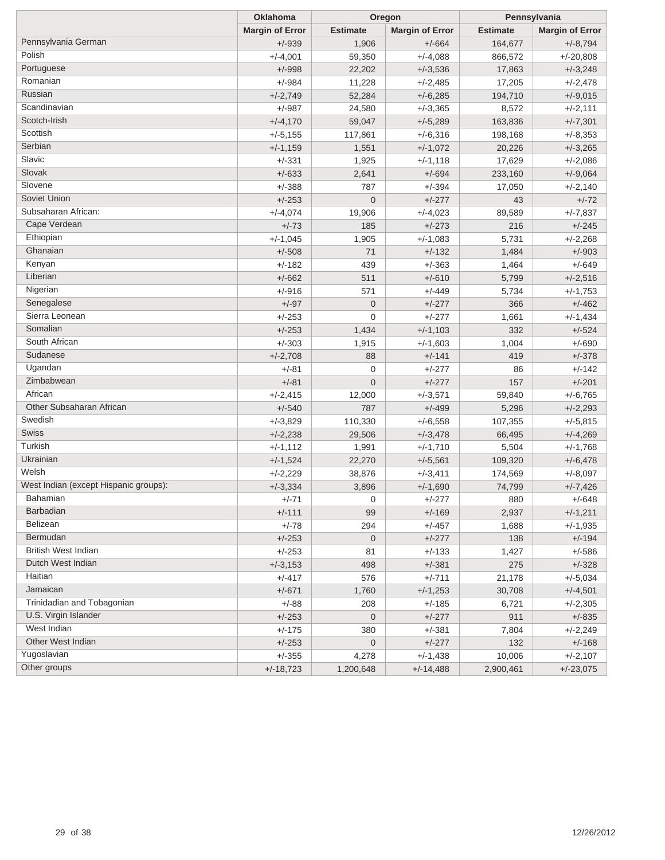|                                       | <b>Oklahoma</b>        | Oregon          |                        | Pennsylvania    |                        |
|---------------------------------------|------------------------|-----------------|------------------------|-----------------|------------------------|
|                                       | <b>Margin of Error</b> | <b>Estimate</b> | <b>Margin of Error</b> | <b>Estimate</b> | <b>Margin of Error</b> |
| Pennsylvania German                   | $+/-939$               | 1,906           | $+/-664$               | 164,677         | $+/-8,794$             |
| Polish                                | $+/-4,001$             | 59,350          | $+/-4,088$             | 866,572         | $+/-20,808$            |
| Portuguese                            | $+/-998$               | 22,202          | $+/-3,536$             | 17,863          | $+/-3,248$             |
| Romanian                              | $+/-984$               | 11,228          | $+/-2,485$             | 17,205          | $+/-2,478$             |
| Russian                               | $+/-2,749$             | 52,284          | $+/-6,285$             | 194,710         | $+/-9,015$             |
| Scandinavian                          | $+/-987$               | 24,580          | $+/-3,365$             | 8,572           | $+/-2,111$             |
| Scotch-Irish                          | $+/-4,170$             | 59,047          | $+/-5,289$             | 163,836         | $+/-7,301$             |
| Scottish                              | $+/-5,155$             | 117,861         | $+/-6,316$             | 198,168         | $+/-8,353$             |
| Serbian                               | $+/-1,159$             | 1,551           | $+/-1,072$             | 20,226          | $+/-3,265$             |
| Slavic                                | $+/-331$               | 1,925           | $+/-1,118$             | 17,629          | $+/-2,086$             |
| Slovak                                | $+/-633$               | 2,641           | $+/-694$               | 233,160         | $+/-9,064$             |
| Slovene                               | $+/-388$               | 787             | $+/-394$               | 17,050          | $+/-2,140$             |
| Soviet Union                          | $+/-253$               | $\mathbf 0$     | $+/-277$               | 43              | $+/-72$                |
| Subsaharan African:                   | $+/-4,074$             | 19,906          | $+/-4,023$             | 89,589          | $+/-7,837$             |
| Cape Verdean                          | $+/-73$                | 185             | $+/-273$               | 216             | $+/-245$               |
| Ethiopian                             | $+/-1,045$             | 1,905           | $+/-1,083$             | 5,731           | $+/-2,268$             |
| Ghanaian                              | $+/-508$               | 71              | $+/-132$               | 1,484           | $+/-903$               |
| Kenyan                                | $+/-182$               | 439             | $+/-363$               | 1,464           | $+/-649$               |
| Liberian                              | $+/-662$               | 511             | $+/-610$               | 5,799           | $+/-2,516$             |
| Nigerian                              | $+/-916$               | 571             | $+/-449$               | 5,734           | $+/-1,753$             |
| Senegalese                            | $+/-97$                | $\mathbf 0$     | $+/-277$               | 366             | $+/-462$               |
| Sierra Leonean                        | $+/-253$               | 0               | $+/-277$               | 1,661           | $+/-1,434$             |
| Somalian                              | $+/-253$               | 1,434           | $+/-1,103$             | 332             | $+/-524$               |
| South African                         | $+/-303$               | 1,915           | $+/-1,603$             | 1,004           | $+/-690$               |
| Sudanese                              | $+/-2,708$             | 88              | $+/-141$               | 419             | $+/-378$               |
| Ugandan                               | $+/-81$                | 0               | $+/-277$               | 86              | $+/-142$               |
| Zimbabwean                            | $+/-81$                | $\overline{0}$  | $+/-277$               | 157             | $+/-201$               |
| African                               | $+/-2,415$             | 12,000          | $+/-3,571$             | 59,840          | $+/-6,765$             |
| Other Subsaharan African              | $+/-540$               | 787             | $+/-499$               | 5,296           | $+/-2,293$             |
| Swedish                               | $+/-3,829$             | 110,330         | $+/-6,558$             | 107,355         | $+/-5,815$             |
| Swiss                                 | $+/-2,238$             | 29,506          | $+/-3,478$             | 66,495          | $+/-4,269$             |
| Turkish                               | $+/-1,112$             | 1,991           | $+/-1,710$             | 5,504           | $+/-1,768$             |
| Ukrainian                             | $+/-1,524$             | 22,270          | $+/-5,561$             | 109,320         | $+/-6,478$             |
| Welsh                                 | $+/-2,229$             | 38,876          | $+/-3,411$             | 174,569         | $+/-8,097$             |
| West Indian (except Hispanic groups): | $+/-3,334$             | 3,896           | $+/-1,690$             | 74,799          | $+/-7,426$             |
| Bahamian                              | $+/-71$                | 0               | +/-277                 | 880             | +/-648                 |
| <b>Barbadian</b>                      | $+/-111$               | 99              | $+/-169$               | 2,937           | $+/-1,211$             |
| Belizean                              | $+/-78$                | 294             | $+/-457$               | 1,688           | $+/-1,935$             |
| Bermudan                              | $+/-253$               | $\pmb{0}$       | $+/-277$               | 138             | $+/-194$               |
| British West Indian                   | $+/-253$               | 81              | $+/-133$               | 1,427           | $+/-586$               |
| Dutch West Indian                     | $+/-3,153$             | 498             | $+/-381$               | 275             | $+/-328$               |
| Haitian                               | $+/-417$               | 576             | $+/-711$               | 21,178          | $+/-5,034$             |
| Jamaican                              | $+/-671$               | 1,760           | $+/-1,253$             | 30,708          | $+/-4,501$             |
| Trinidadian and Tobagonian            | $+/-88$                | 208             | $+/-185$               | 6,721           | $+/-2,305$             |
| U.S. Virgin Islander                  | $+/-253$               | 0               | $+/-277$               | 911             | $+/-835$               |
| West Indian                           | $+/-175$               | 380             | $+/-381$               | 7,804           | $+/-2,249$             |
| Other West Indian                     | $+/-253$               | 0               | $+/-277$               | 132             | $+/-168$               |
| Yugoslavian                           | $+/-355$               | 4,278           | $+/-1,438$             | 10,006          | $+/-2,107$             |
| Other groups                          | $+/-18,723$            | 1,200,648       | $+/-14,488$            | 2,900,461       | $+/-23,075$            |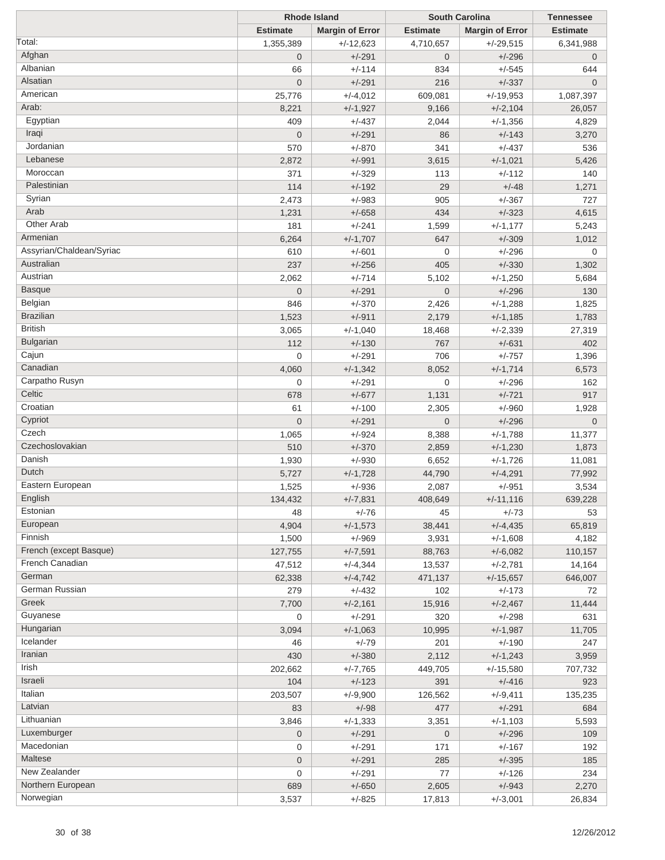|                          | <b>Rhode Island</b> |                        | <b>South Carolina</b> | <b>Tennessee</b>       |                 |
|--------------------------|---------------------|------------------------|-----------------------|------------------------|-----------------|
|                          | <b>Estimate</b>     | <b>Margin of Error</b> | <b>Estimate</b>       | <b>Margin of Error</b> | <b>Estimate</b> |
| Total:                   | 1,355,389           | $+/-12,623$            | 4,710,657             | $+/-29.515$            | 6,341,988       |
| Afghan                   | $\overline{0}$      | $+/-291$               | $\overline{0}$        | $+/-296$               | $\mathbf 0$     |
| Albanian                 | 66                  | $+/-114$               | 834                   | $+/-545$               | 644             |
| Alsatian                 | $\overline{0}$      | $+/-291$               | 216                   | $+/-337$               | $\overline{0}$  |
| American                 | 25,776              | $+/-4,012$             | 609,081               | $+/-19,953$            | 1,087,397       |
| Arab:                    | 8,221               | $+/-1,927$             | 9,166                 | $+/-2,104$             | 26,057          |
| Egyptian                 | 409                 | $+/-437$               | 2,044                 | $+/-1,356$             | 4,829           |
| Iraqi                    | $\overline{0}$      |                        | 86                    | $+/-143$               |                 |
| Jordanian                |                     | $+/-291$               |                       |                        | 3,270           |
| Lebanese                 | 570                 | $+/-870$               | 341                   | $+/-437$               | 536             |
|                          | 2,872               | $+/-991$               | 3,615                 | $+/-1,021$             | 5,426           |
| Moroccan                 | 371                 | $+/-329$               | 113                   | +/-112                 | 140             |
| Palestinian              | 114                 | $+/-192$               | 29                    | $+/-48$                | 1,271           |
| Syrian                   | 2,473               | $+/-983$               | 905                   | $+/-367$               | 727             |
| Arab                     | 1,231               | $+/-658$               | 434                   | $+/-323$               | 4,615           |
| <b>Other Arab</b>        | 181                 | $+/-241$               | 1,599                 | $+/-1,177$             | 5,243           |
| Armenian                 | 6,264               | $+/-1,707$             | 647                   | $+/-309$               | 1,012           |
| Assyrian/Chaldean/Syriac | 610                 | $+/-601$               | $\mathbf 0$           | $+/-296$               | 0               |
| Australian               | 237                 | $+/-256$               | 405                   | $+/-330$               | 1,302           |
| Austrian                 | 2,062               | $+/-714$               | 5,102                 | $+/-1,250$             | 5,684           |
| <b>Basque</b>            | $\overline{0}$      | $+/-291$               | $\mathbf 0$           | $+/-296$               | 130             |
| Belgian                  | 846                 | $+/-370$               | 2,426                 | $+/-1,288$             | 1,825           |
| <b>Brazilian</b>         | 1,523               | $+/-911$               | 2,179                 | $+/-1,185$             | 1,783           |
| <b>British</b>           | 3,065               | $+/-1,040$             | 18,468                | $+/-2,339$             | 27,319          |
| <b>Bulgarian</b>         | 112                 | $+/-130$               | 767                   | $+/-631$               | 402             |
| Cajun                    | $\mathbf 0$         | $+/-291$               | 706                   | $+/-757$               | 1,396           |
| Canadian                 | 4,060               | $+/-1,342$             | 8,052                 | $+/-1,714$             | 6,573           |
| Carpatho Rusyn           | $\mathbf 0$         | $+/-291$               | $\mathbf 0$           | $+/-296$               | 162             |
| Celtic                   | 678                 |                        |                       | $+/-721$               |                 |
| Croatian                 |                     | $+/-677$               | 1,131                 |                        | 917             |
| Cypriot                  | 61                  | $+/-100$               | 2,305                 | $+/-960$               | 1,928           |
| Czech                    | $\overline{0}$      | $+/-291$               | $\overline{0}$        | $+/-296$               | $\overline{0}$  |
|                          | 1,065               | $+/-924$               | 8,388                 | $+/-1,788$             | 11,377          |
| Czechoslovakian          | 510                 | $+/-370$               | 2,859                 | $+/-1,230$             | 1,873           |
| Danish                   | 1,930               | $+/-930$               | 6,652                 | $+/-1,726$             | 11,081          |
| Dutch                    | 5,727               | $+/-1,728$             | 44,790                | $+/-4,291$             | 77,992          |
| Eastern European         | 1,525               | $+/-936$               | 2,087                 | $+/-951$               | 3,534           |
| English                  | 134,432             | $+/-7,831$             | 408,649               | $+/-11,116$            | 639,228         |
| Estonian                 | 48                  | $+/-76$                | 45                    | $+/-73$                | 53              |
| European                 | 4,904               | $+/-1,573$             | 38,441                | $+/-4,435$             | 65,819          |
| Finnish                  | 1,500               | $+/-969$               | 3,931                 | $+/-1,608$             | 4,182           |
| French (except Basque)   | 127,755             | $+/-7,591$             | 88,763                | $+/-6,082$             | 110,157         |
| French Canadian          | 47,512              | $+/-4,344$             | 13,537                | $+/-2,781$             | 14,164          |
| German                   | 62,338              | $+/-4,742$             | 471,137               | $+/-15,657$            | 646,007         |
| German Russian           | 279                 | $+/-432$               | 102                   | $+/-173$               | 72              |
| Greek                    | 7,700               | $+/-2,161$             | 15,916                | $+/-2,467$             | 11,444          |
| Guyanese                 | 0                   | $+/-291$               | 320                   | $+/-298$               | 631             |
| Hungarian                | 3,094               | $+/-1,063$             | 10,995                | $+/-1,987$             | 11,705          |
| Icelander                | 46                  | $+/-79$                | 201                   | $+/-190$               | 247             |
| Iranian                  | 430                 | $+/-380$               | 2,112                 | $+/-1,243$             | 3,959           |
| Irish                    |                     |                        | 449,705               | $+/-15,580$            |                 |
| Israeli                  | 202,662             | $+/-7,765$             |                       |                        | 707,732         |
| Italian                  | 104                 | $+/-123$               | 391                   | $+/-416$               | 923             |
| Latvian                  | 203,507             | $+/-9,900$             | 126,562               | $+/-9,411$             | 135,235         |
|                          | 83                  | $+/-98$                | 477                   | $+/-291$               | 684             |
| Lithuanian               | 3,846               | $+/-1,333$             | 3,351                 | $+/-1,103$             | 5,593           |
| Luxemburger              | $\overline{0}$      | $+/-291$               | $\mathbf 0$           | $+/-296$               | 109             |
| Macedonian               | 0                   | $+/-291$               | 171                   | $+/-167$               | 192             |
| Maltese                  | $\overline{0}$      | $+/-291$               | 285                   | $+/-395$               | 185             |
| New Zealander            | 0                   | $+/-291$               | 77                    | $+/-126$               | 234             |
| Northern European        | 689                 | $+/-650$               | 2,605                 | $+/-943$               | 2,270           |
| Norwegian                | 3,537               | $+/-825$               | 17,813                | $+/-3,001$             | 26,834          |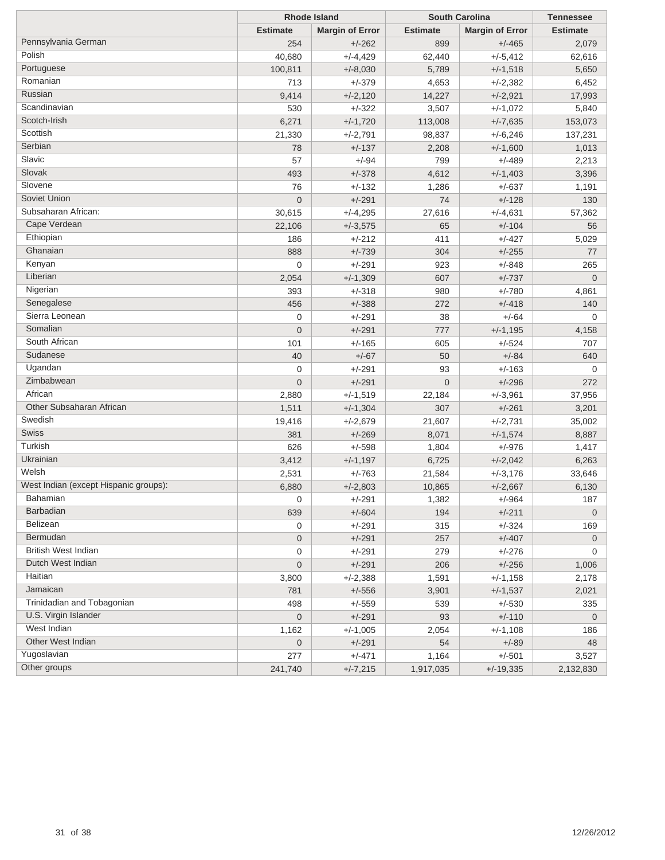|                                       | <b>Rhode Island</b> |                        | <b>South Carolina</b> | <b>Tennessee</b>       |                 |
|---------------------------------------|---------------------|------------------------|-----------------------|------------------------|-----------------|
|                                       | <b>Estimate</b>     | <b>Margin of Error</b> | <b>Estimate</b>       | <b>Margin of Error</b> | <b>Estimate</b> |
| Pennsylvania German                   | 254                 | $+/-262$               | 899                   | $+/-465$               | 2,079           |
| Polish                                | 40,680              | $+/-4,429$             | 62,440                | $+/-5,412$             | 62,616          |
| Portuguese                            | 100,811             | $+/-8,030$             | 5,789                 | $+/-1,518$             | 5,650           |
| Romanian                              | 713                 | $+/-379$               | 4,653                 | $+/-2,382$             | 6,452           |
| Russian                               | 9,414               | $+/-2,120$             | 14,227                | $+/-2,921$             | 17,993          |
| Scandinavian                          | 530                 | $+/-322$               | 3,507                 | $+/-1,072$             | 5,840           |
| Scotch-Irish                          | 6,271               | $+/-1,720$             | 113,008               | $+/-7,635$             | 153,073         |
| Scottish                              | 21,330              | $+/-2,791$             | 98,837                | $+/-6,246$             | 137,231         |
| Serbian                               | 78                  | $+/-137$               | 2,208                 | $+/-1,600$             | 1,013           |
| Slavic                                | 57                  | $+/-94$                | 799                   | $+/-489$               | 2,213           |
| Slovak                                | 493                 | $+/-378$               | 4,612                 | $+/-1,403$             | 3,396           |
| Slovene                               | 76                  | $+/-132$               | 1,286                 | $+/-637$               | 1,191           |
| Soviet Union                          | $\overline{0}$      | $+/-291$               | 74                    | $+/-128$               | 130             |
| Subsaharan African:                   | 30,615              | $+/-4,295$             | 27,616                | $+/-4,631$             | 57,362          |
| Cape Verdean                          | 22,106              | $+/-3,575$             | 65                    | $+/-104$               | 56              |
| Ethiopian                             | 186                 | $+/-212$               | 411                   | $+/-427$               | 5,029           |
| Ghanaian                              | 888                 | $+/-739$               | 304                   | $+/-255$               | 77              |
| Kenyan                                | $\mathbf 0$         | $+/-291$               | 923                   | $+/-848$               | 265             |
| Liberian                              | 2,054               | $+/-1,309$             | 607                   | $+/-737$               | $\mathbf 0$     |
| Nigerian                              | 393                 | $+/-318$               | 980                   | $+/-780$               | 4,861           |
| Senegalese                            | 456                 | $+/-388$               | 272                   | $+/-418$               | 140             |
| Sierra Leonean                        | 0                   | $+/-291$               | 38                    | $+/-64$                | 0               |
| Somalian                              | $\mathbf 0$         | $+/-291$               | 777                   | $+/-1,195$             | 4,158           |
| South African                         | 101                 | $+/-165$               | 605                   | $+/-524$               | 707             |
| Sudanese                              | 40                  | $+/-67$                | 50                    | $+/-84$                | 640             |
| Ugandan                               | 0                   | $+/-291$               | 93                    | $+/-163$               | 0               |
| Zimbabwean                            | $\overline{0}$      | $+/-291$               | $\overline{0}$        | $+/-296$               | 272             |
| African                               | 2,880               | $+/-1,519$             | 22,184                | $+/-3,961$             | 37,956          |
| Other Subsaharan African              | 1,511               | $+/-1,304$             | 307                   | $+/-261$               | 3,201           |
| Swedish                               | 19,416              | $+/-2,679$             | 21,607                | $+/-2,731$             | 35,002          |
| Swiss                                 | 381                 | $+/-269$               | 8,071                 | $+/-1,574$             | 8,887           |
| Turkish                               | 626                 | $+/-598$               | 1,804                 | $+/-976$               | 1,417           |
| Ukrainian                             | 3,412               | $+/-1,197$             | 6,725                 | $+/-2,042$             | 6,263           |
| Welsh                                 | 2,531               | $+/-763$               | 21,584                | $+/-3,176$             | 33,646          |
| West Indian (except Hispanic groups): | 6,880               | $+/-2,803$             | 10,865                | $+/-2,667$             | 6,130           |
| <b>Bahamian</b>                       | 0                   | $+/-291$               | 1,382                 | $+/-964$               | 187             |
| <b>Barbadian</b>                      | 639                 | $+/-604$               | 194                   | $+/-211$               | $\overline{0}$  |
| Belizean                              | 0                   | $+/-291$               | 315                   | $+/-324$               | 169             |
| Bermudan                              | 0                   | $+/-291$               | 257                   | $+/-407$               | 0               |
| <b>British West Indian</b>            | 0                   | $+/-291$               | 279                   | $+/-276$               | 0               |
| Dutch West Indian                     | 0                   | $+/-291$               | 206                   | $+/-256$               | 1,006           |
| Haitian                               | 3,800               | $+/-2,388$             | 1,591                 | $+/-1,158$             | 2,178           |
| Jamaican                              | 781                 | $+/-556$               | 3,901                 | $+/-1,537$             | 2,021           |
| Trinidadian and Tobagonian            | 498                 | $+/-559$               | 539                   | $+/-530$               | 335             |
| U.S. Virgin Islander                  | $\mathbf{0}$        | $+/-291$               | 93                    | $+/-110$               | $\mathbf 0$     |
| West Indian                           | 1,162               | $+/-1,005$             | 2,054                 | $+/-1,108$             | 186             |
| Other West Indian                     | 0                   | $+/-291$               | 54                    | $+/-89$                | 48              |
| Yugoslavian                           | 277                 | $+/-471$               | 1,164                 | $+/-501$               | 3,527           |
| Other groups                          | 241,740             | $+/-7,215$             | 1,917,035             | $+/-19,335$            | 2,132,830       |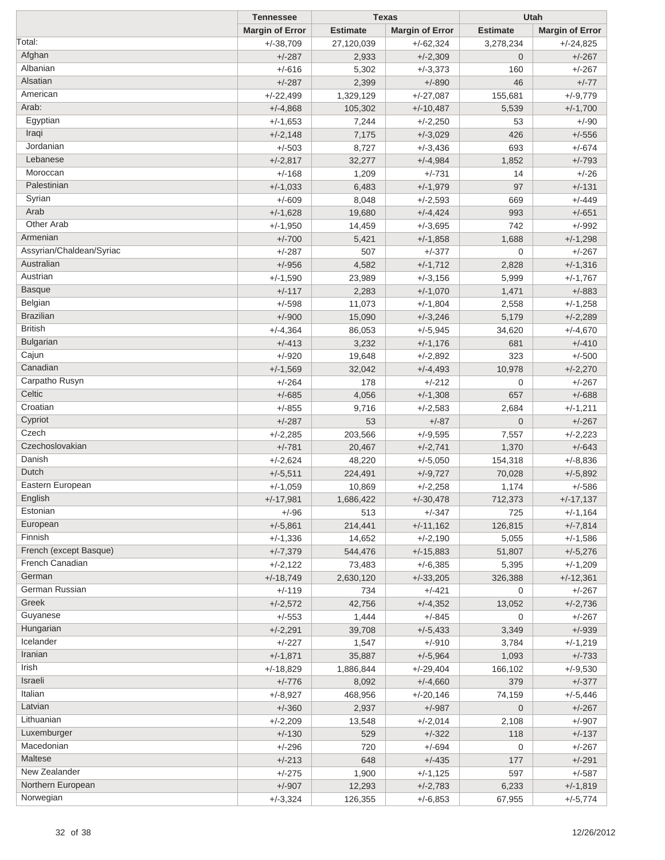|                          | <b>Tennessee</b>        |                 | <b>Texas</b>           |                 | Utah                   |
|--------------------------|-------------------------|-----------------|------------------------|-----------------|------------------------|
|                          | <b>Margin of Error</b>  | <b>Estimate</b> | <b>Margin of Error</b> | <b>Estimate</b> | <b>Margin of Error</b> |
| Total:                   | $+/-38,709$             | 27,120,039      | $+/-62,324$            | 3,278,234       | $+/-24,825$            |
| Afghan                   | $+/-287$                | 2,933           | $+/-2,309$             | $\overline{0}$  | $+/-267$               |
| Albanian                 | $+/-616$                | 5,302           | $+/-3,373$             | 160             | $+/-267$               |
| Alsatian                 | $+/-287$                | 2,399           | $+/-890$               | 46              | $+/-77$                |
| American                 | $+/-22,499$             | 1,329,129       | $+/-27,087$            | 155,681         | $+/-9,779$             |
| Arab:                    | $+/-4,868$              | 105,302         | $+/-10,487$            | 5,539           | $+/-1,700$             |
| Egyptian                 | $+/-1,653$              | 7,244           | $+/-2,250$             | 53              | $+/-90$                |
| Iraqi                    | $+/-2,148$              | 7,175           | $+/-3,029$             | 426             | $+/-556$               |
| Jordanian                | $+/-503$                | 8,727           | $+/-3,436$             | 693             | $+/-674$               |
| Lebanese                 | $+/-2,817$              | 32,277          | $+/-4,984$             | 1,852           | $+/-793$               |
| Moroccan                 | $+/-168$                | 1,209           | $+/-731$               | 14              | $+/-26$                |
| Palestinian              | $+/-1,033$              | 6,483           | $+/-1,979$             | 97              | $+/-131$               |
| Syrian                   | $+/-609$                | 8,048           | $+/-2,593$             | 669             | $+/-449$               |
| Arab                     | $+/-1,628$              | 19,680          | $+/-4,424$             | 993             | $+/-651$               |
| Other Arab               |                         |                 |                        | 742             |                        |
| Armenian                 | $+/-1,950$              | 14,459          | $+/-3,695$             | 1,688           | $+/-992$               |
| Assyrian/Chaldean/Syriac | $+/-700$                | 5,421           | $+/-1,858$             |                 | $+/-1,298$             |
| Australian               | $+/-287$                | 507             | $+/-377$               | 0               | $+/-267$               |
|                          | $+/-956$                | 4,582           | $+/-1,712$             | 2,828           | $+/-1,316$             |
| Austrian                 | $+/-1,590$              | 23,989          | $+/-3,156$             | 5,999           | $+/-1,767$             |
| <b>Basque</b>            | $+/-117$                | 2,283           | $+/-1,070$             | 1,471           | $+/-883$               |
| Belgian                  | $+/-598$                | 11,073          | $+/-1,804$             | 2,558           | $+/-1,258$             |
| <b>Brazilian</b>         | $+/-900$                | 15,090          | $+/-3,246$             | 5,179           | $+/-2,289$             |
| <b>British</b>           | $+/-4,364$              | 86,053          | $+/-5,945$             | 34,620          | $+/-4,670$             |
| Bulgarian                | $+/-413$                | 3,232           | $+/-1,176$             | 681             | $+/-410$               |
| Cajun                    | $+/-920$                | 19,648          | $+/-2,892$             | 323             | $+/-500$               |
| Canadian                 | $+/-1,569$              | 32,042          | $+/-4,493$             | 10,978          | $+/-2,270$             |
| Carpatho Rusyn           | $+/-264$                | 178             | $+/-212$               | 0               | $+/-267$               |
| Celtic                   | $+/-685$                | 4,056           | $+/-1,308$             | 657             | $+/-688$               |
| Croatian                 | $+/-855$                | 9,716           | $+/-2,583$             | 2,684           | $+/-1,211$             |
| Cypriot                  | $+/-287$                | 53              | $+/-87$                | $\mathbf 0$     | $+/-267$               |
| Czech                    | $+/-2,285$              | 203,566         | $+/-9,595$             | 7,557           | $+/-2,223$             |
| Czechoslovakian          | $+/-781$                | 20,467          | $+/-2,741$             | 1,370           | $+/-643$               |
| Danish                   | $+/-2,624$              | 48,220          | $+/-5,050$             | 154,318         | $+/-8,836$             |
| Dutch                    | $+/-5,511$              | 224,491         | $+/-9,727$             | 70,028          | $+/-5,892$             |
| Eastern European         | $+/-1,059$              | 10,869          | $+/-2,258$             | 1,174           | $+/-586$               |
| English                  | $+/-17,981$             | 1,686,422       | $+/-30,478$            | 712,373         | $+/-17,137$            |
| Estonian                 | $+/-96$                 | 513             | $+/-347$               | 725             | $+/-1,164$             |
| European                 | $+/-5,861$              | 214,441         | $+/-11,162$            | 126,815         | $+/-7,814$             |
| Finnish                  | $+/-1,336$              | 14,652          | $+/-2,190$             | 5,055           | $+/-1,586$             |
| French (except Basque)   | $+/-7,379$              | 544,476         | $+/-15,883$            | 51,807          | $+/-5,276$             |
| French Canadian          | $+/-2,122$              | 73,483          | $+/-6,385$             | 5,395           | $+/-1,209$             |
| German                   |                         |                 |                        |                 |                        |
| German Russian           | $+/-18,749$<br>$+/-119$ | 2,630,120       | $+/-33,205$            | 326,388         | $+/-12,361$            |
| Greek                    |                         | 734             | $+/-421$               | 0<br>13,052     | $+/-267$               |
| Guyanese                 | $+/-2,572$              | 42,756          | $+/-4,352$             |                 | $+/-2,736$             |
|                          | $+/-553$                | 1,444           | $+/-845$               | 0               | $+/-267$               |
| Hungarian                | $+/-2,291$              | 39,708          | $+/-5,433$             | 3,349           | $+/-939$               |
| Icelander                | $+/-227$                | 1,547           | $+/-910$               | 3,784           | $+/-1,219$             |
| Iranian                  | $+/-1,871$              | 35,887          | $+/-5,964$             | 1,093           | $+/-733$               |
| Irish                    | $+/-18,829$             | 1,886,844       | $+/-29,404$            | 166,102         | $+/-9,530$             |
| Israeli                  | $+/-776$                | 8,092           | $+/-4,660$             | 379             | $+/-377$               |
| Italian                  | $+/-8,927$              | 468,956         | $+/-20,146$            | 74,159          | $+/-5,446$             |
| Latvian                  | $+/-360$                | 2,937           | $+/-987$               | $\mathbf 0$     | $+/-267$               |
| Lithuanian               | $+/-2,209$              | 13,548          | $+/-2,014$             | 2,108           | $+/-907$               |
| Luxemburger              | $+/-130$                | 529             | $+/-322$               | 118             | $+/-137$               |
| Macedonian               | $+/-296$                | 720             | $+/-694$               | 0               | $+/-267$               |
| Maltese                  | $+/-213$                | 648             | $+/-435$               | 177             | $+/-291$               |
| New Zealander            | $+/-275$                | 1,900           | $+/-1,125$             | 597             | $+/-587$               |
| Northern European        | $+/-907$                | 12,293          | $+/-2,783$             | 6,233           | $+/-1,819$             |
| Norwegian                | $+/-3,324$              | 126,355         | $+/-6,853$             | 67,955          | $+/-5,774$             |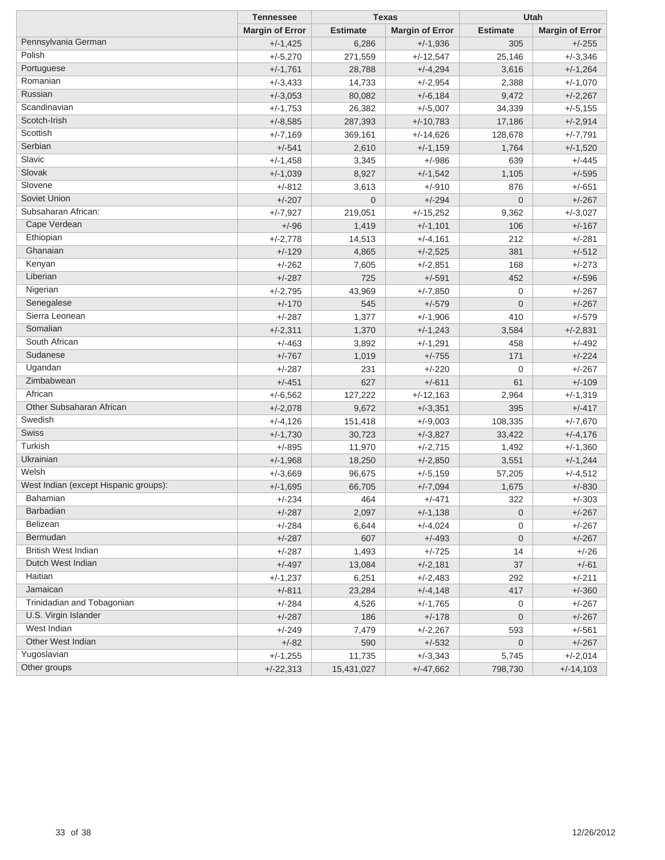|                                       | <b>Tennessee</b>       | <b>Texas</b>    |                        | Utah            |                        |
|---------------------------------------|------------------------|-----------------|------------------------|-----------------|------------------------|
|                                       | <b>Margin of Error</b> | <b>Estimate</b> | <b>Margin of Error</b> | <b>Estimate</b> | <b>Margin of Error</b> |
| Pennsylvania German                   | $+/-1,425$             | 6,286           | $+/-1,936$             | 305             | $+/-255$               |
| Polish                                | $+/-5,270$             | 271,559         | $+/-12,547$            | 25,146          | $+/-3,346$             |
| Portuguese                            | $+/-1,761$             | 28,788          | $+/-4,294$             | 3,616           | $+/-1,264$             |
| Romanian                              | $+/-3,433$             | 14,733          | $+/-2,954$             | 2,388           | $+/-1,070$             |
| Russian                               | $+/-3,053$             | 80,082          | $+/-6,184$             | 9,472           | $+/-2,267$             |
| Scandinavian                          | $+/-1,753$             | 26,382          | $+/-5,007$             | 34,339          | $+/-5,155$             |
| Scotch-Irish                          | $+/-8,585$             | 287,393         | $+/-10,783$            | 17,186          | $+/-2,914$             |
| Scottish                              | $+/-7,169$             | 369,161         | $+/-14,626$            | 128,678         | $+/-7,791$             |
| Serbian                               | $+/-541$               | 2,610           | $+/-1,159$             | 1,764           | $+/-1,520$             |
| Slavic                                | $+/-1,458$             | 3,345           | $+/-986$               | 639             | $+/-445$               |
| Slovak                                | $+/-1,039$             | 8,927           | $+/-1,542$             | 1,105           | $+/-595$               |
| Slovene                               | $+/-812$               | 3,613           | +/-910                 | 876             | $+/-651$               |
| Soviet Union                          | $+/-207$               | $\mathbf 0$     | $+/-294$               | $\mathbf 0$     | $+/-267$               |
| Subsaharan African:                   | $+/-7,927$             | 219,051         | $+/-15,252$            | 9,362           | $+/-3,027$             |
| Cape Verdean                          | $+/-96$                | 1,419           | $+/-1,101$             | 106             | $+/-167$               |
| Ethiopian                             | $+/-2,778$             | 14,513          | $+/-4,161$             | 212             | $+/-281$               |
| Ghanaian                              | $+/-129$               | 4,865           | $+/-2,525$             | 381             | $+/-512$               |
| Kenyan                                | $+/-262$               | 7,605           | $+/-2,851$             | 168             | $+/-273$               |
| Liberian                              | $+/-287$               | 725             | $+/-591$               | 452             | $+/-596$               |
| Nigerian                              | $+/-2,795$             | 43,969          | $+/-7,850$             | 0               | $+/-267$               |
| Senegalese                            | $+/-170$               | 545             | $+/-579$               | $\mathbf 0$     | $+/-267$               |
| Sierra Leonean                        | $+/-287$               | 1,377           | $+/-1,906$             | 410             | $+/-579$               |
| Somalian                              | $+/-2,311$             | 1,370           | $+/-1,243$             | 3,584           | $+/-2,831$             |
| South African                         | $+/-463$               | 3,892           | $+/-1,291$             | 458             | $+/-492$               |
| Sudanese                              | $+/-767$               | 1,019           | $+/-755$               | 171             | $+/-224$               |
| Ugandan                               | $+/-287$               | 231             | $+/-220$               | 0               | $+/-267$               |
| Zimbabwean                            | $+/-451$               | 627             | $+/-611$               | 61              | $+/-109$               |
| African                               | $+/-6,562$             | 127,222         | $+/-12,163$            | 2,964           | $+/-1,319$             |
| Other Subsaharan African              | $+/-2,078$             | 9,672           | $+/-3,351$             | 395             | $+/-417$               |
| Swedish                               | $+/-4,126$             | 151,418         | $+/-9,003$             | 108,335         | $+/-7,670$             |
| Swiss                                 | $+/-1,730$             | 30,723          | $+/-3,827$             | 33,422          | $+/-4,176$             |
| Turkish                               | $+/-895$               | 11,970          | $+/-2,715$             | 1,492           | $+/-1,360$             |
| Ukrainian                             | $+/-1,968$             | 18,250          | $+/-2,850$             | 3,551           | $+/-1,244$             |
| Welsh                                 | $+/-3,669$             | 96,675          | $+/-5,159$             | 57,205          | $+/-4,512$             |
| West Indian (except Hispanic groups): | $+/-1,695$             | 66,705          | $+/-7,094$             | 1,675           | $+/-830$               |
| Bahamian                              | +/-234                 | 464             | +/-471                 | 322             | $+/-303$               |
| <b>Barbadian</b>                      | $+/-287$               | 2,097           | $+/-1,138$             | $\mathbf 0$     | $+/-267$               |
| Belizean                              | $+/-284$               | 6,644           | $+/-4,024$             | 0               | $+/-267$               |
| Bermudan                              | $+/-287$               | 607             | $+/-493$               | $\mathbf 0$     | $+/-267$               |
| <b>British West Indian</b>            | $+/-287$               | 1,493           | $+/-725$               | 14              | $+/-26$                |
| Dutch West Indian                     | $+/-497$               | 13,084          | $+/-2,181$             | 37              | $+/-61$                |
| Haitian                               | $+/-1,237$             | 6,251           | $+/-2,483$             | 292             | $+/-211$               |
| Jamaican                              | $+/-811$               | 23,284          | $+/-4,148$             | 417             | $+/-360$               |
| Trinidadian and Tobagonian            | $+/-284$               | 4,526           | $+/-1,765$             | 0               | $+/-267$               |
| U.S. Virgin Islander                  | $+/-287$               | 186             | $+/-178$               | 0               | $+/-267$               |
| West Indian                           | $+/-249$               | 7,479           | $+/-2,267$             | 593             | $+/-561$               |
| Other West Indian                     | $+/-82$                | 590             | $+/-532$               | $\mathbf 0$     | $+/-267$               |
| Yugoslavian                           | $+/-1,255$             | 11,735          | $+/-3,343$             | 5,745           | $+/-2,014$             |
| Other groups                          | $+/-22,313$            | 15,431,027      | $+/-47,662$            | 798,730         | $+/-14,103$            |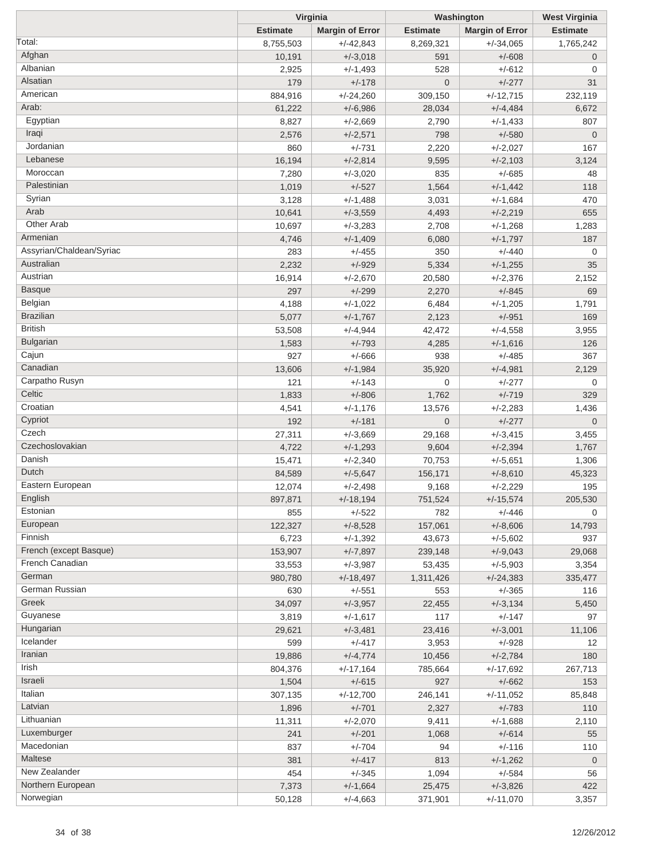|                          | Virginia        |                        | Washington      | <b>West Virginia</b>   |                 |
|--------------------------|-----------------|------------------------|-----------------|------------------------|-----------------|
|                          | <b>Estimate</b> | <b>Margin of Error</b> | <b>Estimate</b> | <b>Margin of Error</b> | <b>Estimate</b> |
| Total:                   | 8,755,503       | $+/-42,843$            | 8,269,321       | $+/-34,065$            | 1,765,242       |
| Afghan                   | 10,191          | $+/-3,018$             | 591             | $+/-608$               | $\mathbf 0$     |
| Albanian                 | 2,925           | $+/-1,493$             | 528             | $+/-612$               | 0               |
| Alsatian                 | 179             | $+/-178$               | $\mathbf 0$     | $+/-277$               | 31              |
| American                 | 884,916         | $+/-24,260$            | 309,150         | $+/-12,715$            | 232,119         |
| Arab:                    | 61,222          | $+/-6,986$             | 28,034          | $+/-4,484$             | 6,672           |
| Egyptian                 | 8,827           | $+/-2,669$             | 2,790           | $+/-1,433$             | 807             |
| Iraqi                    | 2,576           | $+/-2,571$             | 798             | $+/-580$               | $\overline{0}$  |
| Jordanian                | 860             | $+/-731$               | 2,220           | $+/-2,027$             | 167             |
| Lebanese                 | 16,194          | $+/-2,814$             | 9,595           | $+/-2,103$             | 3,124           |
| Moroccan                 | 7,280           | $+/-3,020$             | 835             | $+/-685$               | 48              |
| Palestinian              | 1,019           | $+/-527$               | 1,564           | $+/-1,442$             | 118             |
| Syrian                   | 3,128           | $+/-1,488$             | 3,031           | $+/-1,684$             | 470             |
| Arab                     | 10,641          |                        | 4,493           |                        | 655             |
| Other Arab               |                 | $+/-3,559$             |                 | $+/-2,219$             |                 |
| Armenian                 | 10,697          | $+/-3,283$             | 2,708           | $+/-1,268$             | 1,283           |
| Assyrian/Chaldean/Syriac | 4,746           | $+/-1,409$             | 6,080           | $+/-1,797$             | 187             |
| Australian               | 283             | $+/-455$               | 350             | $+/-440$               | 0               |
|                          | 2,232           | $+/-929$               | 5,334           | $+/-1,255$             | 35              |
| Austrian                 | 16,914          | $+/-2,670$             | 20,580          | $+/-2,376$             | 2,152           |
| <b>Basque</b>            | 297             | $+/-299$               | 2,270           | $+/-845$               | 69              |
| Belgian                  | 4,188           | $+/-1,022$             | 6,484           | $+/-1,205$             | 1,791           |
| <b>Brazilian</b>         | 5,077           | $+/-1,767$             | 2,123           | $+/-951$               | 169             |
| <b>British</b>           | 53,508          | $+/-4,944$             | 42,472          | $+/-4,558$             | 3,955           |
| <b>Bulgarian</b>         | 1,583           | $+/-793$               | 4,285           | $+/-1,616$             | 126             |
| Cajun                    | 927             | $+/-666$               | 938             | $+/-485$               | 367             |
| Canadian                 | 13,606          | $+/-1,984$             | 35,920          | $+/-4,981$             | 2,129           |
| Carpatho Rusyn           | 121             | $+/-143$               | 0               | +/-277                 | 0               |
| Celtic                   | 1,833           | $+/-806$               | 1,762           | $+/-719$               | 329             |
| Croatian                 | 4,541           | $+/-1,176$             | 13,576          | $+/-2,283$             | 1,436           |
| Cypriot                  | 192             | $+/-181$               | $\overline{0}$  | $+/-277$               | $\overline{0}$  |
| Czech                    | 27,311          | $+/-3,669$             | 29,168          | $+/-3,415$             | 3,455           |
| Czechoslovakian          | 4,722           | $+/-1,293$             | 9,604           | $+/-2,394$             | 1,767           |
| Danish                   | 15,471          | $+/-2,340$             | 70,753          | $+/-5,651$             | 1,306           |
| Dutch                    | 84,589          | $+/-5,647$             | 156,171         | $+/-8,610$             | 45,323          |
| Eastern European         | 12,074          | $+/-2,498$             | 9,168           | $+/-2,229$             | 195             |
| English                  | 897,871         | $+/-18,194$            | 751,524         | $+/-15,574$            | 205,530         |
| Estonian                 | 855             | $+/-522$               | 782             | $+/-446$               | 0               |
| European                 | 122,327         | $+/-8,528$             | 157,061         | $+/-8,606$             | 14,793          |
| Finnish                  | 6,723           | $+/-1,392$             | 43,673          | $+/-5,602$             | 937             |
| French (except Basque)   | 153,907         | $+/-7,897$             | 239,148         | $+/-9,043$             | 29,068          |
| French Canadian          | 33,553          | $+/-3,987$             | 53,435          | $+/-5,903$             | 3,354           |
| German                   | 980,780         | $+/-18,497$            | 1,311,426       | $+/-24,383$            | 335,477         |
| German Russian           | 630             | $+/-551$               | 553             | $+/-365$               |                 |
| Greek                    |                 |                        |                 |                        | 116             |
| Guyanese                 | 34,097          | $+/-3,957$             | 22,455          | $+/-3,134$             | 5,450           |
| Hungarian                | 3,819           | $+/-1,617$             | 117             | $+/-147$               | 97              |
| Icelander                | 29,621          | $+/-3,481$             | 23,416          | $+/-3,001$             | 11,106          |
|                          | 599             | $+/-417$               | 3,953           | $+/-928$               | 12              |
| Iranian                  | 19,886          | $+/-4,774$             | 10,456          | $+/-2,784$             | 180             |
| Irish                    | 804,376         | $+/-17,164$            | 785,664         | $+/-17,692$            | 267,713         |
| Israeli                  | 1,504           | $+/-615$               | 927             | $+/-662$               | 153             |
| Italian                  | 307,135         | $+/-12,700$            | 246,141         | $+/-11,052$            | 85,848          |
| Latvian                  | 1,896           | $+/-701$               | 2,327           | $+/-783$               | 110             |
| Lithuanian               | 11,311          | $+/-2,070$             | 9,411           | $+/-1,688$             | 2,110           |
| Luxemburger              | 241             | $+/-201$               | 1,068           | $+/-614$               | 55              |
| Macedonian               | 837             | $+/-704$               | 94              | $+/-116$               | 110             |
| Maltese                  | 381             | $+/-417$               | 813             | $+/-1,262$             | $\overline{0}$  |
| New Zealander            | 454             | $+/-345$               | 1,094           | $+/-584$               | 56              |
| Northern European        | 7,373           | $+/-1,664$             | 25,475          | $+/-3,826$             | 422             |
| Norwegian                | 50,128          | $+/-4,663$             | 371,901         | $+/-11,070$            | 3,357           |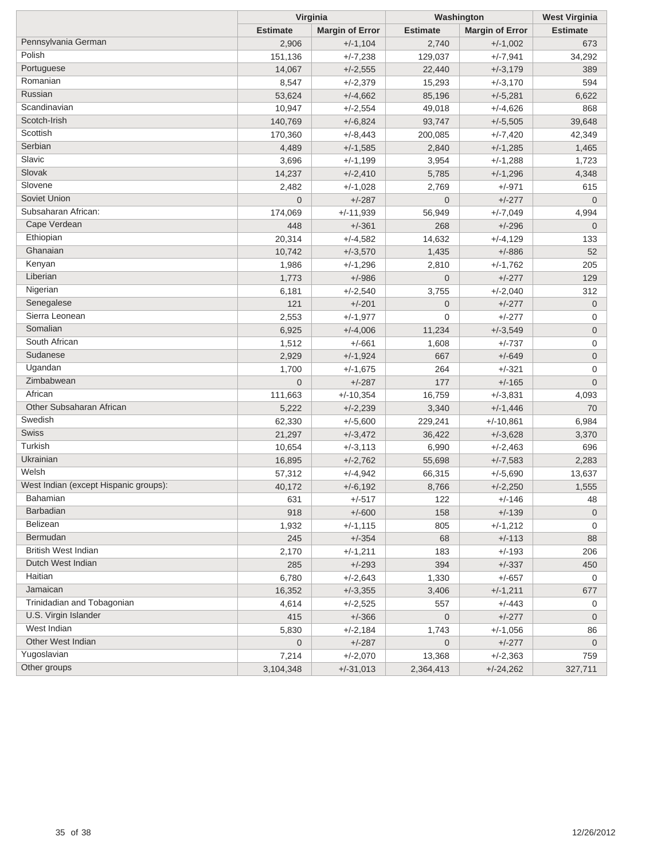|                                       | Virginia        |                        | Washington      | <b>West Virginia</b>   |                 |
|---------------------------------------|-----------------|------------------------|-----------------|------------------------|-----------------|
|                                       | <b>Estimate</b> | <b>Margin of Error</b> | <b>Estimate</b> | <b>Margin of Error</b> | <b>Estimate</b> |
| Pennsylvania German                   | 2,906           | $+/-1,104$             | 2,740           | $+/-1,002$             | 673             |
| Polish                                | 151,136         | $+/-7,238$             | 129,037         | $+/-7,941$             | 34,292          |
| Portuguese                            | 14,067          | $+/-2,555$             | 22,440          | $+/-3,179$             | 389             |
| Romanian                              | 8,547           | $+/-2,379$             | 15,293          | $+/-3,170$             | 594             |
| Russian                               | 53,624          | $+/-4,662$             | 85,196          | $+/-5,281$             | 6,622           |
| Scandinavian                          | 10,947          | $+/-2,554$             | 49,018          | $+/-4,626$             | 868             |
| Scotch-Irish                          | 140,769         | $+/-6,824$             | 93,747          | $+/-5,505$             | 39,648          |
| Scottish                              | 170,360         | $+/-8,443$             | 200,085         | $+/-7,420$             | 42,349          |
| Serbian                               | 4,489           | $+/-1,585$             | 2,840           | $+/-1,285$             | 1,465           |
| Slavic                                | 3,696           | $+/-1,199$             | 3,954           | $+/-1,288$             | 1,723           |
| Slovak                                | 14,237          | $+/-2,410$             | 5,785           | $+/-1,296$             | 4,348           |
| Slovene                               | 2,482           | $+/-1,028$             | 2,769           | $+/-971$               | 615             |
| Soviet Union                          | $\overline{0}$  | $+/-287$               | $\overline{0}$  | $+/-277$               | $\mathbf 0$     |
| Subsaharan African:                   | 174,069         | $+/-11,939$            | 56,949          | $+/-7,049$             | 4,994           |
| Cape Verdean                          | 448             | $+/-361$               | 268             | $+/-296$               | $\mathbf 0$     |
| Ethiopian                             | 20,314          | $+/-4,582$             | 14,632          | $+/-4,129$             | 133             |
| Ghanaian                              | 10,742          | $+/-3,570$             | 1,435           | $+/-886$               | 52              |
| Kenyan                                | 1,986           | $+/-1,296$             | 2,810           | $+/-1,762$             | 205             |
| Liberian                              | 1,773           | $+/-986$               | $\overline{0}$  | $+/-277$               | 129             |
| Nigerian                              | 6,181           | $+/-2,540$             | 3,755           | $+/-2,040$             | 312             |
| Senegalese                            | 121             | $+/-201$               | $\mathbf 0$     | $+/-277$               | $\mathbf 0$     |
| Sierra Leonean                        | 2,553           | $+/-1,977$             | 0               | $+/-277$               | 0               |
| Somalian                              | 6,925           | $+/-4,006$             | 11,234          | $+/-3,549$             | 0               |
| South African                         | 1,512           | $+/-661$               | 1,608           | $+/-737$               | 0               |
| Sudanese                              | 2,929           | $+/-1,924$             | 667             | $+/-649$               | $\mathbf 0$     |
| Ugandan                               | 1,700           | $+/-1,675$             | 264             | $+/-321$               | 0               |
| Zimbabwean                            | $\overline{0}$  | $+/-287$               | 177             | $+/-165$               | $\mathbf 0$     |
| African                               | 111,663         | $+/-10,354$            | 16,759          | $+/-3,831$             | 4,093           |
| Other Subsaharan African              | 5,222           | $+/-2,239$             | 3,340           | $+/-1,446$             | 70              |
| Swedish                               | 62,330          | $+/-5,600$             | 229,241         | $+/-10,861$            | 6,984           |
| Swiss                                 | 21,297          | $+/-3,472$             | 36,422          | $+/-3,628$             | 3,370           |
| Turkish                               | 10,654          | $+/-3,113$             | 6,990           | $+/-2,463$             | 696             |
| Ukrainian                             | 16,895          | $+/-2,762$             | 55,698          | $+/-7,583$             | 2,283           |
| Welsh                                 | 57,312          | $+/-4,942$             | 66,315          | $+/-5,690$             | 13,637          |
| West Indian (except Hispanic groups): | 40,172          | $+/-6,192$             | 8,766           | $+/-2,250$             | 1,555           |
| Bahamian                              | 631             | $+/-517$               | 122             | $+/-146$               | 48              |
| <b>Barbadian</b>                      | 918             | $+/-600$               | 158             | $+/-139$               | $\overline{0}$  |
| Belizean                              | 1,932           | $+/-1,115$             | 805             | $+/-1,212$             | 0               |
| Bermudan                              | 245             | $+/-354$               | 68              | $+/-113$               | 88              |
| <b>British West Indian</b>            | 2,170           | $+/-1,211$             | 183             | $+/-193$               | 206             |
| Dutch West Indian                     | 285             | $+/-293$               | 394             | $+/-337$               | 450             |
| Haitian                               | 6,780           | $+/-2,643$             | 1,330           | $+/-657$               | 0               |
| Jamaican                              | 16,352          | $+/-3,355$             | 3,406           | $+/-1,211$             | 677             |
| Trinidadian and Tobagonian            | 4,614           | $+/-2,525$             | 557             | $+/-443$               | 0               |
| U.S. Virgin Islander                  | 415             | $+/-366$               | $\mathbf 0$     | $+/-277$               | $\overline{0}$  |
| West Indian                           | 5,830           | $+/-2,184$             | 1,743           | $+/-1,056$             | 86              |
| Other West Indian                     | 0               | $+/-287$               | $\pmb{0}$       | $+/-277$               | $\overline{0}$  |
| Yugoslavian                           | 7,214           | $+/-2,070$             | 13,368          | $+/-2,363$             | 759             |
| Other groups                          | 3,104,348       | $+/-31,013$            | 2,364,413       | $+/-24,262$            | 327,711         |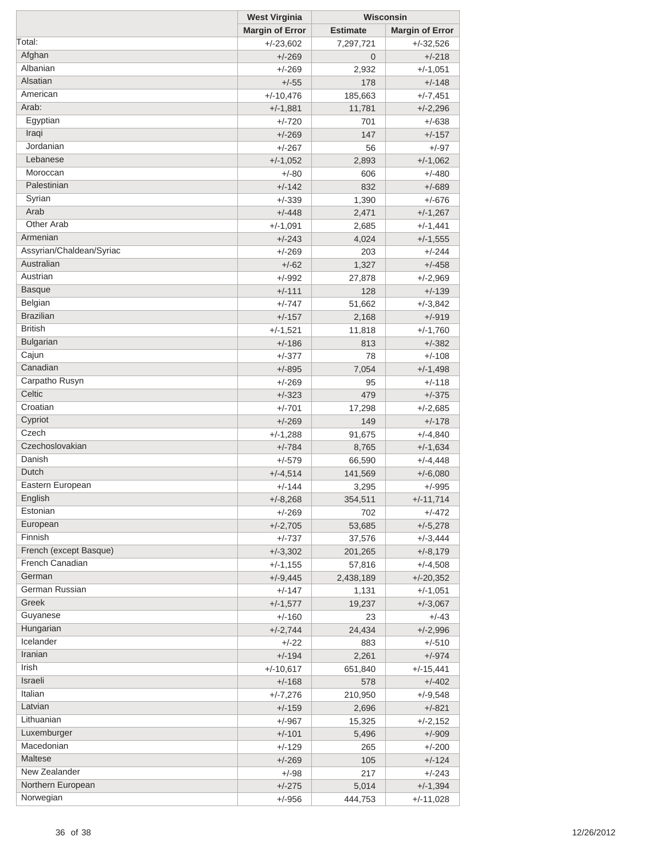|                          | <b>West Virginia</b>   |                 | Wisconsin              |  |  |
|--------------------------|------------------------|-----------------|------------------------|--|--|
|                          | <b>Margin of Error</b> | <b>Estimate</b> | <b>Margin of Error</b> |  |  |
| Total:                   | $+/-23,602$            | 7,297,721       | $+/-32,526$            |  |  |
| Afghan                   | $+/-269$               | $\overline{0}$  | $+/-218$               |  |  |
| Albanian                 | $+/-269$               | 2,932           | $+/-1,051$             |  |  |
| Alsatian                 | $+/-55$                | 178             | $+/-148$               |  |  |
| American                 | $+/-10,476$            | 185,663         | $+/-7,451$             |  |  |
| Arab:                    | $+/-1,881$             | 11,781          | $+/-2,296$             |  |  |
| Egyptian                 | $+/-720$               | 701             | $+/-638$               |  |  |
| Iraqi                    | $+/-269$               | 147             | $+/-157$               |  |  |
| Jordanian                | $+/-267$               | 56              | $+/-97$                |  |  |
| Lebanese                 | $+/-1,052$             | 2,893           | $+/-1,062$             |  |  |
| Moroccan                 | $+/-80$                | 606             | $+/-480$               |  |  |
| Palestinian              | $+/-142$               | 832             | $+/-689$               |  |  |
| Syrian                   | $+/-339$               | 1,390           | $+/-676$               |  |  |
| Arab                     | $+/-448$               | 2,471           | $+/-1,267$             |  |  |
| Other Arab               | $+/-1,091$             | 2,685           | $+/-1,441$             |  |  |
| Armenian                 | $+/-243$               | 4,024           | $+/-1,555$             |  |  |
| Assyrian/Chaldean/Syriac | $+/-269$               | 203             | $+/-244$               |  |  |
| Australian               | $+/-62$                | 1,327           | $+/-458$               |  |  |
| Austrian                 | $+/-992$               |                 |                        |  |  |
| <b>Basque</b>            |                        | 27,878          | $+/-2,969$             |  |  |
| Belgian                  | $+/-111$               | 128             | $+/-139$               |  |  |
| <b>Brazilian</b>         | $+/-747$               | 51,662          | $+/-3,842$             |  |  |
| <b>British</b>           | $+/-157$               | 2,168           | $+/-919$               |  |  |
| Bulgarian                | $+/-1,521$             | 11,818          | $+/-1,760$             |  |  |
| Cajun                    | $+/-186$               | 813             | $+/-382$               |  |  |
| Canadian                 | $+/-377$               | 78              | $+/-108$               |  |  |
|                          | $+/-895$               | 7,054           | $+/-1,498$             |  |  |
| Carpatho Rusyn<br>Celtic | $+/-269$               | 95              | $+/-118$               |  |  |
|                          | $+/-323$               | 479             | $+/-375$               |  |  |
| Croatian                 | $+/-701$               | 17,298          | $+/-2,685$             |  |  |
| Cypriot                  | $+/-269$               | 149             | $+/-178$               |  |  |
| Czech<br>Czechoslovakian | $+/-1,288$             | 91,675          | $+/-4,840$             |  |  |
|                          | $+/-784$               | 8,765           | $+/-1,634$             |  |  |
| Danish                   | $+/-579$               | 66,590          | $+/-4,448$             |  |  |
| Dutch                    | $+/-4,514$             | 141,569         | $+/-6,080$             |  |  |
| Eastern European         | $+/-144$               | 3,295           | $+/-995$               |  |  |
| English                  | $+/-8,268$             | 354,511         | $+/-11,714$            |  |  |
| Estonian                 | $+/-269$               | 702             | $+/-472$               |  |  |
| European                 | $+/-2,705$             | 53,685          | $+/-5,278$             |  |  |
| Finnish                  | $+/-737$               | 37,576          | $+/-3,444$             |  |  |
| French (except Basque)   | $+/-3,302$             | 201,265         | $+/-8,179$             |  |  |
| French Canadian          | $+/-1,155$             | 57,816          | $+/-4,508$             |  |  |
| German                   | $+/-9,445$             | 2,438,189       | $+/-20,352$            |  |  |
| German Russian           | $+/-147$               | 1,131           | $+/-1,051$             |  |  |
| Greek                    | $+/-1,577$             | 19,237          | $+/-3,067$             |  |  |
| Guyanese                 | $+/-160$               | 23              | $+/-43$                |  |  |
| Hungarian                | $+/-2,744$             | 24,434          | $+/-2,996$             |  |  |
| Icelander                | $+/-22$                | 883             | $+/-510$               |  |  |
| Iranian                  | $+/-194$               | 2,261           | $+/-974$               |  |  |
| Irish                    | $+/-10,617$            | 651,840         | $+/-15,441$            |  |  |
| Israeli                  | $+/-168$               | 578             | $+/-402$               |  |  |
| Italian                  | $+/-7,276$             | 210,950         | $+/-9,548$             |  |  |
| Latvian                  | $+/-159$               | 2,696           | $+/-821$               |  |  |
| Lithuanian               | $+/-967$               | 15,325          | $+/-2,152$             |  |  |
| Luxemburger              | $+/-101$               | 5,496           | $+/-909$               |  |  |
| Macedonian               | $+/-129$               | 265             | $+/-200$               |  |  |
| Maltese                  | $+/-269$               | 105             | $+/-124$               |  |  |
| New Zealander            | $+/-98$                | 217             | $+/-243$               |  |  |
| Northern European        | $+/-275$               | 5,014           | $+/-1,394$             |  |  |
| Norwegian                | $+/-956$               | 444,753         | $+/-11,028$            |  |  |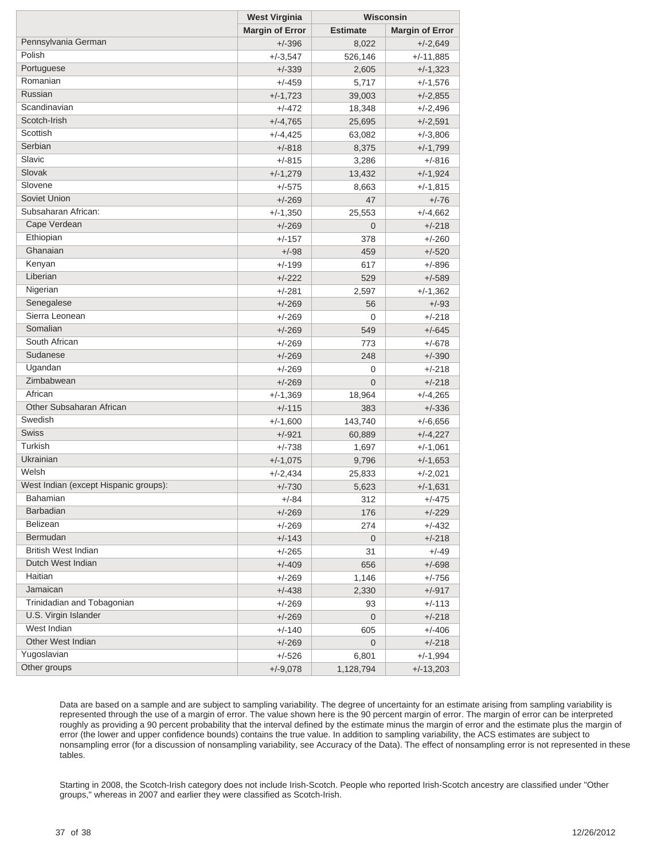|                                       | <b>West Virginia</b>   |                 | Wisconsin              |  |
|---------------------------------------|------------------------|-----------------|------------------------|--|
|                                       | <b>Margin of Error</b> | <b>Estimate</b> | <b>Margin of Error</b> |  |
| Pennsylvania German                   | $+/-396$               | 8,022           | $+/-2,649$             |  |
| Polish                                | $+/-3,547$             | 526,146         | $+/-11,885$            |  |
| Portuguese                            | $+/-339$               | 2,605           | $+/-1,323$             |  |
| Romanian                              | $+/-459$               | 5,717           | $+/-1,576$             |  |
| Russian                               | $+/-1,723$             | 39,003          | $+/-2,855$             |  |
| Scandinavian                          | $+/-472$               | 18,348          | $+/-2,496$             |  |
| Scotch-Irish                          | $+/-4,765$             | 25,695          | $+/-2,591$             |  |
| Scottish                              | $+/-4,425$             | 63,082          | $+/-3,806$             |  |
| Serbian                               | $+/-818$               | 8,375           | $+/-1,799$             |  |
| Slavic                                | $+/-815$               | 3,286           | $+/-816$               |  |
| Slovak                                | $+/-1,279$             | 13,432          | $+/-1,924$             |  |
| Slovene                               | $+/-575$               | 8,663           | $+/-1,815$             |  |
| Soviet Union                          | $+/-269$               | 47              | $+/-76$                |  |
| Subsaharan African:                   | $+/-1,350$             | 25,553          | $+/-4,662$             |  |
| Cape Verdean                          | $+/-269$               | $\overline{0}$  | $+/-218$               |  |
| Ethiopian                             | $+/-157$               | 378             | $+/-260$               |  |
| Ghanaian                              | $+/-98$                | 459             | $+/-520$               |  |
| Kenyan                                | $+/-199$               | 617             | $+/-896$               |  |
| Liberian                              | $+/-222$               | 529             | $+/-589$               |  |
| Nigerian                              | $+/-281$               | 2,597           | $+/-1,362$             |  |
| Senegalese                            | $+/-269$               | 56              | $+/-93$                |  |
| Sierra Leonean                        | $+/-269$               | 0               | $+/-218$               |  |
| Somalian                              | $+/-269$               | 549             | $+/-645$               |  |
| South African                         | $+/-269$               | 773             | $+/-678$               |  |
| Sudanese                              | $+/-269$               | 248             | $+/-390$               |  |
| Ugandan                               | $+/-269$               | 0               | $+/-218$               |  |
| Zimbabwean                            | $+/-269$               | $\overline{0}$  | $+/-218$               |  |
| African                               | $+/-1,369$             | 18,964          | $+/-4,265$             |  |
| Other Subsaharan African              | $+/-115$               | 383             | $+/-336$               |  |
| Swedish                               | $+/-1,600$             | 143,740         | $+/-6,656$             |  |
| <b>Swiss</b>                          | $+/-921$               | 60,889          | $+/-4,227$             |  |
| Turkish                               | $+/-738$               | 1,697           | $+/-1,061$             |  |
| Ukrainian                             | $+/-1,075$             | 9,796           | $+/-1,653$             |  |
| Welsh                                 | $+/-2,434$             | 25,833          | $+/-2,021$             |  |
| West Indian (except Hispanic groups): | $+/-730$               | 5,623           | $+/-1,631$             |  |
| Bahamian                              | +/-84                  | 312             | $+/-4/5$               |  |
| Barbadian                             | $+/-269$               | 176             | $+/-229$               |  |
| Belizean                              | $+/-269$               | 274             | $+/-432$               |  |
| Bermudan                              | $+/-143$               | $\mathbf 0$     | $+/-218$               |  |
| <b>British West Indian</b>            | $+/-265$               | 31              | $+/-49$                |  |
| Dutch West Indian                     | $+/-409$               | 656             | $+/-698$               |  |
| Haitian                               | $+/-269$               | 1,146           | $+/-756$               |  |
| Jamaican                              | $+/-438$               | 2,330           | $+/-917$               |  |
| Trinidadian and Tobagonian            | $+/-269$               | 93              | $+/-113$               |  |
| U.S. Virgin Islander                  | $+/-269$               | $\mathbf 0$     | $+/-218$               |  |
| West Indian                           | $+/-140$               | 605             | $+/-406$               |  |
| Other West Indian                     | $+/-269$               | $\mathbf 0$     | $+/-218$               |  |
| Yugoslavian                           | $+/-526$               | 6,801           | $+/-1,994$             |  |
| Other groups                          | $+/-9,078$             | 1,128,794       | $+/-13,203$            |  |

Data are based on a sample and are subject to sampling variability. The degree of uncertainty for an estimate arising from sampling variability is represented through the use of a margin of error. The value shown here is the 90 percent margin of error. The margin of error can be interpreted roughly as providing a 90 percent probability that the interval defined by the estimate minus the margin of error and the estimate plus the margin of error (the lower and upper confidence bounds) contains the true value. In addition to sampling variability, the ACS estimates are subject to nonsampling error (for a discussion of nonsampling variability, see Accuracy of the Data). The effect of nonsampling error is not represented in these tables.

Starting in 2008, the Scotch-Irish category does not include Irish-Scotch. People who reported Irish-Scotch ancestry are classified under "Other groups," whereas in 2007 and earlier they were classified as Scotch-Irish.